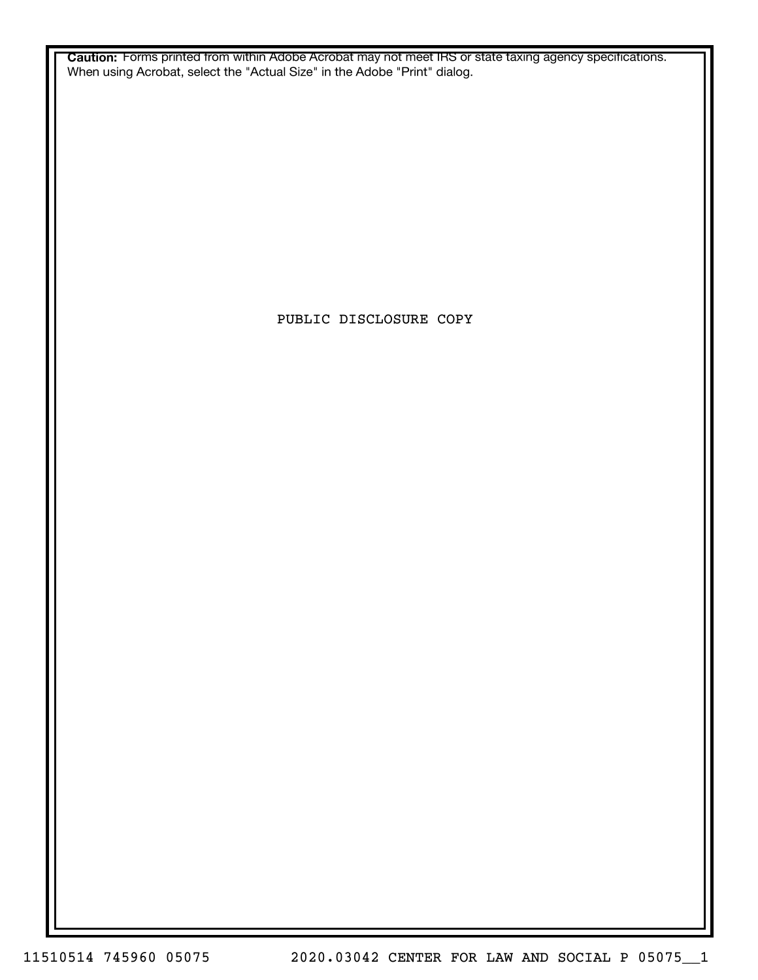**Caution:** Forms printed from within Adobe Acrobat may not meet IRS or state taxing agency specifications. When using Acrobat, select the "Actual Size" in the Adobe "Print" dialog.

PUBLIC DISCLOSURE COPY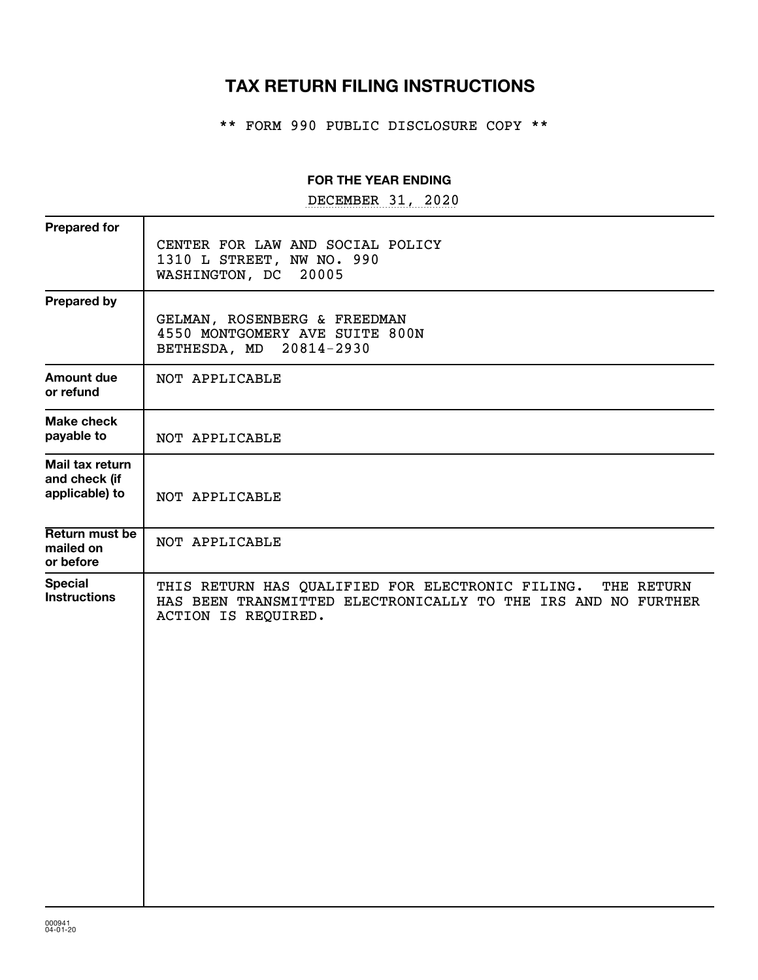## **TAX RETURN FILING INSTRUCTIONS**

\*\* FORM 990 PUBLIC DISCLOSURE COPY \*\*

#### **FOR THE YEAR ENDING**

DECEMBER 31, 2020

| <b>Prepared for</b>                                |                                                                                                                                                        |
|----------------------------------------------------|--------------------------------------------------------------------------------------------------------------------------------------------------------|
|                                                    | CENTER FOR LAW AND SOCIAL POLICY<br>1310 L STREET, NW NO. 990<br>WASHINGTON, DC<br>20005                                                               |
| <b>Prepared by</b>                                 | GELMAN, ROSENBERG & FREEDMAN<br>4550 MONTGOMERY AVE SUITE 800N<br>BETHESDA, MD 20814-2930                                                              |
| <b>Amount due</b><br>or refund                     | NOT APPLICABLE                                                                                                                                         |
| <b>Make check</b><br>payable to                    | NOT APPLICABLE                                                                                                                                         |
| Mail tax return<br>and check (if<br>applicable) to | NOT APPLICABLE                                                                                                                                         |
| Return must be<br>mailed on<br>or before           | NOT APPLICABLE                                                                                                                                         |
| <b>Special</b><br><b>Instructions</b>              | THIS RETURN HAS QUALIFIED FOR ELECTRONIC FILING.<br>THE RETURN<br>HAS BEEN TRANSMITTED ELECTRONICALLY TO THE IRS AND NO FURTHER<br>ACTION IS REQUIRED. |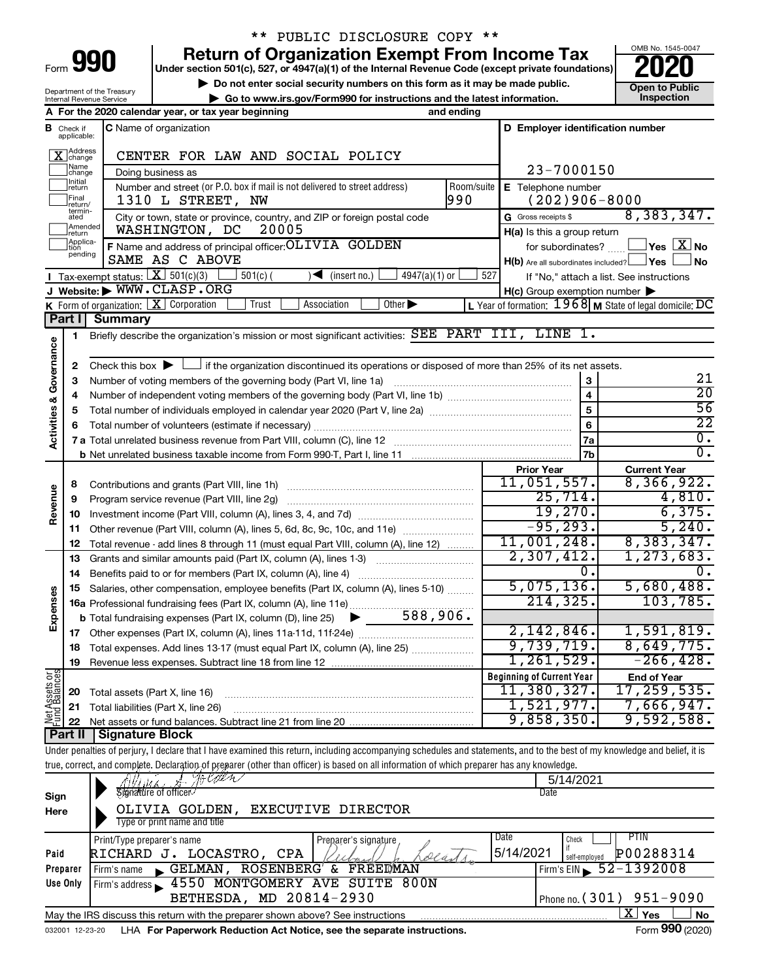| Form |  |  |
|------|--|--|
|      |  |  |

## \*\* PUBLIC DISCLOSURE COPY \*\*

**990** Return of Organization Exempt From Income Tax <br>
Under section 501(c), 527, or 4947(a)(1) of the Internal Revenue Code (except private foundations)<br> **PO20** 

**but the Social security numbers on this form as it may be made public.** The only one to Public **Depending to Public and the latest information.** This pection **| Go to www.irs.gov/Form990 for instructions and the latest information. Inspection**



Department of the Treasury Internal Revenue Service

|                                |                               | A For the 2020 calendar year, or tax year beginning<br>and ending                                                                                                          |                                                     |                                                                                 |
|--------------------------------|-------------------------------|----------------------------------------------------------------------------------------------------------------------------------------------------------------------------|-----------------------------------------------------|---------------------------------------------------------------------------------|
|                                | <b>B</b> Check if applicable: | C Name of organization                                                                                                                                                     | D Employer identification number                    |                                                                                 |
|                                | X Address                     | CENTER FOR LAW AND SOCIAL POLICY                                                                                                                                           |                                                     |                                                                                 |
|                                | Name<br> change               | Doing business as                                                                                                                                                          | 23-7000150                                          |                                                                                 |
|                                | Initial<br>return             | Number and street (or P.O. box if mail is not delivered to street address)<br>Room/suite                                                                                   | E Telephone number                                  |                                                                                 |
|                                | Final<br> return/             | 990<br>1310 L STREET, NW                                                                                                                                                   | $(202)906 - 8000$                                   |                                                                                 |
|                                | termin-<br>ated               | City or town, state or province, country, and ZIP or foreign postal code                                                                                                   | G Gross receipts \$                                 | 8,383,347.                                                                      |
|                                | Amended<br>Ireturn            | 20005<br>WASHINGTON, DC                                                                                                                                                    | H(a) Is this a group return                         |                                                                                 |
|                                | Applica-<br>Ition             | F Name and address of principal officer: OLIVIA GOLDEN                                                                                                                     |                                                     | for subordinates? $\begin{array}{c} \boxed{\textbf{X}} \textbf{No} \end{array}$ |
|                                | pending                       | SAME AS C ABOVE                                                                                                                                                            | $H(b)$ Are all subordinates included? $\Box$ Yes    | ∫No                                                                             |
|                                |                               | Tax-exempt status: $X \over 301(c)(3)$<br>$4947(a)(1)$ or<br>$501(c)$ (<br>$\sqrt{\bullet}$ (insert no.)                                                                   | 527                                                 | If "No," attach a list. See instructions                                        |
|                                |                               | J Website: WWW.CLASP.ORG                                                                                                                                                   | $H(c)$ Group exemption number $\blacktriangleright$ |                                                                                 |
|                                |                               | <b>K</b> Form of organization: $\boxed{\mathbf{X}}$ Corporation<br>Other $\blacktriangleright$<br>Trust<br>Association                                                     |                                                     | L Year of formation: $1968$ M State of legal domicile: $\overline{DC}$          |
|                                | Part I                        | <b>Summary</b>                                                                                                                                                             |                                                     |                                                                                 |
|                                | 1                             | Briefly describe the organization's mission or most significant activities: SEE PART III, LINE 1.                                                                          |                                                     |                                                                                 |
| Governance                     |                               |                                                                                                                                                                            |                                                     |                                                                                 |
|                                | 2                             | Check this box $\blacktriangleright \Box$ if the organization discontinued its operations or disposed of more than 25% of its net assets.                                  |                                                     |                                                                                 |
|                                | 3                             |                                                                                                                                                                            | 3                                                   | 21                                                                              |
|                                | 4                             |                                                                                                                                                                            | $\overline{\mathbf{4}}$                             | $\overline{20}$                                                                 |
|                                | 5                             |                                                                                                                                                                            | $\overline{5}$                                      | 56                                                                              |
|                                | 6                             |                                                                                                                                                                            | $6\phantom{a}$                                      | $\overline{22}$                                                                 |
| <b>Activities &amp;</b>        |                               |                                                                                                                                                                            | <b>7a</b>                                           | $\overline{0}$ .                                                                |
|                                |                               |                                                                                                                                                                            | 7b                                                  | $\overline{0}$ .                                                                |
|                                |                               |                                                                                                                                                                            | <b>Prior Year</b>                                   | <b>Current Year</b>                                                             |
|                                | 8                             |                                                                                                                                                                            | 11,051,557.                                         | 8,366,922.                                                                      |
|                                | 9                             | Program service revenue (Part VIII, line 2g)                                                                                                                               | 25,714.                                             | 4,810.                                                                          |
| Revenue                        | 10                            |                                                                                                                                                                            | 19,270.                                             | 6,375.                                                                          |
|                                | 11                            | Other revenue (Part VIII, column (A), lines 5, 6d, 8c, 9c, 10c, and 11e)                                                                                                   | $-95, 293.$                                         | 5,240.                                                                          |
|                                | 12                            | Total revenue - add lines 8 through 11 (must equal Part VIII, column (A), line 12)                                                                                         | 11,001,248.                                         | 8,383,347.                                                                      |
|                                | 13                            | Grants and similar amounts paid (Part IX, column (A), lines 1-3)                                                                                                           | 2,307,412.                                          | 1, 273, 683.                                                                    |
|                                | 14                            | Benefits paid to or for members (Part IX, column (A), line 4)                                                                                                              | 0.                                                  |                                                                                 |
|                                | 15                            | Salaries, other compensation, employee benefits (Part IX, column (A), lines 5-10)                                                                                          | 5,075,136.                                          | 5,680,488.                                                                      |
|                                |                               | 16a Professional fundraising fees (Part IX, column (A), line 11e)                                                                                                          | 214, 325.                                           | 103,785.                                                                        |
| Expenses                       |                               | 588,906.<br><b>b</b> Total fundraising expenses (Part IX, column (D), line 25) $\blacktriangleright$                                                                       |                                                     |                                                                                 |
|                                | 17                            |                                                                                                                                                                            | 2,142,846.                                          | 1,591,819.                                                                      |
|                                |                               | 18 Total expenses. Add lines 13-17 (must equal Part IX, column (A), line 25)                                                                                               | 9,739,719.                                          | 8,649,775.                                                                      |
|                                | 19                            | Revenue less expenses. Subtract line 18 from line 12                                                                                                                       | 1,261,529.                                          | $-266, 428.$                                                                    |
| Net Assets or<br>Fund Balances |                               |                                                                                                                                                                            | <b>Beginning of Current Year</b>                    | <b>End of Year</b>                                                              |
|                                | 20                            | Total assets (Part X, line 16)                                                                                                                                             | 11,380,327.                                         | 17, 259, 535.                                                                   |
|                                | 21                            | Total liabilities (Part X, line 26)                                                                                                                                        | 1,521,977.                                          | 7,666,947.<br>9,592,588.                                                        |
|                                | 22                            | Net assets or fund balances. Subtract line 21 from line 20                                                                                                                 | 9,858,350.                                          |                                                                                 |
|                                | <b>Part II</b>                | <b>Signature Block</b>                                                                                                                                                     |                                                     |                                                                                 |
|                                |                               | Under penalties of perjury, I declare that I have examined this return, including accompanying schedules and statements, and to the best of my knowledge and belief, it is |                                                     |                                                                                 |
|                                |                               | true, correct, and complete. Declaration of preparer (other than officer) is based on all information of which preparer has any knowledge.<br>かしのやん                        | 5/14/2021                                           |                                                                                 |
|                                |                               | Signature of officer                                                                                                                                                       | Date                                                |                                                                                 |
| Sign                           |                               | OLIVIA GOLDEN,<br>EXECUTIVE DIRECTOR                                                                                                                                       |                                                     |                                                                                 |
| Here                           |                               | Type or print name and title                                                                                                                                               |                                                     |                                                                                 |
|                                |                               |                                                                                                                                                                            | Date<br>Check                                       | <b>PTIN</b>                                                                     |
| Paid                           |                               | Print/Type preparer's name<br>Preparer's signature<br>RICHARD J. LOCASTRO, CPA<br>eeastr                                                                                   | 5/14/2021                                           | P00288314                                                                       |
|                                | Preparer                      | Firm's name GELMAN, ROSENBERG' & FREEDMAN                                                                                                                                  | self-employed<br>Firm's FIN                         | 52-1392008                                                                      |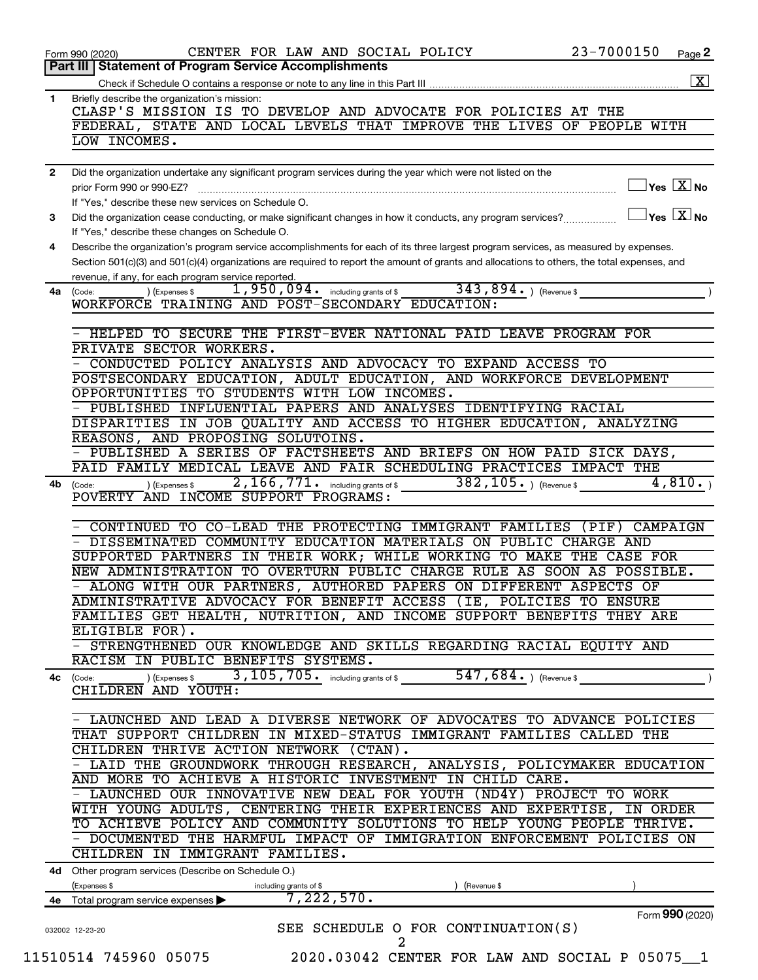|              | 23-7000150<br>CENTER FOR LAW AND SOCIAL POLICY<br>Page 2<br>Form 990 (2020)                                                                      |
|--------------|--------------------------------------------------------------------------------------------------------------------------------------------------|
|              | Part III   Statement of Program Service Accomplishments                                                                                          |
|              |                                                                                                                                                  |
| $\mathbf{1}$ | Briefly describe the organization's mission:                                                                                                     |
|              | CLASP'S MISSION IS TO DEVELOP AND ADVOCATE FOR POLICIES AT THE                                                                                   |
|              | FEDERAL, STATE AND LOCAL LEVELS THAT IMPROVE THE LIVES OF PEOPLE WITH                                                                            |
|              | LOW INCOMES.                                                                                                                                     |
| $\mathbf{2}$ | Did the organization undertake any significant program services during the year which were not listed on the                                     |
|              | $\exists$ Yes $\boxed{\text{X}}$ No<br>prior Form 990 or 990-EZ?                                                                                 |
|              | If "Yes," describe these new services on Schedule O.                                                                                             |
| 3            | $\Box$ Yes $\boxed{\text{X}}$ No<br>Did the organization cease conducting, or make significant changes in how it conducts, any program services? |
|              | If "Yes," describe these changes on Schedule O.                                                                                                  |
| 4            | Describe the organization's program service accomplishments for each of its three largest program services, as measured by expenses.             |
|              | Section 501(c)(3) and 501(c)(4) organizations are required to report the amount of grants and allocations to others, the total expenses, and     |
|              | revenue, if any, for each program service reported.<br>1,950,094. including grants of \$343,894.) (Revenue \$                                    |
|              | ) (Expenses \$<br>4a (Code:<br>WORKFORCE TRAINING AND POST-SECONDARY EDUCATION:                                                                  |
|              |                                                                                                                                                  |
|              | - HELPED TO SECURE THE FIRST-EVER NATIONAL PAID LEAVE PROGRAM FOR                                                                                |
|              | PRIVATE SECTOR WORKERS.                                                                                                                          |
|              | - CONDUCTED POLICY ANALYSIS AND ADVOCACY TO EXPAND ACCESS TO                                                                                     |
|              | POSTSECONDARY EDUCATION, ADULT EDUCATION, AND WORKFORCE DEVELOPMENT                                                                              |
|              | OPPORTUNITIES TO STUDENTS WITH LOW INCOMES.                                                                                                      |
|              | - PUBLISHED INFLUENTIAL PAPERS AND ANALYSES IDENTIFYING RACIAL                                                                                   |
|              | DISPARITIES IN JOB QUALITY AND ACCESS TO HIGHER EDUCATION, ANALYZING                                                                             |
|              | REASONS, AND PROPOSING SOLUTOINS.                                                                                                                |
|              | - PUBLISHED A SERIES OF FACTSHEETS AND BRIEFS ON HOW PAID SICK DAYS,                                                                             |
|              | PAID FAMILY MEDICAL LEAVE AND FAIR SCHEDULING PRACTICES IMPACT THE                                                                               |
| 4b           | 2, 166, 771. including grants of \$382, 105. ) (Revenue \$<br>4,810.<br>) (Expenses \$<br>(Code:                                                 |
|              | POVERTY AND INCOME SUPPORT PROGRAMS:                                                                                                             |
|              |                                                                                                                                                  |
|              | - CONTINUED TO CO-LEAD THE PROTECTING IMMIGRANT FAMILIES (PIF) CAMPAIGN                                                                          |
|              | - DISSEMINATED COMMUNITY EDUCATION MATERIALS ON PUBLIC CHARGE AND                                                                                |
|              | SUPPORTED PARTNERS IN THEIR WORK; WHILE WORKING TO MAKE THE CASE FOR                                                                             |
|              | NEW ADMINISTRATION TO OVERTURN PUBLIC CHARGE RULE AS SOON AS POSSIBLE.                                                                           |
|              | ALONG WITH OUR PARTNERS, AUTHORED PAPERS ON DIFFERENT ASPECTS OF                                                                                 |
|              | ADMINISTRATIVE ADVOCACY FOR BENEFIT ACCESS (IE, POLICIES TO ENSURE                                                                               |
|              | FAMILIES GET HEALTH, NUTRITION, AND INCOME SUPPORT BENEFITS THEY ARE                                                                             |
|              | ELIGIBLE FOR).<br>- STRENGTHENED OUR KNOWLEDGE AND SKILLS REGARDING RACIAL EQUITY AND                                                            |
|              | RACISM IN PUBLIC BENEFITS SYSTEMS.                                                                                                               |
|              | 547, 684.) (Revenue \$<br>$_0$ (Expenses \$ 3, 105, 705. including grants of \$                                                                  |
|              | 4c (Code:<br>CHILDREN AND YOUTH:                                                                                                                 |
|              |                                                                                                                                                  |
|              | - LAUNCHED AND LEAD A DIVERSE NETWORK OF ADVOCATES TO ADVANCE POLICIES                                                                           |
|              | THAT SUPPORT CHILDREN IN MIXED-STATUS IMMIGRANT FAMILIES CALLED THE                                                                              |
|              | CHILDREN THRIVE ACTION NETWORK (CTAN).                                                                                                           |
|              | - LAID THE GROUNDWORK THROUGH RESEARCH, ANALYSIS, POLICYMAKER EDUCATION                                                                          |
|              | AND MORE TO ACHIEVE A HISTORIC INVESTMENT IN CHILD CARE.                                                                                         |
|              | - LAUNCHED OUR INNOVATIVE NEW DEAL FOR YOUTH (ND4Y) PROJECT TO WORK                                                                              |
|              | WITH YOUNG ADULTS, CENTERING THEIR EXPERIENCES AND EXPERTISE, IN ORDER                                                                           |
|              | TO ACHIEVE POLICY AND COMMUNITY SOLUTIONS TO HELP YOUNG PEOPLE THRIVE.                                                                           |
|              | - DOCUMENTED THE HARMFUL IMPACT OF IMMIGRATION ENFORCEMENT POLICIES ON                                                                           |
|              | CHILDREN IN IMMIGRANT FAMILIES.                                                                                                                  |
|              | 4d Other program services (Describe on Schedule O.)                                                                                              |
|              | (Expenses \$<br>including grants of \$<br>Revenue \$                                                                                             |
| 4е           | 7,222,570.<br>Total program service expenses                                                                                                     |
|              | Form 990 (2020)                                                                                                                                  |
|              | SEE SCHEDULE O FOR CONTINUATION(S)<br>032002 12-23-20<br>2                                                                                       |
|              | 11510514 745960 05075<br>2020.03042 CENTER FOR LAW AND SOCIAL P 05075 1                                                                          |
|              |                                                                                                                                                  |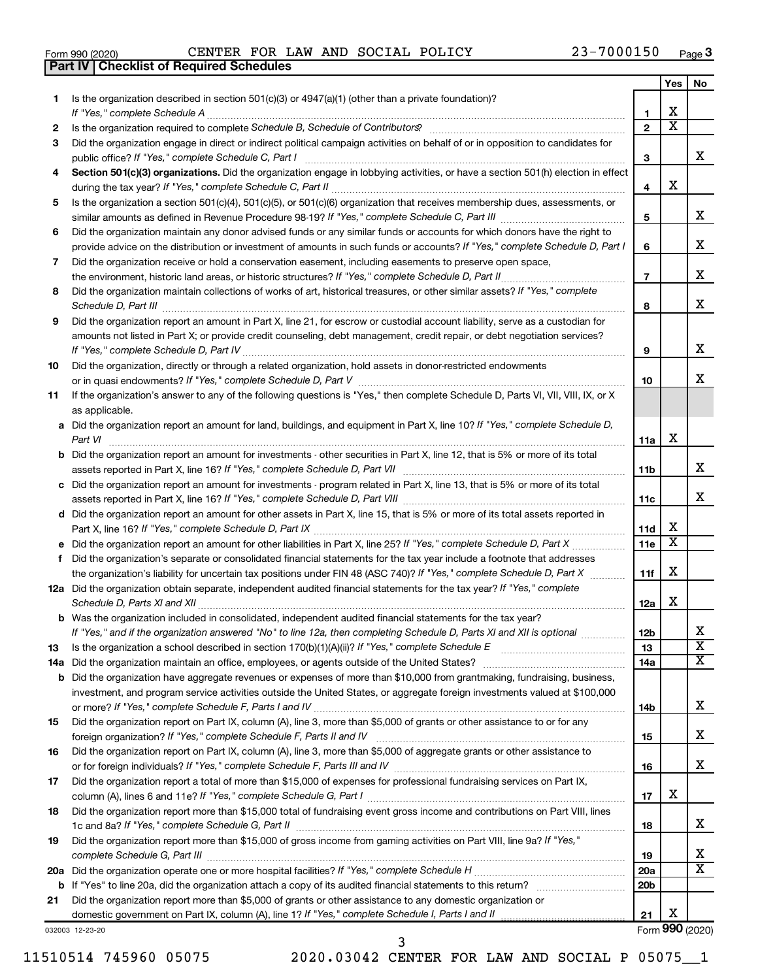|  | Form 990 (2020) |
|--|-----------------|
|  |                 |

**Part IV Checklist of Required Schedules**

Form 990 (2020)  $\begin{array}{cccc} \text{CENTER} & \text{FOR} & \text{LAW} & \text{AND} & \text{SOCIAL} & \text{POLICY} \end{array}$   $\begin{array}{cccc} 23-7000150 & \text{Page} \end{array}$ 

|     |                                                                                                                                                                                                                                     |                 | Yes                     | No                      |
|-----|-------------------------------------------------------------------------------------------------------------------------------------------------------------------------------------------------------------------------------------|-----------------|-------------------------|-------------------------|
| 1   | Is the organization described in section $501(c)(3)$ or $4947(a)(1)$ (other than a private foundation)?                                                                                                                             |                 |                         |                         |
|     |                                                                                                                                                                                                                                     | 1               | x                       |                         |
| 2   | Is the organization required to complete Schedule B, Schedule of Contributors? [11] content or set of our content of the organization required to complete Schedule B, Schedule of Contributors?                                    | $\overline{2}$  | $\overline{\textbf{x}}$ |                         |
| З   | Did the organization engage in direct or indirect political campaign activities on behalf of or in opposition to candidates for                                                                                                     |                 |                         |                         |
|     | public office? If "Yes," complete Schedule C, Part I                                                                                                                                                                                | з               |                         | х                       |
| 4   | Section 501(c)(3) organizations. Did the organization engage in lobbying activities, or have a section 501(h) election in effect                                                                                                    |                 |                         |                         |
|     |                                                                                                                                                                                                                                     | 4               | x                       |                         |
| 5   | Is the organization a section 501(c)(4), 501(c)(5), or 501(c)(6) organization that receives membership dues, assessments, or                                                                                                        |                 |                         |                         |
|     |                                                                                                                                                                                                                                     | 5               |                         | х                       |
| 6   | Did the organization maintain any donor advised funds or any similar funds or accounts for which donors have the right to                                                                                                           |                 |                         |                         |
|     | provide advice on the distribution or investment of amounts in such funds or accounts? If "Yes," complete Schedule D, Part I                                                                                                        | 6               |                         | х                       |
| 7   | Did the organization receive or hold a conservation easement, including easements to preserve open space,                                                                                                                           |                 |                         |                         |
|     |                                                                                                                                                                                                                                     | $\overline{7}$  |                         | х                       |
| 8   | Did the organization maintain collections of works of art, historical treasures, or other similar assets? If "Yes," complete                                                                                                        |                 |                         |                         |
|     | Schedule D, Part III <b>Marting Communities</b> and the contract of the contract of the contract of the contract of the contract of the contract of the contract of the contract of the contract of the contract of the contract of | 8               |                         | х                       |
| 9   | Did the organization report an amount in Part X, line 21, for escrow or custodial account liability, serve as a custodian for                                                                                                       |                 |                         |                         |
|     | amounts not listed in Part X; or provide credit counseling, debt management, credit repair, or debt negotiation services?                                                                                                           |                 |                         |                         |
|     |                                                                                                                                                                                                                                     | 9               |                         | х                       |
| 10  | Did the organization, directly or through a related organization, hold assets in donor-restricted endowments                                                                                                                        |                 |                         |                         |
|     |                                                                                                                                                                                                                                     | 10              |                         | х                       |
| 11  | If the organization's answer to any of the following questions is "Yes," then complete Schedule D, Parts VI, VII, VIII, IX, or X                                                                                                    |                 |                         |                         |
|     | as applicable.                                                                                                                                                                                                                      |                 |                         |                         |
|     | a Did the organization report an amount for land, buildings, and equipment in Part X, line 10? If "Yes," complete Schedule D,                                                                                                       |                 |                         |                         |
|     |                                                                                                                                                                                                                                     | 11a             | х                       |                         |
|     | <b>b</b> Did the organization report an amount for investments - other securities in Part X, line 12, that is 5% or more of its total                                                                                               |                 |                         | х                       |
|     |                                                                                                                                                                                                                                     | 11b             |                         |                         |
|     | c Did the organization report an amount for investments - program related in Part X, line 13, that is 5% or more of its total                                                                                                       |                 |                         | х                       |
|     |                                                                                                                                                                                                                                     | 11c             |                         |                         |
|     | d Did the organization report an amount for other assets in Part X, line 15, that is 5% or more of its total assets reported in                                                                                                     | 11d             | X                       |                         |
|     |                                                                                                                                                                                                                                     | 11e             | X                       |                         |
|     | Did the organization's separate or consolidated financial statements for the tax year include a footnote that addresses                                                                                                             |                 |                         |                         |
| f   | the organization's liability for uncertain tax positions under FIN 48 (ASC 740)? If "Yes," complete Schedule D, Part X                                                                                                              | 11f             | x                       |                         |
|     | 12a Did the organization obtain separate, independent audited financial statements for the tax year? If "Yes," complete                                                                                                             |                 |                         |                         |
|     | Schedule D, Parts XI and XII                                                                                                                                                                                                        | 12a             | x                       |                         |
|     | <b>b</b> Was the organization included in consolidated, independent audited financial statements for the tax year?                                                                                                                  |                 |                         |                         |
|     | If "Yes," and if the organization answered "No" to line 12a, then completing Schedule D, Parts XI and XII is optional www.                                                                                                          | 12 <sub>b</sub> |                         | Χ                       |
| 13  |                                                                                                                                                                                                                                     | 13              |                         | $\overline{\mathbf{X}}$ |
| 14a |                                                                                                                                                                                                                                     | 14a             |                         | X                       |
| b   | Did the organization have aggregate revenues or expenses of more than \$10,000 from grantmaking, fundraising, business,                                                                                                             |                 |                         |                         |
|     | investment, and program service activities outside the United States, or aggregate foreign investments valued at \$100,000                                                                                                          |                 |                         |                         |
|     |                                                                                                                                                                                                                                     | 14b             |                         | х                       |
| 15  | Did the organization report on Part IX, column (A), line 3, more than \$5,000 of grants or other assistance to or for any                                                                                                           |                 |                         |                         |
|     |                                                                                                                                                                                                                                     | 15              |                         | x                       |
| 16  | Did the organization report on Part IX, column (A), line 3, more than \$5,000 of aggregate grants or other assistance to                                                                                                            |                 |                         |                         |
|     |                                                                                                                                                                                                                                     | 16              |                         | x                       |
| 17  | Did the organization report a total of more than \$15,000 of expenses for professional fundraising services on Part IX,                                                                                                             |                 |                         |                         |
|     |                                                                                                                                                                                                                                     | 17              | x                       |                         |
| 18  | Did the organization report more than \$15,000 total of fundraising event gross income and contributions on Part VIII, lines                                                                                                        |                 |                         |                         |
|     |                                                                                                                                                                                                                                     | 18              |                         | x                       |
| 19  | Did the organization report more than \$15,000 of gross income from gaming activities on Part VIII, line 9a? If "Yes,"                                                                                                              |                 |                         |                         |
|     |                                                                                                                                                                                                                                     | 19              |                         | x                       |
|     |                                                                                                                                                                                                                                     | 20a             |                         | x                       |
| b   |                                                                                                                                                                                                                                     | 20 <sub>b</sub> |                         |                         |
| 21  | Did the organization report more than \$5,000 of grants or other assistance to any domestic organization or                                                                                                                         |                 |                         |                         |
|     |                                                                                                                                                                                                                                     | 21              | х                       |                         |
|     | 032003 12-23-20                                                                                                                                                                                                                     |                 |                         | Form 990 (2020)         |

11510514 745960 05075 2020.03042 CENTER FOR LAW AND SOCIAL P 05075\_\_1

3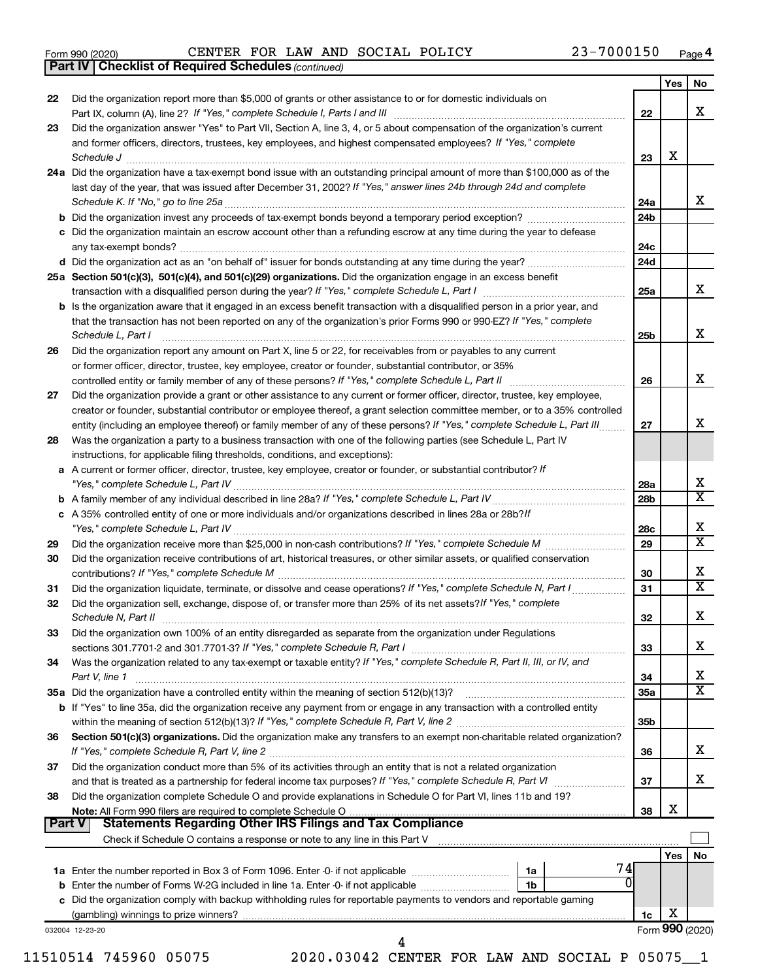|  | Form 990 (2020) |  |
|--|-----------------|--|
|  |                 |  |

*(continued)* **Part IV Checklist of Required Schedules**

|    |                                                                                                                                                                                                                                                                                    |                 | Yes | No                      |
|----|------------------------------------------------------------------------------------------------------------------------------------------------------------------------------------------------------------------------------------------------------------------------------------|-----------------|-----|-------------------------|
| 22 | Did the organization report more than \$5,000 of grants or other assistance to or for domestic individuals on                                                                                                                                                                      |                 |     | x                       |
| 23 | Did the organization answer "Yes" to Part VII, Section A, line 3, 4, or 5 about compensation of the organization's current                                                                                                                                                         | 22              |     |                         |
|    | and former officers, directors, trustees, key employees, and highest compensated employees? If "Yes," complete<br>Schedule J <b>www.communication.communication.communication.com</b>                                                                                              | 23              | х   |                         |
|    | 24a Did the organization have a tax-exempt bond issue with an outstanding principal amount of more than \$100,000 as of the                                                                                                                                                        |                 |     |                         |
|    | last day of the year, that was issued after December 31, 2002? If "Yes," answer lines 24b through 24d and complete                                                                                                                                                                 | 24a             |     | x                       |
|    | b Did the organization invest any proceeds of tax-exempt bonds beyond a temporary period exception?                                                                                                                                                                                | 24b             |     |                         |
|    | c Did the organization maintain an escrow account other than a refunding escrow at any time during the year to defease                                                                                                                                                             | 24c             |     |                         |
|    |                                                                                                                                                                                                                                                                                    | 24d             |     |                         |
|    | 25a Section 501(c)(3), 501(c)(4), and 501(c)(29) organizations. Did the organization engage in an excess benefit                                                                                                                                                                   |                 |     |                         |
|    |                                                                                                                                                                                                                                                                                    | 25a             |     | x                       |
|    | <b>b</b> Is the organization aware that it engaged in an excess benefit transaction with a disqualified person in a prior year, and<br>that the transaction has not been reported on any of the organization's prior Forms 990 or 990-EZ? If "Yes," complete<br>Schedule L. Part I | 25b             |     | x                       |
| 26 | Did the organization report any amount on Part X, line 5 or 22, for receivables from or payables to any current                                                                                                                                                                    |                 |     |                         |
|    | or former officer, director, trustee, key employee, creator or founder, substantial contributor, or 35%                                                                                                                                                                            |                 |     | x                       |
|    |                                                                                                                                                                                                                                                                                    | 26              |     |                         |
| 27 | Did the organization provide a grant or other assistance to any current or former officer, director, trustee, key employee,<br>creator or founder, substantial contributor or employee thereof, a grant selection committee member, or to a 35% controlled                         |                 |     |                         |
|    | entity (including an employee thereof) or family member of any of these persons? If "Yes," complete Schedule L, Part III                                                                                                                                                           | 27              |     | x                       |
| 28 | Was the organization a party to a business transaction with one of the following parties (see Schedule L, Part IV<br>instructions, for applicable filing thresholds, conditions, and exceptions):                                                                                  |                 |     |                         |
|    | a A current or former officer, director, trustee, key employee, creator or founder, or substantial contributor? If<br>"Yes," complete Schedule L, Part IV [111] [12] www.marrows.communications.communications.communications.communications.com                                   | 28a             |     | Х                       |
|    |                                                                                                                                                                                                                                                                                    | 28b             |     | $\overline{\textbf{x}}$ |
|    | c A 35% controlled entity of one or more individuals and/or organizations described in lines 28a or 28b?lf<br>"Yes," complete Schedule L, Part IV [111] [12] www.marrows.communications.communications.communications.communications.com                                           | 28c             |     | Х                       |
| 29 |                                                                                                                                                                                                                                                                                    | 29              |     | $\overline{\text{x}}$   |
| 30 | Did the organization receive contributions of art, historical treasures, or other similar assets, or qualified conservation                                                                                                                                                        | 30              |     | Х                       |
| 31 | Did the organization liquidate, terminate, or dissolve and cease operations? If "Yes," complete Schedule N, Part I                                                                                                                                                                 | 31              |     | $\overline{\text{x}}$   |
| 32 | Did the organization sell, exchange, dispose of, or transfer more than 25% of its net assets? If "Yes," complete                                                                                                                                                                   | 32              |     | Х                       |
| 33 | Did the organization own 100% of an entity disregarded as separate from the organization under Regulations                                                                                                                                                                         | 33              |     | х                       |
| 34 | Was the organization related to any tax-exempt or taxable entity? If "Yes," complete Schedule R, Part II, III, or IV, and<br>Part V, line 1                                                                                                                                        | 34              |     | х                       |
|    |                                                                                                                                                                                                                                                                                    | 35a             |     | $\overline{\texttt{x}}$ |
|    | b If "Yes" to line 35a, did the organization receive any payment from or engage in any transaction with a controlled entity                                                                                                                                                        | 35 <sub>b</sub> |     |                         |
| 36 | Section 501(c)(3) organizations. Did the organization make any transfers to an exempt non-charitable related organization?                                                                                                                                                         | 36              |     | x                       |
| 37 | Did the organization conduct more than 5% of its activities through an entity that is not a related organization                                                                                                                                                                   | 37              |     | x                       |
| 38 | Did the organization complete Schedule O and provide explanations in Schedule O for Part VI, lines 11b and 19?                                                                                                                                                                     |                 | X   |                         |
|    | Part V<br><b>Statements Regarding Other IRS Filings and Tax Compliance</b>                                                                                                                                                                                                         | 38              |     |                         |
|    |                                                                                                                                                                                                                                                                                    |                 |     |                         |
|    |                                                                                                                                                                                                                                                                                    |                 | Yes | No                      |
|    | 74                                                                                                                                                                                                                                                                                 |                 |     |                         |
|    | 1a<br>0<br>1 <sub>b</sub>                                                                                                                                                                                                                                                          |                 |     |                         |
|    |                                                                                                                                                                                                                                                                                    |                 |     |                         |
|    | c Did the organization comply with backup withholding rules for reportable payments to vendors and reportable gaming                                                                                                                                                               | 1c              | X   |                         |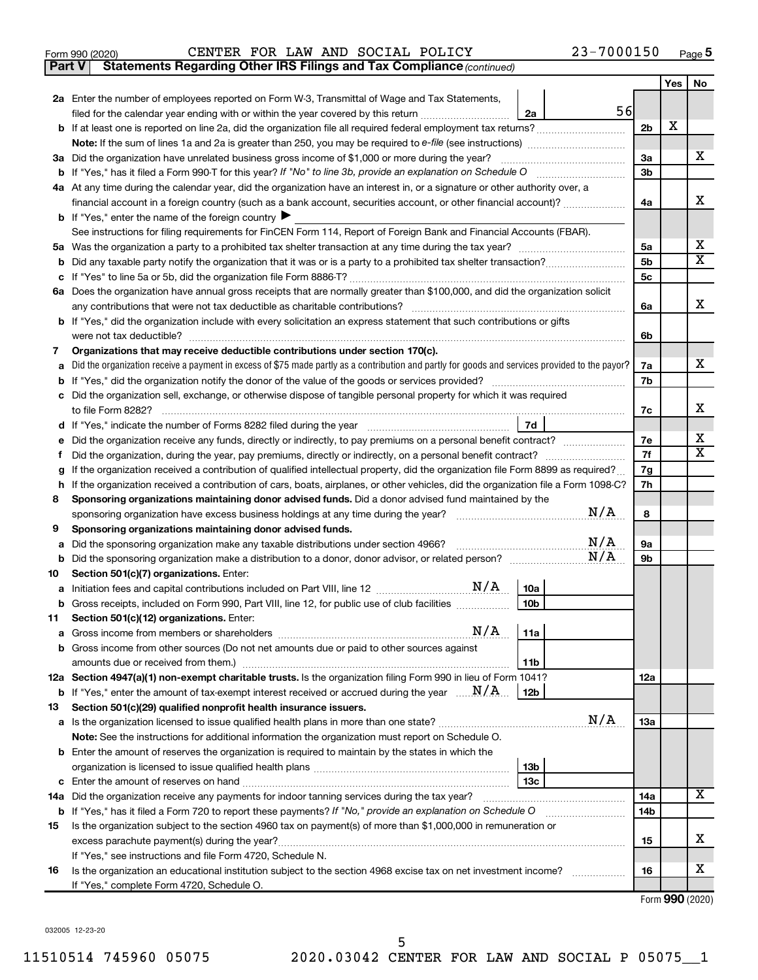| Form 990 (2020) |  |  | CENTER FOR LAW AND SOCIAL POLICY | 23-7000150 | Page |
|-----------------|--|--|----------------------------------|------------|------|
|-----------------|--|--|----------------------------------|------------|------|

**Part V Statements Regarding Other IRS Filings and Tax Compliance**

*(continued)*

|    |                                                                                                                                                      |                | Yes | No                      |
|----|------------------------------------------------------------------------------------------------------------------------------------------------------|----------------|-----|-------------------------|
|    | 2a Enter the number of employees reported on Form W-3, Transmittal of Wage and Tax Statements,                                                       |                |     |                         |
|    | 56<br>filed for the calendar year ending with or within the year covered by this return <i>[[[[[[[[[[[[[[[]]]]</i> ]]<br>2a                          |                |     |                         |
|    |                                                                                                                                                      | 2 <sub>b</sub> | X   |                         |
|    |                                                                                                                                                      |                |     |                         |
|    | 3a Did the organization have unrelated business gross income of \$1,000 or more during the year?                                                     | За             |     | х                       |
|    |                                                                                                                                                      | 3b             |     |                         |
|    | 4a At any time during the calendar year, did the organization have an interest in, or a signature or other authority over, a                         |                |     |                         |
|    | financial account in a foreign country (such as a bank account, securities account, or other financial account)?                                     | 4a             |     | х                       |
|    | <b>b</b> If "Yes," enter the name of the foreign country $\blacktriangleright$                                                                       |                |     |                         |
|    | See instructions for filing requirements for FinCEN Form 114, Report of Foreign Bank and Financial Accounts (FBAR).                                  |                |     |                         |
|    |                                                                                                                                                      | 5a             |     | х                       |
| b  |                                                                                                                                                      | 5b             |     | х                       |
| с  |                                                                                                                                                      | 5c             |     |                         |
|    | 6a Does the organization have annual gross receipts that are normally greater than \$100,000, and did the organization solicit                       |                |     | х                       |
|    | any contributions that were not tax deductible as charitable contributions?                                                                          | 6a             |     |                         |
|    | b If "Yes," did the organization include with every solicitation an express statement that such contributions or gifts                               |                |     |                         |
|    | were not tax deductible?<br>Organizations that may receive deductible contributions under section 170(c).                                            | 6b             |     |                         |
| 7  | Did the organization receive a payment in excess of \$75 made partly as a contribution and partly for goods and services provided to the payor?      | 7a             |     | х                       |
| а  |                                                                                                                                                      | 7b             |     |                         |
|    | Did the organization sell, exchange, or otherwise dispose of tangible personal property for which it was required                                    |                |     |                         |
|    |                                                                                                                                                      | 7c             |     | х                       |
| d  | 7d                                                                                                                                                   |                |     |                         |
|    | Did the organization receive any funds, directly or indirectly, to pay premiums on a personal benefit contract?                                      | 7e             |     | х                       |
| t  | Did the organization, during the year, pay premiums, directly or indirectly, on a personal benefit contract?                                         | 7f             |     | х                       |
| g  | If the organization received a contribution of qualified intellectual property, did the organization file Form 8899 as required?                     | 7g             |     |                         |
| h  | If the organization received a contribution of cars, boats, airplanes, or other vehicles, did the organization file a Form 1098-C?                   |                |     |                         |
| 8  | Sponsoring organizations maintaining donor advised funds. Did a donor advised fund maintained by the                                                 |                |     |                         |
|    | N/A<br>sponsoring organization have excess business holdings at any time during the year?                                                            | 8              |     |                         |
| 9  | Sponsoring organizations maintaining donor advised funds.                                                                                            |                |     |                         |
| а  | N/A<br>Did the sponsoring organization make any taxable distributions under section 4966?                                                            | 9а             |     |                         |
| b  | N/A                                                                                                                                                  | 9b             |     |                         |
| 10 | Section 501(c)(7) organizations. Enter:                                                                                                              |                |     |                         |
| а  | 10a                                                                                                                                                  |                |     |                         |
|    | 10 <sub>b</sub><br>b Gross receipts, included on Form 990, Part VIII, line 12, for public use of club facilities                                     |                |     |                         |
| 11 | Section 501(c)(12) organizations. Enter:                                                                                                             |                |     |                         |
|    |                                                                                                                                                      |                |     |                         |
|    | b Gross income from other sources (Do not net amounts due or paid to other sources against                                                           |                |     |                         |
|    | 11b<br>12a Section 4947(a)(1) non-exempt charitable trusts. Is the organization filing Form 990 in lieu of Form 1041?                                | 12a            |     |                         |
|    | <b>b</b> If "Yes," enter the amount of tax-exempt interest received or accrued during the year $\ldots$ $\mathbf{N}/\mathbf{A}$ .<br>12 <sub>b</sub> |                |     |                         |
| 13 | Section 501(c)(29) qualified nonprofit health insurance issuers.                                                                                     |                |     |                         |
|    | N/A                                                                                                                                                  | 13a            |     |                         |
|    | Note: See the instructions for additional information the organization must report on Schedule O.                                                    |                |     |                         |
|    | <b>b</b> Enter the amount of reserves the organization is required to maintain by the states in which the                                            |                |     |                         |
|    | 13 <sub>b</sub>                                                                                                                                      |                |     |                         |
|    | 13с                                                                                                                                                  |                |     |                         |
|    | 14a Did the organization receive any payments for indoor tanning services during the tax year?                                                       | 14a            |     | $\overline{\mathbf{X}}$ |
|    | <b>b</b> If "Yes," has it filed a Form 720 to report these payments? If "No," provide an explanation on Schedule O                                   | 14b            |     |                         |
| 15 | Is the organization subject to the section 4960 tax on payment(s) of more than \$1,000,000 in remuneration or                                        |                |     |                         |
|    |                                                                                                                                                      | 15             |     | x                       |
|    | If "Yes," see instructions and file Form 4720, Schedule N.                                                                                           |                |     |                         |
| 16 | Is the organization an educational institution subject to the section 4968 excise tax on net investment income?                                      | 16             |     | x                       |
|    | If "Yes," complete Form 4720, Schedule O.                                                                                                            |                |     |                         |

Form (2020) **990**

032005 12-23-20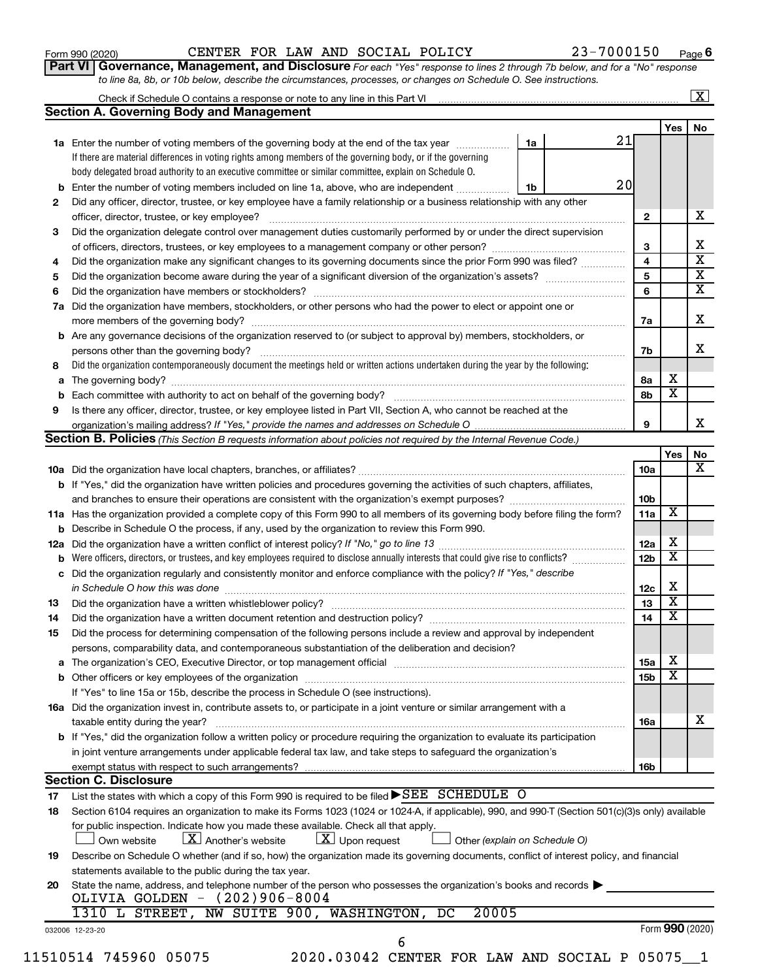#### Form 990 (2020)  $\begin{array}{cccc} \text{CENTER} & \text{FOR} & \text{LAW} & \text{AND} & \text{SOCIAL} & \text{POLICY} \end{array}$   $\begin{array}{cccc} 23-7000150 & \text{Page} \end{array}$

**Part VI** Governance, Management, and Disclosure For each "Yes" response to lines 2 through 7b below, and for a "No" response *to line 8a, 8b, or 10b below, describe the circumstances, processes, or changes on Schedule O. See instructions.*

|     |                                                                                                                                                                                                                                |    |    |                 |                         | $\overline{\mathbf{X}}$ |
|-----|--------------------------------------------------------------------------------------------------------------------------------------------------------------------------------------------------------------------------------|----|----|-----------------|-------------------------|-------------------------|
|     | <b>Section A. Governing Body and Management</b>                                                                                                                                                                                |    |    |                 |                         |                         |
|     |                                                                                                                                                                                                                                |    |    |                 | Yes                     | No                      |
|     | <b>1a</b> Enter the number of voting members of the governing body at the end of the tax year                                                                                                                                  | 1a | 21 |                 |                         |                         |
|     | If there are material differences in voting rights among members of the governing body, or if the governing                                                                                                                    |    |    |                 |                         |                         |
|     | body delegated broad authority to an executive committee or similar committee, explain on Schedule O.                                                                                                                          |    |    |                 |                         |                         |
| b   | Enter the number of voting members included on line 1a, above, who are independent                                                                                                                                             | 1b | 20 |                 |                         |                         |
| 2   | Did any officer, director, trustee, or key employee have a family relationship or a business relationship with any other                                                                                                       |    |    |                 |                         |                         |
|     | officer, director, trustee, or key employee?                                                                                                                                                                                   |    |    | $\mathbf{2}$    |                         | х                       |
| 3   | Did the organization delegate control over management duties customarily performed by or under the direct supervision                                                                                                          |    |    |                 |                         |                         |
|     |                                                                                                                                                                                                                                |    |    | 3               |                         | x                       |
| 4   | Did the organization make any significant changes to its governing documents since the prior Form 990 was filed?                                                                                                               |    |    | 4               |                         | $\overline{\mathbf{x}}$ |
| 5   |                                                                                                                                                                                                                                |    |    | 5               |                         | $\overline{\mathbf{x}}$ |
| 6   | Did the organization have members or stockholders?                                                                                                                                                                             |    |    | 6               |                         | $\overline{\mathbf{X}}$ |
| 7a  | Did the organization have members, stockholders, or other persons who had the power to elect or appoint one or                                                                                                                 |    |    |                 |                         |                         |
|     | more members of the governing body?                                                                                                                                                                                            |    |    | 7a              |                         | х                       |
|     | <b>b</b> Are any governance decisions of the organization reserved to (or subject to approval by) members, stockholders, or                                                                                                    |    |    |                 |                         |                         |
|     | persons other than the governing body?                                                                                                                                                                                         |    |    | 7b              |                         | x                       |
| 8   | Did the organization contemporaneously document the meetings held or written actions undertaken during the year by the following:                                                                                              |    |    |                 |                         |                         |
| a   | The governing body?                                                                                                                                                                                                            |    |    | 8а              | х                       |                         |
| b   |                                                                                                                                                                                                                                |    |    | 8b              | х                       |                         |
| 9   | Is there any officer, director, trustee, or key employee listed in Part VII, Section A, who cannot be reached at the                                                                                                           |    |    |                 |                         |                         |
|     |                                                                                                                                                                                                                                |    |    | 9               |                         | x.                      |
|     | <b>Section B. Policies</b> (This Section B requests information about policies not required by the Internal Revenue Code.)                                                                                                     |    |    |                 |                         |                         |
|     |                                                                                                                                                                                                                                |    |    |                 | Yes                     | No                      |
|     |                                                                                                                                                                                                                                |    |    | 10a             |                         | x                       |
|     | <b>b</b> If "Yes," did the organization have written policies and procedures governing the activities of such chapters, affiliates,                                                                                            |    |    |                 |                         |                         |
|     |                                                                                                                                                                                                                                |    |    | 10 <sub>b</sub> |                         |                         |
|     | 11a Has the organization provided a complete copy of this Form 990 to all members of its governing body before filing the form?                                                                                                |    |    | 11a             | X                       |                         |
|     | <b>b</b> Describe in Schedule O the process, if any, used by the organization to review this Form 990.                                                                                                                         |    |    |                 |                         |                         |
| 12a |                                                                                                                                                                                                                                |    |    |                 | х                       |                         |
| b   | Were officers, directors, or trustees, and key employees required to disclose annually interests that could give rise to conflicts?                                                                                            |    |    |                 |                         |                         |
| с   | Did the organization regularly and consistently monitor and enforce compliance with the policy? If "Yes," describe                                                                                                             |    |    |                 |                         |                         |
|     | in Schedule O how this was done                                                                                                                                                                                                |    |    | 12c             | х                       |                         |
| 13  | Did the organization have a written whistleblower policy?                                                                                                                                                                      |    |    | 13              | x                       |                         |
| 14  | Did the organization have a written document retention and destruction policy? [11] manuscription materials and destruction policy? [11] manuscription materials and the organization have a written document retention and de |    |    | 14              | $\overline{\texttt{x}}$ |                         |
| 15  | Did the process for determining compensation of the following persons include a review and approval by independent                                                                                                             |    |    |                 |                         |                         |
|     | persons, comparability data, and contemporaneous substantiation of the deliberation and decision?                                                                                                                              |    |    |                 |                         |                         |
|     |                                                                                                                                                                                                                                |    |    | 15a             | Х                       |                         |
|     |                                                                                                                                                                                                                                |    |    | 15 <sub>b</sub> | X                       |                         |
|     | If "Yes" to line 15a or 15b, describe the process in Schedule O (see instructions).                                                                                                                                            |    |    |                 |                         |                         |
|     | 16a Did the organization invest in, contribute assets to, or participate in a joint venture or similar arrangement with a                                                                                                      |    |    |                 |                         |                         |
|     | taxable entity during the year?                                                                                                                                                                                                |    |    | 16a             |                         | х                       |
|     | b If "Yes," did the organization follow a written policy or procedure requiring the organization to evaluate its participation                                                                                                 |    |    |                 |                         |                         |
|     | in joint venture arrangements under applicable federal tax law, and take steps to safeguard the organization's                                                                                                                 |    |    |                 |                         |                         |
|     | exempt status with respect to such arrangements?                                                                                                                                                                               |    |    | 16b             |                         |                         |
|     | <b>Section C. Disclosure</b>                                                                                                                                                                                                   |    |    |                 |                         |                         |
| 17  | List the states with which a copy of this Form 990 is required to be filed $\blacktriangleright$ SEE SCHEDULE O                                                                                                                |    |    |                 |                         |                         |
| 18  | Section 6104 requires an organization to make its Forms 1023 (1024 or 1024-A, if applicable), 990, and 990-T (Section 501(c)(3)s only) available                                                                               |    |    |                 |                         |                         |
|     | for public inspection. Indicate how you made these available. Check all that apply.                                                                                                                                            |    |    |                 |                         |                         |
|     | $\lfloor X \rfloor$ Another's website<br>$\lfloor \underline{X} \rfloor$ Upon request<br>Own website<br>Other (explain on Schedule O)                                                                                          |    |    |                 |                         |                         |
| 19  | Describe on Schedule O whether (and if so, how) the organization made its governing documents, conflict of interest policy, and financial                                                                                      |    |    |                 |                         |                         |
|     | statements available to the public during the tax year.                                                                                                                                                                        |    |    |                 |                         |                         |
| 20  | State the name, address, and telephone number of the person who possesses the organization's books and records                                                                                                                 |    |    |                 |                         |                         |
|     | OLIVIA GOLDEN - (202)906-8004                                                                                                                                                                                                  |    |    |                 |                         |                         |
|     | NW SUITE 900, WASHINGTON,<br>20005<br>1310 L STREET,<br>DC                                                                                                                                                                     |    |    |                 |                         |                         |
|     | 032006 12-23-20                                                                                                                                                                                                                |    |    |                 |                         | Form 990 (2020)         |
|     | 6                                                                                                                                                                                                                              |    |    |                 |                         |                         |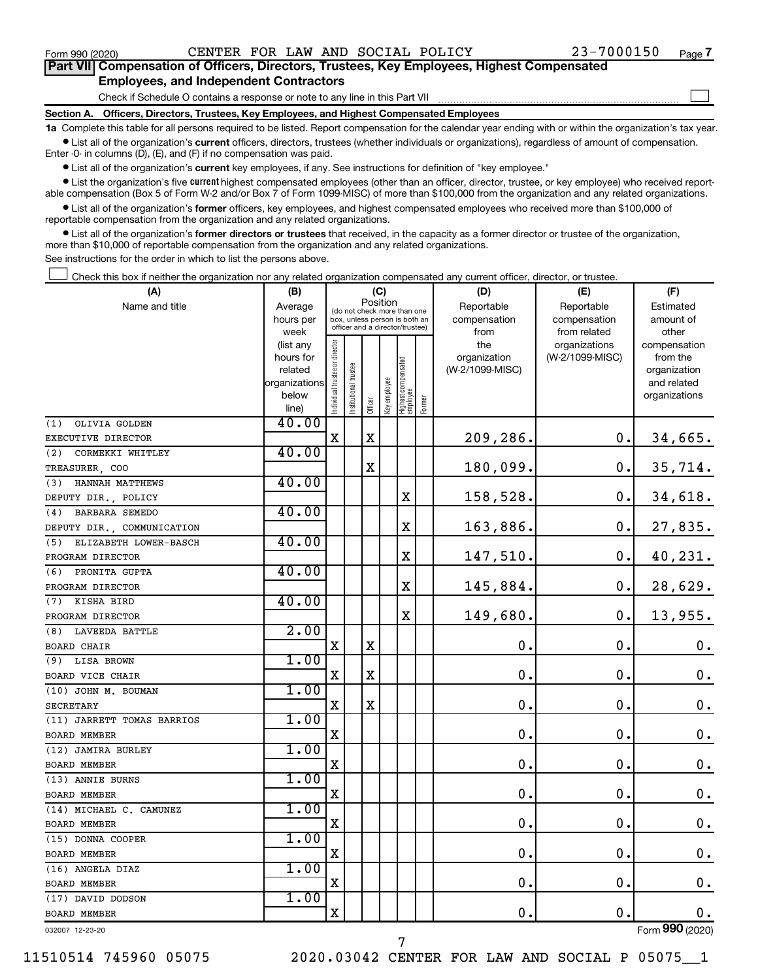$\Box$ 

| Part VII Compensation of Officers, Directors, Trustees, Key Employees, Highest Compensated |
|--------------------------------------------------------------------------------------------|
| <b>Employees, and Independent Contractors</b>                                              |

Check if Schedule O contains a response or note to any line in this Part VII

**Section A. Officers, Directors, Trustees, Key Employees, and Highest Compensated Employees**

**1a**  Complete this table for all persons required to be listed. Report compensation for the calendar year ending with or within the organization's tax year.  $\bullet$  List all of the organization's current officers, directors, trustees (whether individuals or organizations), regardless of amount of compensation.

Enter -0- in columns (D), (E), and (F) if no compensation was paid.

**•** List all of the organization's current key employees, if any. See instructions for definition of "key employee."

• List the organization's five *current* highest compensated employees (other than an officer, director, trustee, or key employee) who received reportable compensation (Box 5 of Form W-2 and/or Box 7 of Form 1099-MISC) of more than \$100,000 from the organization and any related organizations.

 $\bullet$  List all of the organization's former officers, key employees, and highest compensated employees who received more than \$100,000 of reportable compensation from the organization and any related organizations.

**•** List all of the organization's former directors or trustees that received, in the capacity as a former director or trustee of the organization, more than \$10,000 of reportable compensation from the organization and any related organizations.

See instructions for the order in which to list the persons above.

Check this box if neither the organization nor any related organization compensated any current officer, director, or trustee.  $\Box$ 

| (A)                          | (B)                      |                                         |                                                                  | (C)         |              |                                   |           | (D)             | (E)             | (F)                          |
|------------------------------|--------------------------|-----------------------------------------|------------------------------------------------------------------|-------------|--------------|-----------------------------------|-----------|-----------------|-----------------|------------------------------|
| Name and title<br>Average    |                          | Position<br>(do not check more than one |                                                                  |             |              |                                   |           | Reportable      | Reportable      | Estimated                    |
|                              | hours per                |                                         | box, unless person is both an<br>officer and a director/trustee) |             | compensation | compensation                      | amount of |                 |                 |                              |
|                              | week                     |                                         |                                                                  |             |              |                                   |           | from            | from related    | other                        |
|                              | (list any                |                                         |                                                                  |             |              |                                   |           | the             | organizations   | compensation                 |
|                              | hours for                |                                         |                                                                  |             |              |                                   |           | organization    | (W-2/1099-MISC) | from the                     |
|                              | related<br>organizations |                                         |                                                                  |             |              |                                   |           | (W-2/1099-MISC) |                 | organization                 |
|                              | below                    |                                         |                                                                  |             |              |                                   |           |                 |                 | and related<br>organizations |
|                              | line)                    | Individual trustee or director          | nstitutional trustee                                             | Officer     | Key employee | Highest compensated<br>  employee | Former    |                 |                 |                              |
| OLIVIA GOLDEN<br>(1)         | 40.00                    |                                         |                                                                  |             |              |                                   |           |                 |                 |                              |
| EXECUTIVE DIRECTOR           |                          | X                                       |                                                                  | X           |              |                                   |           | 209,286.        | 0.              | 34,665.                      |
| (2)<br>CORMEKKI WHITLEY      | 40.00                    |                                         |                                                                  |             |              |                                   |           |                 |                 |                              |
| TREASURER, COO               |                          |                                         |                                                                  | $\mathbf X$ |              |                                   |           | 180,099.        | 0.              | 35,714.                      |
| HANNAH MATTHEWS<br>(3)       | 40.00                    |                                         |                                                                  |             |              |                                   |           |                 |                 |                              |
| DEPUTY DIR., POLICY          |                          |                                         |                                                                  |             |              | X                                 |           | 158,528.        | 0.              | 34,618.                      |
| BARBARA SEMEDO<br>(4)        | 40.00                    |                                         |                                                                  |             |              |                                   |           |                 |                 |                              |
| DEPUTY DIR., COMMUNICATION   |                          |                                         |                                                                  |             |              | $\mathbf X$                       |           | 163,886.        | 0.              | 27,835.                      |
| ELIZABETH LOWER-BASCH<br>(5) | 40.00                    |                                         |                                                                  |             |              |                                   |           |                 |                 |                              |
| PROGRAM DIRECTOR             |                          |                                         |                                                                  |             |              | х                                 |           | 147,510.        | 0.              | 40,231.                      |
| PRONITA GUPTA<br>(6)         | 40.00                    |                                         |                                                                  |             |              |                                   |           |                 |                 |                              |
| PROGRAM DIRECTOR             |                          |                                         |                                                                  |             |              | $\mathbf X$                       |           | 145,884.        | 0.              | 28,629.                      |
| KISHA BIRD<br>(7)            | 40.00                    |                                         |                                                                  |             |              |                                   |           |                 |                 |                              |
| PROGRAM DIRECTOR             |                          |                                         |                                                                  |             |              | $\mathbf X$                       |           | 149,680.        | 0.              | 13,955.                      |
| <b>LAVEEDA BATTLE</b><br>(8) | 2.00                     |                                         |                                                                  |             |              |                                   |           |                 |                 |                              |
| BOARD CHAIR                  |                          | X                                       |                                                                  | X           |              |                                   |           | 0.              | 0.              | 0.                           |
| <b>LISA BROWN</b><br>(9)     | 1.00                     |                                         |                                                                  |             |              |                                   |           |                 |                 |                              |
| BOARD VICE CHAIR             |                          | X                                       |                                                                  | $\mathbf X$ |              |                                   |           | $\mathbf 0$ .   | $\mathbf 0$ .   | $\mathbf 0$ .                |
| (10) JOHN M. BOUMAN          | 1.00                     |                                         |                                                                  |             |              |                                   |           |                 |                 |                              |
| <b>SECRETARY</b>             |                          | х                                       |                                                                  | X           |              |                                   |           | $\mathbf 0$ .   | 0.              | 0.                           |
| (11) JARRETT TOMAS BARRIOS   | 1.00                     |                                         |                                                                  |             |              |                                   |           |                 |                 |                              |
| <b>BOARD MEMBER</b>          |                          | X                                       |                                                                  |             |              |                                   |           | $\mathbf 0$ .   | $\mathbf 0$ .   | $\boldsymbol{0}$ .           |
| (12) JAMIRA BURLEY           | 1.00                     |                                         |                                                                  |             |              |                                   |           |                 |                 |                              |
| <b>BOARD MEMBER</b>          |                          | X                                       |                                                                  |             |              |                                   |           | $\mathbf 0$ .   | 0.              | $\mathbf 0$ .                |
| (13) ANNIE BURNS             | 1.00                     |                                         |                                                                  |             |              |                                   |           |                 |                 |                              |
| <b>BOARD MEMBER</b>          |                          | X                                       |                                                                  |             |              |                                   |           | $\mathbf 0$ .   | $\mathbf 0$ .   | 0.                           |
| (14) MICHAEL C. CAMUNEZ      | 1.00                     |                                         |                                                                  |             |              |                                   |           |                 |                 |                              |
| <b>BOARD MEMBER</b>          |                          | $\mathbf X$                             |                                                                  |             |              |                                   |           | $\mathbf 0$ .   | 0.              | $\mathbf 0$ .                |
| (15) DONNA COOPER            | 1.00                     |                                         |                                                                  |             |              |                                   |           |                 |                 |                              |
| <b>BOARD MEMBER</b>          |                          | X                                       |                                                                  |             |              |                                   |           | $\mathbf 0$ .   | $\mathbf 0$ .   | $\boldsymbol{0}$ .           |
| (16) ANGELA DIAZ             | 1.00                     |                                         |                                                                  |             |              |                                   |           |                 |                 |                              |
| <b>BOARD MEMBER</b>          |                          | $\mathbf X$                             |                                                                  |             |              |                                   |           | $\mathbf 0$ .   | $\mathbf 0$ .   | 0.                           |
| (17) DAVID DODSON            | 1.00                     |                                         |                                                                  |             |              |                                   |           |                 |                 |                              |
| <b>BOARD MEMBER</b>          |                          | X                                       |                                                                  |             |              |                                   |           | 0.              | $\mathbf 0$ .   | 0.                           |
| 032007 12-23-20              |                          |                                         |                                                                  |             |              |                                   |           |                 |                 | Form 990 (2020)              |

7

032007 12-23-20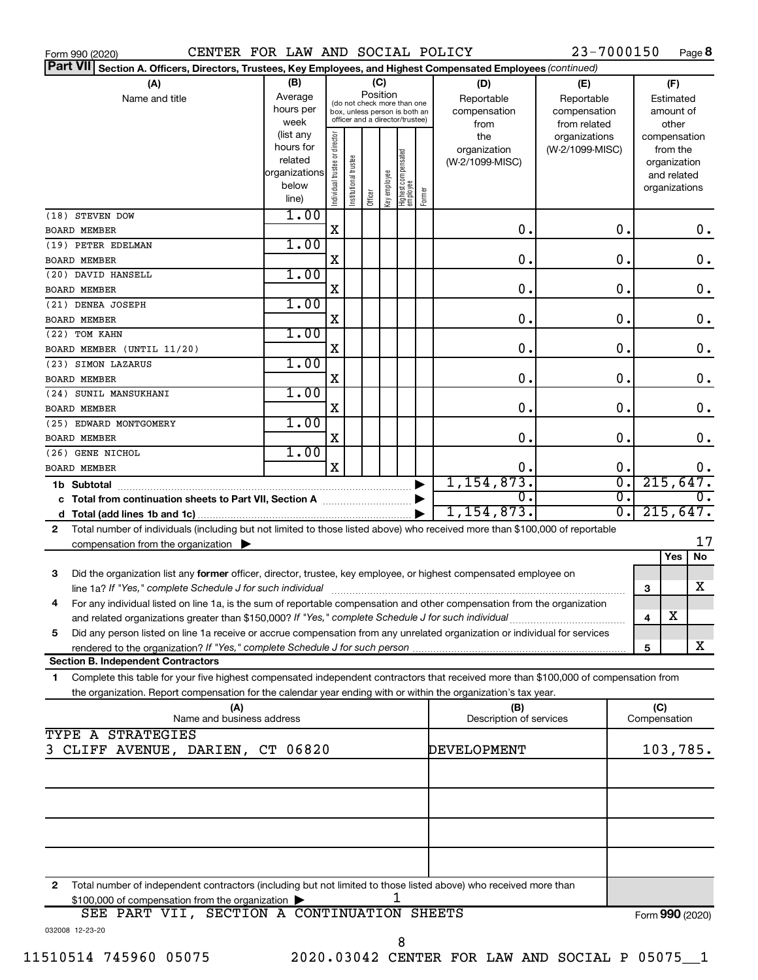| CENTER FOR LAW AND SOCIAL POLICY<br>Form 990 (2020)                                                                                        |                                                         |                                |                                                                                                                    |         |              |                                   |                  |                                           | 23-7000150                                        |               |                                        |                                                                          | Page 8          |
|--------------------------------------------------------------------------------------------------------------------------------------------|---------------------------------------------------------|--------------------------------|--------------------------------------------------------------------------------------------------------------------|---------|--------------|-----------------------------------|------------------|-------------------------------------------|---------------------------------------------------|---------------|----------------------------------------|--------------------------------------------------------------------------|-----------------|
| <b>Part VII</b><br>Section A. Officers, Directors, Trustees, Key Employees, and Highest Compensated Employees (continued)                  |                                                         |                                |                                                                                                                    |         |              |                                   |                  |                                           |                                                   |               |                                        |                                                                          |                 |
| (A)<br>Name and title                                                                                                                      | (B)<br>Average<br>hours per<br>week<br>(list any        |                                | (C)<br>Position<br>(do not check more than one<br>box, unless person is both an<br>officer and a director/trustee) |         |              |                                   |                  | (D)<br>Reportable<br>compensation<br>from | (E)<br>Reportable<br>compensation<br>from related |               | (F)<br>Estimated<br>amount of<br>other |                                                                          |                 |
|                                                                                                                                            | hours for<br>related<br>organizations<br>below<br>line) | Individual trustee or director | Institutional trustee                                                                                              | Officer | Key employee | Highest compensated<br>  employee | Former           | the<br>organization<br>(W-2/1099-MISC)    | organizations<br>(W-2/1099-MISC)                  |               |                                        | compensation<br>from the<br>organization<br>and related<br>organizations |                 |
| (18) STEVEN DOW                                                                                                                            | 1.00                                                    |                                |                                                                                                                    |         |              |                                   |                  |                                           |                                                   |               |                                        |                                                                          |                 |
| <b>BOARD MEMBER</b>                                                                                                                        |                                                         | X                              |                                                                                                                    |         |              |                                   |                  | 0.                                        |                                                   | 0.            |                                        |                                                                          | 0.              |
| (19) PETER EDELMAN                                                                                                                         | 1.00                                                    |                                |                                                                                                                    |         |              |                                   |                  |                                           |                                                   |               |                                        |                                                                          |                 |
| <b>BOARD MEMBER</b>                                                                                                                        |                                                         | X                              |                                                                                                                    |         |              |                                   |                  | 0.                                        |                                                   | $\mathbf 0$ . |                                        |                                                                          | $\mathbf 0$ .   |
| (20) DAVID HANSELL                                                                                                                         | 1.00                                                    |                                |                                                                                                                    |         |              |                                   |                  |                                           |                                                   |               |                                        |                                                                          |                 |
| <b>BOARD MEMBER</b>                                                                                                                        |                                                         | X                              |                                                                                                                    |         |              |                                   |                  | 0.                                        |                                                   | $\mathbf 0$ . |                                        |                                                                          | $\mathbf 0$ .   |
| (21) DENEA JOSEPH                                                                                                                          | 1.00                                                    |                                |                                                                                                                    |         |              |                                   |                  |                                           |                                                   |               |                                        |                                                                          |                 |
| <b>BOARD MEMBER</b>                                                                                                                        |                                                         | X                              |                                                                                                                    |         |              |                                   |                  | 0.                                        |                                                   | $\mathbf 0$ . |                                        |                                                                          | $\mathbf 0$ .   |
| (22) TOM KAHN                                                                                                                              | 1.00                                                    |                                |                                                                                                                    |         |              |                                   |                  |                                           |                                                   |               |                                        |                                                                          |                 |
| BOARD MEMBER (UNTIL 11/20)                                                                                                                 |                                                         | X                              |                                                                                                                    |         |              |                                   |                  | 0.                                        |                                                   | $\mathbf 0$ . |                                        |                                                                          | $\mathbf 0$ .   |
| (23) SIMON LAZARUS                                                                                                                         | 1.00                                                    |                                |                                                                                                                    |         |              |                                   |                  |                                           |                                                   |               |                                        |                                                                          |                 |
| <b>BOARD MEMBER</b>                                                                                                                        |                                                         | X                              |                                                                                                                    |         |              |                                   |                  | 0.                                        |                                                   | 0.            |                                        |                                                                          | $\mathbf 0$ .   |
| (24) SUNIL MANSUKHANI                                                                                                                      | 1.00                                                    | X                              |                                                                                                                    |         |              |                                   |                  | 0.                                        |                                                   | 0.            |                                        |                                                                          |                 |
| <b>BOARD MEMBER</b>                                                                                                                        | 1.00                                                    |                                |                                                                                                                    |         |              |                                   |                  |                                           |                                                   |               |                                        |                                                                          | $\mathbf 0$ .   |
| (25) EDWARD MONTGOMERY                                                                                                                     |                                                         | X                              |                                                                                                                    |         |              |                                   |                  | 0.                                        |                                                   | 0.            |                                        |                                                                          | $\mathbf 0$ .   |
| <b>BOARD MEMBER</b>                                                                                                                        | 1.00                                                    |                                |                                                                                                                    |         |              |                                   |                  |                                           |                                                   |               |                                        |                                                                          |                 |
| (26) GENE NICHOL                                                                                                                           |                                                         | X                              |                                                                                                                    |         |              |                                   |                  | 0.                                        |                                                   | 0.            |                                        |                                                                          | 0.              |
| <b>BOARD MEMBER</b><br>1, 154, 873.                                                                                                        |                                                         |                                |                                                                                                                    |         |              |                                   | $\overline{0}$ . |                                           |                                                   |               |                                        |                                                                          |                 |
| 215,647.<br>1b Subtotal<br>σ.<br>О.                                                                                                        |                                                         |                                |                                                                                                                    |         |              |                                   |                  | $\overline{0}$ .                          |                                                   |               |                                        |                                                                          |                 |
| c Total from continuation sheets to Part VII, Section A manufactured by<br>1, 154, 873.                                                    |                                                         |                                |                                                                                                                    |         |              |                                   |                  | σ.                                        |                                                   |               | 215,647.                               |                                                                          |                 |
| Total number of individuals (including but not limited to those listed above) who received more than \$100,000 of reportable<br>2          |                                                         |                                |                                                                                                                    |         |              |                                   |                  |                                           |                                                   |               |                                        |                                                                          |                 |
| compensation from the organization $\blacktriangleright$                                                                                   |                                                         |                                |                                                                                                                    |         |              |                                   |                  |                                           |                                                   |               |                                        |                                                                          | 17              |
|                                                                                                                                            |                                                         |                                |                                                                                                                    |         |              |                                   |                  |                                           |                                                   |               |                                        | Yes                                                                      | No              |
| 3<br>Did the organization list any former officer, director, trustee, key employee, or highest compensated employee on                     |                                                         |                                |                                                                                                                    |         |              |                                   |                  |                                           |                                                   |               |                                        |                                                                          |                 |
| line 1a? If "Yes," complete Schedule J for such individual manufactured content to the set of the set of the s                             |                                                         |                                |                                                                                                                    |         |              |                                   |                  |                                           |                                                   |               | З                                      |                                                                          | X               |
| For any individual listed on line 1a, is the sum of reportable compensation and other compensation from the organization                   |                                                         |                                |                                                                                                                    |         |              |                                   |                  |                                           |                                                   |               |                                        |                                                                          |                 |
| and related organizations greater than \$150,000? If "Yes," complete Schedule J for such individual                                        |                                                         |                                |                                                                                                                    |         |              |                                   |                  |                                           |                                                   |               | 4                                      | х                                                                        |                 |
| Did any person listed on line 1a receive or accrue compensation from any unrelated organization or individual for services<br>5            |                                                         |                                |                                                                                                                    |         |              |                                   |                  |                                           |                                                   |               |                                        |                                                                          |                 |
|                                                                                                                                            |                                                         |                                |                                                                                                                    |         |              |                                   |                  |                                           |                                                   |               | 5                                      |                                                                          | X               |
| <b>Section B. Independent Contractors</b>                                                                                                  |                                                         |                                |                                                                                                                    |         |              |                                   |                  |                                           |                                                   |               |                                        |                                                                          |                 |
| Complete this table for your five highest compensated independent contractors that received more than \$100,000 of compensation from<br>1. |                                                         |                                |                                                                                                                    |         |              |                                   |                  |                                           |                                                   |               |                                        |                                                                          |                 |
| the organization. Report compensation for the calendar year ending with or within the organization's tax year.                             |                                                         |                                |                                                                                                                    |         |              |                                   |                  |                                           |                                                   |               |                                        |                                                                          |                 |
| (A)                                                                                                                                        |                                                         |                                |                                                                                                                    |         |              |                                   |                  | (B)                                       |                                                   |               | (C)                                    |                                                                          |                 |
| Name and business address                                                                                                                  |                                                         |                                |                                                                                                                    |         |              |                                   |                  | Description of services                   |                                                   |               | Compensation                           |                                                                          |                 |
| TYPE A STRATEGIES                                                                                                                          |                                                         |                                |                                                                                                                    |         |              |                                   |                  |                                           |                                                   |               |                                        |                                                                          |                 |
| 3 CLIFF AVENUE, DARIEN, CT 06820                                                                                                           |                                                         |                                |                                                                                                                    |         |              |                                   |                  | DEVELOPMENT                               |                                                   |               |                                        |                                                                          | 103,785.        |
|                                                                                                                                            |                                                         |                                |                                                                                                                    |         |              |                                   |                  |                                           |                                                   |               |                                        |                                                                          |                 |
|                                                                                                                                            |                                                         |                                |                                                                                                                    |         |              |                                   |                  |                                           |                                                   |               |                                        |                                                                          |                 |
|                                                                                                                                            |                                                         |                                |                                                                                                                    |         |              |                                   |                  |                                           |                                                   |               |                                        |                                                                          |                 |
|                                                                                                                                            |                                                         |                                |                                                                                                                    |         |              |                                   |                  |                                           |                                                   |               |                                        |                                                                          |                 |
|                                                                                                                                            |                                                         |                                |                                                                                                                    |         |              |                                   |                  |                                           |                                                   |               |                                        |                                                                          |                 |
|                                                                                                                                            |                                                         |                                |                                                                                                                    |         |              |                                   |                  |                                           |                                                   |               |                                        |                                                                          |                 |
| Total number of independent contractors (including but not limited to those listed above) who received more than<br>2                      |                                                         |                                |                                                                                                                    |         |              |                                   |                  |                                           |                                                   |               |                                        |                                                                          |                 |
| \$100,000 of compensation from the organization                                                                                            |                                                         |                                |                                                                                                                    |         |              |                                   |                  |                                           |                                                   |               |                                        |                                                                          |                 |
| SEE PART VII, SECTION A CONTINUATION SHEETS                                                                                                |                                                         |                                |                                                                                                                    |         |              |                                   |                  |                                           |                                                   |               |                                        |                                                                          | Form 990 (2020) |

032008 12-23-20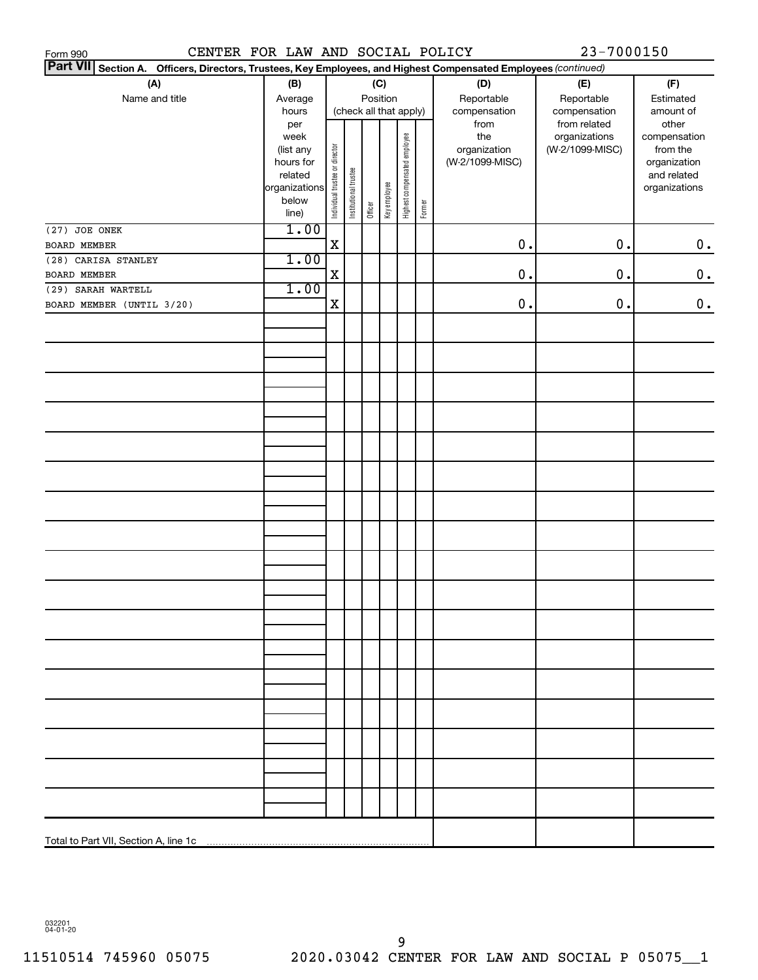| CENTER FOR LAW AND SOCIAL POLICY<br>Form 990                                                                       |                   |                                |                       |          |              |                              |        |                     | 23-7000150                       |                          |
|--------------------------------------------------------------------------------------------------------------------|-------------------|--------------------------------|-----------------------|----------|--------------|------------------------------|--------|---------------------|----------------------------------|--------------------------|
| Part VII Section A.<br>Officers, Directors, Trustees, Key Employees, and Highest Compensated Employees (continued) |                   |                                |                       |          |              |                              |        |                     |                                  |                          |
| (A)                                                                                                                | (B)               |                                |                       |          | (C)          |                              |        | (D)                 | (E)                              | (F)                      |
| Name and title                                                                                                     | Average           |                                |                       | Position |              |                              |        | Reportable          | Reportable                       | Estimated                |
|                                                                                                                    | hours             |                                |                       |          |              | (check all that apply)       |        | compensation        | compensation                     | amount of                |
|                                                                                                                    | per               |                                |                       |          |              |                              |        | from                | from related                     | other                    |
|                                                                                                                    | week<br>(list any |                                |                       |          |              |                              |        | the<br>organization | organizations<br>(W-2/1099-MISC) | compensation<br>from the |
|                                                                                                                    | hours for         |                                |                       |          |              |                              |        | (W-2/1099-MISC)     |                                  | organization             |
|                                                                                                                    | related           |                                |                       |          |              |                              |        |                     |                                  | and related              |
|                                                                                                                    | organizations     | Individual trustee or director | Institutional trustee |          | Key employee | Highest compensated employee |        |                     |                                  | organizations            |
|                                                                                                                    | below             |                                |                       | Officer  |              |                              | Former |                     |                                  |                          |
|                                                                                                                    | line)             |                                |                       |          |              |                              |        |                     |                                  |                          |
| (27) JOE ONEK                                                                                                      | 1.00              |                                |                       |          |              |                              |        | 0.                  |                                  |                          |
| BOARD MEMBER                                                                                                       | 1.00              | $\mathbf X$                    |                       |          |              |                              |        |                     | $\mathbf 0$ .                    | $\mathbf 0$ .            |
| (28) CARISA STANLEY<br>BOARD MEMBER                                                                                |                   | $\mathbf X$                    |                       |          |              |                              |        | 0.                  | $\mathbf 0$ .                    | $\mathbf 0$ .            |
| (29) SARAH WARTELL                                                                                                 | 1.00              |                                |                       |          |              |                              |        |                     |                                  |                          |
| BOARD MEMBER (UNTIL 3/20)                                                                                          |                   | $\mathbf X$                    |                       |          |              |                              |        | 0.                  | $\mathbf 0$ .                    | $\mathbf 0$ .            |
|                                                                                                                    |                   |                                |                       |          |              |                              |        |                     |                                  |                          |
|                                                                                                                    |                   |                                |                       |          |              |                              |        |                     |                                  |                          |
|                                                                                                                    |                   |                                |                       |          |              |                              |        |                     |                                  |                          |
|                                                                                                                    |                   |                                |                       |          |              |                              |        |                     |                                  |                          |
|                                                                                                                    |                   |                                |                       |          |              |                              |        |                     |                                  |                          |
|                                                                                                                    |                   |                                |                       |          |              |                              |        |                     |                                  |                          |
|                                                                                                                    |                   |                                |                       |          |              |                              |        |                     |                                  |                          |
|                                                                                                                    |                   |                                |                       |          |              |                              |        |                     |                                  |                          |
|                                                                                                                    |                   |                                |                       |          |              |                              |        |                     |                                  |                          |
|                                                                                                                    |                   |                                |                       |          |              |                              |        |                     |                                  |                          |
|                                                                                                                    |                   |                                |                       |          |              |                              |        |                     |                                  |                          |
|                                                                                                                    |                   |                                |                       |          |              |                              |        |                     |                                  |                          |
|                                                                                                                    |                   |                                |                       |          |              |                              |        |                     |                                  |                          |
|                                                                                                                    |                   |                                |                       |          |              |                              |        |                     |                                  |                          |
|                                                                                                                    |                   |                                |                       |          |              |                              |        |                     |                                  |                          |
|                                                                                                                    |                   |                                |                       |          |              |                              |        |                     |                                  |                          |
|                                                                                                                    |                   |                                |                       |          |              |                              |        |                     |                                  |                          |
|                                                                                                                    |                   |                                |                       |          |              |                              |        |                     |                                  |                          |
|                                                                                                                    |                   |                                |                       |          |              |                              |        |                     |                                  |                          |
|                                                                                                                    |                   |                                |                       |          |              |                              |        |                     |                                  |                          |
|                                                                                                                    |                   |                                |                       |          |              |                              |        |                     |                                  |                          |
|                                                                                                                    |                   |                                |                       |          |              |                              |        |                     |                                  |                          |
|                                                                                                                    |                   |                                |                       |          |              |                              |        |                     |                                  |                          |
|                                                                                                                    |                   |                                |                       |          |              |                              |        |                     |                                  |                          |
|                                                                                                                    |                   |                                |                       |          |              |                              |        |                     |                                  |                          |
|                                                                                                                    |                   |                                |                       |          |              |                              |        |                     |                                  |                          |
|                                                                                                                    |                   |                                |                       |          |              |                              |        |                     |                                  |                          |
|                                                                                                                    |                   |                                |                       |          |              |                              |        |                     |                                  |                          |
|                                                                                                                    |                   |                                |                       |          |              |                              |        |                     |                                  |                          |
|                                                                                                                    |                   |                                |                       |          |              |                              |        |                     |                                  |                          |
|                                                                                                                    |                   |                                |                       |          |              |                              |        |                     |                                  |                          |
|                                                                                                                    |                   |                                |                       |          |              |                              |        |                     |                                  |                          |
|                                                                                                                    |                   |                                |                       |          |              |                              |        |                     |                                  |                          |
|                                                                                                                    |                   |                                |                       |          |              |                              |        |                     |                                  |                          |
|                                                                                                                    |                   |                                |                       |          |              |                              |        |                     |                                  |                          |

032201 04-01-20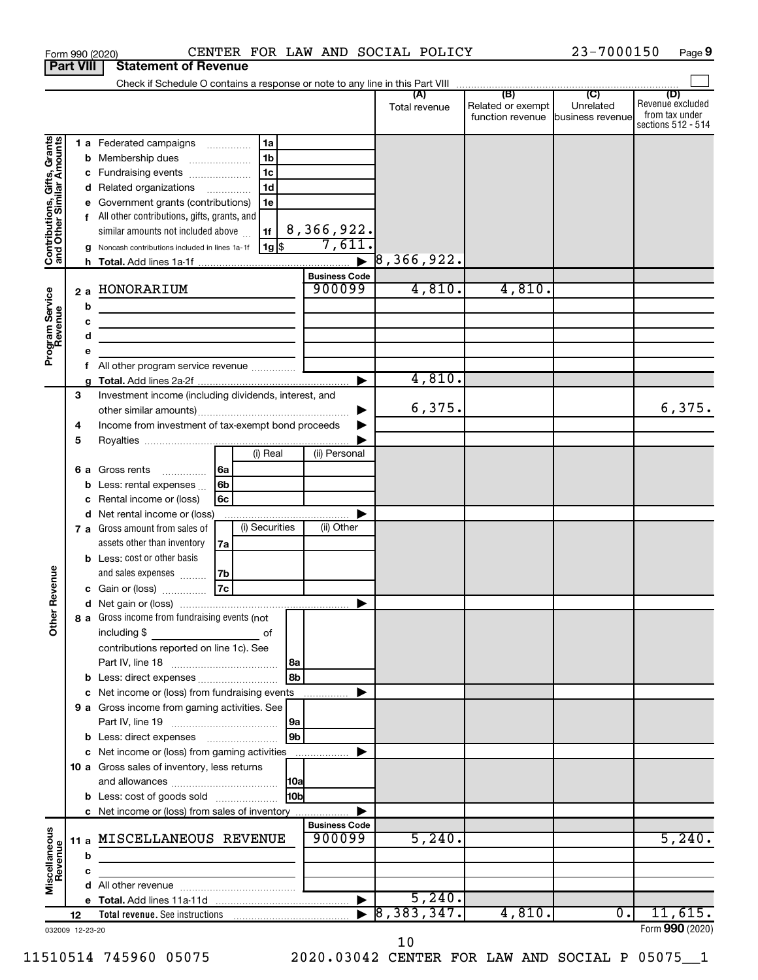|                                                           | <b>Part VIII</b> | <b>Statement of Revenue</b>                                                                                                                                             |                                                                    |                                |                          |                                                        |                |                                                          |
|-----------------------------------------------------------|------------------|-------------------------------------------------------------------------------------------------------------------------------------------------------------------------|--------------------------------------------------------------------|--------------------------------|--------------------------|--------------------------------------------------------|----------------|----------------------------------------------------------|
|                                                           |                  | Check if Schedule O contains a response or note to any line in this Part VIII                                                                                           |                                                                    |                                | (A)                      | (B)                                                    | $\overline{C}$ | (D)                                                      |
|                                                           |                  |                                                                                                                                                                         |                                                                    |                                | Total revenue            | Related or exempt<br>function revenue business revenue | Unrelated      | Revenue excluded<br>from tax under<br>sections 512 - 514 |
|                                                           | b                | <b>1 a</b> Federated campaigns<br>Membership dues<br>Fundraising events<br>d Related organizations                                                                      | 1a<br>.<br>1 <sub>b</sub><br>1 <sub>c</sub><br>1 <sub>d</sub><br>. |                                |                          |                                                        |                |                                                          |
| Contributions, Gifts, Grants<br>and Other Similar Amounts |                  | Government grants (contributions)<br>All other contributions, gifts, grants, and<br>similar amounts not included above<br>Noncash contributions included in lines 1a-1f | 1e<br>1f<br>$ 1g $ \$                                              | 8,366,922.<br>7,611.           |                          |                                                        |                |                                                          |
|                                                           |                  |                                                                                                                                                                         |                                                                    | $\blacksquare$                 | $\overline{8}$ ,366,922. |                                                        |                |                                                          |
|                                                           |                  |                                                                                                                                                                         |                                                                    | <b>Business Code</b>           |                          |                                                        |                |                                                          |
| Program Service<br>Revenue                                | 2a               | HONORARIUM                                                                                                                                                              |                                                                    | 900099                         | 4,810.                   | 4,810.                                                 |                |                                                          |
|                                                           | b                |                                                                                                                                                                         |                                                                    |                                |                          |                                                        |                |                                                          |
|                                                           | c                | the control of the control of the control of the control of the control of                                                                                              |                                                                    |                                |                          |                                                        |                |                                                          |
|                                                           | d                | the control of the control of the control of the control of                                                                                                             |                                                                    |                                |                          |                                                        |                |                                                          |
|                                                           | f                | All other program service revenue                                                                                                                                       |                                                                    |                                |                          |                                                        |                |                                                          |
|                                                           |                  |                                                                                                                                                                         |                                                                    | ►                              | 4,810.                   |                                                        |                |                                                          |
|                                                           | 3                | Investment income (including dividends, interest, and                                                                                                                   |                                                                    |                                | 6,375.                   |                                                        |                | 6,375.                                                   |
|                                                           | 4                | Income from investment of tax-exempt bond proceeds                                                                                                                      |                                                                    |                                |                          |                                                        |                |                                                          |
|                                                           | 5                |                                                                                                                                                                         |                                                                    |                                |                          |                                                        |                |                                                          |
|                                                           |                  |                                                                                                                                                                         | (i) Real                                                           | (ii) Personal                  |                          |                                                        |                |                                                          |
|                                                           | 6а               | Gross rents<br>.                                                                                                                                                        | 6a                                                                 |                                |                          |                                                        |                |                                                          |
|                                                           | b                | Less: rental expenses                                                                                                                                                   | 6b                                                                 |                                |                          |                                                        |                |                                                          |
|                                                           |                  | Rental income or (loss)                                                                                                                                                 | 6с                                                                 |                                |                          |                                                        |                |                                                          |
|                                                           |                  | d Net rental income or (loss)                                                                                                                                           |                                                                    |                                |                          |                                                        |                |                                                          |
|                                                           |                  | 7 a Gross amount from sales of                                                                                                                                          | (i) Securities                                                     | (ii) Other                     |                          |                                                        |                |                                                          |
|                                                           |                  | assets other than inventory                                                                                                                                             | 7a                                                                 |                                |                          |                                                        |                |                                                          |
|                                                           |                  | <b>b</b> Less: cost or other basis                                                                                                                                      |                                                                    |                                |                          |                                                        |                |                                                          |
|                                                           |                  | and sales expenses<br>c Gain or (loss)                                                                                                                                  | 7b<br> 7c                                                          |                                |                          |                                                        |                |                                                          |
| Revenue                                                   |                  |                                                                                                                                                                         |                                                                    |                                |                          |                                                        |                |                                                          |
| ৯<br>$\tilde{\vec{c}}$                                    |                  | 8 a Gross income from fundraising events (not<br>including \$<br><u> 1990 - Johann Barbara, martin a</u><br>contributions reported on line 1c). See                     | of                                                                 |                                |                          |                                                        |                |                                                          |
|                                                           |                  |                                                                                                                                                                         |                                                                    | l 8a                           |                          |                                                        |                |                                                          |
|                                                           |                  |                                                                                                                                                                         |                                                                    | 8b                             |                          |                                                        |                |                                                          |
|                                                           |                  | c Net income or (loss) from fundraising events                                                                                                                          |                                                                    | .                              |                          |                                                        |                |                                                          |
|                                                           |                  | 9 a Gross income from gaming activities. See                                                                                                                            |                                                                    |                                |                          |                                                        |                |                                                          |
|                                                           |                  |                                                                                                                                                                         |                                                                    | 9a                             |                          |                                                        |                |                                                          |
|                                                           |                  |                                                                                                                                                                         |                                                                    | 9 <sub>b</sub>                 |                          |                                                        |                |                                                          |
|                                                           |                  | c Net income or (loss) from gaming activities                                                                                                                           |                                                                    |                                |                          |                                                        |                |                                                          |
|                                                           |                  | 10 a Gross sales of inventory, less returns                                                                                                                             |                                                                    |                                |                          |                                                        |                |                                                          |
|                                                           |                  |                                                                                                                                                                         |                                                                    |                                |                          |                                                        |                |                                                          |
|                                                           |                  | <b>b</b> Less: cost of goods sold                                                                                                                                       |                                                                    | H <sub>0b</sub>                |                          |                                                        |                |                                                          |
|                                                           |                  | c Net income or (loss) from sales of inventory                                                                                                                          |                                                                    |                                |                          |                                                        |                |                                                          |
| Miscellaneous<br>Revenue                                  |                  | 11 a MISCELLANEOUS REVENUE                                                                                                                                              |                                                                    | <b>Business Code</b><br>900099 | 5,240.                   |                                                        |                | 5,240.                                                   |
|                                                           | b                | <u> 1989 - Johann Barn, mars ann an t-Amhain ann an t-A</u>                                                                                                             |                                                                    |                                |                          |                                                        |                |                                                          |
|                                                           | с                |                                                                                                                                                                         |                                                                    |                                |                          |                                                        |                |                                                          |
|                                                           |                  |                                                                                                                                                                         |                                                                    | $\blacktriangleright$          | 5,240.                   |                                                        |                |                                                          |
|                                                           | 12               |                                                                                                                                                                         |                                                                    |                                | 8,383,347.               | 4,810.                                                 | 0.             | 11,615.                                                  |
|                                                           | 032009 12-23-20  |                                                                                                                                                                         |                                                                    |                                |                          |                                                        |                | Form 990 (2020)                                          |

Form 990 (2020) **CENTER FOR LAW AND SOCIAL POLICY** 23-7000150 Page

23-7000150 Page 9

10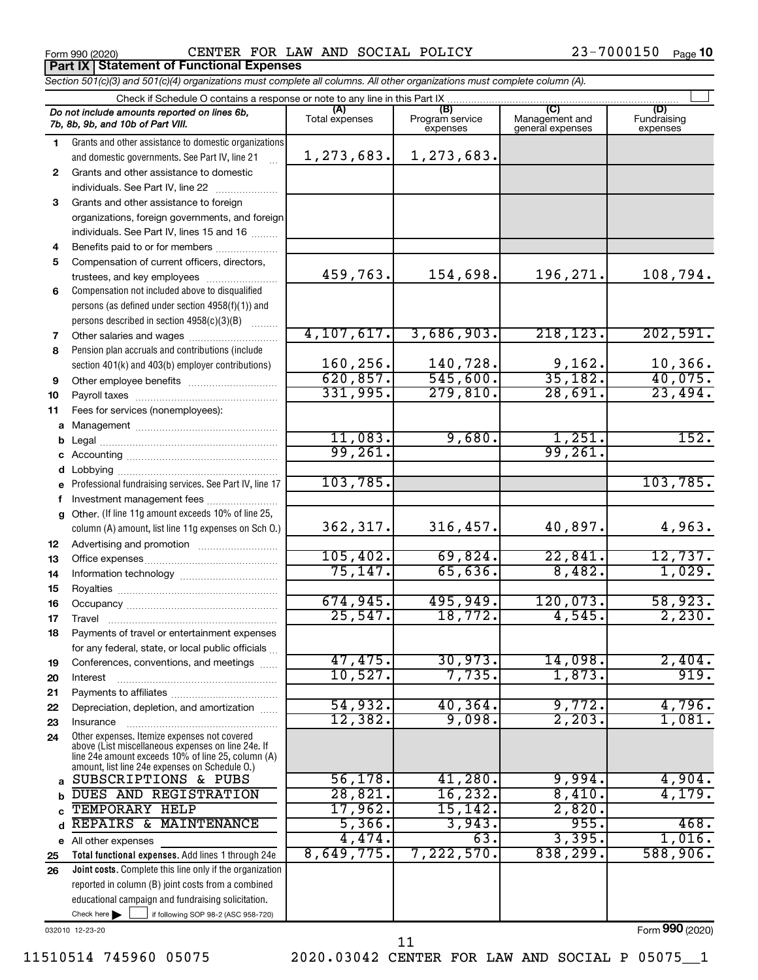Form 990 (2020) Page CENTER FOR LAW AND SOCIAL POLICY 23-7000150

**Part IX Statement of Functional Expenses**

*Section 501(c)(3) and 501(c)(4) organizations must complete all columns. All other organizations must complete column (A).*

|              | Check if Schedule O contains a response or note to any line in this Part IX.                         |                       |                                    |                                    |                                |  |  |  |
|--------------|------------------------------------------------------------------------------------------------------|-----------------------|------------------------------------|------------------------------------|--------------------------------|--|--|--|
|              | Do not include amounts reported on lines 6b,<br>7b, 8b, 9b, and 10b of Part VIII.                    | (A)<br>Total expenses | (B)<br>Program service<br>expenses | Management and<br>general expenses | (D)<br>Fundraising<br>expenses |  |  |  |
| 1.           | Grants and other assistance to domestic organizations                                                |                       |                                    |                                    |                                |  |  |  |
|              | and domestic governments. See Part IV, line 21                                                       | 1,273,683.            | 1,273,683.                         |                                    |                                |  |  |  |
| $\mathbf{2}$ | Grants and other assistance to domestic                                                              |                       |                                    |                                    |                                |  |  |  |
|              | individuals. See Part IV, line 22                                                                    |                       |                                    |                                    |                                |  |  |  |
| 3            | Grants and other assistance to foreign                                                               |                       |                                    |                                    |                                |  |  |  |
|              | organizations, foreign governments, and foreign                                                      |                       |                                    |                                    |                                |  |  |  |
|              | individuals. See Part IV, lines 15 and 16                                                            |                       |                                    |                                    |                                |  |  |  |
| 4            | Benefits paid to or for members                                                                      |                       |                                    |                                    |                                |  |  |  |
| 5            | Compensation of current officers, directors,                                                         |                       |                                    |                                    |                                |  |  |  |
|              | trustees, and key employees                                                                          | 459,763.              | 154,698.                           | 196,271.                           | 108,794.                       |  |  |  |
| 6            | Compensation not included above to disqualified                                                      |                       |                                    |                                    |                                |  |  |  |
|              | persons (as defined under section 4958(f)(1)) and                                                    |                       |                                    |                                    |                                |  |  |  |
|              | persons described in section 4958(c)(3)(B)                                                           |                       |                                    |                                    |                                |  |  |  |
| 7            |                                                                                                      | 4, 107, 617.          | 3,686,903.                         | 218, 123.                          | 202,591.                       |  |  |  |
| 8            | Pension plan accruals and contributions (include                                                     | 160,256.              |                                    |                                    |                                |  |  |  |
|              | section 401(k) and 403(b) employer contributions)                                                    | 620, 857.             | 140,728.<br>545,600.               | $\frac{9,162}{35,182}$             | 10,366.<br>40,075.             |  |  |  |
| 9            | Other employee benefits                                                                              | 331,995.              | 279,810.                           | 28,691.                            | 23,494.                        |  |  |  |
| 10           |                                                                                                      |                       |                                    |                                    |                                |  |  |  |
| 11           | Fees for services (nonemployees):                                                                    |                       |                                    |                                    |                                |  |  |  |
|              |                                                                                                      | 11,083.               | 9,680.                             |                                    | 152.                           |  |  |  |
| c            |                                                                                                      | 99,261.               |                                    | $\frac{1,251}{99,261}$             |                                |  |  |  |
|              |                                                                                                      |                       |                                    |                                    |                                |  |  |  |
| е            | Professional fundraising services. See Part IV, line 17                                              | 103,785.              |                                    |                                    | 103, 785.                      |  |  |  |
|              | Investment management fees                                                                           |                       |                                    |                                    |                                |  |  |  |
| g            | Other. (If line 11g amount exceeds 10% of line 25,                                                   |                       |                                    |                                    |                                |  |  |  |
|              | column (A) amount, list line 11g expenses on Sch O.)                                                 | 362, 317.             | 316,457.                           | 40,897.                            | 4,963.                         |  |  |  |
| 12           |                                                                                                      |                       |                                    |                                    |                                |  |  |  |
| 13           |                                                                                                      | 105,402.              | 69,824.                            | 22,841.                            | $\frac{12,737}{1,029}$         |  |  |  |
| 14           |                                                                                                      | 75, 147.              | 65,636.                            | 8,482.                             |                                |  |  |  |
| 15           |                                                                                                      |                       |                                    |                                    |                                |  |  |  |
| 16           |                                                                                                      | 674,945.              | 495,949.                           | 120,073.                           | $\frac{58,923.}{2,230.}$       |  |  |  |
| 17           |                                                                                                      | 25,547.               | 18,772.                            | 4,545.                             |                                |  |  |  |
| 18           | Payments of travel or entertainment expenses                                                         |                       |                                    |                                    |                                |  |  |  |
|              | for any federal, state, or local public officials                                                    |                       |                                    |                                    |                                |  |  |  |
| 19           | Conferences, conventions, and meetings                                                               | 47,475.               | 30,973.                            | 14,098.                            | 2,404.                         |  |  |  |
| 20           | Interest                                                                                             | 10,527.               | 7,735.                             | 1,873.                             | 919.                           |  |  |  |
| 21           |                                                                                                      |                       |                                    |                                    |                                |  |  |  |
| 22           | Depreciation, depletion, and amortization                                                            | 54,932.<br>12,382.    | 40, 364.<br>9,098.                 | 9,772.<br>2, 203.                  | 4,796.<br>1,081.               |  |  |  |
| 23           | Insurance                                                                                            |                       |                                    |                                    |                                |  |  |  |
| 24           | Other expenses. Itemize expenses not covered<br>above (List miscellaneous expenses on line 24e. If   |                       |                                    |                                    |                                |  |  |  |
|              | line 24e amount exceeds 10% of line 25, column (A)<br>amount, list line 24e expenses on Schedule O.) |                       |                                    |                                    |                                |  |  |  |
| a            | SUBSCRIPTIONS & PUBS                                                                                 | 56, 178.              | 41,280.                            | 9,994.                             | 4,904.                         |  |  |  |
|              | DUES AND REGISTRATION                                                                                | 28,821.               | 16, 232.                           | 8,410.                             | 4,179.                         |  |  |  |
|              | TEMPORARY HELP                                                                                       | 17,962.               | 15,142.                            | 2,820.                             |                                |  |  |  |
|              | REPAIRS & MAINTENANCE                                                                                | 5,366.                | 3,943.                             | 955.                               | 468.                           |  |  |  |
| е            | All other expenses                                                                                   | 4,474.                | 63.                                | 3,395.                             | 1,016.                         |  |  |  |
| 25           | Total functional expenses. Add lines 1 through 24e                                                   | 8,649,775.            | 7,222,570.                         | 838,299.                           | 588,906.                       |  |  |  |
| 26           | Joint costs. Complete this line only if the organization                                             |                       |                                    |                                    |                                |  |  |  |
|              | reported in column (B) joint costs from a combined                                                   |                       |                                    |                                    |                                |  |  |  |
|              | educational campaign and fundraising solicitation.                                                   |                       |                                    |                                    |                                |  |  |  |
|              | Check here $\blacktriangleright$<br>if following SOP 98-2 (ASC 958-720)                              |                       |                                    |                                    |                                |  |  |  |

032010 12-23-20

11510514 745960 05075 2020.03042 CENTER FOR LAW AND SOCIAL P 05075\_\_1

11

Form (2020) **990**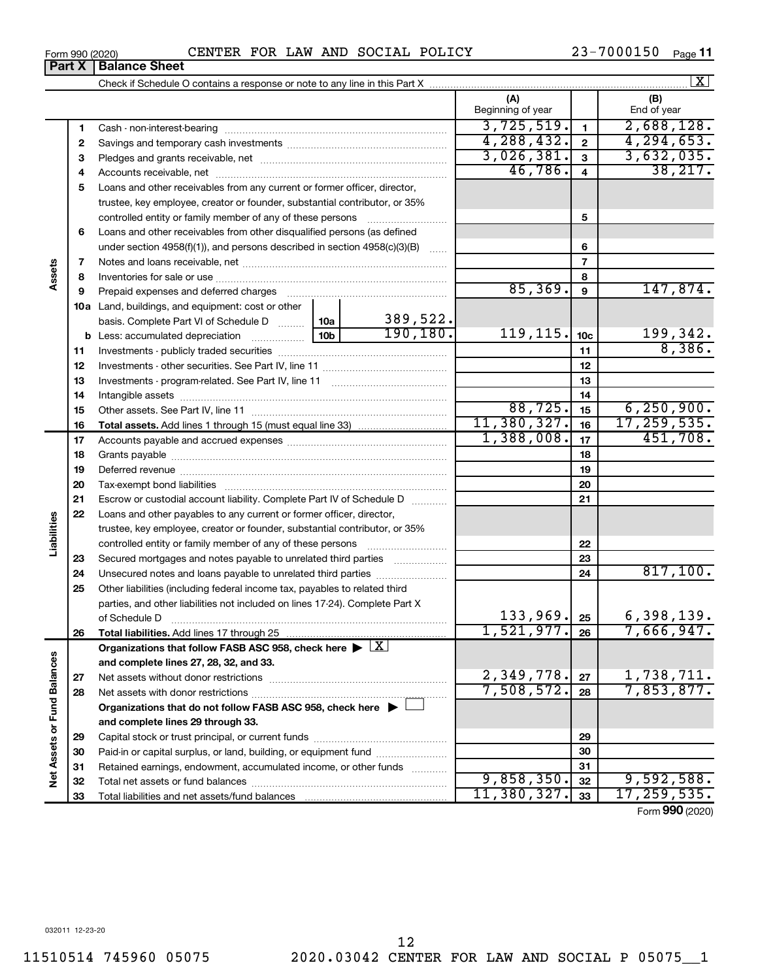**5** Loans and other receivables from any current or former officer, director, **6** Loans and other receivables from other disqualified persons (as defined Accounts receivable, net ~~~~~~~~~~~~~~~~~~~~~~~~~~ trustee, key employee, creator or founder, substantial contributor, or 35% controlled entity or family member of any of these persons ~~~~~~~~~

under section 4958(f)(1)), and persons described in section  $4958(c)(3)(B)$  ...... Notes and loans receivable, net ~~~~~~~~~~~~~~~~~~~~~~~ Inventories for sale or use ~~~~~~~~~~~~~~~~~~~~~~~~~~ Prepaid expenses and deferred charges ~~~~~~~~~~~~~~~~~~

Investments - publicly traded securities ~~~~~~~~~~~~~~~~~~~

**10 a** Land, buildings, and equipment: cost or other

**b** Less: accumulated depreciation  $\ldots$  [10b basis. Complete Part VI of Schedule D  $\frac{1}{10}$  10a

|                                        | Beginning of year |  | End of year |  |  |  |
|----------------------------------------|-------------------|--|-------------|--|--|--|
| Cash - non-interest-bearing            | 3,725,519.        |  | 2,688,128.  |  |  |  |
| Savings and temporary cash investments | 88.432.1          |  | .653.       |  |  |  |
| Pledges and grants receivable, net     |                   |  |             |  |  |  |

| Form 990 (2020) |                               | CENTER | . FOR | LAW | AND | SOCIAL | POLICY | 7000150<br>າ ເ | Page 11 |
|-----------------|-------------------------------|--------|-------|-----|-----|--------|--------|----------------|---------|
|                 | <b>Part X   Balance Sheet</b> |        |       |     |     |        |        |                |         |

46,786. 38,217.

 $85,369.$  9 147,874.

**5**

**10c 11**

 $190,180.$  119,115.  $|10c|$  199,342.

Form (2020) **990**

| Investments - program-related. See Part IV, line 11<br>13<br>14<br>88, 725.<br>6, 250, 900.<br>15<br>11,380,327.<br>17, 259, 535.<br>16<br>1,388,008.<br>451,708.<br>17<br>18<br>19<br>20<br>Escrow or custodial account liability. Complete Part IV of Schedule D<br>21<br>Loans and other payables to any current or former officer, director,<br>trustee, key employee, creator or founder, substantial contributor, or 35%<br>22<br>controlled entity or family member of any of these persons<br>23<br>Secured mortgages and notes payable to unrelated third parties<br>817,100.<br>Unsecured notes and loans payable to unrelated third parties<br>24<br>Other liabilities (including federal income tax, payables to related third<br>parties, and other liabilities not included on lines 17-24). Complete Part X<br>133,969.<br>6,398,139.<br>25<br>of Schedule D<br>7,666,947.<br>1,521,977.<br>26<br>Organizations that follow FASB ASC 958, check here $\blacktriangleright \lfloor \underline{X} \rfloor$<br>and complete lines 27, 28, 32, and 33.<br>2,349,778.<br>1,738,711.<br>27<br>Net assets without donor restrictions<br>7,853,877.<br>7,508,572.<br>28<br>Organizations that do not follow FASB ASC 958, check here $\blacktriangleright \Box$<br>and complete lines 29 through 33.<br>29<br>Paid-in or capital surplus, or land, building, or equipment fund<br>30<br>31<br>Retained earnings, endowment, accumulated income, or other funds<br>9,858,350.<br>9,592,588.<br>32<br>11,380,327.<br>17, 259, 535.<br>33<br>$\mathbf{A}$ |  | 12 |  |
|---------------------------------------------------------------------------------------------------------------------------------------------------------------------------------------------------------------------------------------------------------------------------------------------------------------------------------------------------------------------------------------------------------------------------------------------------------------------------------------------------------------------------------------------------------------------------------------------------------------------------------------------------------------------------------------------------------------------------------------------------------------------------------------------------------------------------------------------------------------------------------------------------------------------------------------------------------------------------------------------------------------------------------------------------------------------------------------------------------------------------------------------------------------------------------------------------------------------------------------------------------------------------------------------------------------------------------------------------------------------------------------------------------------------------------------------------------------------------------------------------------------------------------------------------------------|--|----|--|
|                                                                                                                                                                                                                                                                                                                                                                                                                                                                                                                                                                                                                                                                                                                                                                                                                                                                                                                                                                                                                                                                                                                                                                                                                                                                                                                                                                                                                                                                                                                                                               |  |    |  |
|                                                                                                                                                                                                                                                                                                                                                                                                                                                                                                                                                                                                                                                                                                                                                                                                                                                                                                                                                                                                                                                                                                                                                                                                                                                                                                                                                                                                                                                                                                                                                               |  |    |  |
|                                                                                                                                                                                                                                                                                                                                                                                                                                                                                                                                                                                                                                                                                                                                                                                                                                                                                                                                                                                                                                                                                                                                                                                                                                                                                                                                                                                                                                                                                                                                                               |  |    |  |
|                                                                                                                                                                                                                                                                                                                                                                                                                                                                                                                                                                                                                                                                                                                                                                                                                                                                                                                                                                                                                                                                                                                                                                                                                                                                                                                                                                                                                                                                                                                                                               |  |    |  |
|                                                                                                                                                                                                                                                                                                                                                                                                                                                                                                                                                                                                                                                                                                                                                                                                                                                                                                                                                                                                                                                                                                                                                                                                                                                                                                                                                                                                                                                                                                                                                               |  |    |  |
|                                                                                                                                                                                                                                                                                                                                                                                                                                                                                                                                                                                                                                                                                                                                                                                                                                                                                                                                                                                                                                                                                                                                                                                                                                                                                                                                                                                                                                                                                                                                                               |  |    |  |
|                                                                                                                                                                                                                                                                                                                                                                                                                                                                                                                                                                                                                                                                                                                                                                                                                                                                                                                                                                                                                                                                                                                                                                                                                                                                                                                                                                                                                                                                                                                                                               |  |    |  |
|                                                                                                                                                                                                                                                                                                                                                                                                                                                                                                                                                                                                                                                                                                                                                                                                                                                                                                                                                                                                                                                                                                                                                                                                                                                                                                                                                                                                                                                                                                                                                               |  |    |  |
|                                                                                                                                                                                                                                                                                                                                                                                                                                                                                                                                                                                                                                                                                                                                                                                                                                                                                                                                                                                                                                                                                                                                                                                                                                                                                                                                                                                                                                                                                                                                                               |  |    |  |
|                                                                                                                                                                                                                                                                                                                                                                                                                                                                                                                                                                                                                                                                                                                                                                                                                                                                                                                                                                                                                                                                                                                                                                                                                                                                                                                                                                                                                                                                                                                                                               |  |    |  |
|                                                                                                                                                                                                                                                                                                                                                                                                                                                                                                                                                                                                                                                                                                                                                                                                                                                                                                                                                                                                                                                                                                                                                                                                                                                                                                                                                                                                                                                                                                                                                               |  |    |  |
|                                                                                                                                                                                                                                                                                                                                                                                                                                                                                                                                                                                                                                                                                                                                                                                                                                                                                                                                                                                                                                                                                                                                                                                                                                                                                                                                                                                                                                                                                                                                                               |  |    |  |
|                                                                                                                                                                                                                                                                                                                                                                                                                                                                                                                                                                                                                                                                                                                                                                                                                                                                                                                                                                                                                                                                                                                                                                                                                                                                                                                                                                                                                                                                                                                                                               |  |    |  |
|                                                                                                                                                                                                                                                                                                                                                                                                                                                                                                                                                                                                                                                                                                                                                                                                                                                                                                                                                                                                                                                                                                                                                                                                                                                                                                                                                                                                                                                                                                                                                               |  |    |  |
|                                                                                                                                                                                                                                                                                                                                                                                                                                                                                                                                                                                                                                                                                                                                                                                                                                                                                                                                                                                                                                                                                                                                                                                                                                                                                                                                                                                                                                                                                                                                                               |  |    |  |
|                                                                                                                                                                                                                                                                                                                                                                                                                                                                                                                                                                                                                                                                                                                                                                                                                                                                                                                                                                                                                                                                                                                                                                                                                                                                                                                                                                                                                                                                                                                                                               |  |    |  |
|                                                                                                                                                                                                                                                                                                                                                                                                                                                                                                                                                                                                                                                                                                                                                                                                                                                                                                                                                                                                                                                                                                                                                                                                                                                                                                                                                                                                                                                                                                                                                               |  |    |  |
|                                                                                                                                                                                                                                                                                                                                                                                                                                                                                                                                                                                                                                                                                                                                                                                                                                                                                                                                                                                                                                                                                                                                                                                                                                                                                                                                                                                                                                                                                                                                                               |  |    |  |
|                                                                                                                                                                                                                                                                                                                                                                                                                                                                                                                                                                                                                                                                                                                                                                                                                                                                                                                                                                                                                                                                                                                                                                                                                                                                                                                                                                                                                                                                                                                                                               |  |    |  |
|                                                                                                                                                                                                                                                                                                                                                                                                                                                                                                                                                                                                                                                                                                                                                                                                                                                                                                                                                                                                                                                                                                                                                                                                                                                                                                                                                                                                                                                                                                                                                               |  |    |  |
|                                                                                                                                                                                                                                                                                                                                                                                                                                                                                                                                                                                                                                                                                                                                                                                                                                                                                                                                                                                                                                                                                                                                                                                                                                                                                                                                                                                                                                                                                                                                                               |  |    |  |
|                                                                                                                                                                                                                                                                                                                                                                                                                                                                                                                                                                                                                                                                                                                                                                                                                                                                                                                                                                                                                                                                                                                                                                                                                                                                                                                                                                                                                                                                                                                                                               |  |    |  |
|                                                                                                                                                                                                                                                                                                                                                                                                                                                                                                                                                                                                                                                                                                                                                                                                                                                                                                                                                                                                                                                                                                                                                                                                                                                                                                                                                                                                                                                                                                                                                               |  |    |  |
|                                                                                                                                                                                                                                                                                                                                                                                                                                                                                                                                                                                                                                                                                                                                                                                                                                                                                                                                                                                                                                                                                                                                                                                                                                                                                                                                                                                                                                                                                                                                                               |  |    |  |
|                                                                                                                                                                                                                                                                                                                                                                                                                                                                                                                                                                                                                                                                                                                                                                                                                                                                                                                                                                                                                                                                                                                                                                                                                                                                                                                                                                                                                                                                                                                                                               |  |    |  |
|                                                                                                                                                                                                                                                                                                                                                                                                                                                                                                                                                                                                                                                                                                                                                                                                                                                                                                                                                                                                                                                                                                                                                                                                                                                                                                                                                                                                                                                                                                                                                               |  |    |  |
|                                                                                                                                                                                                                                                                                                                                                                                                                                                                                                                                                                                                                                                                                                                                                                                                                                                                                                                                                                                                                                                                                                                                                                                                                                                                                                                                                                                                                                                                                                                                                               |  |    |  |
|                                                                                                                                                                                                                                                                                                                                                                                                                                                                                                                                                                                                                                                                                                                                                                                                                                                                                                                                                                                                                                                                                                                                                                                                                                                                                                                                                                                                                                                                                                                                                               |  |    |  |
|                                                                                                                                                                                                                                                                                                                                                                                                                                                                                                                                                                                                                                                                                                                                                                                                                                                                                                                                                                                                                                                                                                                                                                                                                                                                                                                                                                                                                                                                                                                                                               |  |    |  |

389,522.

**7 8 9**

**Assets**

**23 24 25**

**Liabilities**

**26**

**27 28**

**Net Assets or Fund Balances**

Net Assets or Fund Balances

 $\boxed{\text{X}}$ 

8,386.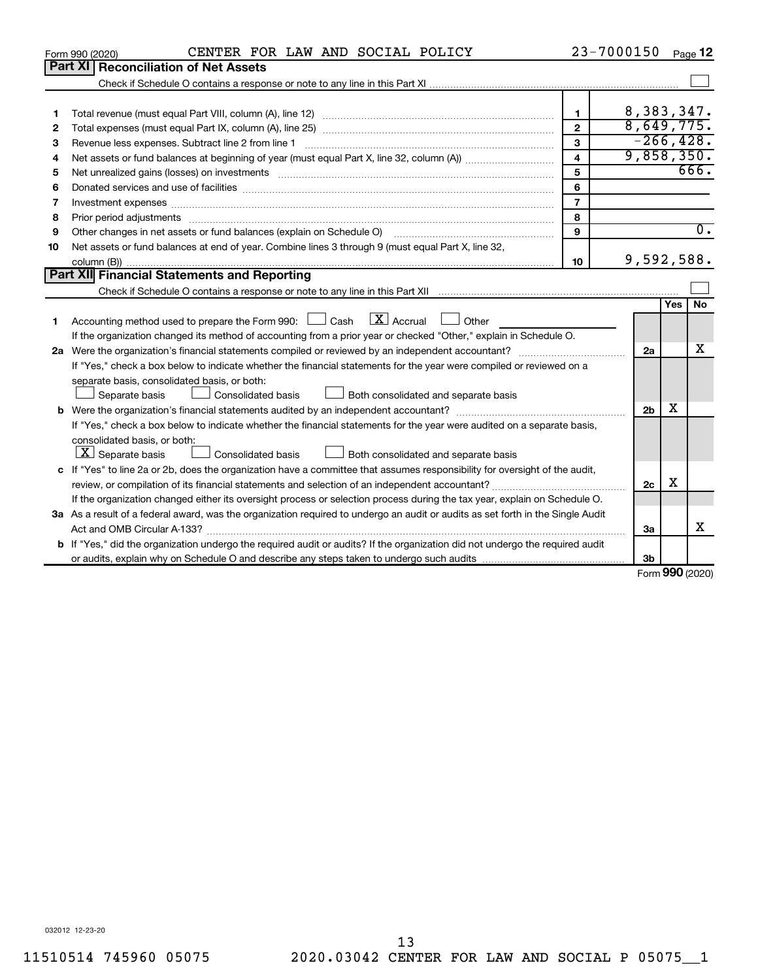|    | CENTER FOR LAW AND SOCIAL POLICY<br>Form 990 (2020)                                                                                                                                                                            | 23-7000150     |                            |     | Page 12             |  |  |
|----|--------------------------------------------------------------------------------------------------------------------------------------------------------------------------------------------------------------------------------|----------------|----------------------------|-----|---------------------|--|--|
|    | Part XI<br><b>Reconciliation of Net Assets</b>                                                                                                                                                                                 |                |                            |     |                     |  |  |
|    |                                                                                                                                                                                                                                |                |                            |     |                     |  |  |
|    |                                                                                                                                                                                                                                |                |                            |     |                     |  |  |
| 1  |                                                                                                                                                                                                                                | $\mathbf{1}$   | 8,383,347.                 |     |                     |  |  |
| 2  |                                                                                                                                                                                                                                | $\mathbf{2}$   | 8,649,775.                 |     |                     |  |  |
| 3  | Revenue less expenses. Subtract line 2 from line 1                                                                                                                                                                             | 3              | $-266, 428.$<br>9,858,350. |     |                     |  |  |
| 4  | $\overline{\mathbf{4}}$                                                                                                                                                                                                        |                |                            |     |                     |  |  |
| 5  | 5<br>Net unrealized gains (losses) on investments [111] www.marting.community.community.community.community.communi                                                                                                            |                |                            |     |                     |  |  |
| 6  |                                                                                                                                                                                                                                | 6              |                            |     |                     |  |  |
| 7  | Investment expenses www.communication.com/www.communication.com/www.communication.com/www.com                                                                                                                                  | $\overline{7}$ |                            |     |                     |  |  |
| 8  | Prior period adjustments material contents and content and content and content and content and content and content and content and content and content and content and content and content and content and content and content | 8              |                            |     |                     |  |  |
| 9  | Other changes in net assets or fund balances (explain on Schedule O)                                                                                                                                                           | 9              |                            |     | $\overline{0}$ .    |  |  |
| 10 | Net assets or fund balances at end of year. Combine lines 3 through 9 (must equal Part X, line 32,                                                                                                                             |                |                            |     |                     |  |  |
|    |                                                                                                                                                                                                                                | 10             | 9,592,588.                 |     |                     |  |  |
|    | Part XII Financial Statements and Reporting                                                                                                                                                                                    |                |                            |     |                     |  |  |
|    |                                                                                                                                                                                                                                |                |                            |     |                     |  |  |
| 1  | $\lfloor x \rfloor$ Accrual<br>Accounting method used to prepare the Form 990: [130] Cash<br>Other<br><b>Contract</b>                                                                                                          |                |                            | Yes | No                  |  |  |
|    | If the organization changed its method of accounting from a prior year or checked "Other," explain in Schedule O.                                                                                                              |                |                            |     |                     |  |  |
|    |                                                                                                                                                                                                                                |                | 2a                         |     | x                   |  |  |
|    | If "Yes," check a box below to indicate whether the financial statements for the year were compiled or reviewed on a                                                                                                           |                |                            |     |                     |  |  |
|    | separate basis, consolidated basis, or both:                                                                                                                                                                                   |                |                            |     |                     |  |  |
|    | Consolidated basis<br>Both consolidated and separate basis<br>Separate basis                                                                                                                                                   |                |                            |     |                     |  |  |
|    |                                                                                                                                                                                                                                |                | 2 <sub>b</sub>             | x   |                     |  |  |
|    | If "Yes," check a box below to indicate whether the financial statements for the year were audited on a separate basis,                                                                                                        |                |                            |     |                     |  |  |
|    | consolidated basis, or both:                                                                                                                                                                                                   |                |                            |     |                     |  |  |
|    | $\lfloor x \rfloor$ Separate basis<br>Consolidated basis<br>Both consolidated and separate basis                                                                                                                               |                |                            |     |                     |  |  |
|    | c If "Yes" to line 2a or 2b, does the organization have a committee that assumes responsibility for oversight of the audit,                                                                                                    |                |                            |     |                     |  |  |
|    |                                                                                                                                                                                                                                |                | 2c                         | х   |                     |  |  |
|    | If the organization changed either its oversight process or selection process during the tax year, explain on Schedule O.                                                                                                      |                |                            |     |                     |  |  |
|    | 3a As a result of a federal award, was the organization required to undergo an audit or audits as set forth in the Single Audit                                                                                                |                |                            |     |                     |  |  |
|    | Act and OMB Circular A-133?                                                                                                                                                                                                    |                | 3a                         |     | x                   |  |  |
|    | <b>b</b> If "Yes," did the organization undergo the required audit or audits? If the organization did not undergo the required audit                                                                                           |                |                            |     |                     |  |  |
|    |                                                                                                                                                                                                                                |                | 3b                         |     |                     |  |  |
|    |                                                                                                                                                                                                                                |                |                            |     | $000 \text{ hours}$ |  |  |

Form (2020) **990**

032012 12-23-20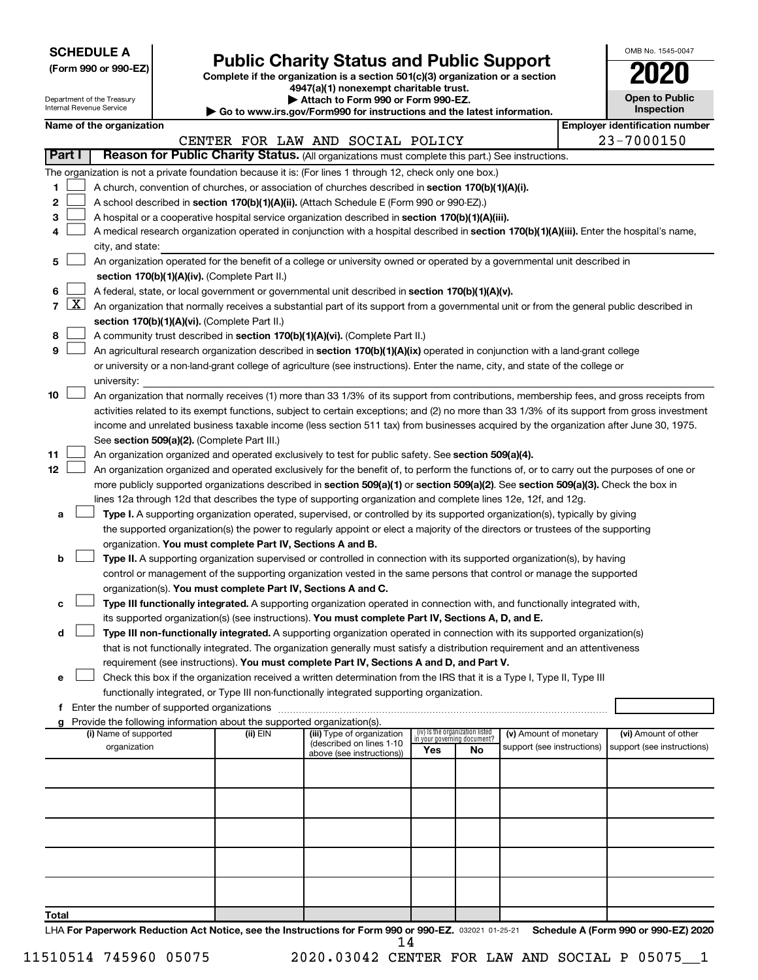|--|

Department of the Treasury

# Form 990 or 990-EZ) **Public Charity Status and Public Support**<br>
Complete if the organization is a section 501(c)(3) organization or a section<br> **2020**

**4947(a)(1) nonexempt charitable trust. | Attach to Form 990 or Form 990-EZ.** 

| $\blacksquare$                                              |
|-------------------------------------------------------------|
| www.irs.gov/Form990.for.instructions.and the latest informa |

| OMB No. 1545-0047                   |
|-------------------------------------|
| 2020                                |
| <b>Open to Public</b><br>Inspection |

| Internal Revenue Service |              |                          |                                               | Go to www.irs.gov/Form990 for instructions and the latest information. |                                                                                                                                                                                                                                                                                  |     |                                                                | Inspection                 |  |  |                                       |
|--------------------------|--------------|--------------------------|-----------------------------------------------|------------------------------------------------------------------------|----------------------------------------------------------------------------------------------------------------------------------------------------------------------------------------------------------------------------------------------------------------------------------|-----|----------------------------------------------------------------|----------------------------|--|--|---------------------------------------|
|                          |              | Name of the organization |                                               |                                                                        |                                                                                                                                                                                                                                                                                  |     |                                                                |                            |  |  | <b>Employer identification number</b> |
|                          |              |                          |                                               |                                                                        | CENTER FOR LAW AND SOCIAL POLICY                                                                                                                                                                                                                                                 |     |                                                                |                            |  |  | 23-7000150                            |
| Part I                   |              |                          |                                               |                                                                        | Reason for Public Charity Status. (All organizations must complete this part.) See instructions.                                                                                                                                                                                 |     |                                                                |                            |  |  |                                       |
|                          |              |                          |                                               |                                                                        | The organization is not a private foundation because it is: (For lines 1 through 12, check only one box.)                                                                                                                                                                        |     |                                                                |                            |  |  |                                       |
| 1                        |              |                          |                                               |                                                                        | A church, convention of churches, or association of churches described in section 170(b)(1)(A)(i).                                                                                                                                                                               |     |                                                                |                            |  |  |                                       |
| 2                        |              |                          |                                               |                                                                        | A school described in section 170(b)(1)(A)(ii). (Attach Schedule E (Form 990 or 990-EZ).)                                                                                                                                                                                        |     |                                                                |                            |  |  |                                       |
| 3                        |              |                          |                                               |                                                                        | A hospital or a cooperative hospital service organization described in section 170(b)(1)(A)(iii).                                                                                                                                                                                |     |                                                                |                            |  |  |                                       |
|                          |              |                          |                                               |                                                                        | A medical research organization operated in conjunction with a hospital described in section 170(b)(1)(A)(iii). Enter the hospital's name,                                                                                                                                       |     |                                                                |                            |  |  |                                       |
|                          |              | city, and state:         |                                               |                                                                        |                                                                                                                                                                                                                                                                                  |     |                                                                |                            |  |  |                                       |
| 5                        |              |                          |                                               |                                                                        | An organization operated for the benefit of a college or university owned or operated by a governmental unit described in                                                                                                                                                        |     |                                                                |                            |  |  |                                       |
|                          |              |                          |                                               | section 170(b)(1)(A)(iv). (Complete Part II.)                          |                                                                                                                                                                                                                                                                                  |     |                                                                |                            |  |  |                                       |
| 6                        |              |                          |                                               |                                                                        | A federal, state, or local government or governmental unit described in section 170(b)(1)(A)(v).                                                                                                                                                                                 |     |                                                                |                            |  |  |                                       |
| 7                        | $\mathbf{X}$ |                          |                                               |                                                                        | An organization that normally receives a substantial part of its support from a governmental unit or from the general public described in                                                                                                                                        |     |                                                                |                            |  |  |                                       |
|                          |              |                          |                                               | section 170(b)(1)(A)(vi). (Complete Part II.)                          |                                                                                                                                                                                                                                                                                  |     |                                                                |                            |  |  |                                       |
| 8                        |              |                          |                                               |                                                                        | A community trust described in section 170(b)(1)(A)(vi). (Complete Part II.)                                                                                                                                                                                                     |     |                                                                |                            |  |  |                                       |
| 9                        |              |                          |                                               |                                                                        | An agricultural research organization described in section 170(b)(1)(A)(ix) operated in conjunction with a land-grant college                                                                                                                                                    |     |                                                                |                            |  |  |                                       |
|                          |              |                          |                                               |                                                                        | or university or a non-land-grant college of agriculture (see instructions). Enter the name, city, and state of the college or                                                                                                                                                   |     |                                                                |                            |  |  |                                       |
|                          |              | university:              |                                               |                                                                        |                                                                                                                                                                                                                                                                                  |     |                                                                |                            |  |  |                                       |
| 10                       |              |                          |                                               |                                                                        | An organization that normally receives (1) more than 33 1/3% of its support from contributions, membership fees, and gross receipts from                                                                                                                                         |     |                                                                |                            |  |  |                                       |
|                          |              |                          |                                               |                                                                        | activities related to its exempt functions, subject to certain exceptions; and (2) no more than 33 1/3% of its support from gross investment                                                                                                                                     |     |                                                                |                            |  |  |                                       |
|                          |              |                          |                                               |                                                                        | income and unrelated business taxable income (less section 511 tax) from businesses acquired by the organization after June 30, 1975.                                                                                                                                            |     |                                                                |                            |  |  |                                       |
| 11                       |              |                          |                                               | See section 509(a)(2). (Complete Part III.)                            |                                                                                                                                                                                                                                                                                  |     |                                                                |                            |  |  |                                       |
| 12                       |              |                          |                                               |                                                                        | An organization organized and operated exclusively to test for public safety. See section 509(a)(4).                                                                                                                                                                             |     |                                                                |                            |  |  |                                       |
|                          |              |                          |                                               |                                                                        | An organization organized and operated exclusively for the benefit of, to perform the functions of, or to carry out the purposes of one or<br>more publicly supported organizations described in section 509(a)(1) or section 509(a)(2). See section 509(a)(3). Check the box in |     |                                                                |                            |  |  |                                       |
|                          |              |                          |                                               |                                                                        | lines 12a through 12d that describes the type of supporting organization and complete lines 12e, 12f, and 12g.                                                                                                                                                                   |     |                                                                |                            |  |  |                                       |
| а                        |              |                          |                                               |                                                                        | Type I. A supporting organization operated, supervised, or controlled by its supported organization(s), typically by giving                                                                                                                                                      |     |                                                                |                            |  |  |                                       |
|                          |              |                          |                                               |                                                                        | the supported organization(s) the power to regularly appoint or elect a majority of the directors or trustees of the supporting                                                                                                                                                  |     |                                                                |                            |  |  |                                       |
|                          |              |                          |                                               | organization. You must complete Part IV, Sections A and B.             |                                                                                                                                                                                                                                                                                  |     |                                                                |                            |  |  |                                       |
| b                        |              |                          |                                               |                                                                        | Type II. A supporting organization supervised or controlled in connection with its supported organization(s), by having                                                                                                                                                          |     |                                                                |                            |  |  |                                       |
|                          |              |                          |                                               |                                                                        | control or management of the supporting organization vested in the same persons that control or manage the supported                                                                                                                                                             |     |                                                                |                            |  |  |                                       |
|                          |              |                          |                                               | organization(s). You must complete Part IV, Sections A and C.          |                                                                                                                                                                                                                                                                                  |     |                                                                |                            |  |  |                                       |
|                          |              |                          |                                               |                                                                        | Type III functionally integrated. A supporting organization operated in connection with, and functionally integrated with,                                                                                                                                                       |     |                                                                |                            |  |  |                                       |
|                          |              |                          |                                               |                                                                        | its supported organization(s) (see instructions). You must complete Part IV, Sections A, D, and E.                                                                                                                                                                               |     |                                                                |                            |  |  |                                       |
| d                        |              |                          |                                               |                                                                        | Type III non-functionally integrated. A supporting organization operated in connection with its supported organization(s)                                                                                                                                                        |     |                                                                |                            |  |  |                                       |
|                          |              |                          |                                               |                                                                        | that is not functionally integrated. The organization generally must satisfy a distribution requirement and an attentiveness                                                                                                                                                     |     |                                                                |                            |  |  |                                       |
|                          |              |                          |                                               |                                                                        | requirement (see instructions). You must complete Part IV, Sections A and D, and Part V.                                                                                                                                                                                         |     |                                                                |                            |  |  |                                       |
| е                        |              |                          |                                               |                                                                        | Check this box if the organization received a written determination from the IRS that it is a Type I, Type II, Type III                                                                                                                                                          |     |                                                                |                            |  |  |                                       |
|                          |              |                          |                                               |                                                                        | functionally integrated, or Type III non-functionally integrated supporting organization.                                                                                                                                                                                        |     |                                                                |                            |  |  |                                       |
|                          |              |                          | f Enter the number of supported organizations |                                                                        |                                                                                                                                                                                                                                                                                  |     |                                                                |                            |  |  |                                       |
|                          |              |                          |                                               | Provide the following information about the supported organization(s). |                                                                                                                                                                                                                                                                                  |     |                                                                |                            |  |  |                                       |
|                          |              | (i) Name of supported    |                                               | (ii) EIN                                                               | (iii) Type of organization<br>(described on lines 1-10                                                                                                                                                                                                                           |     | (iv) Is the organization listed<br>in your governing document? | (v) Amount of monetary     |  |  | (vi) Amount of other                  |
|                          |              | organization             |                                               |                                                                        | above (see instructions))                                                                                                                                                                                                                                                        | Yes | No                                                             | support (see instructions) |  |  | support (see instructions)            |
|                          |              |                          |                                               |                                                                        |                                                                                                                                                                                                                                                                                  |     |                                                                |                            |  |  |                                       |
|                          |              |                          |                                               |                                                                        |                                                                                                                                                                                                                                                                                  |     |                                                                |                            |  |  |                                       |
|                          |              |                          |                                               |                                                                        |                                                                                                                                                                                                                                                                                  |     |                                                                |                            |  |  |                                       |
|                          |              |                          |                                               |                                                                        |                                                                                                                                                                                                                                                                                  |     |                                                                |                            |  |  |                                       |
|                          |              |                          |                                               |                                                                        |                                                                                                                                                                                                                                                                                  |     |                                                                |                            |  |  |                                       |
|                          |              |                          |                                               |                                                                        |                                                                                                                                                                                                                                                                                  |     |                                                                |                            |  |  |                                       |
|                          |              |                          |                                               |                                                                        |                                                                                                                                                                                                                                                                                  |     |                                                                |                            |  |  |                                       |
|                          |              |                          |                                               |                                                                        |                                                                                                                                                                                                                                                                                  |     |                                                                |                            |  |  |                                       |
|                          |              |                          |                                               |                                                                        |                                                                                                                                                                                                                                                                                  |     |                                                                |                            |  |  |                                       |
| Total                    |              |                          |                                               |                                                                        |                                                                                                                                                                                                                                                                                  |     |                                                                |                            |  |  |                                       |

LHA For Paperwork Reduction Act Notice, see the Instructions for Form 990 or 990-EZ. 032021 01-25-21 Schedule A (Form 990 or 990-EZ) 2020 14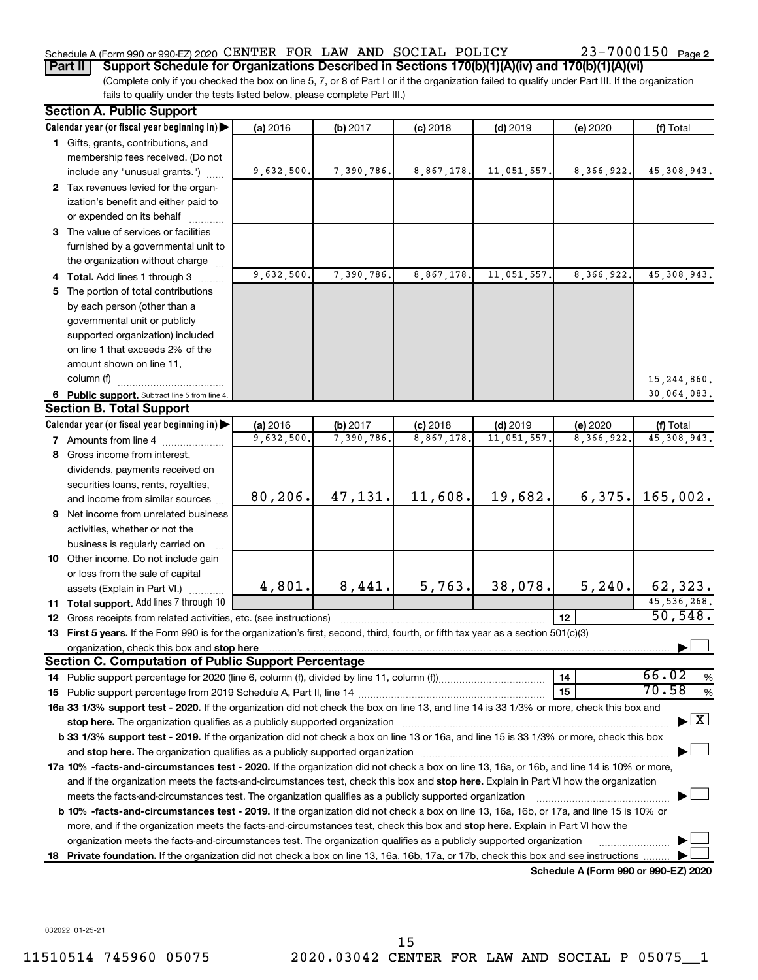### Schedule A (Form 990 or 990-EZ) 2020 CENTER FOR LAW AND SOCIAL POLICY  $23-7000150$  Page

(Complete only if you checked the box on line 5, 7, or 8 of Part I or if the organization failed to qualify under Part III. If the organization **Part II Support Schedule for Organizations Described in Sections 170(b)(1)(A)(iv) and 170(b)(1)(A)(vi)**

fails to qualify under the tests listed below, please complete Part III.)

|    | <b>Section A. Public Support</b>                                                                                                               |            |            |            |             |                                      |                                          |
|----|------------------------------------------------------------------------------------------------------------------------------------------------|------------|------------|------------|-------------|--------------------------------------|------------------------------------------|
|    | Calendar year (or fiscal year beginning in)                                                                                                    | (a) 2016   | (b) 2017   | $(c)$ 2018 | $(d)$ 2019  | (e) 2020                             | (f) Total                                |
|    | 1 Gifts, grants, contributions, and                                                                                                            |            |            |            |             |                                      |                                          |
|    | membership fees received. (Do not                                                                                                              |            |            |            |             |                                      |                                          |
|    | include any "unusual grants.")                                                                                                                 | 9,632,500. | 7,390,786. | 8,867,178. | 11,051,557. | 8,366,922.                           | 45, 308, 943.                            |
|    | 2 Tax revenues levied for the organ-                                                                                                           |            |            |            |             |                                      |                                          |
|    | ization's benefit and either paid to                                                                                                           |            |            |            |             |                                      |                                          |
|    | or expended on its behalf                                                                                                                      |            |            |            |             |                                      |                                          |
|    | 3 The value of services or facilities                                                                                                          |            |            |            |             |                                      |                                          |
|    | furnished by a governmental unit to                                                                                                            |            |            |            |             |                                      |                                          |
|    | the organization without charge                                                                                                                |            |            |            |             |                                      |                                          |
|    | 4 Total. Add lines 1 through 3                                                                                                                 | 9,632,500. | 7,390,786. | 8,867,178. | 11,051,557. | 8,366,922.                           | 45, 308, 943.                            |
| 5. | The portion of total contributions                                                                                                             |            |            |            |             |                                      |                                          |
|    | by each person (other than a                                                                                                                   |            |            |            |             |                                      |                                          |
|    | governmental unit or publicly                                                                                                                  |            |            |            |             |                                      |                                          |
|    | supported organization) included                                                                                                               |            |            |            |             |                                      |                                          |
|    | on line 1 that exceeds 2% of the                                                                                                               |            |            |            |             |                                      |                                          |
|    | amount shown on line 11,                                                                                                                       |            |            |            |             |                                      |                                          |
|    | column (f)                                                                                                                                     |            |            |            |             |                                      | 15,244,860.                              |
|    | 6 Public support. Subtract line 5 from line 4.                                                                                                 |            |            |            |             |                                      | 30,064,083.                              |
|    | <b>Section B. Total Support</b>                                                                                                                |            |            |            |             |                                      |                                          |
|    | Calendar year (or fiscal year beginning in)                                                                                                    | (a) 2016   | (b) 2017   | $(c)$ 2018 | $(d)$ 2019  | (e) 2020                             | (f) Total                                |
|    | 7 Amounts from line 4                                                                                                                          | 9,632,500. | 7,390,786. | 8,867,178  | 11,051,557. | 8,366,922.                           | 45, 308, 943.                            |
|    | 8 Gross income from interest,                                                                                                                  |            |            |            |             |                                      |                                          |
|    | dividends, payments received on                                                                                                                |            |            |            |             |                                      |                                          |
|    | securities loans, rents, royalties,                                                                                                            |            |            |            |             |                                      |                                          |
|    | and income from similar sources                                                                                                                | 80, 206.   | 47, 131.   | 11,608.    | 19,682.     | 6,375.                               | 165,002.                                 |
| 9  | Net income from unrelated business                                                                                                             |            |            |            |             |                                      |                                          |
|    | activities, whether or not the                                                                                                                 |            |            |            |             |                                      |                                          |
|    | business is regularly carried on                                                                                                               |            |            |            |             |                                      |                                          |
|    | 10 Other income. Do not include gain                                                                                                           |            |            |            |             |                                      |                                          |
|    | or loss from the sale of capital                                                                                                               |            |            |            |             |                                      |                                          |
|    | assets (Explain in Part VI.)                                                                                                                   | 4,801.     | 8,441.     | 5,763.     | 38,078.     | 5, 240.                              | 62,323.                                  |
|    | <b>11 Total support.</b> Add lines 7 through 10                                                                                                |            |            |            |             |                                      | 45, 536, 268.                            |
| 12 | Gross receipts from related activities, etc. (see instructions)                                                                                |            |            |            |             | 12                                   | 50, 548.                                 |
|    | 13 First 5 years. If the Form 990 is for the organization's first, second, third, fourth, or fifth tax year as a section 501(c)(3)             |            |            |            |             |                                      |                                          |
|    | organization, check this box and stop here                                                                                                     |            |            |            |             |                                      |                                          |
|    | Section C. Computation of Public Support Percentage                                                                                            |            |            |            |             |                                      |                                          |
|    | 14 Public support percentage for 2020 (line 6, column (f), divided by line 11, column (f))                                                     |            |            |            |             | 14                                   | 66.02<br>%<br>70.58                      |
|    |                                                                                                                                                |            |            |            |             | 15                                   | %                                        |
|    | 16a 33 1/3% support test - 2020. If the organization did not check the box on line 13, and line 14 is 33 1/3% or more, check this box and      |            |            |            |             |                                      | $\blacktriangleright$ $\boxed{\text{X}}$ |
|    |                                                                                                                                                |            |            |            |             |                                      |                                          |
|    | b 33 1/3% support test - 2019. If the organization did not check a box on line 13 or 16a, and line 15 is 33 1/3% or more, check this box       |            |            |            |             |                                      |                                          |
|    |                                                                                                                                                |            |            |            |             |                                      |                                          |
|    | 17a 10% -facts-and-circumstances test - 2020. If the organization did not check a box on line 13, 16a, or 16b, and line 14 is 10% or more,     |            |            |            |             |                                      |                                          |
|    | and if the organization meets the facts-and-circumstances test, check this box and stop here. Explain in Part VI how the organization          |            |            |            |             |                                      |                                          |
|    | meets the facts-and-circumstances test. The organization qualifies as a publicly supported organization                                        |            |            |            |             |                                      |                                          |
|    | <b>b 10%</b> -facts-and-circumstances test - 2019. If the organization did not check a box on line 13, 16a, 16b, or 17a, and line 15 is 10% or |            |            |            |             |                                      |                                          |
|    | more, and if the organization meets the facts-and-circumstances test, check this box and stop here. Explain in Part VI how the                 |            |            |            |             |                                      |                                          |
|    | organization meets the facts-and-circumstances test. The organization qualifies as a publicly supported organization                           |            |            |            |             |                                      |                                          |
|    | 18 Private foundation. If the organization did not check a box on line 13, 16a, 16b, 17a, or 17b, check this box and see instructions          |            |            |            |             | Schedule A (Form 990 or 990-EZ) 2020 |                                          |
|    |                                                                                                                                                |            |            |            |             |                                      |                                          |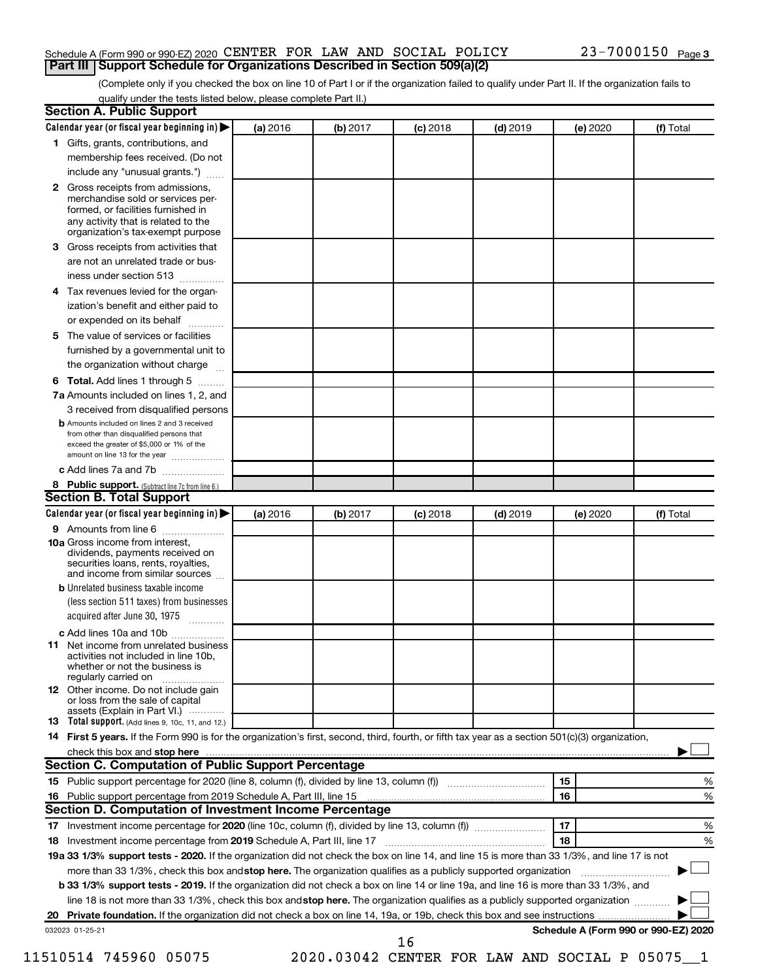#### Schedule A (Form 990 or 990-EZ) 2020 CENTER FOR LAW AND SOCIAL POLICY  $23-7000150$  Page **Part III Support Schedule for Organizations Described in Section 509(a)(2)**

(Complete only if you checked the box on line 10 of Part I or if the organization failed to qualify under Part II. If the organization fails to qualify under the tests listed below, please complete Part II.)

| Calendar year (or fiscal year beginning in)                                                                                                         | (a) 2016 | (b) 2017                                     | $(c)$ 2018 | $(d)$ 2019 | (e) 2020 | (f) Total                            |
|-----------------------------------------------------------------------------------------------------------------------------------------------------|----------|----------------------------------------------|------------|------------|----------|--------------------------------------|
| 1 Gifts, grants, contributions, and                                                                                                                 |          |                                              |            |            |          |                                      |
| membership fees received. (Do not                                                                                                                   |          |                                              |            |            |          |                                      |
| include any "unusual grants.")                                                                                                                      |          |                                              |            |            |          |                                      |
| 2 Gross receipts from admissions,<br>merchandise sold or services per-<br>formed, or facilities furnished in<br>any activity that is related to the |          |                                              |            |            |          |                                      |
| organization's tax-exempt purpose                                                                                                                   |          |                                              |            |            |          |                                      |
| Gross receipts from activities that<br>3.                                                                                                           |          |                                              |            |            |          |                                      |
| are not an unrelated trade or bus-<br>iness under section 513                                                                                       |          |                                              |            |            |          |                                      |
| Tax revenues levied for the organ-<br>4                                                                                                             |          |                                              |            |            |          |                                      |
| ization's benefit and either paid to<br>or expended on its behalf<br>.                                                                              |          |                                              |            |            |          |                                      |
| The value of services or facilities<br>5.                                                                                                           |          |                                              |            |            |          |                                      |
| furnished by a governmental unit to<br>the organization without charge                                                                              |          |                                              |            |            |          |                                      |
| Total. Add lines 1 through 5<br>6                                                                                                                   |          |                                              |            |            |          |                                      |
| 7a Amounts included on lines 1, 2, and                                                                                                              |          |                                              |            |            |          |                                      |
| 3 received from disqualified persons                                                                                                                |          |                                              |            |            |          |                                      |
| <b>b</b> Amounts included on lines 2 and 3 received                                                                                                 |          |                                              |            |            |          |                                      |
| from other than disqualified persons that<br>exceed the greater of \$5,000 or 1% of the<br>amount on line 13 for the year                           |          |                                              |            |            |          |                                      |
| c Add lines 7a and 7b                                                                                                                               |          |                                              |            |            |          |                                      |
| 8 Public support. (Subtract line 7c from line 6.)                                                                                                   |          |                                              |            |            |          |                                      |
| <b>Section B. Total Support</b>                                                                                                                     |          |                                              |            |            |          |                                      |
| Calendar year (or fiscal year beginning in)                                                                                                         | (a) 2016 | (b) 2017                                     | $(c)$ 2018 | $(d)$ 2019 | (e) 2020 | (f) Total                            |
| <b>9</b> Amounts from line 6                                                                                                                        |          |                                              |            |            |          |                                      |
| <b>10a</b> Gross income from interest,<br>dividends, payments received on<br>securities loans, rents, royalties,<br>and income from similar sources |          |                                              |            |            |          |                                      |
| <b>b</b> Unrelated business taxable income                                                                                                          |          |                                              |            |            |          |                                      |
| (less section 511 taxes) from businesses<br>acquired after June 30, 1975 [[11, 11, 11, 11]                                                          |          |                                              |            |            |          |                                      |
| c Add lines 10a and 10b                                                                                                                             |          |                                              |            |            |          |                                      |
| Net income from unrelated business<br>11<br>activities not included in line 10b.<br>whether or not the business is<br>regularly carried on          |          |                                              |            |            |          |                                      |
| <b>12</b> Other income. Do not include gain<br>or loss from the sale of capital<br>assets (Explain in Part VI.)                                     |          |                                              |            |            |          |                                      |
| <b>13</b> Total support. (Add lines 9, 10c, 11, and 12.)                                                                                            |          |                                              |            |            |          |                                      |
| 14 First 5 years. If the Form 990 is for the organization's first, second, third, fourth, or fifth tax year as a section 501(c)(3) organization,    |          |                                              |            |            |          |                                      |
|                                                                                                                                                     |          |                                              |            |            |          |                                      |
| Section C. Computation of Public Support Percentage                                                                                                 |          |                                              |            |            |          |                                      |
|                                                                                                                                                     |          |                                              |            |            | 15       | %                                    |
|                                                                                                                                                     |          |                                              |            |            | 16       | %                                    |
| Section D. Computation of Investment Income Percentage                                                                                              |          |                                              |            |            |          |                                      |
|                                                                                                                                                     |          |                                              |            |            | 17       | %                                    |
| 18 Investment income percentage from 2019 Schedule A, Part III, line 17                                                                             |          |                                              |            |            | 18       | %                                    |
| 19a 33 1/3% support tests - 2020. If the organization did not check the box on line 14, and line 15 is more than 33 1/3%, and line 17 is not        |          |                                              |            |            |          |                                      |
| more than 33 1/3%, check this box and stop here. The organization qualifies as a publicly supported organization                                    |          |                                              |            |            |          |                                      |
| b 33 1/3% support tests - 2019. If the organization did not check a box on line 14 or line 19a, and line 16 is more than 33 1/3%, and               |          |                                              |            |            |          |                                      |
| line 18 is not more than 33 1/3%, check this box and stop here. The organization qualifies as a publicly supported organization                     |          |                                              |            |            |          |                                      |
|                                                                                                                                                     |          |                                              |            |            |          |                                      |
| 032023 01-25-21                                                                                                                                     |          |                                              | 16         |            |          | Schedule A (Form 990 or 990-EZ) 2020 |
| 11510514 745960 05075                                                                                                                               |          | 2020.03042 CENTER FOR LAW AND SOCIAL P 05075 |            |            |          |                                      |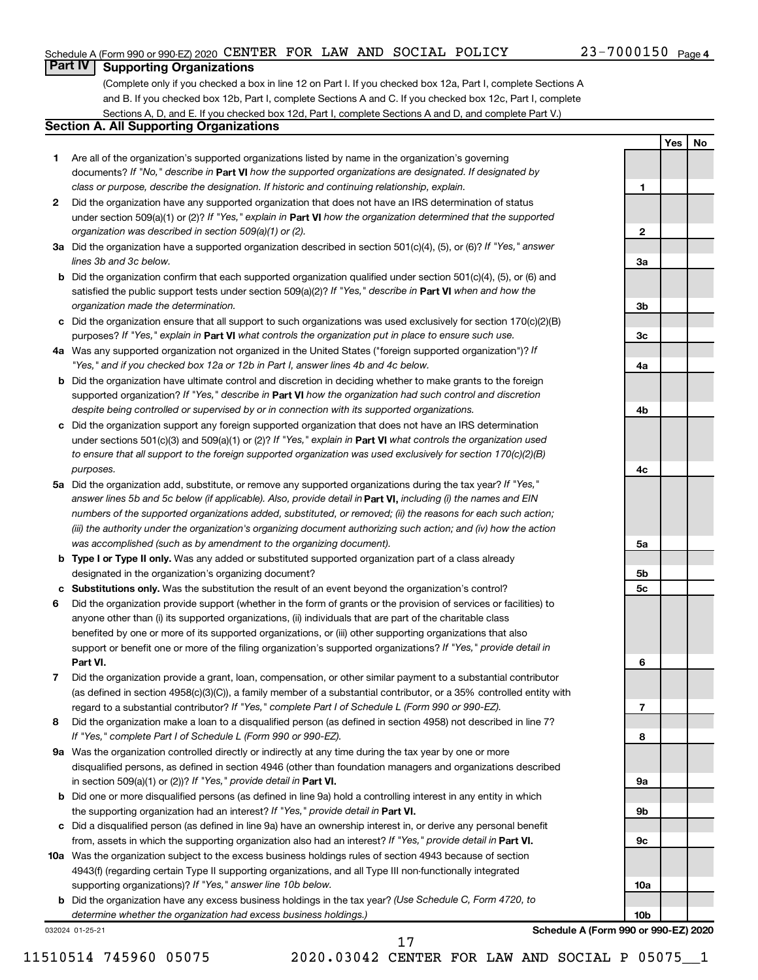**1**

**2**

**3a**

**3b**

**3c**

**4a**

**4b**

**4c**

**5a**

**5b 5c**

**6**

**7**

**8**

**9a**

**9b**

**9c**

**10a**

**10b**

**Yes No**

#### **Part IV Supporting Organizations**

(Complete only if you checked a box in line 12 on Part I. If you checked box 12a, Part I, complete Sections A and B. If you checked box 12b, Part I, complete Sections A and C. If you checked box 12c, Part I, complete Sections A, D, and E. If you checked box 12d, Part I, complete Sections A and D, and complete Part V.)

#### **Section A. All Supporting Organizations**

- **1** Are all of the organization's supported organizations listed by name in the organization's governing documents? If "No," describe in Part VI how the supported organizations are designated. If designated by *class or purpose, describe the designation. If historic and continuing relationship, explain.*
- **2** Did the organization have any supported organization that does not have an IRS determination of status under section 509(a)(1) or (2)? If "Yes," explain in Part **VI** how the organization determined that the supported *organization was described in section 509(a)(1) or (2).*
- **3a** Did the organization have a supported organization described in section 501(c)(4), (5), or (6)? If "Yes," answer *lines 3b and 3c below.*
- **b** Did the organization confirm that each supported organization qualified under section 501(c)(4), (5), or (6) and satisfied the public support tests under section 509(a)(2)? If "Yes," describe in Part VI when and how the *organization made the determination.*
- **c** Did the organization ensure that all support to such organizations was used exclusively for section 170(c)(2)(B) purposes? If "Yes," explain in Part VI what controls the organization put in place to ensure such use.
- **4 a** *If* Was any supported organization not organized in the United States ("foreign supported organization")? *"Yes," and if you checked box 12a or 12b in Part I, answer lines 4b and 4c below.*
- **b** Did the organization have ultimate control and discretion in deciding whether to make grants to the foreign supported organization? If "Yes," describe in Part VI how the organization had such control and discretion *despite being controlled or supervised by or in connection with its supported organizations.*
- **c** Did the organization support any foreign supported organization that does not have an IRS determination under sections 501(c)(3) and 509(a)(1) or (2)? If "Yes," explain in Part VI what controls the organization used *to ensure that all support to the foreign supported organization was used exclusively for section 170(c)(2)(B) purposes.*
- **5a** Did the organization add, substitute, or remove any supported organizations during the tax year? If "Yes," answer lines 5b and 5c below (if applicable). Also, provide detail in **Part VI,** including (i) the names and EIN *numbers of the supported organizations added, substituted, or removed; (ii) the reasons for each such action; (iii) the authority under the organization's organizing document authorizing such action; and (iv) how the action was accomplished (such as by amendment to the organizing document).*
- **b Type I or Type II only.** Was any added or substituted supported organization part of a class already designated in the organization's organizing document?
- **c Substitutions only.**  Was the substitution the result of an event beyond the organization's control?
- **6** Did the organization provide support (whether in the form of grants or the provision of services or facilities) to **Part VI.** support or benefit one or more of the filing organization's supported organizations? If "Yes," provide detail in anyone other than (i) its supported organizations, (ii) individuals that are part of the charitable class benefited by one or more of its supported organizations, or (iii) other supporting organizations that also
- **7** Did the organization provide a grant, loan, compensation, or other similar payment to a substantial contributor regard to a substantial contributor? If "Yes," complete Part I of Schedule L (Form 990 or 990-EZ). (as defined in section 4958(c)(3)(C)), a family member of a substantial contributor, or a 35% controlled entity with
- **8** Did the organization make a loan to a disqualified person (as defined in section 4958) not described in line 7? *If "Yes," complete Part I of Schedule L (Form 990 or 990-EZ).*
- **9 a** Was the organization controlled directly or indirectly at any time during the tax year by one or more in section 509(a)(1) or (2))? If "Yes," provide detail in **Part VI.** disqualified persons, as defined in section 4946 (other than foundation managers and organizations described
- **b** Did one or more disqualified persons (as defined in line 9a) hold a controlling interest in any entity in which the supporting organization had an interest? If "Yes," provide detail in Part VI.
- **c** Did a disqualified person (as defined in line 9a) have an ownership interest in, or derive any personal benefit from, assets in which the supporting organization also had an interest? If "Yes," provide detail in Part VI.
- **10 a** Was the organization subject to the excess business holdings rules of section 4943 because of section supporting organizations)? If "Yes," answer line 10b below. 4943(f) (regarding certain Type II supporting organizations, and all Type III non-functionally integrated
	- **b** Did the organization have any excess business holdings in the tax year? (Use Schedule C, Form 4720, to *determine whether the organization had excess business holdings.)*

032024 01-25-21

**Schedule A (Form 990 or 990-EZ) 2020**

17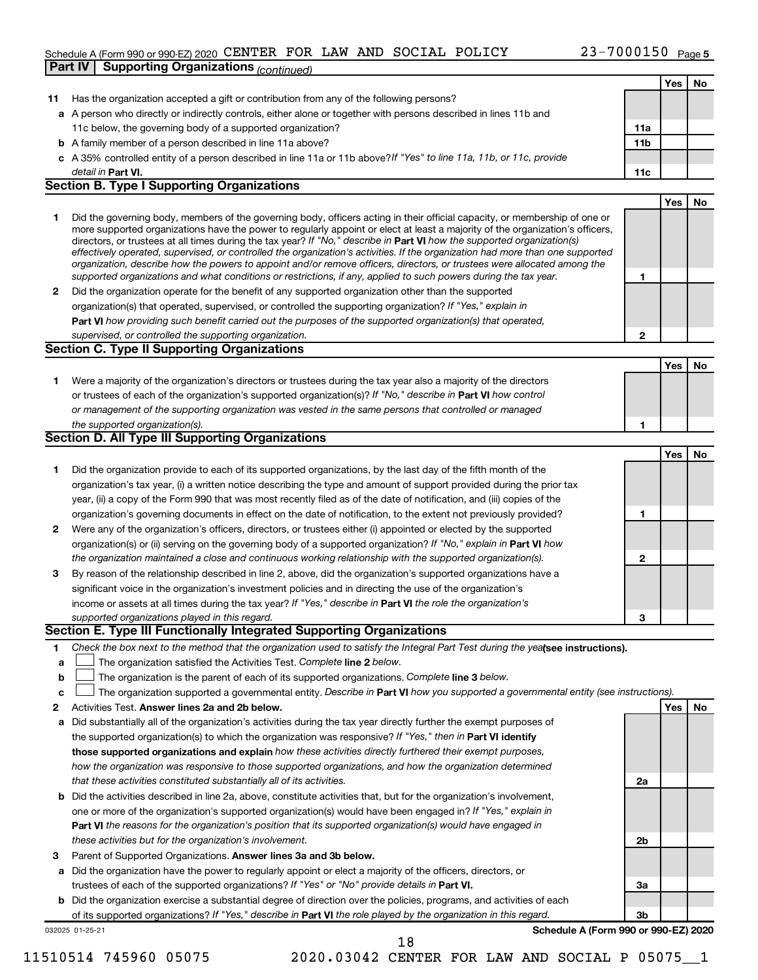#### Schedule A (Form 990 or 990-EZ) 2020 CENTER FOR LAW AND SOCIAL POLICY  $23-7000150$  Page **Part IV Supporting Organizations** *(continued)*

|              |                                                                                                                                                                                                                                                          |                 | <b>Yes</b> | No |
|--------------|----------------------------------------------------------------------------------------------------------------------------------------------------------------------------------------------------------------------------------------------------------|-----------------|------------|----|
| 11           | Has the organization accepted a gift or contribution from any of the following persons?                                                                                                                                                                  |                 |            |    |
|              | a A person who directly or indirectly controls, either alone or together with persons described in lines 11b and                                                                                                                                         |                 |            |    |
|              | 11c below, the governing body of a supported organization?                                                                                                                                                                                               | 11a             |            |    |
|              | <b>b</b> A family member of a person described in line 11a above?                                                                                                                                                                                        | 11 <sub>b</sub> |            |    |
|              | c A 35% controlled entity of a person described in line 11a or 11b above?If "Yes" to line 11a, 11b, or 11c, provide                                                                                                                                      |                 |            |    |
|              | detail in Part VI.                                                                                                                                                                                                                                       | 11c             |            |    |
|              | <b>Section B. Type I Supporting Organizations</b>                                                                                                                                                                                                        |                 |            |    |
|              |                                                                                                                                                                                                                                                          |                 | Yes        | No |
| 1            | Did the governing body, members of the governing body, officers acting in their official capacity, or membership of one or                                                                                                                               |                 |            |    |
|              | more supported organizations have the power to regularly appoint or elect at least a majority of the organization's officers,<br>directors, or trustees at all times during the tax year? If "No," describe in Part VI how the supported organization(s) |                 |            |    |
|              | effectively operated, supervised, or controlled the organization's activities. If the organization had more than one supported                                                                                                                           |                 |            |    |
|              | organization, describe how the powers to appoint and/or remove officers, directors, or trustees were allocated among the                                                                                                                                 |                 |            |    |
|              | supported organizations and what conditions or restrictions, if any, applied to such powers during the tax year.                                                                                                                                         | 1               |            |    |
| $\mathbf{2}$ | Did the organization operate for the benefit of any supported organization other than the supported                                                                                                                                                      |                 |            |    |
|              | organization(s) that operated, supervised, or controlled the supporting organization? If "Yes," explain in                                                                                                                                               |                 |            |    |
|              | Part VI how providing such benefit carried out the purposes of the supported organization(s) that operated,                                                                                                                                              |                 |            |    |
|              | supervised, or controlled the supporting organization.<br><b>Section C. Type II Supporting Organizations</b>                                                                                                                                             | $\mathbf{2}$    |            |    |
|              |                                                                                                                                                                                                                                                          |                 |            |    |
|              |                                                                                                                                                                                                                                                          |                 | Yes        | No |
| 1            | Were a majority of the organization's directors or trustees during the tax year also a majority of the directors<br>or trustees of each of the organization's supported organization(s)? If "No," describe in Part VI how control                        |                 |            |    |
|              | or management of the supporting organization was vested in the same persons that controlled or managed                                                                                                                                                   |                 |            |    |
|              | the supported organization(s).                                                                                                                                                                                                                           | 1               |            |    |
|              | <b>Section D. All Type III Supporting Organizations</b>                                                                                                                                                                                                  |                 |            |    |
|              |                                                                                                                                                                                                                                                          |                 | Yes        | No |
| 1            | Did the organization provide to each of its supported organizations, by the last day of the fifth month of the                                                                                                                                           |                 |            |    |
|              | organization's tax year, (i) a written notice describing the type and amount of support provided during the prior tax                                                                                                                                    |                 |            |    |
|              | year, (ii) a copy of the Form 990 that was most recently filed as of the date of notification, and (iii) copies of the                                                                                                                                   |                 |            |    |
|              | organization's governing documents in effect on the date of notification, to the extent not previously provided?                                                                                                                                         | 1               |            |    |
| 2            | Were any of the organization's officers, directors, or trustees either (i) appointed or elected by the supported                                                                                                                                         |                 |            |    |
|              | organization(s) or (ii) serving on the governing body of a supported organization? If "No," explain in Part VI how                                                                                                                                       |                 |            |    |
|              | the organization maintained a close and continuous working relationship with the supported organization(s).                                                                                                                                              | 2               |            |    |
| 3            | By reason of the relationship described in line 2, above, did the organization's supported organizations have a                                                                                                                                          |                 |            |    |
|              | significant voice in the organization's investment policies and in directing the use of the organization's                                                                                                                                               |                 |            |    |
|              | income or assets at all times during the tax year? If "Yes," describe in Part VI the role the organization's                                                                                                                                             |                 |            |    |
|              | supported organizations played in this regard.                                                                                                                                                                                                           | 3               |            |    |
|              | Section E. Type III Functionally Integrated Supporting Organizations                                                                                                                                                                                     |                 |            |    |
| 1            | Check the box next to the method that the organization used to satisfy the Integral Part Test during the yealsee instructions).                                                                                                                          |                 |            |    |
| a            | The organization satisfied the Activities Test. Complete line 2 below.                                                                                                                                                                                   |                 |            |    |
| b            | The organization is the parent of each of its supported organizations. Complete line 3 below.                                                                                                                                                            |                 |            |    |
| c            | The organization supported a governmental entity. Describe in Part VI how you supported a governmental entity (see instructions).                                                                                                                        |                 |            |    |
| 2            | Activities Test. Answer lines 2a and 2b below.                                                                                                                                                                                                           |                 | Yes        | No |
| a            | Did substantially all of the organization's activities during the tax year directly further the exempt purposes of                                                                                                                                       |                 |            |    |
|              | the supported organization(s) to which the organization was responsive? If "Yes," then in Part VI identify                                                                                                                                               |                 |            |    |
|              | those supported organizations and explain how these activities directly furthered their exempt purposes,                                                                                                                                                 |                 |            |    |
|              | how the organization was responsive to those supported organizations, and how the organization determined                                                                                                                                                |                 |            |    |
|              | that these activities constituted substantially all of its activities.                                                                                                                                                                                   | 2a              |            |    |
|              | <b>b</b> Did the activities described in line 2a, above, constitute activities that, but for the organization's involvement,                                                                                                                             |                 |            |    |
|              | one or more of the organization's supported organization(s) would have been engaged in? If "Yes," explain in                                                                                                                                             |                 |            |    |
|              | Part VI the reasons for the organization's position that its supported organization(s) would have engaged in                                                                                                                                             |                 |            |    |
|              | these activities but for the organization's involvement.                                                                                                                                                                                                 | 2b              |            |    |
| з            | Parent of Supported Organizations. Answer lines 3a and 3b below.                                                                                                                                                                                         |                 |            |    |
|              | a Did the organization have the power to regularly appoint or elect a majority of the officers, directors, or                                                                                                                                            |                 |            |    |
|              | trustees of each of the supported organizations? If "Yes" or "No" provide details in Part VI.                                                                                                                                                            | За              |            |    |
|              | b Did the organization exercise a substantial degree of direction over the policies, programs, and activities of each                                                                                                                                    |                 |            |    |
|              | of its supported organizations? If "Yes," describe in Part VI the role played by the organization in this regard.                                                                                                                                        | 3b              |            |    |
|              | Schedule A (Form 990 or 990-EZ) 2020<br>032025 01-25-21<br>18                                                                                                                                                                                            |                 |            |    |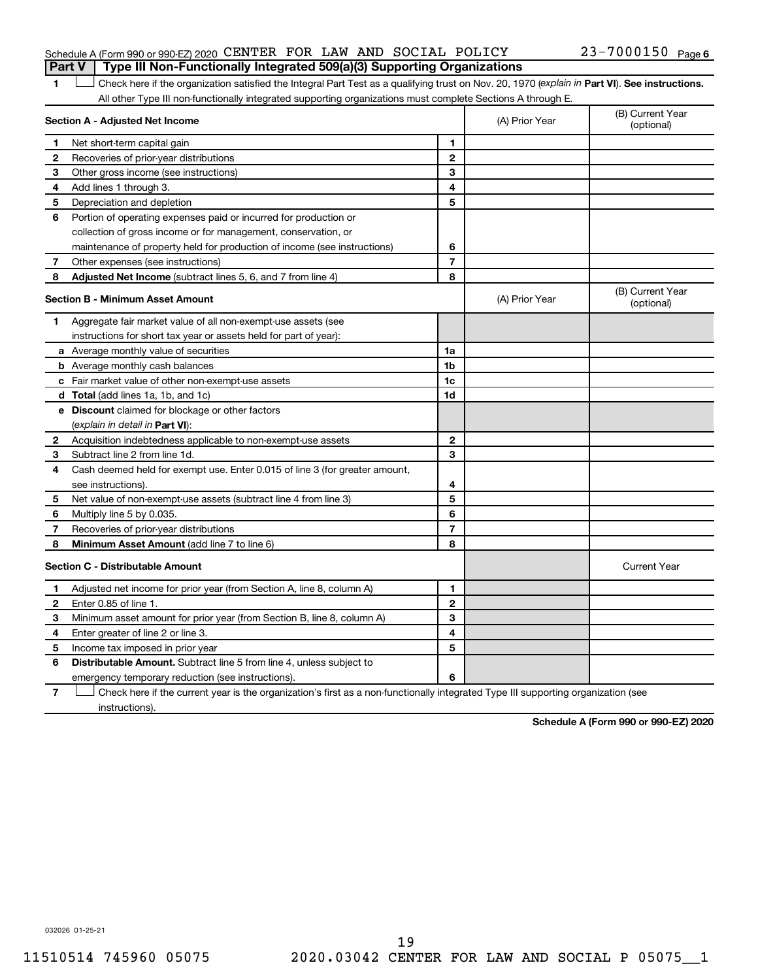#### Schedule A (Form 990 or 990-EZ) 2020 CENTER FOR LAW AND SOCIAL POLICY  $23-7000150$  Page **Part V Type III Non-Functionally Integrated 509(a)(3) Supporting Organizations**

1 **Letter See instructions.** Check here if the organization satisfied the Integral Part Test as a qualifying trust on Nov. 20, 1970 (*explain in* Part **VI**). See instructions. All other Type III non-functionally integrated supporting organizations must complete Sections A through E.

|                                         | Section A - Adjusted Net Income                                             | (A) Prior Year | (B) Current Year<br>(optional) |                                |
|-----------------------------------------|-----------------------------------------------------------------------------|----------------|--------------------------------|--------------------------------|
| 1                                       | Net short-term capital gain                                                 | 1              |                                |                                |
| $\mathbf{2}$                            | Recoveries of prior-year distributions                                      | $\mathbf{2}$   |                                |                                |
| З                                       | Other gross income (see instructions)                                       | 3              |                                |                                |
| 4                                       | Add lines 1 through 3.                                                      | 4              |                                |                                |
| 5                                       | Depreciation and depletion                                                  | 5              |                                |                                |
| 6                                       | Portion of operating expenses paid or incurred for production or            |                |                                |                                |
|                                         | collection of gross income or for management, conservation, or              |                |                                |                                |
|                                         | maintenance of property held for production of income (see instructions)    | 6              |                                |                                |
| 7                                       | Other expenses (see instructions)                                           | $\overline{7}$ |                                |                                |
| 8                                       | Adjusted Net Income (subtract lines 5, 6, and 7 from line 4)                | 8              |                                |                                |
| <b>Section B - Minimum Asset Amount</b> |                                                                             |                | (A) Prior Year                 | (B) Current Year<br>(optional) |
| 1.                                      | Aggregate fair market value of all non-exempt-use assets (see               |                |                                |                                |
|                                         | instructions for short tax year or assets held for part of year):           |                |                                |                                |
|                                         | <b>a</b> Average monthly value of securities                                | 1a             |                                |                                |
|                                         | <b>b</b> Average monthly cash balances                                      | 1 <sub>b</sub> |                                |                                |
|                                         | <b>c</b> Fair market value of other non-exempt-use assets                   | 1 <sub>c</sub> |                                |                                |
|                                         | d Total (add lines 1a, 1b, and 1c)                                          | 1d             |                                |                                |
|                                         | e Discount claimed for blockage or other factors                            |                |                                |                                |
|                                         | (explain in detail in <b>Part VI</b> ):                                     |                |                                |                                |
| 2                                       | Acquisition indebtedness applicable to non-exempt-use assets                | $\mathbf{2}$   |                                |                                |
| 3                                       | Subtract line 2 from line 1d.                                               | 3              |                                |                                |
| 4                                       | Cash deemed held for exempt use. Enter 0.015 of line 3 (for greater amount, |                |                                |                                |
|                                         | see instructions).                                                          | 4              |                                |                                |
| 5                                       | Net value of non-exempt-use assets (subtract line 4 from line 3)            | 5              |                                |                                |
| 6                                       | Multiply line 5 by 0.035.                                                   | 6              |                                |                                |
| 7                                       | Recoveries of prior-year distributions                                      | $\overline{7}$ |                                |                                |
| 8                                       | Minimum Asset Amount (add line 7 to line 6)                                 | 8              |                                |                                |
|                                         | <b>Section C - Distributable Amount</b>                                     |                |                                | <b>Current Year</b>            |
| 1                                       | Adjusted net income for prior year (from Section A, line 8, column A)       | 1              |                                |                                |
| $\mathbf{2}$                            | Enter 0.85 of line 1.                                                       | $\mathbf{2}$   |                                |                                |
| 3                                       | Minimum asset amount for prior year (from Section B, line 8, column A)      | 3              |                                |                                |
| 4                                       | Enter greater of line 2 or line 3.                                          | 4              |                                |                                |
| 5                                       | Income tax imposed in prior year                                            | 5              |                                |                                |
| 6                                       | <b>Distributable Amount.</b> Subtract line 5 from line 4, unless subject to |                |                                |                                |
|                                         | emergency temporary reduction (see instructions).                           | 6              |                                |                                |
|                                         |                                                                             |                |                                |                                |

**7** Check here if the current year is the organization's first as a non-functionally integrated Type III supporting organization (see † instructions).

**Schedule A (Form 990 or 990-EZ) 2020**

032026 01-25-21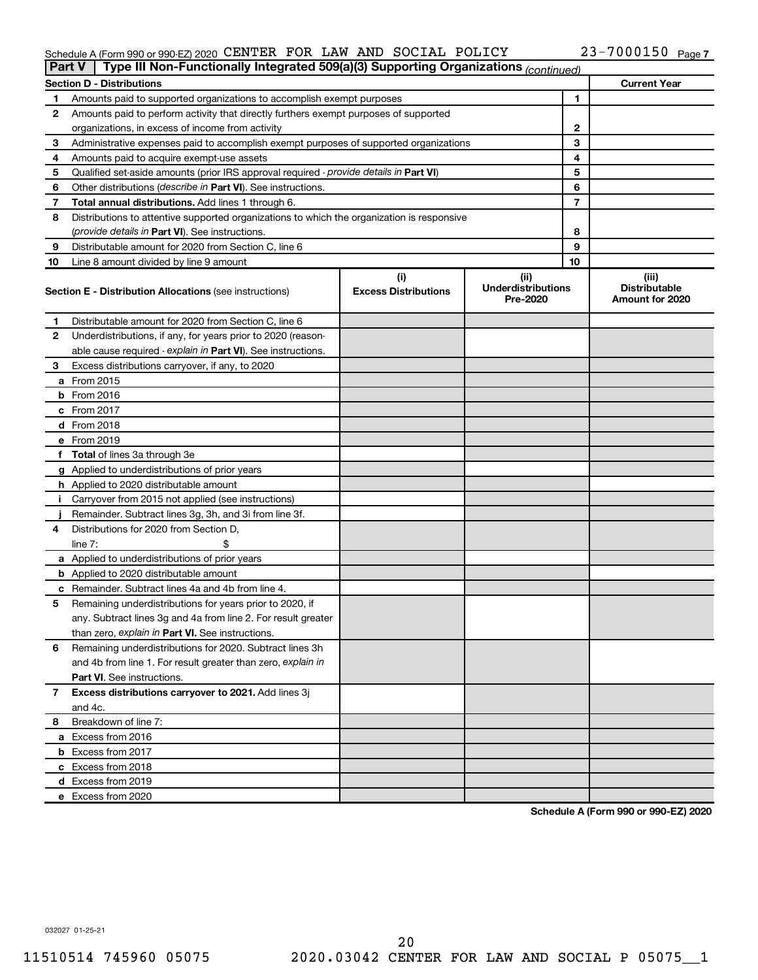#### Schedule A (Form 990 or 990-EZ) 2020 CENTER FOR LAW AND SOCIAL POLICY  $23-7000150$  Page CENTER FOR LAW AND SOCIAL POLICY 23-7000150

| <b>Part V</b> | Type III Non-Functionally Integrated 509(a)(3) Supporting Organizations (continued)        |                             |                                       |    |                                         |
|---------------|--------------------------------------------------------------------------------------------|-----------------------------|---------------------------------------|----|-----------------------------------------|
|               | <b>Section D - Distributions</b>                                                           |                             |                                       |    | <b>Current Year</b>                     |
| 1             | Amounts paid to supported organizations to accomplish exempt purposes                      |                             | 1                                     |    |                                         |
| 2             | Amounts paid to perform activity that directly furthers exempt purposes of supported       |                             |                                       |    |                                         |
|               | organizations, in excess of income from activity                                           |                             | 2                                     |    |                                         |
| 3             | Administrative expenses paid to accomplish exempt purposes of supported organizations      |                             | 3                                     |    |                                         |
| 4             | Amounts paid to acquire exempt-use assets                                                  |                             |                                       | 4  |                                         |
| 5             | Qualified set-aside amounts (prior IRS approval required - provide details in Part VI)     |                             |                                       | 5  |                                         |
| 6             | Other distributions ( <i>describe in Part VI</i> ). See instructions.                      |                             |                                       | 6  |                                         |
| 7             | Total annual distributions. Add lines 1 through 6.                                         |                             |                                       | 7  |                                         |
| 8             | Distributions to attentive supported organizations to which the organization is responsive |                             |                                       |    |                                         |
|               | (provide details in Part VI). See instructions.                                            |                             |                                       | 8  |                                         |
| 9             | Distributable amount for 2020 from Section C, line 6                                       |                             |                                       | 9  |                                         |
| 10            | Line 8 amount divided by line 9 amount                                                     |                             |                                       | 10 |                                         |
|               |                                                                                            | (i)                         | (ii)                                  |    | (iii)                                   |
|               | <b>Section E - Distribution Allocations (see instructions)</b>                             | <b>Excess Distributions</b> | <b>Underdistributions</b><br>Pre-2020 |    | <b>Distributable</b><br>Amount for 2020 |
| 1             | Distributable amount for 2020 from Section C, line 6                                       |                             |                                       |    |                                         |
| 2             | Underdistributions, if any, for years prior to 2020 (reason-                               |                             |                                       |    |                                         |
|               | able cause required - explain in Part VI). See instructions.                               |                             |                                       |    |                                         |
| 3             | Excess distributions carryover, if any, to 2020                                            |                             |                                       |    |                                         |
|               | a From 2015                                                                                |                             |                                       |    |                                         |
|               | $b$ From 2016                                                                              |                             |                                       |    |                                         |
|               | c From 2017                                                                                |                             |                                       |    |                                         |
|               | <b>d</b> From 2018                                                                         |                             |                                       |    |                                         |
|               | e From 2019                                                                                |                             |                                       |    |                                         |
|               | f Total of lines 3a through 3e                                                             |                             |                                       |    |                                         |
|               | g Applied to underdistributions of prior years                                             |                             |                                       |    |                                         |
|               | <b>h</b> Applied to 2020 distributable amount                                              |                             |                                       |    |                                         |
| Ť.            | Carryover from 2015 not applied (see instructions)                                         |                             |                                       |    |                                         |
|               | Remainder. Subtract lines 3g, 3h, and 3i from line 3f.                                     |                             |                                       |    |                                         |
| 4             | Distributions for 2020 from Section D,                                                     |                             |                                       |    |                                         |
|               | line $7:$                                                                                  |                             |                                       |    |                                         |
|               | a Applied to underdistributions of prior years                                             |                             |                                       |    |                                         |
|               | <b>b</b> Applied to 2020 distributable amount                                              |                             |                                       |    |                                         |
|               | c Remainder. Subtract lines 4a and 4b from line 4.                                         |                             |                                       |    |                                         |
| 5             | Remaining underdistributions for years prior to 2020, if                                   |                             |                                       |    |                                         |
|               | any. Subtract lines 3g and 4a from line 2. For result greater                              |                             |                                       |    |                                         |
|               | than zero, explain in Part VI. See instructions.                                           |                             |                                       |    |                                         |
| 6             | Remaining underdistributions for 2020. Subtract lines 3h                                   |                             |                                       |    |                                         |
|               | and 4b from line 1. For result greater than zero, explain in                               |                             |                                       |    |                                         |
|               | <b>Part VI.</b> See instructions.                                                          |                             |                                       |    |                                         |
| 7             | Excess distributions carryover to 2021. Add lines 3j                                       |                             |                                       |    |                                         |
|               | and 4c.                                                                                    |                             |                                       |    |                                         |
| 8             | Breakdown of line 7:                                                                       |                             |                                       |    |                                         |
|               | a Excess from 2016                                                                         |                             |                                       |    |                                         |
|               | <b>b</b> Excess from 2017                                                                  |                             |                                       |    |                                         |
|               | c Excess from 2018                                                                         |                             |                                       |    |                                         |
|               |                                                                                            |                             |                                       |    |                                         |
|               | d Excess from 2019<br>e Excess from 2020                                                   |                             |                                       |    |                                         |
|               |                                                                                            |                             |                                       |    |                                         |

**Schedule A (Form 990 or 990-EZ) 2020**

032027 01-25-21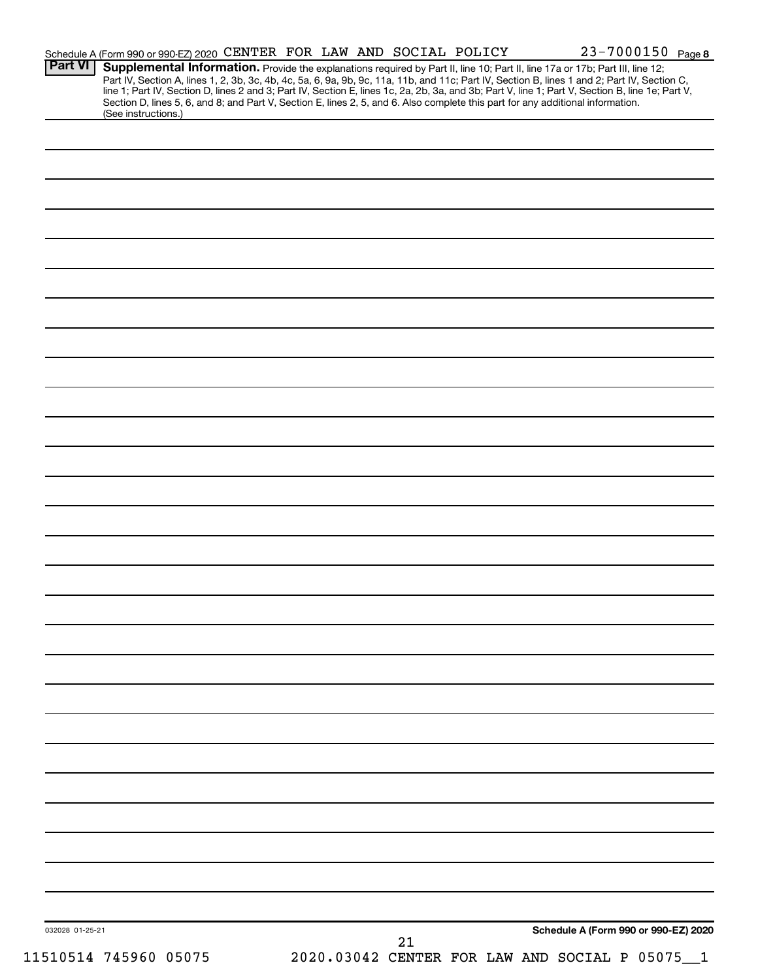| Schedule A (Form 990 or 990-EZ) 2020 CENTER FOR LAW AND SOCIAL POLICY | 23-7000150 Page 8                                                                                                                                                                                                                                                                                                                                                                                                                 |
|-----------------------------------------------------------------------|-----------------------------------------------------------------------------------------------------------------------------------------------------------------------------------------------------------------------------------------------------------------------------------------------------------------------------------------------------------------------------------------------------------------------------------|
|                                                                       | Supplemental Information. Provide the explanations required by Part II, line 10; Part II, line 17a or 17b; Part III, line 12;<br>Part IV, Section A, lines 1, 2, 3b, 3c, 4b, 4c, 5a, 6, 9a, 9b, 9c, 11a, 11b, and 11c; Part IV, Section B, lines 1 and 2; Part IV, Section C,<br>line 1; Part IV, Section D, lines 2 and 3; Part IV, Section E, lines 1c, 2a, 2b, 3a, and 3b; Part V, line 1; Part V, Section B, line 1e; Part V, |
|                                                                       | Section D, lines 5, 6, and 8; and Part V, Section E, lines 2, 5, and 6. Also complete this part for any additional information.                                                                                                                                                                                                                                                                                                   |
|                                                                       |                                                                                                                                                                                                                                                                                                                                                                                                                                   |
|                                                                       |                                                                                                                                                                                                                                                                                                                                                                                                                                   |
|                                                                       |                                                                                                                                                                                                                                                                                                                                                                                                                                   |
|                                                                       |                                                                                                                                                                                                                                                                                                                                                                                                                                   |
|                                                                       |                                                                                                                                                                                                                                                                                                                                                                                                                                   |
|                                                                       |                                                                                                                                                                                                                                                                                                                                                                                                                                   |
|                                                                       |                                                                                                                                                                                                                                                                                                                                                                                                                                   |
|                                                                       |                                                                                                                                                                                                                                                                                                                                                                                                                                   |
|                                                                       |                                                                                                                                                                                                                                                                                                                                                                                                                                   |
|                                                                       |                                                                                                                                                                                                                                                                                                                                                                                                                                   |
|                                                                       |                                                                                                                                                                                                                                                                                                                                                                                                                                   |
|                                                                       |                                                                                                                                                                                                                                                                                                                                                                                                                                   |
|                                                                       |                                                                                                                                                                                                                                                                                                                                                                                                                                   |
|                                                                       |                                                                                                                                                                                                                                                                                                                                                                                                                                   |
|                                                                       |                                                                                                                                                                                                                                                                                                                                                                                                                                   |
|                                                                       |                                                                                                                                                                                                                                                                                                                                                                                                                                   |
|                                                                       |                                                                                                                                                                                                                                                                                                                                                                                                                                   |
|                                                                       |                                                                                                                                                                                                                                                                                                                                                                                                                                   |
|                                                                       |                                                                                                                                                                                                                                                                                                                                                                                                                                   |
|                                                                       |                                                                                                                                                                                                                                                                                                                                                                                                                                   |
|                                                                       |                                                                                                                                                                                                                                                                                                                                                                                                                                   |
|                                                                       |                                                                                                                                                                                                                                                                                                                                                                                                                                   |
|                                                                       |                                                                                                                                                                                                                                                                                                                                                                                                                                   |
|                                                                       |                                                                                                                                                                                                                                                                                                                                                                                                                                   |
|                                                                       |                                                                                                                                                                                                                                                                                                                                                                                                                                   |
|                                                                       |                                                                                                                                                                                                                                                                                                                                                                                                                                   |
|                                                                       |                                                                                                                                                                                                                                                                                                                                                                                                                                   |
|                                                                       |                                                                                                                                                                                                                                                                                                                                                                                                                                   |
|                                                                       |                                                                                                                                                                                                                                                                                                                                                                                                                                   |
|                                                                       |                                                                                                                                                                                                                                                                                                                                                                                                                                   |
|                                                                       |                                                                                                                                                                                                                                                                                                                                                                                                                                   |
|                                                                       |                                                                                                                                                                                                                                                                                                                                                                                                                                   |
|                                                                       |                                                                                                                                                                                                                                                                                                                                                                                                                                   |
|                                                                       |                                                                                                                                                                                                                                                                                                                                                                                                                                   |
|                                                                       |                                                                                                                                                                                                                                                                                                                                                                                                                                   |
|                                                                       |                                                                                                                                                                                                                                                                                                                                                                                                                                   |
|                                                                       |                                                                                                                                                                                                                                                                                                                                                                                                                                   |
|                                                                       |                                                                                                                                                                                                                                                                                                                                                                                                                                   |
|                                                                       |                                                                                                                                                                                                                                                                                                                                                                                                                                   |
|                                                                       | Schedule A (Form 990 or 990-EZ) 2020                                                                                                                                                                                                                                                                                                                                                                                              |
| 21                                                                    | 2020.03042 CENTER FOR LAW AND SOCIAL P 05075                                                                                                                                                                                                                                                                                                                                                                                      |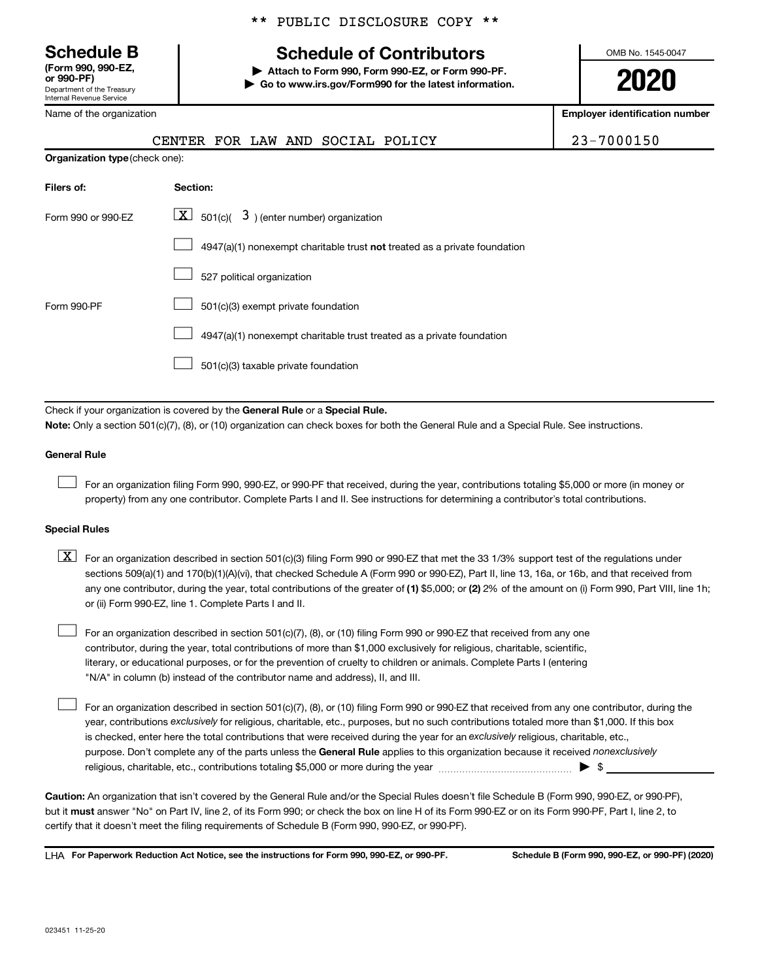**(Form 990, 990-EZ,**

Department of the Treasury Internal Revenue Service

Name of the organization

#### \*\* PUBLIC DISCLOSURE COPY \*\*

## **Schedule B Schedule of Contributors**

**or 990-PF) | Attach to Form 990, Form 990-EZ, or Form 990-PF. | Go to www.irs.gov/Form990 for the latest information.** OMB No. 1545-0047

**2020**

**Employer identification number**

|                                | CENTER FOR LAW AND SOCIAL POLICY                                                                                                                                                                                                                                                                                                                                                                                                                                                                          | 23-7000150 |
|--------------------------------|-----------------------------------------------------------------------------------------------------------------------------------------------------------------------------------------------------------------------------------------------------------------------------------------------------------------------------------------------------------------------------------------------------------------------------------------------------------------------------------------------------------|------------|
| Organization type (check one): |                                                                                                                                                                                                                                                                                                                                                                                                                                                                                                           |            |
| Filers of:                     | Section:                                                                                                                                                                                                                                                                                                                                                                                                                                                                                                  |            |
| Form 990 or 990-EZ             | $\lfloor x \rfloor$ 501(c)( 3) (enter number) organization                                                                                                                                                                                                                                                                                                                                                                                                                                                |            |
|                                | 4947(a)(1) nonexempt charitable trust not treated as a private foundation                                                                                                                                                                                                                                                                                                                                                                                                                                 |            |
|                                | 527 political organization                                                                                                                                                                                                                                                                                                                                                                                                                                                                                |            |
| Form 990-PF                    | 501(c)(3) exempt private foundation                                                                                                                                                                                                                                                                                                                                                                                                                                                                       |            |
|                                | 4947(a)(1) nonexempt charitable trust treated as a private foundation                                                                                                                                                                                                                                                                                                                                                                                                                                     |            |
|                                | 501(c)(3) taxable private foundation                                                                                                                                                                                                                                                                                                                                                                                                                                                                      |            |
|                                |                                                                                                                                                                                                                                                                                                                                                                                                                                                                                                           |            |
|                                | Check if your organization is covered by the General Rule or a Special Rule.<br>Note: Only a section 501(c)(7), (8), or (10) organization can check boxes for both the General Rule and a Special Rule. See instructions.                                                                                                                                                                                                                                                                                 |            |
| <b>General Rule</b>            |                                                                                                                                                                                                                                                                                                                                                                                                                                                                                                           |            |
|                                | For an organization filing Form 990, 990-EZ, or 990-PF that received, during the year, contributions totaling \$5,000 or more (in money or<br>property) from any one contributor. Complete Parts I and II. See instructions for determining a contributor's total contributions.                                                                                                                                                                                                                          |            |
| <b>Special Rules</b>           |                                                                                                                                                                                                                                                                                                                                                                                                                                                                                                           |            |
| $\lfloor x \rfloor$            | For an organization described in section 501(c)(3) filing Form 990 or 990-EZ that met the 33 1/3% support test of the regulations under<br>sections 509(a)(1) and 170(b)(1)(A)(vi), that checked Schedule A (Form 990 or 990-EZ), Part II, line 13, 16a, or 16b, and that received from<br>any one contributor, during the year, total contributions of the greater of (1) \$5,000; or (2) 2% of the amount on (i) Form 990, Part VIII, line 1h;<br>or (ii) Form 990-EZ, line 1. Complete Parts I and II. |            |

For an organization described in section 501(c)(7), (8), or (10) filing Form 990 or 990-EZ that received from any one contributor, during the year, total contributions of more than \$1,000 exclusively for religious, charitable, scientific, literary, or educational purposes, or for the prevention of cruelty to children or animals. Complete Parts I (entering "N/A" in column (b) instead of the contributor name and address), II, and III.  $\Box$ 

purpose. Don't complete any of the parts unless the General Rule applies to this organization because it received nonexclusively year, contributions exclusively for religious, charitable, etc., purposes, but no such contributions totaled more than \$1,000. If this box is checked, enter here the total contributions that were received during the year for an exclusively religious, charitable, etc., For an organization described in section 501(c)(7), (8), or (10) filing Form 990 or 990-EZ that received from any one contributor, during the religious, charitable, etc., contributions totaling \$5,000 or more during the year  $~\ldots\ldots\ldots\ldots\ldots\ldots\ldots\ldots\blacktriangleright~$ \$

**Caution:**  An organization that isn't covered by the General Rule and/or the Special Rules doesn't file Schedule B (Form 990, 990-EZ, or 990-PF),  **must** but it answer "No" on Part IV, line 2, of its Form 990; or check the box on line H of its Form 990-EZ or on its Form 990-PF, Part I, line 2, to certify that it doesn't meet the filing requirements of Schedule B (Form 990, 990-EZ, or 990-PF).

**For Paperwork Reduction Act Notice, see the instructions for Form 990, 990-EZ, or 990-PF. Schedule B (Form 990, 990-EZ, or 990-PF) (2020)** LHA

 $\Box$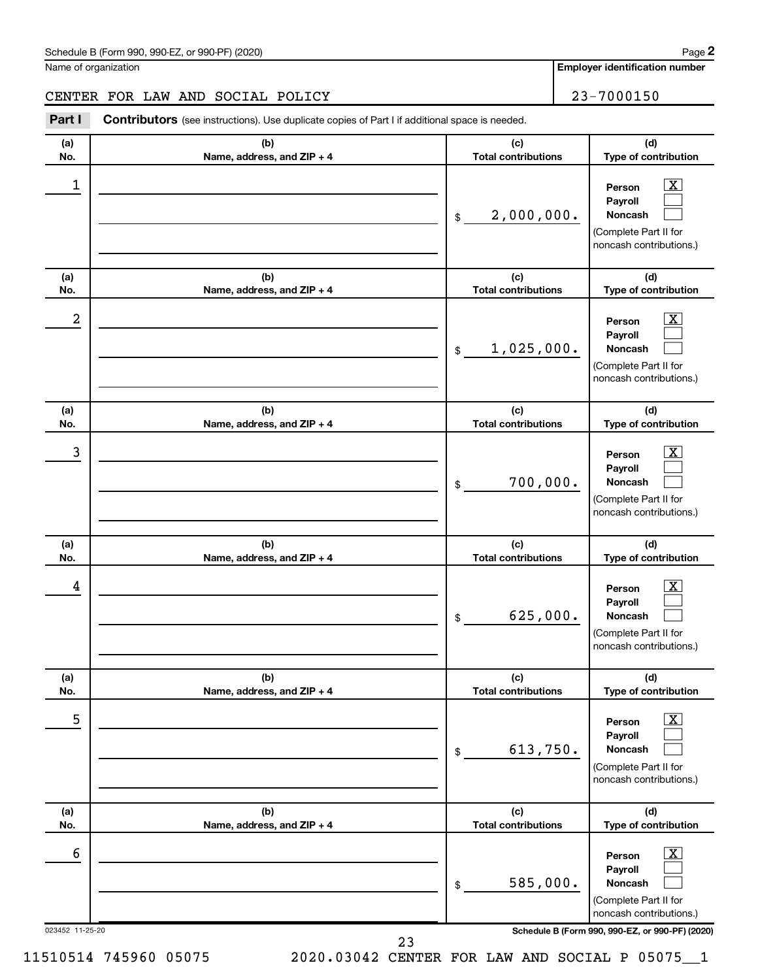#### CENTER FOR LAW AND SOCIAL POLICY | 23-7000150

**(a) No. (b) Name, address, and ZIP + 4 (c) Total contributions (d) Type of contribution Person Payroll Noncash (a) No. (b) Name, address, and ZIP + 4 (c) Total contributions (d) Type of contribution Person Payroll Noncash (a) No. (b) Name, address, and ZIP + 4 (c) Total contributions (d) Type of contribution Person Payroll Noncash (a) No. (b) Name, address, and ZIP + 4 (c) Total contributions (d) Type of contribution Person Payroll Noncash (a) No. (b) Name, address, and ZIP + 4 (c) Total contributions (d) Type of contribution Person Payroll Noncash (a) No. (b) Name, address, and ZIP + 4 (c) Total contributions (d) Type of contribution Person Payroll Noncash Part I** Contributors (see instructions). Use duplicate copies of Part I if additional space is needed. \$ (Complete Part II for noncash contributions.) \$ (Complete Part II for noncash contributions.) \$ (Complete Part II for noncash contributions.) \$ (Complete Part II for noncash contributions.) \$ (Complete Part II for noncash contributions.) \$ (Complete Part II for noncash contributions.)  $\lfloor x \rfloor$  $\Box$  $\Box$  $\overline{\mathbf{X}}$  $\Box$  $\Box$  $\boxed{\textbf{X}}$  $\Box$  $\Box$  $\boxed{\textbf{X}}$  $\Box$  $\Box$  $\boxed{\text{X}}$  $\Box$  $\Box$  $\boxed{\text{X}}$  $\Box$  $\Box$  $\begin{array}{|c|c|c|c|c|}\hline \ \text{1} & \text{Person} & \text{X} \ \hline \end{array}$ 2,000,000.  $2$  Person  $\overline{\text{X}}$ 1,025,000.  $\begin{array}{|c|c|c|c|c|c|}\hline \text{3} & \text{Person} & \text{X} \ \hline \end{array}$ 700,000.  $\begin{array}{|c|c|c|c|c|}\hline \text{4} & \text{Person} & \text{\textbf{X}}\ \hline \end{array}$ 625,000. 5 X 613,750.  $\overline{6}$  Person  $\overline{X}$ 585,000.

023452 11-25-20 **Schedule B (Form 990, 990-EZ, or 990-PF) (2020)**

23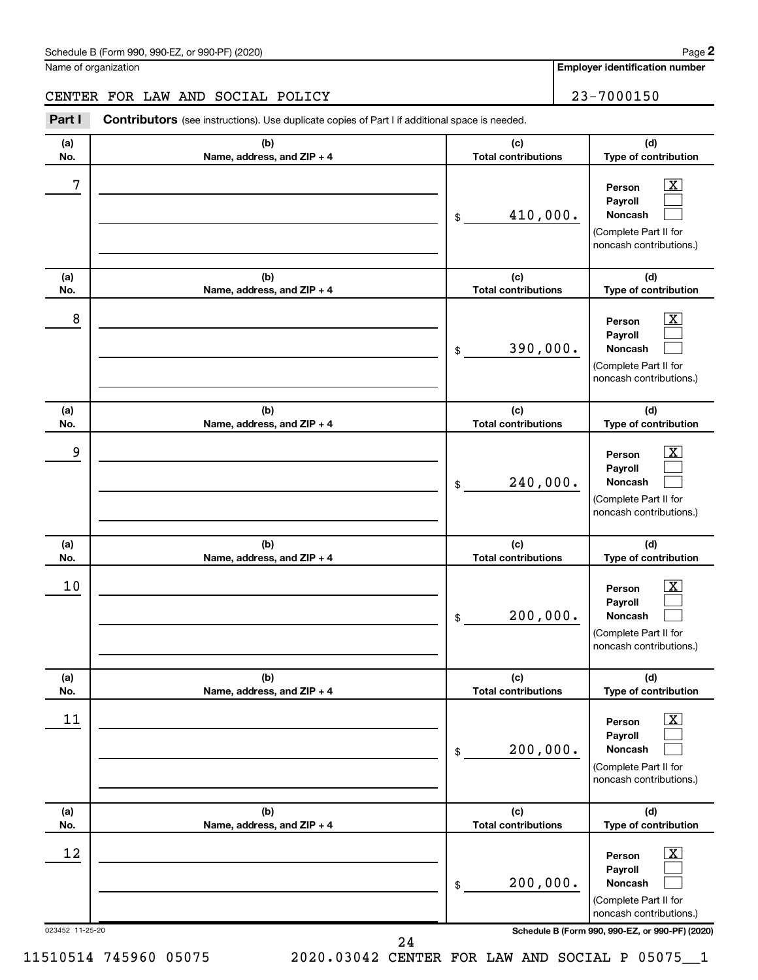#### CENTER FOR LAW AND SOCIAL POLICY 23-7000150

**(a) No. (b) Name, address, and ZIP + 4 (c) Total contributions (d) Type of contribution Person Payroll Noncash (a) No. (b) Name, address, and ZIP + 4 (c) Total contributions (d) Type of contribution Person Payroll Noncash (a) No. (b) Name, address, and ZIP + 4 (c) Total contributions (d) Type of contribution Person Payroll Noncash (a) No. (b) Name, address, and ZIP + 4 (c) Total contributions (d) Type of contribution Person Payroll Noncash (a) No. (b) Name, address, and ZIP + 4 (c) Total contributions (d) Type of contribution Person Payroll Noncash (a) No. (b) Name, address, and ZIP + 4 (c) Total contributions (d) Type of contribution Person Payroll Noncash Part I** Contributors (see instructions). Use duplicate copies of Part I if additional space is needed. \$ (Complete Part II for noncash contributions.) \$ (Complete Part II for noncash contributions.) \$ (Complete Part II for noncash contributions.) \$ (Complete Part II for noncash contributions.) \$ (Complete Part II for noncash contributions.) \$ (Complete Part II for noncash contributions.)  $\lfloor x \rfloor$  $\Box$  $\Box$  $\overline{\mathbf{X}}$  $\Box$  $\Box$  $\boxed{\textbf{X}}$  $\Box$  $\Box$  $\boxed{\textbf{X}}$  $\Box$  $\Box$  $\boxed{\text{X}}$  $\Box$  $\Box$  $\boxed{\text{X}}$  $\Box$  $\Box$  $7$   $|$  Person  $\overline{\text{X}}$ 410,000.  $8$  Person  $\overline{\text{X}}$ 390,000. 9 X 240,000.  $10$  Person  $\overline{\text{X}}$ 200,000.  $\begin{array}{|c|c|c|c|c|}\hline \text{11} & \text{Person} & \text{X} \\\hline \end{array}$ 200,000.  $\begin{array}{|c|c|c|c|c|}\hline \text{12} & \text{Person} & \text{X} \\\hline \end{array}$ 200,000.

023452 11-25-20 **Schedule B (Form 990, 990-EZ, or 990-PF) (2020)**

24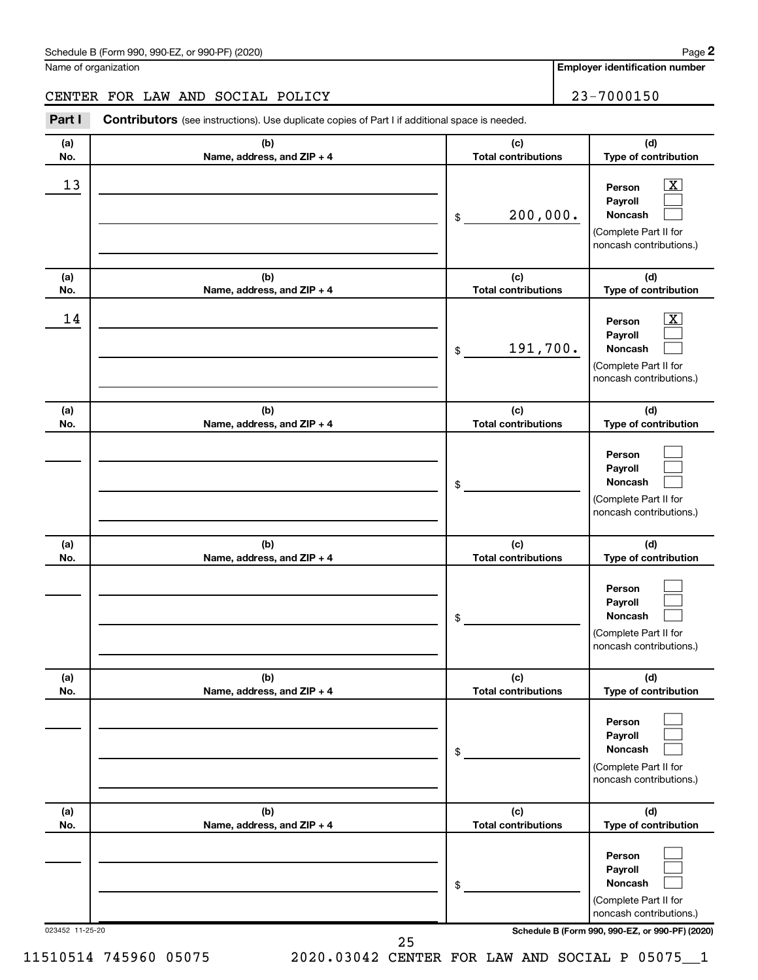#### CENTER FOR LAW AND SOCIAL POLICY 23-7000150

023452 11-25-20 **Schedule B (Form 990, 990-EZ, or 990-PF) (2020) (a) No. (b) Name, address, and ZIP + 4 (c) Total contributions (d) Type of contribution Person Payroll Noncash (a) No. (b) Name, address, and ZIP + 4 (c) Total contributions (d) Type of contribution Person Payroll Noncash (a) No. (b) Name, address, and ZIP + 4 (c) Total contributions (d) Type of contribution Person Payroll Noncash (a) No. (b) Name, address, and ZIP + 4 (c) Total contributions (d) Type of contribution Person Payroll Noncash (a) No. (b) Name, address, and ZIP + 4 (c) Total contributions (d) Type of contribution Person Payroll Noncash (a) No. (b) Name, address, and ZIP + 4 (c) Total contributions (d) Type of contribution Person Payroll Noncash Part I** Contributors (see instructions). Use duplicate copies of Part I if additional space is needed. \$ (Complete Part II for noncash contributions.) \$ (Complete Part II for noncash contributions.) \$ (Complete Part II for noncash contributions.) \$ (Complete Part II for noncash contributions.) \$ (Complete Part II for noncash contributions.) \$ (Complete Part II for noncash contributions.)  $\lfloor x \rfloor$  $\Box$  $\Box$  $\overline{\mathbf{X}}$  $\Box$  $\Box$  $\Box$  $\Box$  $\Box$  $\Box$  $\Box$  $\Box$  $\Box$  $\Box$  $\Box$  $\Box$  $\Box$  $\Box$  $\begin{array}{|c|c|c|c|c|}\hline \text{13} & \text{Person} & \text{X} \\\hline \end{array}$ 200,000.  $\begin{array}{|c|c|c|c|c|}\hline \text{14} & \text{Person} & \text{X} \\\hline \end{array}$ 191,700. 25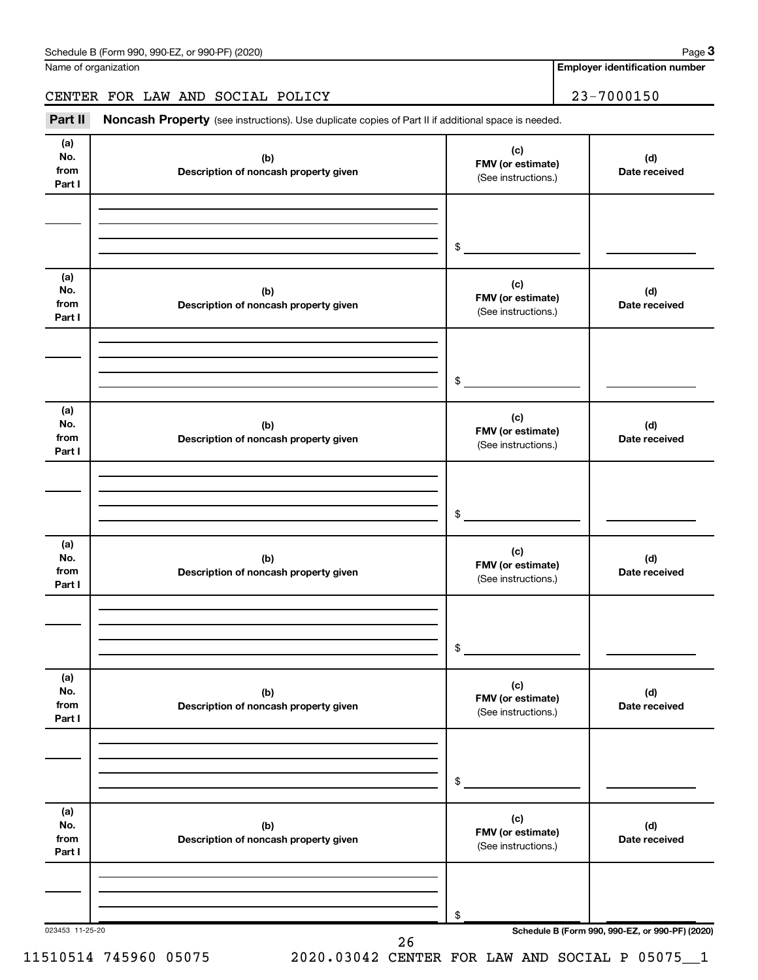### CENTER FOR LAW AND SOCIAL POLICY 23-7000150

Part II Noncash Property (see instructions). Use duplicate copies of Part II if additional space is needed.

| (a)<br>No.                   | (b)                                          | (c)<br>FMV (or estimate)                        | (d)                                             |
|------------------------------|----------------------------------------------|-------------------------------------------------|-------------------------------------------------|
| from<br>Part I               | Description of noncash property given        | (See instructions.)                             | Date received                                   |
|                              |                                              |                                                 |                                                 |
|                              |                                              | \$                                              |                                                 |
| (a)                          |                                              |                                                 |                                                 |
| No.<br>from<br>Part I        | (b)<br>Description of noncash property given | (c)<br>FMV (or estimate)<br>(See instructions.) | (d)<br>Date received                            |
|                              |                                              |                                                 |                                                 |
|                              |                                              | \$                                              |                                                 |
| (a)<br>No.<br>from<br>Part I | (b)<br>Description of noncash property given | (c)<br>FMV (or estimate)<br>(See instructions.) | (d)<br>Date received                            |
|                              |                                              |                                                 |                                                 |
|                              |                                              | \$                                              |                                                 |
| (a)<br>No.<br>from<br>Part I | (b)<br>Description of noncash property given | (c)<br>FMV (or estimate)<br>(See instructions.) | (d)<br>Date received                            |
|                              |                                              |                                                 |                                                 |
|                              |                                              | \$                                              |                                                 |
| (a)<br>No.<br>from<br>Part I | (b)<br>Description of noncash property given | (c)<br>FMV (or estimate)<br>(See instructions.) | (d)<br>Date received                            |
|                              |                                              |                                                 |                                                 |
|                              |                                              | \$                                              |                                                 |
| (a)<br>No.<br>from<br>Part I | (b)<br>Description of noncash property given | (c)<br>FMV (or estimate)<br>(See instructions.) | (d)<br>Date received                            |
|                              |                                              |                                                 |                                                 |
|                              |                                              | \$                                              |                                                 |
| 023453 11-25-20              | 26                                           |                                                 | Schedule B (Form 990, 990-EZ, or 990-PF) (2020) |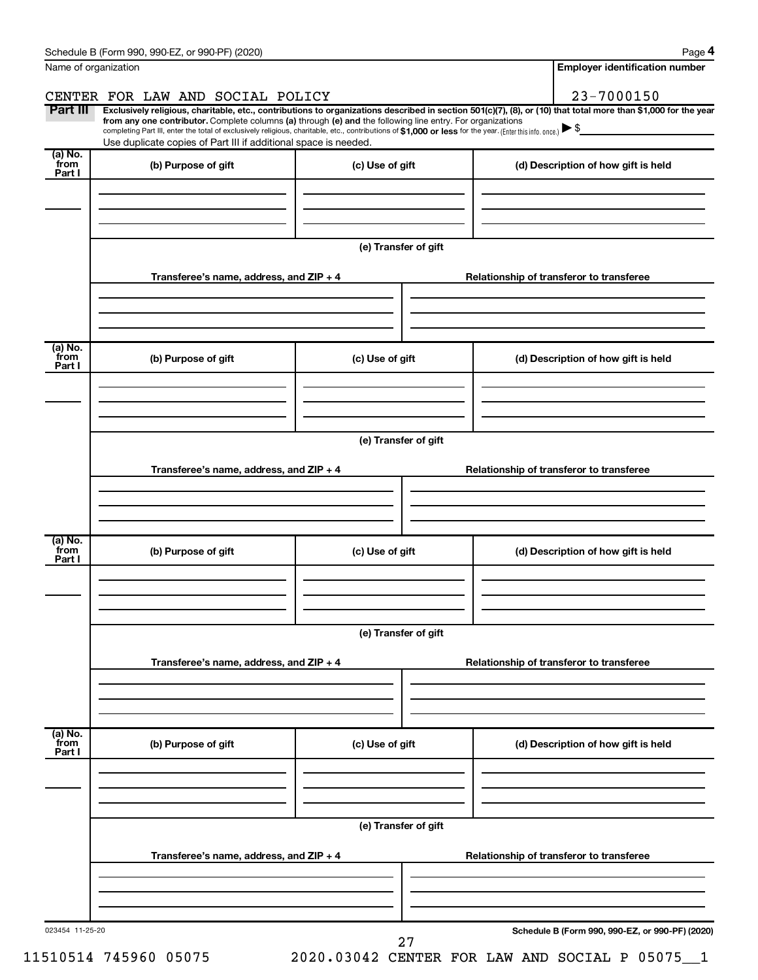|                           | Schedule B (Form 990, 990-EZ, or 990-PF) (2020)                                                                                                                                                                             |                      | Page 4                                                                                                                                                         |  |  |  |  |  |
|---------------------------|-----------------------------------------------------------------------------------------------------------------------------------------------------------------------------------------------------------------------------|----------------------|----------------------------------------------------------------------------------------------------------------------------------------------------------------|--|--|--|--|--|
| Name of organization      |                                                                                                                                                                                                                             |                      | <b>Employer identification number</b>                                                                                                                          |  |  |  |  |  |
|                           | CENTER FOR LAW AND SOCIAL POLICY                                                                                                                                                                                            |                      | 23-7000150                                                                                                                                                     |  |  |  |  |  |
| Part III                  | from any one contributor. Complete columns (a) through (e) and the following line entry. For organizations                                                                                                                  |                      | Exclusively religious, charitable, etc., contributions to organizations described in section 501(c)(7), (8), or (10) that total more than \$1,000 for the year |  |  |  |  |  |
|                           | completing Part III, enter the total of exclusively religious, charitable, etc., contributions of \$1,000 or less for the year. (Enter this info. once.)<br>Use duplicate copies of Part III if additional space is needed. |                      |                                                                                                                                                                |  |  |  |  |  |
| (a) No.                   |                                                                                                                                                                                                                             |                      |                                                                                                                                                                |  |  |  |  |  |
| from<br>Part I            | (b) Purpose of gift                                                                                                                                                                                                         | (c) Use of gift      | (d) Description of how gift is held                                                                                                                            |  |  |  |  |  |
|                           |                                                                                                                                                                                                                             |                      |                                                                                                                                                                |  |  |  |  |  |
|                           |                                                                                                                                                                                                                             |                      |                                                                                                                                                                |  |  |  |  |  |
|                           |                                                                                                                                                                                                                             |                      |                                                                                                                                                                |  |  |  |  |  |
|                           |                                                                                                                                                                                                                             | (e) Transfer of gift |                                                                                                                                                                |  |  |  |  |  |
|                           | Transferee's name, address, and ZIP + 4                                                                                                                                                                                     |                      | Relationship of transferor to transferee                                                                                                                       |  |  |  |  |  |
|                           |                                                                                                                                                                                                                             |                      |                                                                                                                                                                |  |  |  |  |  |
|                           |                                                                                                                                                                                                                             |                      |                                                                                                                                                                |  |  |  |  |  |
|                           |                                                                                                                                                                                                                             |                      |                                                                                                                                                                |  |  |  |  |  |
| (a) No.<br>from           | (b) Purpose of gift                                                                                                                                                                                                         | (c) Use of gift      | (d) Description of how gift is held                                                                                                                            |  |  |  |  |  |
| Part I                    |                                                                                                                                                                                                                             |                      |                                                                                                                                                                |  |  |  |  |  |
|                           |                                                                                                                                                                                                                             |                      |                                                                                                                                                                |  |  |  |  |  |
|                           |                                                                                                                                                                                                                             |                      |                                                                                                                                                                |  |  |  |  |  |
|                           | (e) Transfer of gift                                                                                                                                                                                                        |                      |                                                                                                                                                                |  |  |  |  |  |
|                           |                                                                                                                                                                                                                             |                      |                                                                                                                                                                |  |  |  |  |  |
|                           | Transferee's name, address, and ZIP + 4                                                                                                                                                                                     |                      | Relationship of transferor to transferee                                                                                                                       |  |  |  |  |  |
|                           |                                                                                                                                                                                                                             |                      |                                                                                                                                                                |  |  |  |  |  |
|                           |                                                                                                                                                                                                                             |                      |                                                                                                                                                                |  |  |  |  |  |
| (a) No.<br>from           |                                                                                                                                                                                                                             |                      |                                                                                                                                                                |  |  |  |  |  |
| Part I                    | (b) Purpose of gift                                                                                                                                                                                                         | (c) Use of gift      | (d) Description of how gift is held                                                                                                                            |  |  |  |  |  |
|                           |                                                                                                                                                                                                                             |                      |                                                                                                                                                                |  |  |  |  |  |
|                           |                                                                                                                                                                                                                             |                      |                                                                                                                                                                |  |  |  |  |  |
|                           |                                                                                                                                                                                                                             |                      |                                                                                                                                                                |  |  |  |  |  |
|                           | (e) Transfer of gift                                                                                                                                                                                                        |                      |                                                                                                                                                                |  |  |  |  |  |
|                           | Transferee's name, address, and ZIP + 4                                                                                                                                                                                     |                      | Relationship of transferor to transferee                                                                                                                       |  |  |  |  |  |
|                           |                                                                                                                                                                                                                             |                      |                                                                                                                                                                |  |  |  |  |  |
|                           |                                                                                                                                                                                                                             |                      |                                                                                                                                                                |  |  |  |  |  |
|                           |                                                                                                                                                                                                                             |                      |                                                                                                                                                                |  |  |  |  |  |
| (a) No.<br>from<br>Part I | (b) Purpose of gift                                                                                                                                                                                                         | (c) Use of gift      | (d) Description of how gift is held                                                                                                                            |  |  |  |  |  |
|                           |                                                                                                                                                                                                                             |                      |                                                                                                                                                                |  |  |  |  |  |
|                           |                                                                                                                                                                                                                             |                      |                                                                                                                                                                |  |  |  |  |  |
|                           |                                                                                                                                                                                                                             |                      |                                                                                                                                                                |  |  |  |  |  |
|                           |                                                                                                                                                                                                                             | (e) Transfer of gift |                                                                                                                                                                |  |  |  |  |  |
|                           | Transferee's name, address, and ZIP + 4                                                                                                                                                                                     |                      | Relationship of transferor to transferee                                                                                                                       |  |  |  |  |  |
|                           |                                                                                                                                                                                                                             |                      |                                                                                                                                                                |  |  |  |  |  |
|                           |                                                                                                                                                                                                                             |                      |                                                                                                                                                                |  |  |  |  |  |
|                           |                                                                                                                                                                                                                             |                      |                                                                                                                                                                |  |  |  |  |  |
| 023454 11-25-20           |                                                                                                                                                                                                                             | 27                   | Schedule B (Form 990, 990-EZ, or 990-PF) (2020)                                                                                                                |  |  |  |  |  |
|                           |                                                                                                                                                                                                                             |                      |                                                                                                                                                                |  |  |  |  |  |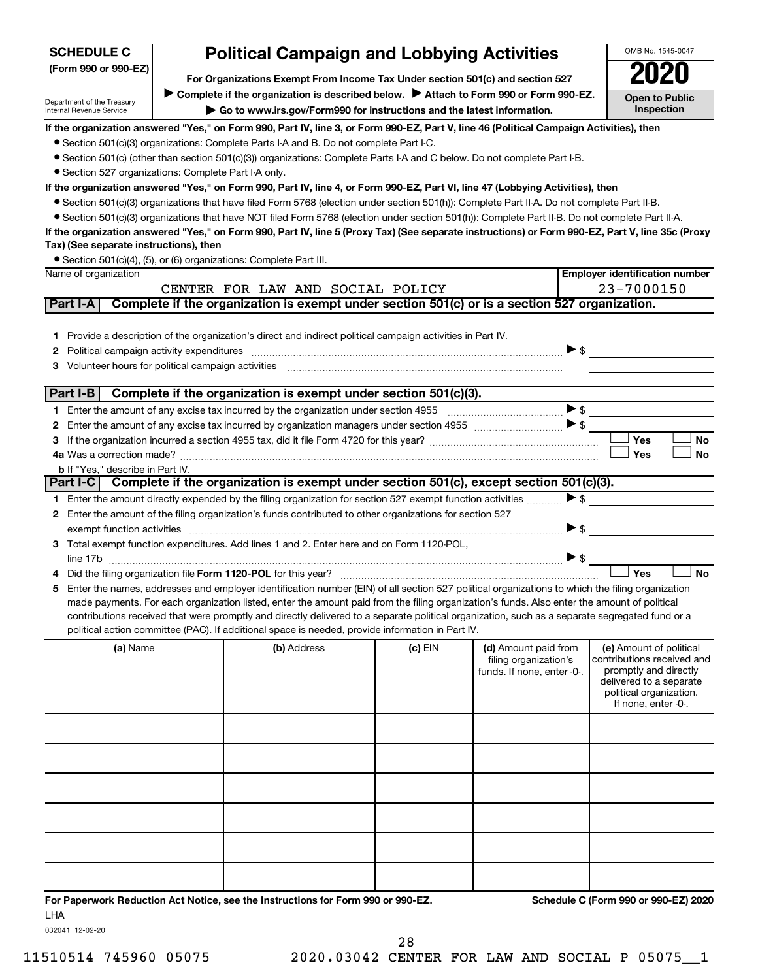| <b>SCHEDULE C</b>                                      | <b>Political Campaign and Lobbying Activities</b> |                                                                                                                                                                                                                                                    |           | OMB No. 1545-0047                             |                          |                                                       |
|--------------------------------------------------------|---------------------------------------------------|----------------------------------------------------------------------------------------------------------------------------------------------------------------------------------------------------------------------------------------------------|-----------|-----------------------------------------------|--------------------------|-------------------------------------------------------|
| (Form 990 or 990-EZ)                                   |                                                   | For Organizations Exempt From Income Tax Under section 501(c) and section 527                                                                                                                                                                      |           |                                               |                          | 2020                                                  |
|                                                        |                                                   | Complete if the organization is described below.<br>Attach to Form 990 or Form 990-EZ.                                                                                                                                                             |           |                                               |                          | <b>Open to Public</b>                                 |
| Department of the Treasury<br>Internal Revenue Service |                                                   | Go to www.irs.gov/Form990 for instructions and the latest information.                                                                                                                                                                             |           |                                               |                          | Inspection                                            |
|                                                        |                                                   | If the organization answered "Yes," on Form 990, Part IV, line 3, or Form 990-EZ, Part V, line 46 (Political Campaign Activities), then                                                                                                            |           |                                               |                          |                                                       |
|                                                        |                                                   | • Section 501(c)(3) organizations: Complete Parts I-A and B. Do not complete Part I-C.                                                                                                                                                             |           |                                               |                          |                                                       |
|                                                        |                                                   | • Section 501(c) (other than section 501(c)(3)) organizations: Complete Parts I-A and C below. Do not complete Part I-B.                                                                                                                           |           |                                               |                          |                                                       |
| • Section 527 organizations: Complete Part I-A only.   |                                                   |                                                                                                                                                                                                                                                    |           |                                               |                          |                                                       |
|                                                        |                                                   | If the organization answered "Yes," on Form 990, Part IV, line 4, or Form 990-EZ, Part VI, line 47 (Lobbying Activities), then                                                                                                                     |           |                                               |                          |                                                       |
|                                                        |                                                   | ● Section 501(c)(3) organizations that have filed Form 5768 (election under section 501(h)): Complete Part II-A. Do not complete Part II-B.                                                                                                        |           |                                               |                          |                                                       |
|                                                        |                                                   | • Section 501(c)(3) organizations that have NOT filed Form 5768 (election under section 501(h)): Complete Part II-B. Do not complete Part II-A.                                                                                                    |           |                                               |                          |                                                       |
| Tax) (See separate instructions), then                 |                                                   | If the organization answered "Yes," on Form 990, Part IV, line 5 (Proxy Tax) (See separate instructions) or Form 990-EZ, Part V, line 35c (Proxy                                                                                                   |           |                                               |                          |                                                       |
|                                                        |                                                   | • Section 501(c)(4), (5), or (6) organizations: Complete Part III.                                                                                                                                                                                 |           |                                               |                          |                                                       |
| Name of organization                                   |                                                   |                                                                                                                                                                                                                                                    |           |                                               |                          | <b>Employer identification number</b>                 |
|                                                        |                                                   | CENTER FOR LAW AND SOCIAL POLICY                                                                                                                                                                                                                   |           |                                               |                          | $23 - 7000150$                                        |
| Part I-A                                               |                                                   | Complete if the organization is exempt under section 501(c) or is a section 527 organization.                                                                                                                                                      |           |                                               |                          |                                                       |
|                                                        |                                                   |                                                                                                                                                                                                                                                    |           |                                               |                          |                                                       |
| 1.                                                     |                                                   | Provide a description of the organization's direct and indirect political campaign activities in Part IV.                                                                                                                                          |           |                                               |                          |                                                       |
| 2                                                      |                                                   |                                                                                                                                                                                                                                                    |           |                                               | $\triangleright$ \$      |                                                       |
| 3                                                      |                                                   | Volunteer hours for political campaign activities [11] matter content to the content of the content of the content of the content of the content of the content of the content of the content of the content of the content of                     |           |                                               |                          |                                                       |
|                                                        |                                                   |                                                                                                                                                                                                                                                    |           |                                               |                          |                                                       |
| Part I-B                                               |                                                   | Complete if the organization is exempt under section 501(c)(3).                                                                                                                                                                                    |           |                                               |                          |                                                       |
|                                                        |                                                   |                                                                                                                                                                                                                                                    |           |                                               | >                        |                                                       |
| 2                                                      |                                                   | Enter the amount of any excise tax incurred by organization managers under section 4955 $\ldots$                                                                                                                                                   |           |                                               |                          | Yes<br><b>No</b>                                      |
| З                                                      |                                                   |                                                                                                                                                                                                                                                    |           |                                               |                          | Yes<br>No                                             |
| <b>b</b> If "Yes," describe in Part IV.                |                                                   |                                                                                                                                                                                                                                                    |           |                                               |                          |                                                       |
| Part I-C                                               |                                                   | Complete if the organization is exempt under section 501(c), except section 501(c)(3).                                                                                                                                                             |           |                                               |                          |                                                       |
|                                                        |                                                   | Enter the amount directly expended by the filing organization for section 527 exempt function activities                                                                                                                                           |           |                                               | $\blacktriangleright$ \$ |                                                       |
| 2                                                      |                                                   | Enter the amount of the filing organization's funds contributed to other organizations for section 527                                                                                                                                             |           |                                               |                          |                                                       |
|                                                        |                                                   | exempt function activities entertainment and activities of the contract of the contract of the contract of the                                                                                                                                     |           |                                               | $\blacktriangleright$ \$ |                                                       |
| З.                                                     |                                                   | Total exempt function expenditures. Add lines 1 and 2. Enter here and on Form 1120-POL,                                                                                                                                                            |           |                                               |                          |                                                       |
|                                                        |                                                   |                                                                                                                                                                                                                                                    |           |                                               | >                        |                                                       |
|                                                        |                                                   |                                                                                                                                                                                                                                                    |           |                                               |                          | <b>No</b><br>Yes                                      |
| 5                                                      |                                                   | Enter the names, addresses and employer identification number (EIN) of all section 527 political organizations to which the filing organization                                                                                                    |           |                                               |                          |                                                       |
|                                                        |                                                   | made payments. For each organization listed, enter the amount paid from the filing organization's funds. Also enter the amount of political                                                                                                        |           |                                               |                          |                                                       |
|                                                        |                                                   | contributions received that were promptly and directly delivered to a separate political organization, such as a separate segregated fund or a<br>political action committee (PAC). If additional space is needed, provide information in Part IV. |           |                                               |                          |                                                       |
|                                                        |                                                   |                                                                                                                                                                                                                                                    |           |                                               |                          |                                                       |
| (a) Name                                               |                                                   | (b) Address                                                                                                                                                                                                                                        | $(c)$ EIN | (d) Amount paid from<br>filing organization's |                          | (e) Amount of political<br>contributions received and |
|                                                        |                                                   |                                                                                                                                                                                                                                                    |           | funds. If none, enter -0-.                    |                          | promptly and directly                                 |
|                                                        |                                                   |                                                                                                                                                                                                                                                    |           |                                               |                          | delivered to a separate<br>political organization.    |
|                                                        |                                                   |                                                                                                                                                                                                                                                    |           |                                               |                          | If none, enter -0-.                                   |
|                                                        |                                                   |                                                                                                                                                                                                                                                    |           |                                               |                          |                                                       |
|                                                        |                                                   |                                                                                                                                                                                                                                                    |           |                                               |                          |                                                       |
|                                                        |                                                   |                                                                                                                                                                                                                                                    |           |                                               |                          |                                                       |
|                                                        |                                                   |                                                                                                                                                                                                                                                    |           |                                               |                          |                                                       |
|                                                        |                                                   |                                                                                                                                                                                                                                                    |           |                                               |                          |                                                       |
|                                                        |                                                   |                                                                                                                                                                                                                                                    |           |                                               |                          |                                                       |
|                                                        |                                                   |                                                                                                                                                                                                                                                    |           |                                               |                          |                                                       |
|                                                        |                                                   |                                                                                                                                                                                                                                                    |           |                                               |                          |                                                       |
|                                                        |                                                   |                                                                                                                                                                                                                                                    |           |                                               |                          |                                                       |
|                                                        |                                                   |                                                                                                                                                                                                                                                    |           |                                               |                          |                                                       |
|                                                        |                                                   |                                                                                                                                                                                                                                                    |           |                                               |                          |                                                       |
|                                                        |                                                   | For Paperwork Reduction Act Notice, see the Instructions for Form 990 or 990-EZ.                                                                                                                                                                   |           |                                               |                          | Schedule C (Form 990 or 990-EZ) 2020                  |
|                                                        |                                                   |                                                                                                                                                                                                                                                    |           |                                               |                          |                                                       |

rap:<br>LHA

032041 12-02-20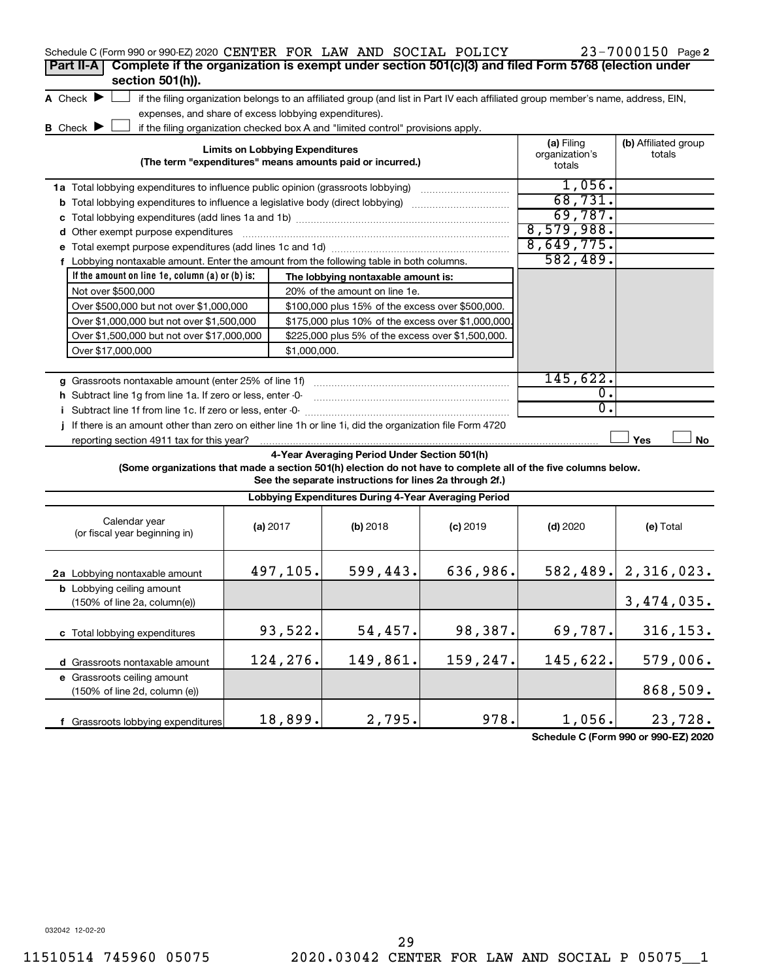| Schedule C (Form 990 or 990-EZ) 2020 CENTER FOR LAW AND SOCIAL POLICY                                           |                                        |              |                                                                                                         |                                                                                                                                   |                          | 23-7000150 Page 2        |
|-----------------------------------------------------------------------------------------------------------------|----------------------------------------|--------------|---------------------------------------------------------------------------------------------------------|-----------------------------------------------------------------------------------------------------------------------------------|--------------------------|--------------------------|
| Complete if the organization is exempt under section 501(c)(3) and filed Form 5768 (election under<br>Part II-A |                                        |              |                                                                                                         |                                                                                                                                   |                          |                          |
| section 501(h)).                                                                                                |                                        |              |                                                                                                         |                                                                                                                                   |                          |                          |
| A Check $\blacktriangleright$                                                                                   |                                        |              |                                                                                                         | if the filing organization belongs to an affiliated group (and list in Part IV each affiliated group member's name, address, EIN, |                          |                          |
| expenses, and share of excess lobbying expenditures).                                                           |                                        |              |                                                                                                         |                                                                                                                                   |                          |                          |
| <b>B</b> Check $\blacktriangleright$                                                                            |                                        |              | if the filing organization checked box A and "limited control" provisions apply.                        |                                                                                                                                   |                          |                          |
|                                                                                                                 | <b>Limits on Lobbying Expenditures</b> |              |                                                                                                         |                                                                                                                                   | (a) Filing               | (b) Affiliated group     |
|                                                                                                                 |                                        |              | (The term "expenditures" means amounts paid or incurred.)                                               |                                                                                                                                   | organization's<br>totals | totals                   |
| 1a Total lobbying expenditures to influence public opinion (grassroots lobbying)                                |                                        |              |                                                                                                         |                                                                                                                                   | 1,056.                   |                          |
| <b>b</b> Total lobbying expenditures to influence a legislative body (direct lobbying)                          |                                        |              |                                                                                                         |                                                                                                                                   | 68,731.                  |                          |
|                                                                                                                 |                                        |              |                                                                                                         |                                                                                                                                   | 69,787.                  |                          |
| d Other exempt purpose expenditures                                                                             |                                        |              |                                                                                                         |                                                                                                                                   | 8,579,988.               |                          |
|                                                                                                                 |                                        |              |                                                                                                         |                                                                                                                                   | 8,649,775.               |                          |
| f Lobbying nontaxable amount. Enter the amount from the following table in both columns.                        |                                        |              |                                                                                                         |                                                                                                                                   | 582,489.                 |                          |
| If the amount on line 1e, column $(a)$ or $(b)$ is:                                                             |                                        |              | The lobbying nontaxable amount is:                                                                      |                                                                                                                                   |                          |                          |
| Not over \$500,000                                                                                              |                                        |              | 20% of the amount on line 1e.                                                                           |                                                                                                                                   |                          |                          |
| Over \$500,000 but not over \$1,000,000                                                                         |                                        |              | \$100,000 plus 15% of the excess over \$500,000.                                                        |                                                                                                                                   |                          |                          |
| Over \$1,000,000 but not over \$1,500,000                                                                       |                                        |              | \$175,000 plus 10% of the excess over \$1,000,000                                                       |                                                                                                                                   |                          |                          |
| Over \$1,500,000 but not over \$17,000,000<br>\$225,000 plus 5% of the excess over \$1,500,000.                 |                                        |              |                                                                                                         |                                                                                                                                   |                          |                          |
| Over \$17,000,000                                                                                               |                                        | \$1,000,000. |                                                                                                         |                                                                                                                                   |                          |                          |
|                                                                                                                 |                                        |              |                                                                                                         |                                                                                                                                   |                          |                          |
| g Grassroots nontaxable amount (enter 25% of line 1f)                                                           |                                        |              |                                                                                                         |                                                                                                                                   | 145,622.                 |                          |
| h Subtract line 1g from line 1a. If zero or less, enter -0-                                                     |                                        |              |                                                                                                         |                                                                                                                                   | 0.                       |                          |
| i Subtract line 1f from line 1c. If zero or less, enter -0-                                                     |                                        |              |                                                                                                         |                                                                                                                                   | 0.                       |                          |
| j If there is an amount other than zero on either line 1h or line 1i, did the organization file Form 4720       |                                        |              |                                                                                                         |                                                                                                                                   |                          |                          |
| reporting section 4911 tax for this year?                                                                       |                                        |              |                                                                                                         |                                                                                                                                   |                          | Yes<br>No                |
| (Some organizations that made a section 501(h) election do not have to complete all of the five columns below.  |                                        |              | 4-Year Averaging Period Under Section 501(h)<br>See the separate instructions for lines 2a through 2f.) |                                                                                                                                   |                          |                          |
|                                                                                                                 |                                        |              | Lobbying Expenditures During 4-Year Averaging Period                                                    |                                                                                                                                   |                          |                          |
|                                                                                                                 |                                        |              |                                                                                                         |                                                                                                                                   |                          |                          |
| Calendar year<br>(or fiscal year beginning in)                                                                  | (a) 2017                               |              | (b) 2018                                                                                                | $(c)$ 2019                                                                                                                        | $(d)$ 2020               | (e) Total                |
|                                                                                                                 |                                        |              |                                                                                                         |                                                                                                                                   |                          |                          |
|                                                                                                                 | 497,105.                               |              | 599,443.                                                                                                | 636,986.                                                                                                                          |                          | $582, 489.$ 2, 316, 023. |
| 2a Lobbying nontaxable amount<br><b>b</b> Lobbying ceiling amount                                               |                                        |              |                                                                                                         |                                                                                                                                   |                          |                          |
| $(150\% \text{ of line } 2a, \text{column}(e))$                                                                 |                                        |              |                                                                                                         |                                                                                                                                   |                          | 3, 474, 035.             |
|                                                                                                                 |                                        |              |                                                                                                         |                                                                                                                                   |                          |                          |
|                                                                                                                 | 93,522.                                |              | 54,457.                                                                                                 | 98,387.                                                                                                                           | 69,787.                  | 316, 153.                |
| c Total lobbying expenditures                                                                                   |                                        |              |                                                                                                         |                                                                                                                                   |                          |                          |
| d Grassroots nontaxable amount                                                                                  | 124,276.                               |              | 149,861.                                                                                                | 159,247.                                                                                                                          | 145,622.                 | 579,006.                 |
| e Grassroots ceiling amount                                                                                     |                                        |              |                                                                                                         |                                                                                                                                   |                          |                          |
| (150% of line 2d, column (e))                                                                                   |                                        |              |                                                                                                         |                                                                                                                                   |                          | 868,509.                 |
|                                                                                                                 |                                        |              |                                                                                                         |                                                                                                                                   |                          |                          |
| f Grassroots lobbying expenditures                                                                              | 18,899.                                |              | 2,795.                                                                                                  | 978.                                                                                                                              | 1,056.                   | 23,728.                  |

**Schedule C (Form 990 or 990-EZ) 2020**

032042 12-02-20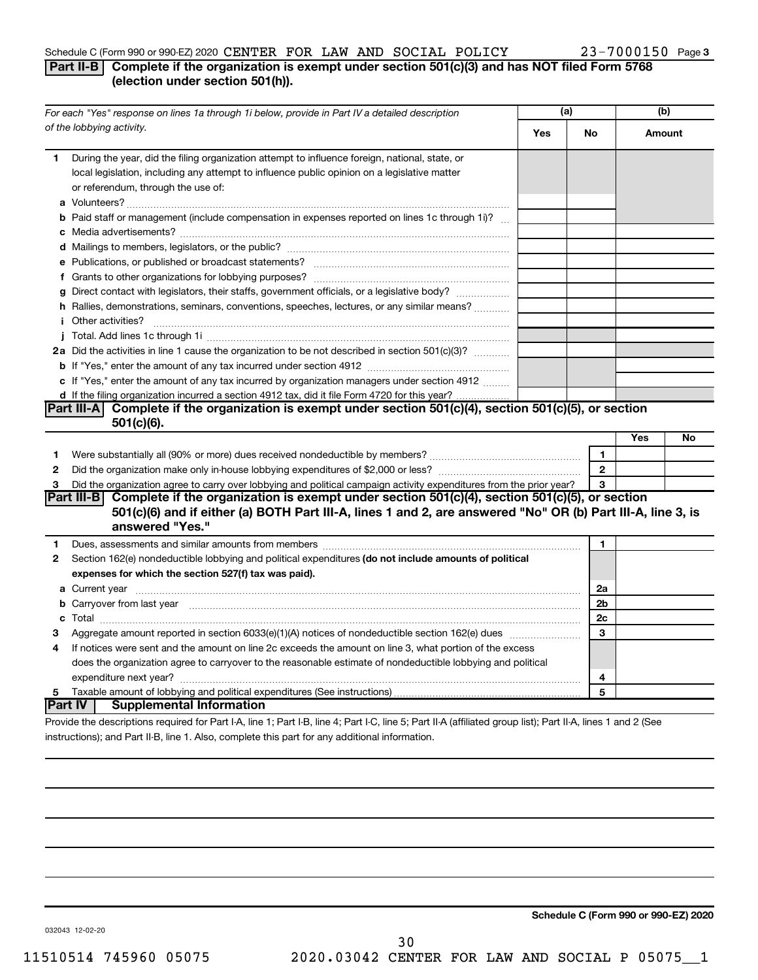#### Schedule C (Form 990 or 990-EZ) 2020 CENTER FOR LAW AND SOCIAL POLICY  $23-7000150$  Page

#### **Part II-B Complete if the organization is exempt under section 501(c)(3) and has NOT filed Form 5768 (election under section 501(h)).**

| of the lobbying activity.<br><b>Yes</b><br><b>No</b><br>Amount<br>During the year, did the filing organization attempt to influence foreign, national, state, or<br>1<br>local legislation, including any attempt to influence public opinion on a legislative matter<br>or referendum, through the use of:<br><b>b</b> Paid staff or management (include compensation in expenses reported on lines 1c through 1i)?<br>g Direct contact with legislators, their staffs, government officials, or a legislative body?<br>h Rallies, demonstrations, seminars, conventions, speeches, lectures, or any similar means?<br>2a Did the activities in line 1 cause the organization to be not described in section 501(c)(3)?<br>c If "Yes," enter the amount of any tax incurred by organization managers under section 4912<br>d If the filing organization incurred a section 4912 tax, did it file Form 4720 for this year?<br>Part III-A Complete if the organization is exempt under section 501(c)(4), section 501(c)(5), or section<br>$501(c)(6)$ .<br>Yes<br>No<br>1<br>1<br>$\overline{2}$<br>$\mathbf{2}$<br>Did the organization agree to carry over lobbying and political campaign activity expenditures from the prior year?<br>3<br>3<br>Part III-B Complete if the organization is exempt under section 501(c)(4), section 501(c)(5), or section<br>501(c)(6) and if either (a) BOTH Part III-A, lines 1 and 2, are answered "No" OR (b) Part III-A, line 3, is<br>answered "Yes."<br>$\mathbf{1}$<br>1<br>Section 162(e) nondeductible lobbying and political expenditures (do not include amounts of political<br>$\mathbf{2}$<br>expenses for which the section 527(f) tax was paid).<br>2a<br>2 <sub>b</sub><br>b Carryover from last year manufactured and content to content the content of the content of the content of the content of the content of the content of the content of the content of the content of the content of the conte<br>2c<br>3<br>3<br>If notices were sent and the amount on line 2c exceeds the amount on line 3, what portion of the excess<br>4<br>does the organization agree to carryover to the reasonable estimate of nondeductible lobbying and political<br>4<br>5<br>5 | For each "Yes" response on lines 1a through 1i below, provide in Part IV a detailed description |  | (a) | (b) |  |
|-------------------------------------------------------------------------------------------------------------------------------------------------------------------------------------------------------------------------------------------------------------------------------------------------------------------------------------------------------------------------------------------------------------------------------------------------------------------------------------------------------------------------------------------------------------------------------------------------------------------------------------------------------------------------------------------------------------------------------------------------------------------------------------------------------------------------------------------------------------------------------------------------------------------------------------------------------------------------------------------------------------------------------------------------------------------------------------------------------------------------------------------------------------------------------------------------------------------------------------------------------------------------------------------------------------------------------------------------------------------------------------------------------------------------------------------------------------------------------------------------------------------------------------------------------------------------------------------------------------------------------------------------------------------------------------------------------------------------------------------------------------------------------------------------------------------------------------------------------------------------------------------------------------------------------------------------------------------------------------------------------------------------------------------------------------------------------------------------------------------------------------------------------------------------------------------------------------------------------|-------------------------------------------------------------------------------------------------|--|-----|-----|--|
|                                                                                                                                                                                                                                                                                                                                                                                                                                                                                                                                                                                                                                                                                                                                                                                                                                                                                                                                                                                                                                                                                                                                                                                                                                                                                                                                                                                                                                                                                                                                                                                                                                                                                                                                                                                                                                                                                                                                                                                                                                                                                                                                                                                                                               |                                                                                                 |  |     |     |  |
|                                                                                                                                                                                                                                                                                                                                                                                                                                                                                                                                                                                                                                                                                                                                                                                                                                                                                                                                                                                                                                                                                                                                                                                                                                                                                                                                                                                                                                                                                                                                                                                                                                                                                                                                                                                                                                                                                                                                                                                                                                                                                                                                                                                                                               |                                                                                                 |  |     |     |  |
|                                                                                                                                                                                                                                                                                                                                                                                                                                                                                                                                                                                                                                                                                                                                                                                                                                                                                                                                                                                                                                                                                                                                                                                                                                                                                                                                                                                                                                                                                                                                                                                                                                                                                                                                                                                                                                                                                                                                                                                                                                                                                                                                                                                                                               |                                                                                                 |  |     |     |  |
|                                                                                                                                                                                                                                                                                                                                                                                                                                                                                                                                                                                                                                                                                                                                                                                                                                                                                                                                                                                                                                                                                                                                                                                                                                                                                                                                                                                                                                                                                                                                                                                                                                                                                                                                                                                                                                                                                                                                                                                                                                                                                                                                                                                                                               |                                                                                                 |  |     |     |  |
|                                                                                                                                                                                                                                                                                                                                                                                                                                                                                                                                                                                                                                                                                                                                                                                                                                                                                                                                                                                                                                                                                                                                                                                                                                                                                                                                                                                                                                                                                                                                                                                                                                                                                                                                                                                                                                                                                                                                                                                                                                                                                                                                                                                                                               |                                                                                                 |  |     |     |  |
|                                                                                                                                                                                                                                                                                                                                                                                                                                                                                                                                                                                                                                                                                                                                                                                                                                                                                                                                                                                                                                                                                                                                                                                                                                                                                                                                                                                                                                                                                                                                                                                                                                                                                                                                                                                                                                                                                                                                                                                                                                                                                                                                                                                                                               |                                                                                                 |  |     |     |  |
|                                                                                                                                                                                                                                                                                                                                                                                                                                                                                                                                                                                                                                                                                                                                                                                                                                                                                                                                                                                                                                                                                                                                                                                                                                                                                                                                                                                                                                                                                                                                                                                                                                                                                                                                                                                                                                                                                                                                                                                                                                                                                                                                                                                                                               |                                                                                                 |  |     |     |  |
|                                                                                                                                                                                                                                                                                                                                                                                                                                                                                                                                                                                                                                                                                                                                                                                                                                                                                                                                                                                                                                                                                                                                                                                                                                                                                                                                                                                                                                                                                                                                                                                                                                                                                                                                                                                                                                                                                                                                                                                                                                                                                                                                                                                                                               |                                                                                                 |  |     |     |  |
|                                                                                                                                                                                                                                                                                                                                                                                                                                                                                                                                                                                                                                                                                                                                                                                                                                                                                                                                                                                                                                                                                                                                                                                                                                                                                                                                                                                                                                                                                                                                                                                                                                                                                                                                                                                                                                                                                                                                                                                                                                                                                                                                                                                                                               |                                                                                                 |  |     |     |  |
|                                                                                                                                                                                                                                                                                                                                                                                                                                                                                                                                                                                                                                                                                                                                                                                                                                                                                                                                                                                                                                                                                                                                                                                                                                                                                                                                                                                                                                                                                                                                                                                                                                                                                                                                                                                                                                                                                                                                                                                                                                                                                                                                                                                                                               |                                                                                                 |  |     |     |  |
|                                                                                                                                                                                                                                                                                                                                                                                                                                                                                                                                                                                                                                                                                                                                                                                                                                                                                                                                                                                                                                                                                                                                                                                                                                                                                                                                                                                                                                                                                                                                                                                                                                                                                                                                                                                                                                                                                                                                                                                                                                                                                                                                                                                                                               |                                                                                                 |  |     |     |  |
|                                                                                                                                                                                                                                                                                                                                                                                                                                                                                                                                                                                                                                                                                                                                                                                                                                                                                                                                                                                                                                                                                                                                                                                                                                                                                                                                                                                                                                                                                                                                                                                                                                                                                                                                                                                                                                                                                                                                                                                                                                                                                                                                                                                                                               |                                                                                                 |  |     |     |  |
|                                                                                                                                                                                                                                                                                                                                                                                                                                                                                                                                                                                                                                                                                                                                                                                                                                                                                                                                                                                                                                                                                                                                                                                                                                                                                                                                                                                                                                                                                                                                                                                                                                                                                                                                                                                                                                                                                                                                                                                                                                                                                                                                                                                                                               |                                                                                                 |  |     |     |  |
|                                                                                                                                                                                                                                                                                                                                                                                                                                                                                                                                                                                                                                                                                                                                                                                                                                                                                                                                                                                                                                                                                                                                                                                                                                                                                                                                                                                                                                                                                                                                                                                                                                                                                                                                                                                                                                                                                                                                                                                                                                                                                                                                                                                                                               |                                                                                                 |  |     |     |  |
|                                                                                                                                                                                                                                                                                                                                                                                                                                                                                                                                                                                                                                                                                                                                                                                                                                                                                                                                                                                                                                                                                                                                                                                                                                                                                                                                                                                                                                                                                                                                                                                                                                                                                                                                                                                                                                                                                                                                                                                                                                                                                                                                                                                                                               |                                                                                                 |  |     |     |  |
|                                                                                                                                                                                                                                                                                                                                                                                                                                                                                                                                                                                                                                                                                                                                                                                                                                                                                                                                                                                                                                                                                                                                                                                                                                                                                                                                                                                                                                                                                                                                                                                                                                                                                                                                                                                                                                                                                                                                                                                                                                                                                                                                                                                                                               |                                                                                                 |  |     |     |  |
|                                                                                                                                                                                                                                                                                                                                                                                                                                                                                                                                                                                                                                                                                                                                                                                                                                                                                                                                                                                                                                                                                                                                                                                                                                                                                                                                                                                                                                                                                                                                                                                                                                                                                                                                                                                                                                                                                                                                                                                                                                                                                                                                                                                                                               |                                                                                                 |  |     |     |  |
|                                                                                                                                                                                                                                                                                                                                                                                                                                                                                                                                                                                                                                                                                                                                                                                                                                                                                                                                                                                                                                                                                                                                                                                                                                                                                                                                                                                                                                                                                                                                                                                                                                                                                                                                                                                                                                                                                                                                                                                                                                                                                                                                                                                                                               |                                                                                                 |  |     |     |  |
|                                                                                                                                                                                                                                                                                                                                                                                                                                                                                                                                                                                                                                                                                                                                                                                                                                                                                                                                                                                                                                                                                                                                                                                                                                                                                                                                                                                                                                                                                                                                                                                                                                                                                                                                                                                                                                                                                                                                                                                                                                                                                                                                                                                                                               |                                                                                                 |  |     |     |  |
|                                                                                                                                                                                                                                                                                                                                                                                                                                                                                                                                                                                                                                                                                                                                                                                                                                                                                                                                                                                                                                                                                                                                                                                                                                                                                                                                                                                                                                                                                                                                                                                                                                                                                                                                                                                                                                                                                                                                                                                                                                                                                                                                                                                                                               |                                                                                                 |  |     |     |  |
|                                                                                                                                                                                                                                                                                                                                                                                                                                                                                                                                                                                                                                                                                                                                                                                                                                                                                                                                                                                                                                                                                                                                                                                                                                                                                                                                                                                                                                                                                                                                                                                                                                                                                                                                                                                                                                                                                                                                                                                                                                                                                                                                                                                                                               |                                                                                                 |  |     |     |  |
|                                                                                                                                                                                                                                                                                                                                                                                                                                                                                                                                                                                                                                                                                                                                                                                                                                                                                                                                                                                                                                                                                                                                                                                                                                                                                                                                                                                                                                                                                                                                                                                                                                                                                                                                                                                                                                                                                                                                                                                                                                                                                                                                                                                                                               |                                                                                                 |  |     |     |  |
|                                                                                                                                                                                                                                                                                                                                                                                                                                                                                                                                                                                                                                                                                                                                                                                                                                                                                                                                                                                                                                                                                                                                                                                                                                                                                                                                                                                                                                                                                                                                                                                                                                                                                                                                                                                                                                                                                                                                                                                                                                                                                                                                                                                                                               |                                                                                                 |  |     |     |  |
|                                                                                                                                                                                                                                                                                                                                                                                                                                                                                                                                                                                                                                                                                                                                                                                                                                                                                                                                                                                                                                                                                                                                                                                                                                                                                                                                                                                                                                                                                                                                                                                                                                                                                                                                                                                                                                                                                                                                                                                                                                                                                                                                                                                                                               |                                                                                                 |  |     |     |  |
|                                                                                                                                                                                                                                                                                                                                                                                                                                                                                                                                                                                                                                                                                                                                                                                                                                                                                                                                                                                                                                                                                                                                                                                                                                                                                                                                                                                                                                                                                                                                                                                                                                                                                                                                                                                                                                                                                                                                                                                                                                                                                                                                                                                                                               |                                                                                                 |  |     |     |  |
|                                                                                                                                                                                                                                                                                                                                                                                                                                                                                                                                                                                                                                                                                                                                                                                                                                                                                                                                                                                                                                                                                                                                                                                                                                                                                                                                                                                                                                                                                                                                                                                                                                                                                                                                                                                                                                                                                                                                                                                                                                                                                                                                                                                                                               |                                                                                                 |  |     |     |  |
|                                                                                                                                                                                                                                                                                                                                                                                                                                                                                                                                                                                                                                                                                                                                                                                                                                                                                                                                                                                                                                                                                                                                                                                                                                                                                                                                                                                                                                                                                                                                                                                                                                                                                                                                                                                                                                                                                                                                                                                                                                                                                                                                                                                                                               |                                                                                                 |  |     |     |  |
|                                                                                                                                                                                                                                                                                                                                                                                                                                                                                                                                                                                                                                                                                                                                                                                                                                                                                                                                                                                                                                                                                                                                                                                                                                                                                                                                                                                                                                                                                                                                                                                                                                                                                                                                                                                                                                                                                                                                                                                                                                                                                                                                                                                                                               |                                                                                                 |  |     |     |  |
|                                                                                                                                                                                                                                                                                                                                                                                                                                                                                                                                                                                                                                                                                                                                                                                                                                                                                                                                                                                                                                                                                                                                                                                                                                                                                                                                                                                                                                                                                                                                                                                                                                                                                                                                                                                                                                                                                                                                                                                                                                                                                                                                                                                                                               |                                                                                                 |  |     |     |  |
|                                                                                                                                                                                                                                                                                                                                                                                                                                                                                                                                                                                                                                                                                                                                                                                                                                                                                                                                                                                                                                                                                                                                                                                                                                                                                                                                                                                                                                                                                                                                                                                                                                                                                                                                                                                                                                                                                                                                                                                                                                                                                                                                                                                                                               |                                                                                                 |  |     |     |  |
|                                                                                                                                                                                                                                                                                                                                                                                                                                                                                                                                                                                                                                                                                                                                                                                                                                                                                                                                                                                                                                                                                                                                                                                                                                                                                                                                                                                                                                                                                                                                                                                                                                                                                                                                                                                                                                                                                                                                                                                                                                                                                                                                                                                                                               |                                                                                                 |  |     |     |  |
|                                                                                                                                                                                                                                                                                                                                                                                                                                                                                                                                                                                                                                                                                                                                                                                                                                                                                                                                                                                                                                                                                                                                                                                                                                                                                                                                                                                                                                                                                                                                                                                                                                                                                                                                                                                                                                                                                                                                                                                                                                                                                                                                                                                                                               |                                                                                                 |  |     |     |  |
|                                                                                                                                                                                                                                                                                                                                                                                                                                                                                                                                                                                                                                                                                                                                                                                                                                                                                                                                                                                                                                                                                                                                                                                                                                                                                                                                                                                                                                                                                                                                                                                                                                                                                                                                                                                                                                                                                                                                                                                                                                                                                                                                                                                                                               |                                                                                                 |  |     |     |  |
| Drouide the deserintions required for Dart LA Jine 1: Dart LD Jine 4: Dart LC Jine E: Dart II A (officiend aroun light): Dart II A Jines 1 and 3 (Ceo                                                                                                                                                                                                                                                                                                                                                                                                                                                                                                                                                                                                                                                                                                                                                                                                                                                                                                                                                                                                                                                                                                                                                                                                                                                                                                                                                                                                                                                                                                                                                                                                                                                                                                                                                                                                                                                                                                                                                                                                                                                                         | <b>Part IV   Supplemental Information</b>                                                       |  |     |     |  |

Provide the descriptions required for Part I-A, line 1; Part I-B, line 4; Part I-C, line 5; Part II-A (affiliated group list); Part II-A, lines 1 and 2 (See instructions); and Part II-B, line 1. Also, complete this part for any additional information.

**Schedule C (Form 990 or 990-EZ) 2020**

032043 12-02-20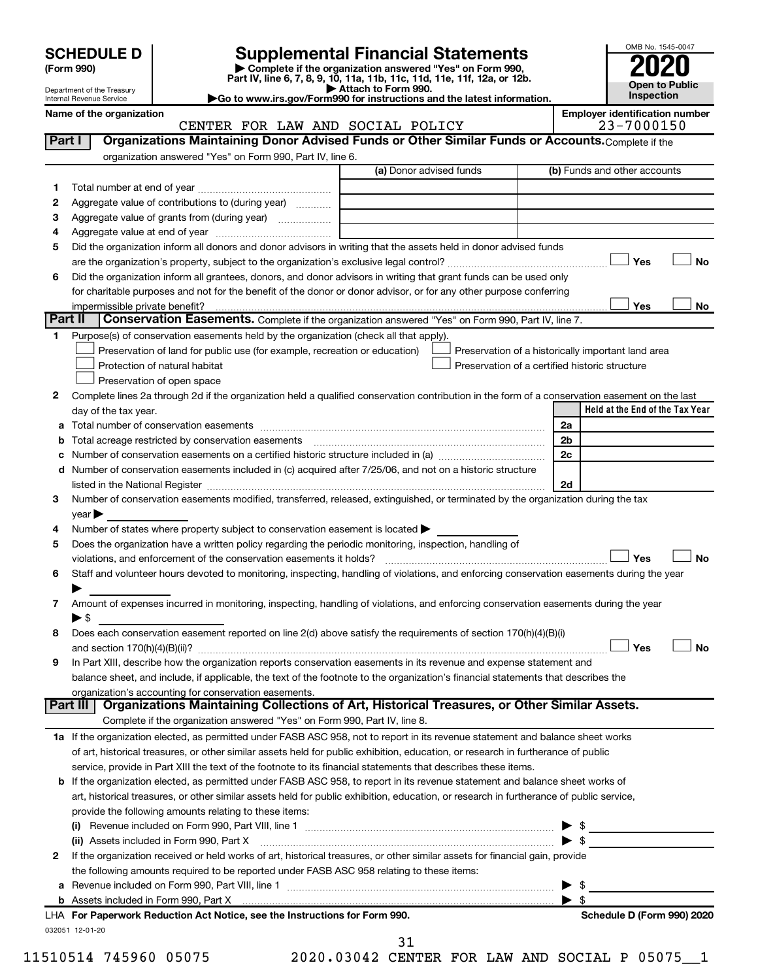Department of the Treasury Internal Revenue Service

| (Form 990) |  |
|------------|--|
|------------|--|

# **SCHEDULE D Supplemental Financial Statements**<br> **Form 990 2020**<br> **Part IV** line 6.7.8.9.10, 11a, 11b, 11d, 11d, 11d, 11d, 11d, 12a, 0r, 12b

**(Form 990) | Complete if the organization answered "Yes" on Form 990, Part IV, line 6, 7, 8, 9, 10, 11a, 11b, 11c, 11d, 11e, 11f, 12a, or 12b.**

**| Attach to Form 990. |Go to www.irs.gov/Form990 for instructions and the latest information.**



Name of the organization<br>**CENTER FOR LAW AND SOCIAL POLICY** Employer identification number<br>23-7000150 CENTER FOR LAW AND SOCIAL POLICY

| Part I  | Organizations Maintaining Donor Advised Funds or Other Similar Funds or Accounts. Complete if the                                                                                                                              |                         |                                                    |
|---------|--------------------------------------------------------------------------------------------------------------------------------------------------------------------------------------------------------------------------------|-------------------------|----------------------------------------------------|
|         | organization answered "Yes" on Form 990, Part IV, line 6.                                                                                                                                                                      | (a) Donor advised funds | (b) Funds and other accounts                       |
| 1       |                                                                                                                                                                                                                                |                         |                                                    |
| 2       | Aggregate value of contributions to (during year)                                                                                                                                                                              |                         |                                                    |
| 3       | Aggregate value of grants from (during year)                                                                                                                                                                                   |                         |                                                    |
| 4       |                                                                                                                                                                                                                                |                         |                                                    |
| 5       | Did the organization inform all donors and donor advisors in writing that the assets held in donor advised funds                                                                                                               |                         |                                                    |
|         |                                                                                                                                                                                                                                |                         | Yes<br>No                                          |
| 6       | Did the organization inform all grantees, donors, and donor advisors in writing that grant funds can be used only                                                                                                              |                         |                                                    |
|         | for charitable purposes and not for the benefit of the donor or donor advisor, or for any other purpose conferring                                                                                                             |                         |                                                    |
|         |                                                                                                                                                                                                                                |                         | Yes<br>No                                          |
| Part II | Conservation Easements. Complete if the organization answered "Yes" on Form 990, Part IV, line 7.                                                                                                                              |                         |                                                    |
| 1.      | Purpose(s) of conservation easements held by the organization (check all that apply).                                                                                                                                          |                         |                                                    |
|         | Preservation of land for public use (for example, recreation or education)                                                                                                                                                     |                         | Preservation of a historically important land area |
|         | Protection of natural habitat                                                                                                                                                                                                  |                         | Preservation of a certified historic structure     |
|         | Preservation of open space                                                                                                                                                                                                     |                         |                                                    |
| 2       | Complete lines 2a through 2d if the organization held a qualified conservation contribution in the form of a conservation easement on the last                                                                                 |                         |                                                    |
|         | day of the tax year.                                                                                                                                                                                                           |                         | Held at the End of the Tax Year                    |
|         |                                                                                                                                                                                                                                |                         | 2a                                                 |
| b       | Total acreage restricted by conservation easements [11] [12] manufactured acreage restricted by conservation easements [11] manufactured acreage restricted by conservation easements [12] manufactured acreage restricted by  |                         | 2 <sub>b</sub>                                     |
|         |                                                                                                                                                                                                                                |                         | 2c                                                 |
|         | d Number of conservation easements included in (c) acquired after 7/25/06, and not on a historic structure                                                                                                                     |                         |                                                    |
|         | listed in the National Register [111] in the National Register [11] in the National Register [11] in the National Register [11] in the National Register [11] in the National Register [11] in the National Register [11] in t |                         | 2d                                                 |
| 3       | Number of conservation easements modified, transferred, released, extinguished, or terminated by the organization during the tax                                                                                               |                         |                                                    |
|         | $year \blacktriangleright$                                                                                                                                                                                                     |                         |                                                    |
| 4       | Number of states where property subject to conservation easement is located >                                                                                                                                                  |                         |                                                    |
| 5       | Does the organization have a written policy regarding the periodic monitoring, inspection, handling of                                                                                                                         |                         |                                                    |
|         | violations, and enforcement of the conservation easements it holds?                                                                                                                                                            |                         | Yes<br><b>No</b>                                   |
| 6       | Staff and volunteer hours devoted to monitoring, inspecting, handling of violations, and enforcing conservation easements during the year                                                                                      |                         |                                                    |
|         |                                                                                                                                                                                                                                |                         |                                                    |
| 7       | Amount of expenses incurred in monitoring, inspecting, handling of violations, and enforcing conservation easements during the year                                                                                            |                         |                                                    |
|         | $\blacktriangleright$ \$                                                                                                                                                                                                       |                         |                                                    |
| 8       | Does each conservation easement reported on line 2(d) above satisfy the requirements of section 170(h)(4)(B)(i)                                                                                                                |                         |                                                    |
|         |                                                                                                                                                                                                                                |                         | Yes<br>No                                          |
| 9       | In Part XIII, describe how the organization reports conservation easements in its revenue and expense statement and                                                                                                            |                         |                                                    |
|         | balance sheet, and include, if applicable, the text of the footnote to the organization's financial statements that describes the                                                                                              |                         |                                                    |
|         | organization's accounting for conservation easements.                                                                                                                                                                          |                         |                                                    |
|         | Organizations Maintaining Collections of Art, Historical Treasures, or Other Similar Assets.<br>Part III                                                                                                                       |                         |                                                    |
|         | Complete if the organization answered "Yes" on Form 990, Part IV, line 8.                                                                                                                                                      |                         |                                                    |
|         | 1a If the organization elected, as permitted under FASB ASC 958, not to report in its revenue statement and balance sheet works                                                                                                |                         |                                                    |
|         | of art, historical treasures, or other similar assets held for public exhibition, education, or research in furtherance of public                                                                                              |                         |                                                    |
|         | service, provide in Part XIII the text of the footnote to its financial statements that describes these items.                                                                                                                 |                         |                                                    |
|         | b If the organization elected, as permitted under FASB ASC 958, to report in its revenue statement and balance sheet works of                                                                                                  |                         |                                                    |
|         | art, historical treasures, or other similar assets held for public exhibition, education, or research in furtherance of public service,                                                                                        |                         |                                                    |
|         | provide the following amounts relating to these items:                                                                                                                                                                         |                         |                                                    |
|         |                                                                                                                                                                                                                                |                         |                                                    |
|         | (ii) Assets included in Form 990, Part X                                                                                                                                                                                       |                         | $\blacktriangleright$ \$                           |
| 2       | If the organization received or held works of art, historical treasures, or other similar assets for financial gain, provide                                                                                                   |                         |                                                    |
|         | the following amounts required to be reported under FASB ASC 958 relating to these items:                                                                                                                                      |                         |                                                    |
|         |                                                                                                                                                                                                                                |                         | -\$                                                |
|         |                                                                                                                                                                                                                                |                         | $\blacktriangleright$ s                            |
|         | LHA For Paperwork Reduction Act Notice, see the Instructions for Form 990.                                                                                                                                                     |                         | Schedule D (Form 990) 2020                         |
|         | 032051 12-01-20                                                                                                                                                                                                                |                         |                                                    |

11510514 745960 05075 2020.03042 CENTER FOR LAW AND SOCIAL P 05075\_\_1

31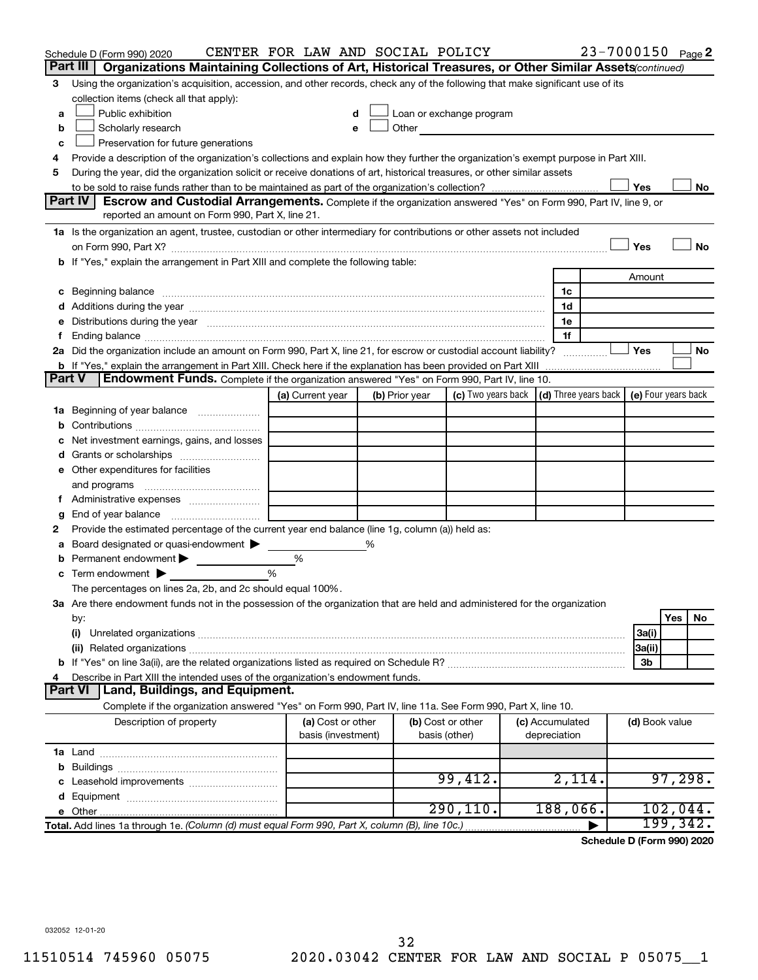|               | Schedule D (Form 990) 2020<br>Part III  <br>Organizations Maintaining Collections of Art, Historical Treasures, or Other Similar Assets(continued)                                                                             | CENTER FOR LAW AND SOCIAL POLICY |   |                |                                                                                                                                                                                                                                |                 | 23-7000150 Page 2 |                |          |    |
|---------------|--------------------------------------------------------------------------------------------------------------------------------------------------------------------------------------------------------------------------------|----------------------------------|---|----------------|--------------------------------------------------------------------------------------------------------------------------------------------------------------------------------------------------------------------------------|-----------------|-------------------|----------------|----------|----|
|               |                                                                                                                                                                                                                                |                                  |   |                |                                                                                                                                                                                                                                |                 |                   |                |          |    |
| 3             | Using the organization's acquisition, accession, and other records, check any of the following that make significant use of its<br>collection items (check all that apply):                                                    |                                  |   |                |                                                                                                                                                                                                                                |                 |                   |                |          |    |
| a             | Public exhibition                                                                                                                                                                                                              |                                  |   |                | Loan or exchange program                                                                                                                                                                                                       |                 |                   |                |          |    |
| b             | Scholarly research                                                                                                                                                                                                             | e                                |   |                | Other and the control of the control of the control of the control of the control of the control of the control of the control of the control of the control of the control of the control of the control of the control of th |                 |                   |                |          |    |
| с             | Preservation for future generations                                                                                                                                                                                            |                                  |   |                |                                                                                                                                                                                                                                |                 |                   |                |          |    |
| 4             | Provide a description of the organization's collections and explain how they further the organization's exempt purpose in Part XIII.                                                                                           |                                  |   |                |                                                                                                                                                                                                                                |                 |                   |                |          |    |
| 5             | During the year, did the organization solicit or receive donations of art, historical treasures, or other similar assets                                                                                                       |                                  |   |                |                                                                                                                                                                                                                                |                 |                   |                |          |    |
|               |                                                                                                                                                                                                                                |                                  |   |                |                                                                                                                                                                                                                                |                 |                   | Yes            |          | No |
|               | Part IV<br><b>Escrow and Custodial Arrangements.</b> Complete if the organization answered "Yes" on Form 990, Part IV, line 9, or                                                                                              |                                  |   |                |                                                                                                                                                                                                                                |                 |                   |                |          |    |
|               | reported an amount on Form 990, Part X, line 21.                                                                                                                                                                               |                                  |   |                |                                                                                                                                                                                                                                |                 |                   |                |          |    |
|               | 1a Is the organization an agent, trustee, custodian or other intermediary for contributions or other assets not included                                                                                                       |                                  |   |                |                                                                                                                                                                                                                                |                 |                   |                |          |    |
|               |                                                                                                                                                                                                                                |                                  |   |                |                                                                                                                                                                                                                                |                 |                   | Yes            |          | No |
|               | b If "Yes," explain the arrangement in Part XIII and complete the following table:                                                                                                                                             |                                  |   |                |                                                                                                                                                                                                                                |                 |                   |                |          |    |
|               |                                                                                                                                                                                                                                |                                  |   |                |                                                                                                                                                                                                                                |                 |                   | Amount         |          |    |
|               | c Beginning balance measurements and the contract of the contract of the contract of the contract of the contract of the contract of the contract of the contract of the contract of the contract of the contract of the contr |                                  |   |                |                                                                                                                                                                                                                                | 1c              |                   |                |          |    |
|               |                                                                                                                                                                                                                                |                                  |   |                |                                                                                                                                                                                                                                | 1d              |                   |                |          |    |
| е             | Distributions during the year manufactured and an account of the year manufactured and the year manufactured and the year manufactured and the year manufactured and the year manufactured and the year manufactured and the y |                                  |   |                |                                                                                                                                                                                                                                | 1e              |                   |                |          |    |
| f.            |                                                                                                                                                                                                                                |                                  |   |                |                                                                                                                                                                                                                                | 1f              |                   |                |          |    |
|               | 2a Did the organization include an amount on Form 990, Part X, line 21, for escrow or custodial account liability?                                                                                                             |                                  |   |                |                                                                                                                                                                                                                                |                 |                   | Yes            |          | No |
|               |                                                                                                                                                                                                                                |                                  |   |                |                                                                                                                                                                                                                                |                 |                   |                |          |    |
| <b>Part V</b> | Endowment Funds. Complete if the organization answered "Yes" on Form 990, Part IV, line 10.                                                                                                                                    |                                  |   |                |                                                                                                                                                                                                                                |                 |                   |                |          |    |
|               |                                                                                                                                                                                                                                | (a) Current year                 |   | (b) Prior year | (c) Two years back $\vert$ (d) Three years back $\vert$ (e) Four years back                                                                                                                                                    |                 |                   |                |          |    |
|               | <b>1a</b> Beginning of year balance                                                                                                                                                                                            |                                  |   |                |                                                                                                                                                                                                                                |                 |                   |                |          |    |
| b             |                                                                                                                                                                                                                                |                                  |   |                |                                                                                                                                                                                                                                |                 |                   |                |          |    |
| с             | Net investment earnings, gains, and losses                                                                                                                                                                                     |                                  |   |                |                                                                                                                                                                                                                                |                 |                   |                |          |    |
| d             | Grants or scholarships <i></i>                                                                                                                                                                                                 |                                  |   |                |                                                                                                                                                                                                                                |                 |                   |                |          |    |
|               | e Other expenditures for facilities                                                                                                                                                                                            |                                  |   |                |                                                                                                                                                                                                                                |                 |                   |                |          |    |
|               | and programs                                                                                                                                                                                                                   |                                  |   |                |                                                                                                                                                                                                                                |                 |                   |                |          |    |
|               | f Administrative expenses <i></i>                                                                                                                                                                                              |                                  |   |                |                                                                                                                                                                                                                                |                 |                   |                |          |    |
|               | End of year balance <i>manually contained</i>                                                                                                                                                                                  |                                  |   |                |                                                                                                                                                                                                                                |                 |                   |                |          |    |
| g<br>2        | Provide the estimated percentage of the current year end balance (line 1g, column (a)) held as:                                                                                                                                |                                  |   |                |                                                                                                                                                                                                                                |                 |                   |                |          |    |
|               | Board designated or quasi-endowment                                                                                                                                                                                            |                                  | % |                |                                                                                                                                                                                                                                |                 |                   |                |          |    |
| а             | Permanent endowment                                                                                                                                                                                                            | %                                |   |                |                                                                                                                                                                                                                                |                 |                   |                |          |    |
| b<br>с        | Term endowment $\blacktriangleright$                                                                                                                                                                                           | %                                |   |                |                                                                                                                                                                                                                                |                 |                   |                |          |    |
|               |                                                                                                                                                                                                                                |                                  |   |                |                                                                                                                                                                                                                                |                 |                   |                |          |    |
|               | The percentages on lines 2a, 2b, and 2c should equal 100%.<br>3a Are there endowment funds not in the possession of the organization that are held and administered for the organization                                       |                                  |   |                |                                                                                                                                                                                                                                |                 |                   |                |          |    |
|               |                                                                                                                                                                                                                                |                                  |   |                |                                                                                                                                                                                                                                |                 |                   |                | Yes      | No |
|               | by:<br>(i)                                                                                                                                                                                                                     |                                  |   |                |                                                                                                                                                                                                                                |                 |                   |                |          |    |
|               |                                                                                                                                                                                                                                |                                  |   |                |                                                                                                                                                                                                                                |                 |                   | 3a(i)          |          |    |
|               |                                                                                                                                                                                                                                |                                  |   |                |                                                                                                                                                                                                                                |                 |                   | 3a(ii)<br>3b   |          |    |
| 4             | Describe in Part XIII the intended uses of the organization's endowment funds.                                                                                                                                                 |                                  |   |                |                                                                                                                                                                                                                                |                 |                   |                |          |    |
|               | <b>Land, Buildings, and Equipment.</b><br><b>Part VI</b>                                                                                                                                                                       |                                  |   |                |                                                                                                                                                                                                                                |                 |                   |                |          |    |
|               | Complete if the organization answered "Yes" on Form 990, Part IV, line 11a. See Form 990, Part X, line 10.                                                                                                                     |                                  |   |                |                                                                                                                                                                                                                                |                 |                   |                |          |    |
|               | Description of property                                                                                                                                                                                                        | (a) Cost or other                |   |                | (b) Cost or other                                                                                                                                                                                                              | (c) Accumulated |                   | (d) Book value |          |    |
|               |                                                                                                                                                                                                                                | basis (investment)               |   |                | basis (other)                                                                                                                                                                                                                  | depreciation    |                   |                |          |    |
|               |                                                                                                                                                                                                                                |                                  |   |                |                                                                                                                                                                                                                                |                 |                   |                |          |    |
|               |                                                                                                                                                                                                                                |                                  |   |                |                                                                                                                                                                                                                                |                 |                   |                |          |    |
|               |                                                                                                                                                                                                                                |                                  |   |                | 99,412.                                                                                                                                                                                                                        | 2,114.          |                   |                | 97,298.  |    |
| d             |                                                                                                                                                                                                                                |                                  |   |                |                                                                                                                                                                                                                                |                 |                   |                |          |    |
|               |                                                                                                                                                                                                                                |                                  |   |                | 290, 110.                                                                                                                                                                                                                      | 188,066.        |                   |                | 102,044. |    |
|               | Total. Add lines 1a through 1e. (Column (d) must equal Form 990, Part X, column (B), line 10c.)                                                                                                                                |                                  |   |                |                                                                                                                                                                                                                                |                 |                   |                | 199,342. |    |
|               |                                                                                                                                                                                                                                |                                  |   |                |                                                                                                                                                                                                                                |                 |                   |                |          |    |

**Schedule D (Form 990) 2020**

032052 12-01-20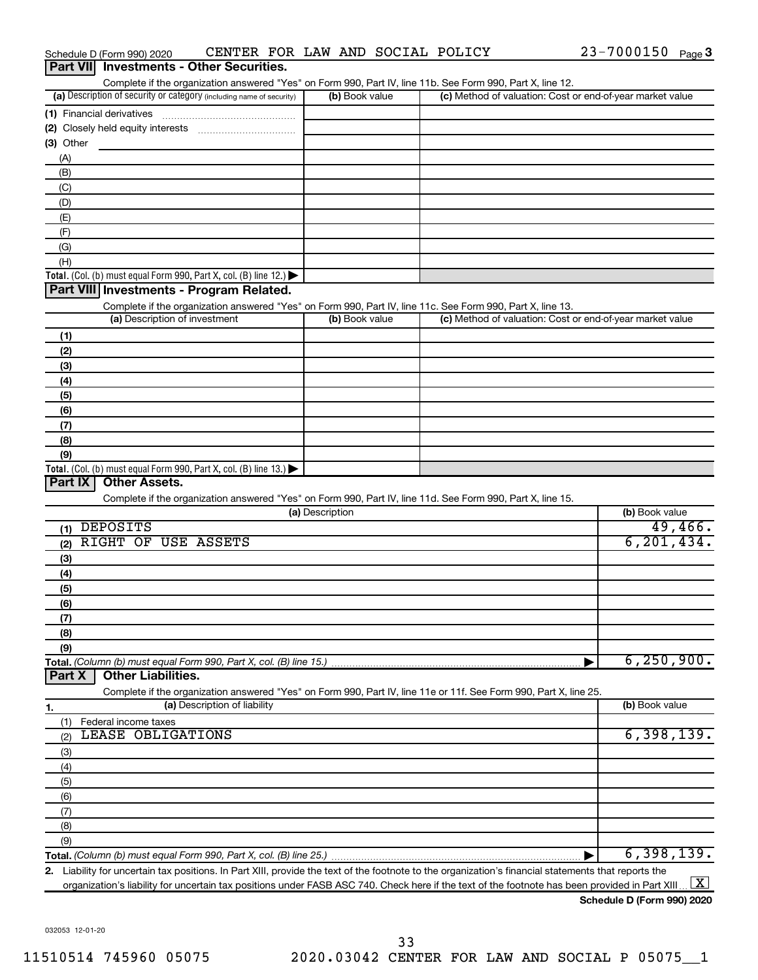| CENTER FOR LAW AND SOCIAL POLICY<br>Schedule D (Form 990) 2020                                                    |                 |                |                                                           | 23-7000150 Page 3 |         |
|-------------------------------------------------------------------------------------------------------------------|-----------------|----------------|-----------------------------------------------------------|-------------------|---------|
| Part VII Investments - Other Securities.                                                                          |                 |                |                                                           |                   |         |
| Complete if the organization answered "Yes" on Form 990, Part IV, line 11b. See Form 990, Part X, line 12.        |                 |                |                                                           |                   |         |
| (a) Description of security or category (including name of security)                                              |                 | (b) Book value | (c) Method of valuation: Cost or end-of-year market value |                   |         |
| (1) Financial derivatives                                                                                         |                 |                |                                                           |                   |         |
| (2) Closely held equity interests                                                                                 |                 |                |                                                           |                   |         |
| (3) Other                                                                                                         |                 |                |                                                           |                   |         |
| (A)                                                                                                               |                 |                |                                                           |                   |         |
| (B)                                                                                                               |                 |                |                                                           |                   |         |
| (C)                                                                                                               |                 |                |                                                           |                   |         |
| (D)                                                                                                               |                 |                |                                                           |                   |         |
| (E)                                                                                                               |                 |                |                                                           |                   |         |
| (F)                                                                                                               |                 |                |                                                           |                   |         |
| (G)                                                                                                               |                 |                |                                                           |                   |         |
| (H)                                                                                                               |                 |                |                                                           |                   |         |
| Total. (Col. (b) must equal Form 990, Part X, col. (B) line 12.) $\blacktriangleright$                            |                 |                |                                                           |                   |         |
| Part VIII Investments - Program Related.                                                                          |                 |                |                                                           |                   |         |
| Complete if the organization answered "Yes" on Form 990, Part IV, line 11c. See Form 990, Part X, line 13.        |                 |                |                                                           |                   |         |
| (a) Description of investment                                                                                     |                 | (b) Book value | (c) Method of valuation: Cost or end-of-year market value |                   |         |
| (1)                                                                                                               |                 |                |                                                           |                   |         |
| (2)                                                                                                               |                 |                |                                                           |                   |         |
| (3)                                                                                                               |                 |                |                                                           |                   |         |
| (4)                                                                                                               |                 |                |                                                           |                   |         |
| (5)                                                                                                               |                 |                |                                                           |                   |         |
| (6)                                                                                                               |                 |                |                                                           |                   |         |
| (7)                                                                                                               |                 |                |                                                           |                   |         |
| (8)                                                                                                               |                 |                |                                                           |                   |         |
| (9)                                                                                                               |                 |                |                                                           |                   |         |
| Total. (Col. (b) must equal Form 990, Part X, col. (B) line 13.) $\blacktriangleright$                            |                 |                |                                                           |                   |         |
| <b>Other Assets.</b><br>Part IX                                                                                   |                 |                |                                                           |                   |         |
| Complete if the organization answered "Yes" on Form 990, Part IV, line 11d. See Form 990, Part X, line 15.        |                 |                |                                                           |                   |         |
|                                                                                                                   | (a) Description |                |                                                           | (b) Book value    |         |
| <b>DEPOSITS</b><br>(1)                                                                                            |                 |                |                                                           |                   | 49,466. |
| RIGHT OF USE ASSETS<br>(2)                                                                                        |                 |                |                                                           | 6, 201, 434.      |         |
| (3)                                                                                                               |                 |                |                                                           |                   |         |
| (4)                                                                                                               |                 |                |                                                           |                   |         |
| (5)                                                                                                               |                 |                |                                                           |                   |         |
| (6)                                                                                                               |                 |                |                                                           |                   |         |
| (7)                                                                                                               |                 |                |                                                           |                   |         |
| (8)                                                                                                               |                 |                |                                                           |                   |         |
| (9)                                                                                                               |                 |                |                                                           |                   |         |
| Total. (Column (b) must equal Form 990, Part X, col. (B) line 15.)                                                |                 |                |                                                           | 6, 250, 900.      |         |
| <b>Other Liabilities.</b><br>Part X                                                                               |                 |                |                                                           |                   |         |
| Complete if the organization answered "Yes" on Form 990, Part IV, line 11e or 11f. See Form 990, Part X, line 25. |                 |                |                                                           |                   |         |
| (a) Description of liability<br>1.                                                                                |                 |                |                                                           | (b) Book value    |         |
| (1)<br>Federal income taxes                                                                                       |                 |                |                                                           |                   |         |

| Federal income taxes<br>(1) |            |
|-----------------------------|------------|
| LEASE OBLIGATIONS<br>(2)    | 6,398,139. |
| (3)                         |            |
| (4)                         |            |
| (5)                         |            |
| (6)                         |            |
| (7)                         |            |
| (8)                         |            |
| (9)                         |            |
|                             | 6,398,139. |

**2.** Liability for uncertain tax positions. In Part XIII, provide the text of the footnote to the organization's financial statements that reports the organization's liability for uncertain tax positions under FASB ASC 740. Check here if the text of the footnote has been provided in Part XIII ...  $\fbox{\bf X}$ 

#### **Schedule D (Form 990) 2020**

032053 12-01-20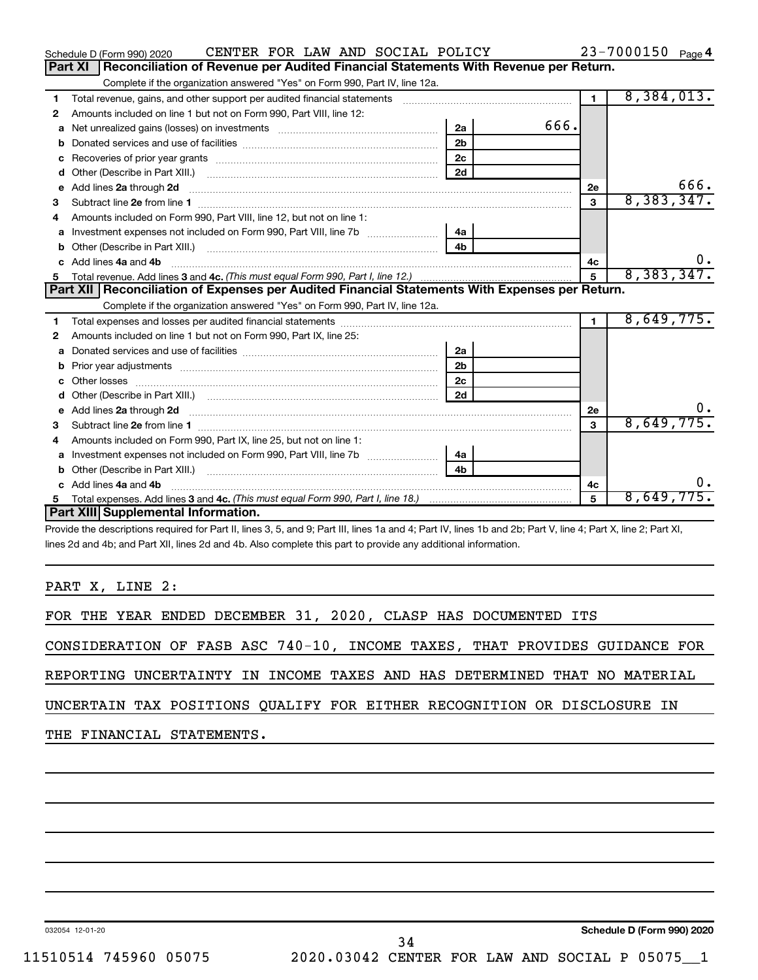|    | CENTER FOR LAW AND SOCIAL POLICY<br>Schedule D (Form 990) 2020                                                                                                                                                                     |                |      |                | 23-7000150 Page 4 |
|----|------------------------------------------------------------------------------------------------------------------------------------------------------------------------------------------------------------------------------------|----------------|------|----------------|-------------------|
|    | Reconciliation of Revenue per Audited Financial Statements With Revenue per Return.<br><b>Part XI</b>                                                                                                                              |                |      |                |                   |
|    | Complete if the organization answered "Yes" on Form 990, Part IV, line 12a.                                                                                                                                                        |                |      |                |                   |
| 1  | Total revenue, gains, and other support per audited financial statements [[[[[[[[[[[[[[[[[[[[[[[[[]]]]]]]]]]]                                                                                                                      |                |      | $\mathbf 1$    | 8,384,013.        |
| 2  | Amounts included on line 1 but not on Form 990, Part VIII, line 12:                                                                                                                                                                |                |      |                |                   |
| a  |                                                                                                                                                                                                                                    | 2a             | 666. |                |                   |
| b  |                                                                                                                                                                                                                                    | 2 <sub>b</sub> |      |                |                   |
| с  |                                                                                                                                                                                                                                    | 2c             |      |                |                   |
| d  |                                                                                                                                                                                                                                    | 2d             |      |                |                   |
| е  | Add lines 2a through 2d <b>manufactures</b> in the contract of the contract of the contract of the contract of the contract of the contract of the contract of the contract of the contract of the contract of the contract of the |                |      | <b>2e</b>      | 666.              |
| 3  |                                                                                                                                                                                                                                    |                |      | 3              | 8,383,347.        |
| 4  | Amounts included on Form 990, Part VIII, line 12, but not on line 1:                                                                                                                                                               |                |      |                |                   |
| a  |                                                                                                                                                                                                                                    | 4a             |      |                |                   |
| b  |                                                                                                                                                                                                                                    | 4 <sub>h</sub> |      |                |                   |
| c. | Add lines 4a and 4b                                                                                                                                                                                                                |                |      | 4с             | υ.                |
| 5  |                                                                                                                                                                                                                                    |                |      | $\overline{5}$ | 8,383,347.        |
|    |                                                                                                                                                                                                                                    |                |      |                |                   |
|    | Part XII   Reconciliation of Expenses per Audited Financial Statements With Expenses per Return.                                                                                                                                   |                |      |                |                   |
|    | Complete if the organization answered "Yes" on Form 990, Part IV, line 12a.                                                                                                                                                        |                |      |                |                   |
| 1  |                                                                                                                                                                                                                                    |                |      | $\mathbf{1}$   | 8,649,775.        |
| 2  | Amounts included on line 1 but not on Form 990, Part IX, line 25:                                                                                                                                                                  |                |      |                |                   |
| a  |                                                                                                                                                                                                                                    | 2a             |      |                |                   |
| b  | Prior year adjustments [111] Prior year adjustments [11] measure material measurements [11] measurements and t                                                                                                                     | 2 <sub>b</sub> |      |                |                   |
| c  |                                                                                                                                                                                                                                    | 2c             |      |                |                   |
| d  |                                                                                                                                                                                                                                    | 2d             |      |                |                   |
| е  | Add lines 2a through 2d <b>contained a contained a contained a</b> contained a contact the contained and contained a contact the contact of the contact of the contact of the contact of the contact of the contact of the contact |                |      | 2e             |                   |
| 3  |                                                                                                                                                                                                                                    |                |      | 3              | 8,649,775.        |
| 4  | Amounts included on Form 990, Part IX, line 25, but not on line 1:                                                                                                                                                                 |                |      |                |                   |
| a  |                                                                                                                                                                                                                                    | 4a             |      |                |                   |
| b  |                                                                                                                                                                                                                                    | 4 <sub>h</sub> |      |                |                   |
| c  | Add lines 4a and 4b                                                                                                                                                                                                                |                |      | 4c             |                   |
|    | Part XIII Supplemental Information.                                                                                                                                                                                                |                |      | 5              | 8,649,775.        |

Provide the descriptions required for Part II, lines 3, 5, and 9; Part III, lines 1a and 4; Part IV, lines 1b and 2b; Part V, line 4; Part X, line 2; Part XI, lines 2d and 4b; and Part XII, lines 2d and 4b. Also complete this part to provide any additional information.

PART X, LINE 2:

FOR THE YEAR ENDED DECEMBER 31, 2020, CLASP HAS DOCUMENTED ITS

CONSIDERATION OF FASB ASC 740-10, INCOME TAXES, THAT PROVIDES GUIDANCE FOR

REPORTING UNCERTAINTY IN INCOME TAXES AND HAS DETERMINED THAT NO MATERIAL

UNCERTAIN TAX POSITIONS QUALIFY FOR EITHER RECOGNITION OR DISCLOSURE IN

THE FINANCIAL STATEMENTS.

032054 12-01-20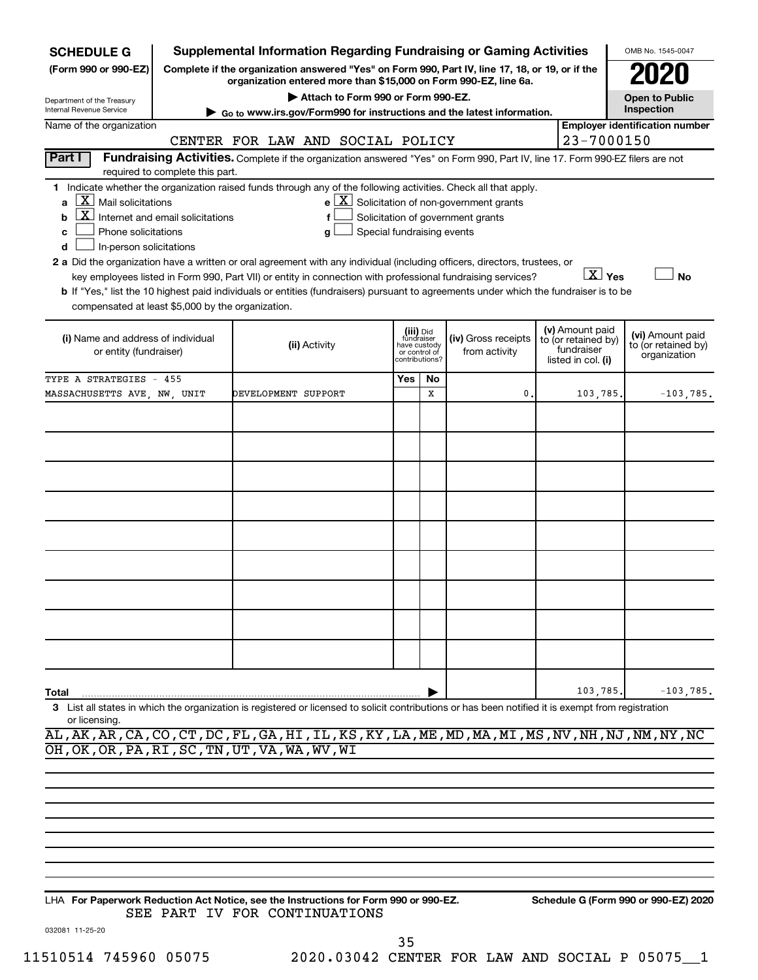| <b>SCHEDULE G</b>                                                                                                                                          |                                                          | <b>Supplemental Information Regarding Fundraising or Gaming Activities</b>                                                                                                                                                                                                                                                                                                                                                                                                                                      |                            |                                                                            |                                                                                            |                                                                            | OMB No. 1545-0047                                       |
|------------------------------------------------------------------------------------------------------------------------------------------------------------|----------------------------------------------------------|-----------------------------------------------------------------------------------------------------------------------------------------------------------------------------------------------------------------------------------------------------------------------------------------------------------------------------------------------------------------------------------------------------------------------------------------------------------------------------------------------------------------|----------------------------|----------------------------------------------------------------------------|--------------------------------------------------------------------------------------------|----------------------------------------------------------------------------|---------------------------------------------------------|
| (Form 990 or 990-EZ)                                                                                                                                       |                                                          | Complete if the organization answered "Yes" on Form 990, Part IV, line 17, 18, or 19, or if the<br>organization entered more than \$15,000 on Form 990-EZ, line 6a.                                                                                                                                                                                                                                                                                                                                             |                            |                                                                            |                                                                                            |                                                                            |                                                         |
| Department of the Treasury                                                                                                                                 |                                                          | Attach to Form 990 or Form 990-EZ.                                                                                                                                                                                                                                                                                                                                                                                                                                                                              |                            |                                                                            |                                                                                            |                                                                            | <b>Open to Public</b>                                   |
| Internal Revenue Service<br>Name of the organization                                                                                                       |                                                          | ► Go to www.irs.gov/Form990 for instructions and the latest information.                                                                                                                                                                                                                                                                                                                                                                                                                                        |                            |                                                                            |                                                                                            |                                                                            | Inspection<br><b>Employer identification number</b>     |
|                                                                                                                                                            |                                                          | CENTER FOR LAW AND SOCIAL POLICY                                                                                                                                                                                                                                                                                                                                                                                                                                                                                |                            |                                                                            |                                                                                            | 23-7000150                                                                 |                                                         |
| <b>Part I</b>                                                                                                                                              | required to complete this part.                          | Fundraising Activities. Complete if the organization answered "Yes" on Form 990, Part IV, line 17. Form 990-EZ filers are not                                                                                                                                                                                                                                                                                                                                                                                   |                            |                                                                            |                                                                                            |                                                                            |                                                         |
| $\mathbf{X}$ Mail solicitations<br>a<br>b<br>Phone solicitations<br>c<br>In-person solicitations<br>d<br>compensated at least \$5,000 by the organization. | $\overline{\mathbf{X}}$ Internet and email solicitations | 1 Indicate whether the organization raised funds through any of the following activities. Check all that apply.<br>f<br>a<br>2 a Did the organization have a written or oral agreement with any individual (including officers, directors, trustees, or<br>key employees listed in Form 990, Part VII) or entity in connection with professional fundraising services?<br>b If "Yes," list the 10 highest paid individuals or entities (fundraisers) pursuant to agreements under which the fundraiser is to be | Special fundraising events |                                                                            | $e$ $\boxed{X}$ Solicitation of non-government grants<br>Solicitation of government grants | $\boxed{\text{X}}$ Yes                                                     | <b>No</b>                                               |
| (i) Name and address of individual<br>or entity (fundraiser)                                                                                               |                                                          | (ii) Activity                                                                                                                                                                                                                                                                                                                                                                                                                                                                                                   |                            | (iii) Did<br>fundraiser<br>have custody<br>or control of<br>contributions? | (iv) Gross receipts<br>from activity                                                       | (v) Amount paid<br>to (or retained by)<br>fundraiser<br>listed in col. (i) | (vi) Amount paid<br>to (or retained by)<br>organization |
| TYPE A STRATEGIES - 455                                                                                                                                    |                                                          |                                                                                                                                                                                                                                                                                                                                                                                                                                                                                                                 | Yes                        | No                                                                         |                                                                                            |                                                                            |                                                         |
| MASSACHUSETTS AVE, NW, UNIT                                                                                                                                |                                                          | DEVELOPMENT SUPPORT                                                                                                                                                                                                                                                                                                                                                                                                                                                                                             |                            | X                                                                          | 0.                                                                                         | 103,785.                                                                   | $-103,785$ .                                            |
| Total                                                                                                                                                      |                                                          |                                                                                                                                                                                                                                                                                                                                                                                                                                                                                                                 |                            |                                                                            |                                                                                            | 103,785                                                                    | $-103,785$ .                                            |
| or licensing.                                                                                                                                              |                                                          | 3 List all states in which the organization is registered or licensed to solicit contributions or has been notified it is exempt from registration<br>AL, AK, AR, CA, CO, CT, DC, FL, GA, HI, IL, KS, KY, LA, ME, MD, MA, MI, MS, NV, NH, NJ, NM, NY, NC                                                                                                                                                                                                                                                        |                            |                                                                            |                                                                                            |                                                                            |                                                         |

**For Paperwork Reduction Act Notice, see the Instructions for Form 990 or 990-EZ. Schedule G (Form 990 or 990-EZ) 2020** LHA SEE PART IV FOR CONTINUATIONS

OH,OK,OR,PA,RI,SC,TN,UT,VA,WA,WV,WI

35

032081 11-25-20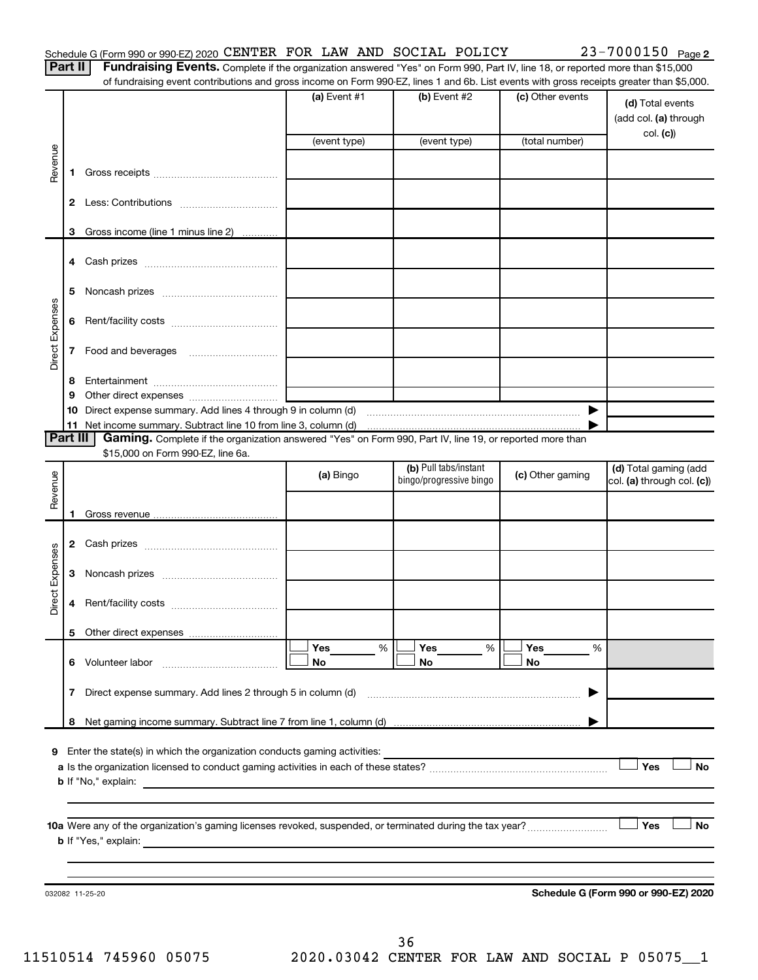Part II | Fundraising Events. Complete if the organization answered "Yes" on Form 990, Part IV, line 18, or reported more than \$15,000 of fundraising event contributions and gross income on Form 990-EZ, lines 1 and 6b. List events with gross receipts greater than \$5,000.

|                 |              |                                                                                                                         | $(a)$ Event #1<br>(event type) | (b) Event #2<br>(event type) | (c) Other events<br>(total number) | (d) Total events<br>(add col. (a) through<br>col. (c) |
|-----------------|--------------|-------------------------------------------------------------------------------------------------------------------------|--------------------------------|------------------------------|------------------------------------|-------------------------------------------------------|
| Revenue         | 1.           |                                                                                                                         |                                |                              |                                    |                                                       |
|                 | 2            |                                                                                                                         |                                |                              |                                    |                                                       |
|                 | 3            | Gross income (line 1 minus line 2)                                                                                      |                                |                              |                                    |                                                       |
|                 | 4            |                                                                                                                         |                                |                              |                                    |                                                       |
|                 | 5            |                                                                                                                         |                                |                              |                                    |                                                       |
|                 |              |                                                                                                                         |                                |                              |                                    |                                                       |
| Direct Expenses | 6            |                                                                                                                         |                                |                              |                                    |                                                       |
|                 | 7            |                                                                                                                         |                                |                              |                                    |                                                       |
|                 | 8            |                                                                                                                         |                                |                              |                                    |                                                       |
|                 | 9            |                                                                                                                         |                                |                              |                                    |                                                       |
|                 | 10           | Direct expense summary. Add lines 4 through 9 in column (d)                                                             |                                |                              | $\blacktriangleright$              |                                                       |
| Part III        |              | Gaming. Complete if the organization answered "Yes" on Form 990, Part IV, line 19, or reported more than                |                                |                              |                                    |                                                       |
|                 |              | \$15,000 on Form 990-EZ, line 6a.                                                                                       |                                |                              |                                    |                                                       |
|                 |              |                                                                                                                         | (a) Bingo                      | (b) Pull tabs/instant        | (c) Other gaming                   | (d) Total gaming (add                                 |
| Revenue         |              |                                                                                                                         |                                | bingo/progressive bingo      |                                    | col. (a) through col. (c))                            |
|                 |              |                                                                                                                         |                                |                              |                                    |                                                       |
|                 | 1.           |                                                                                                                         |                                |                              |                                    |                                                       |
|                 |              |                                                                                                                         |                                |                              |                                    |                                                       |
|                 |              |                                                                                                                         |                                |                              |                                    |                                                       |
| Direct Expenses | 3            |                                                                                                                         |                                |                              |                                    |                                                       |
|                 | 4            |                                                                                                                         |                                |                              |                                    |                                                       |
|                 |              |                                                                                                                         |                                |                              |                                    |                                                       |
|                 |              |                                                                                                                         | %<br>Yes                       | Yes<br>%                     | Yes<br>%                           |                                                       |
|                 |              | 6 Volunteer labor                                                                                                       | No                             | No                           | No                                 |                                                       |
|                 | $\mathbf{7}$ | Direct expense summary. Add lines 2 through 5 in column (d)                                                             |                                |                              | ▶                                  |                                                       |
|                 | 8            |                                                                                                                         |                                |                              |                                    |                                                       |
|                 |              |                                                                                                                         |                                |                              |                                    |                                                       |
| 9               |              | Enter the state(s) in which the organization conducts gaming activities:                                                |                                |                              |                                    |                                                       |
|                 |              |                                                                                                                         |                                |                              |                                    | Yes<br><b>No</b>                                      |
|                 |              | <b>b</b> If "No," explain:<br>the control of the control of the control of the control of the control of the control of |                                |                              |                                    |                                                       |
|                 |              |                                                                                                                         |                                |                              |                                    |                                                       |
|                 |              |                                                                                                                         |                                |                              |                                    |                                                       |
|                 |              |                                                                                                                         |                                |                              |                                    | Yes<br><b>No</b>                                      |
|                 |              |                                                                                                                         |                                |                              |                                    |                                                       |
|                 |              |                                                                                                                         |                                |                              |                                    |                                                       |
|                 |              |                                                                                                                         |                                |                              |                                    | Schedule G (Form 990 or 990-EZ) 2020                  |
|                 |              | 032082 11-25-20                                                                                                         |                                |                              |                                    |                                                       |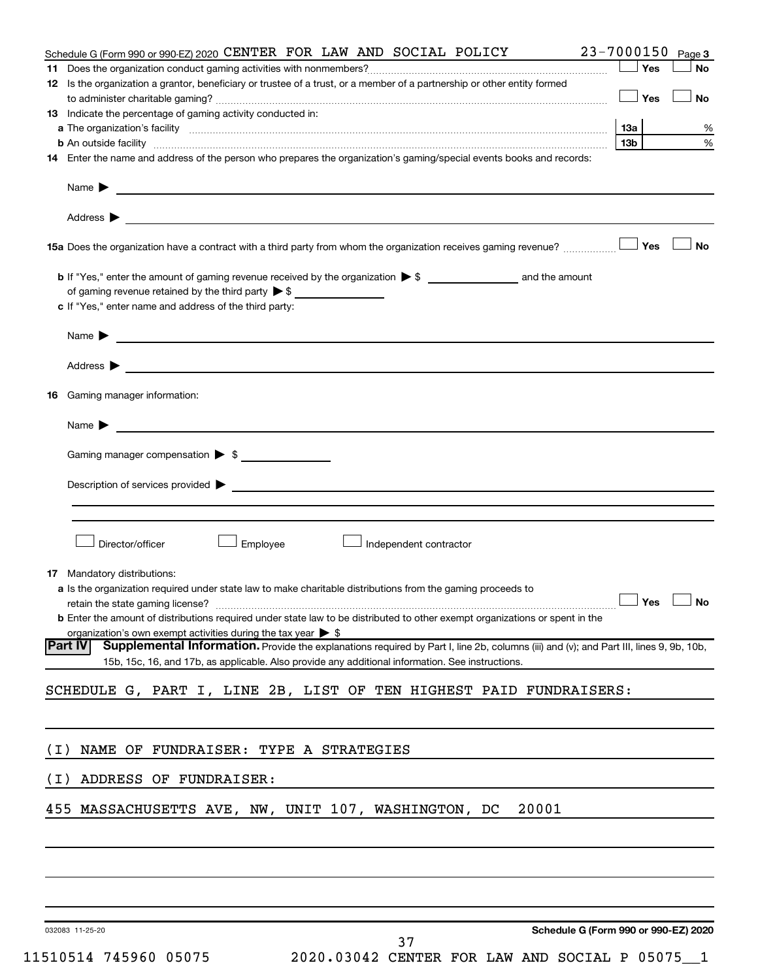| Schedule G (Form 990 or 990-EZ) 2020 CENTER FOR LAW AND SOCIAL POLICY                                                                                                                                                          |     |            | 23-7000150 Page 3 |
|--------------------------------------------------------------------------------------------------------------------------------------------------------------------------------------------------------------------------------|-----|------------|-------------------|
|                                                                                                                                                                                                                                |     | Yes        | <b>No</b>         |
| 12 Is the organization a grantor, beneficiary or trustee of a trust, or a member of a partnership or other entity formed                                                                                                       |     |            |                   |
|                                                                                                                                                                                                                                |     | $\Box$ Yes | No                |
| 13 Indicate the percentage of gaming activity conducted in:                                                                                                                                                                    |     |            |                   |
|                                                                                                                                                                                                                                | 13а |            | %                 |
| <b>b</b> An outside facility <i>www.communicality www.communicality.communicality www.communicality www.communicality.communicality www.communicality.com</i>                                                                  | 13b |            | $\%$              |
| 14 Enter the name and address of the person who prepares the organization's gaming/special events books and records:                                                                                                           |     |            |                   |
| Name $\triangleright$                                                                                                                                                                                                          |     |            |                   |
|                                                                                                                                                                                                                                |     |            |                   |
|                                                                                                                                                                                                                                |     |            | <b>No</b>         |
|                                                                                                                                                                                                                                |     |            |                   |
| of gaming revenue retained by the third party $\triangleright$ \$                                                                                                                                                              |     |            |                   |
| c If "Yes," enter name and address of the third party:                                                                                                                                                                         |     |            |                   |
|                                                                                                                                                                                                                                |     |            |                   |
| Name > 2008 - 2008 - 2009 - 2009 - 2009 - 2009 - 2009 - 2009 - 2009 - 2009 - 2009 - 2009 - 2009 - 2009 - 2009 - 2009 - 2009 - 2009 - 2009 - 2009 - 2009 - 2009 - 2009 - 2009 - 2009 - 2009 - 2009 - 2009 - 2009 - 2009 - 2009  |     |            |                   |
| Address $\blacktriangleright$                                                                                                                                                                                                  |     |            |                   |
| Gaming manager information:<br>16.                                                                                                                                                                                             |     |            |                   |
|                                                                                                                                                                                                                                |     |            |                   |
| Name $\blacktriangleright$                                                                                                                                                                                                     |     |            |                   |
|                                                                                                                                                                                                                                |     |            |                   |
| Gaming manager compensation $\triangleright$ \$                                                                                                                                                                                |     |            |                   |
| Description of services provided states and the contract of the contract of the contract of the contract of the contract of the contract of the contract of the contract of the contract of the contract of the contract of th |     |            |                   |
|                                                                                                                                                                                                                                |     |            |                   |
|                                                                                                                                                                                                                                |     |            |                   |
|                                                                                                                                                                                                                                |     |            |                   |
| Director/officer<br>Employee<br>Independent contractor                                                                                                                                                                         |     |            |                   |
| <b>17</b> Mandatory distributions:                                                                                                                                                                                             |     |            |                   |
| a Is the organization required under state law to make charitable distributions from the gaming proceeds to                                                                                                                    |     |            |                   |
| retain the state gaming license? $\Box$ No                                                                                                                                                                                     |     |            |                   |
| <b>b</b> Enter the amount of distributions required under state law to be distributed to other exempt organizations or spent in the                                                                                            |     |            |                   |
| organization's own exempt activities during the tax year $\triangleright$ \$                                                                                                                                                   |     |            |                   |
| Supplemental Information. Provide the explanations required by Part I, line 2b, columns (iii) and (v); and Part III, lines 9, 9b, 10b,<br> Part IV                                                                             |     |            |                   |
| 15b, 15c, 16, and 17b, as applicable. Also provide any additional information. See instructions.                                                                                                                               |     |            |                   |
| SCHEDULE G, PART I, LINE 2B, LIST OF TEN HIGHEST PAID FUNDRAISERS:                                                                                                                                                             |     |            |                   |
|                                                                                                                                                                                                                                |     |            |                   |
|                                                                                                                                                                                                                                |     |            |                   |
| NAME OF FUNDRAISER: TYPE A STRATEGIES<br>( I )                                                                                                                                                                                 |     |            |                   |
|                                                                                                                                                                                                                                |     |            |                   |
| ADDRESS OF FUNDRAISER:<br>( I )                                                                                                                                                                                                |     |            |                   |
| 20001<br>455 MASSACHUSETTS AVE, NW, UNIT 107, WASHINGTON, DC                                                                                                                                                                   |     |            |                   |
|                                                                                                                                                                                                                                |     |            |                   |
|                                                                                                                                                                                                                                |     |            |                   |
|                                                                                                                                                                                                                                |     |            |                   |
|                                                                                                                                                                                                                                |     |            |                   |
|                                                                                                                                                                                                                                |     |            |                   |
| Schedule G (Form 990 or 990-EZ) 2020<br>032083 11-25-20                                                                                                                                                                        |     |            |                   |

| 11510514 745960 0507 |  |  |
|----------------------|--|--|
|----------------------|--|--|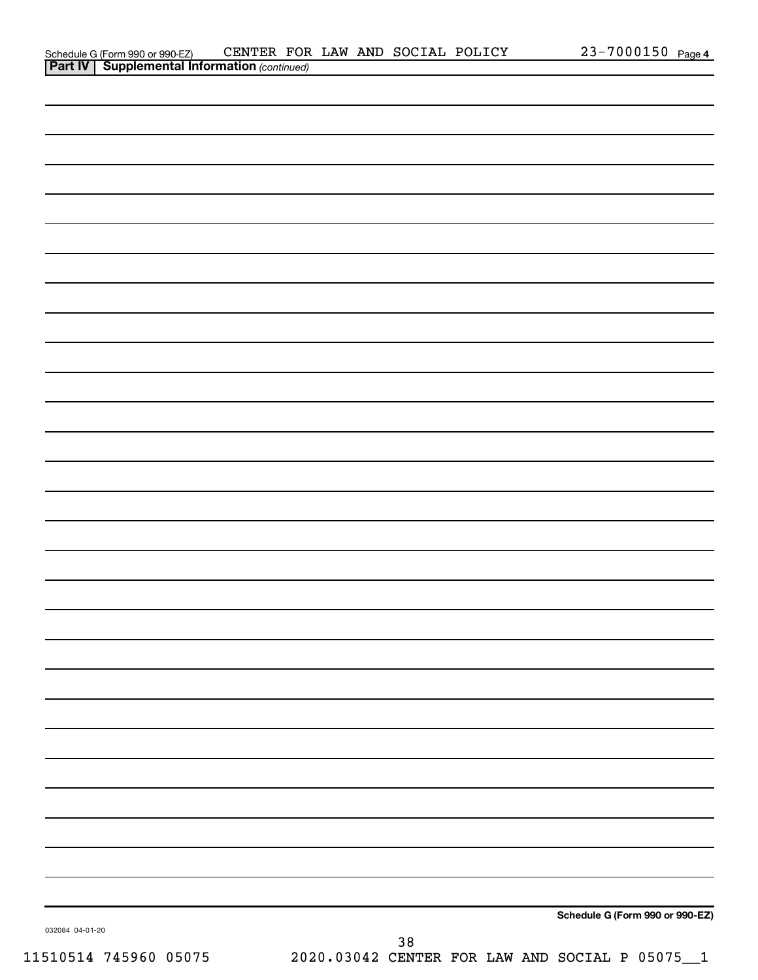| Schedule G (Form 990 or 990-EZ)                       | CENTER FOR LAW AND SOCIAL |  | POLICY | 7000150<br>$23 -$ | Page 4 |
|-------------------------------------------------------|---------------------------|--|--------|-------------------|--------|
| <b>Part IV   Supplemental Information (continued)</b> |                           |  |        |                   |        |

|                 |  | Schedule G (Form 990 or 990-EZ) |
|-----------------|--|---------------------------------|
| 032084 04-01-20 |  |                                 |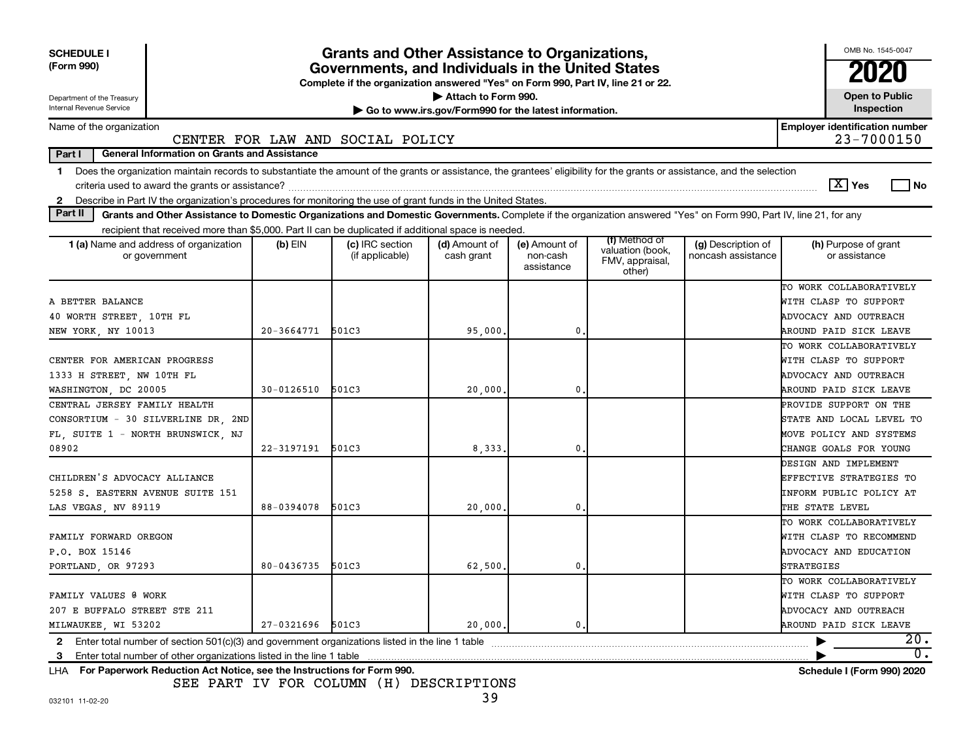| <b>SCHEDULE I</b><br>(Form 990)<br>Department of the Treasury                                                                                                                                                                                                                                                   |                | <b>Grants and Other Assistance to Organizations,</b><br>Governments, and Individuals in the United States<br>Complete if the organization answered "Yes" on Form 990, Part IV, line 21 or 22. | Attach to Form 990.                                   |                                         |                                                                |                                          | OMB No. 1545-0047<br><b>Open to Public</b>          |
|-----------------------------------------------------------------------------------------------------------------------------------------------------------------------------------------------------------------------------------------------------------------------------------------------------------------|----------------|-----------------------------------------------------------------------------------------------------------------------------------------------------------------------------------------------|-------------------------------------------------------|-----------------------------------------|----------------------------------------------------------------|------------------------------------------|-----------------------------------------------------|
| Internal Revenue Service                                                                                                                                                                                                                                                                                        |                |                                                                                                                                                                                               | Go to www.irs.gov/Form990 for the latest information. |                                         |                                                                |                                          | Inspection                                          |
| Name of the organization                                                                                                                                                                                                                                                                                        |                | CENTER FOR LAW AND SOCIAL POLICY                                                                                                                                                              |                                                       |                                         |                                                                |                                          | <b>Employer identification number</b><br>23-7000150 |
| <b>General Information on Grants and Assistance</b><br>Part I                                                                                                                                                                                                                                                   |                |                                                                                                                                                                                               |                                                       |                                         |                                                                |                                          |                                                     |
| Does the organization maintain records to substantiate the amount of the grants or assistance, the grantees' eligibility for the grants or assistance, and the selection<br>1.<br>Describe in Part IV the organization's procedures for monitoring the use of grant funds in the United States.<br>$\mathbf{2}$ |                |                                                                                                                                                                                               |                                                       |                                         |                                                                |                                          | $\boxed{\text{X}}$ Yes<br>l No                      |
| Part II<br>Grants and Other Assistance to Domestic Organizations and Domestic Governments. Complete if the organization answered "Yes" on Form 990, Part IV, line 21, for any                                                                                                                                   |                |                                                                                                                                                                                               |                                                       |                                         |                                                                |                                          |                                                     |
| recipient that received more than \$5,000. Part II can be duplicated if additional space is needed.                                                                                                                                                                                                             |                |                                                                                                                                                                                               |                                                       |                                         |                                                                |                                          |                                                     |
| 1 (a) Name and address of organization<br>or government                                                                                                                                                                                                                                                         | $(b)$ EIN      | (c) IRC section<br>(if applicable)                                                                                                                                                            | (d) Amount of<br>cash grant                           | (e) Amount of<br>non-cash<br>assistance | (f) Method of<br>valuation (book,<br>FMV, appraisal,<br>other) | (g) Description of<br>noncash assistance | (h) Purpose of grant<br>or assistance               |
|                                                                                                                                                                                                                                                                                                                 |                |                                                                                                                                                                                               |                                                       |                                         |                                                                |                                          | TO WORK COLLABORATIVELY                             |
| A BETTER BALANCE                                                                                                                                                                                                                                                                                                |                |                                                                                                                                                                                               |                                                       |                                         |                                                                |                                          | WITH CLASP TO SUPPORT                               |
| 40 WORTH STREET, 10TH FL                                                                                                                                                                                                                                                                                        |                |                                                                                                                                                                                               |                                                       |                                         |                                                                |                                          | ADVOCACY AND OUTREACH                               |
| NEW YORK, NY 10013                                                                                                                                                                                                                                                                                              | $20 - 3664771$ | 501C3                                                                                                                                                                                         | 95,000                                                | 0                                       |                                                                |                                          | AROUND PAID SICK LEAVE                              |
|                                                                                                                                                                                                                                                                                                                 |                |                                                                                                                                                                                               |                                                       |                                         |                                                                |                                          | TO WORK COLLABORATIVELY                             |
| CENTER FOR AMERICAN PROGRESS                                                                                                                                                                                                                                                                                    |                |                                                                                                                                                                                               |                                                       |                                         |                                                                |                                          | WITH CLASP TO SUPPORT                               |
| 1333 H STREET, NW 10TH FL                                                                                                                                                                                                                                                                                       |                |                                                                                                                                                                                               |                                                       |                                         |                                                                |                                          | ADVOCACY AND OUTREACH                               |
| WASHINGTON, DC 20005                                                                                                                                                                                                                                                                                            | $30 - 0126510$ | 501C3                                                                                                                                                                                         | 20,000                                                | $\mathbf{0}$                            |                                                                |                                          | AROUND PAID SICK LEAVE                              |
| CENTRAL JERSEY FAMILY HEALTH                                                                                                                                                                                                                                                                                    |                |                                                                                                                                                                                               |                                                       |                                         |                                                                |                                          | PROVIDE SUPPORT ON THE                              |
| CONSORTIUM - 30 SILVERLINE DR 2ND                                                                                                                                                                                                                                                                               |                |                                                                                                                                                                                               |                                                       |                                         |                                                                |                                          | STATE AND LOCAL LEVEL TO                            |
| FL, SUITE 1 - NORTH BRUNSWICK, NJ                                                                                                                                                                                                                                                                               |                |                                                                                                                                                                                               |                                                       |                                         |                                                                |                                          | MOVE POLICY AND SYSTEMS                             |
| 08902                                                                                                                                                                                                                                                                                                           | 22-3197191     | 501C3                                                                                                                                                                                         | 8,333                                                 | 0                                       |                                                                |                                          | CHANGE GOALS FOR YOUNG                              |
|                                                                                                                                                                                                                                                                                                                 |                |                                                                                                                                                                                               |                                                       |                                         |                                                                |                                          | DESIGN AND IMPLEMENT                                |
| CHILDREN'S ADVOCACY ALLIANCE                                                                                                                                                                                                                                                                                    |                |                                                                                                                                                                                               |                                                       |                                         |                                                                |                                          | EFFECTIVE STRATEGIES TO                             |
| 5258 S. EASTERN AVENUE SUITE 151                                                                                                                                                                                                                                                                                |                |                                                                                                                                                                                               |                                                       |                                         |                                                                |                                          | INFORM PUBLIC POLICY AT                             |
| LAS VEGAS, NV 89119                                                                                                                                                                                                                                                                                             | 88-0394078     | 501C3                                                                                                                                                                                         | 20,000                                                | 0                                       |                                                                |                                          | THE STATE LEVEL                                     |
|                                                                                                                                                                                                                                                                                                                 |                |                                                                                                                                                                                               |                                                       |                                         |                                                                |                                          | TO WORK COLLABORATIVELY                             |
| FAMILY FORWARD OREGON                                                                                                                                                                                                                                                                                           |                |                                                                                                                                                                                               |                                                       |                                         |                                                                |                                          | WITH CLASP TO RECOMMEND                             |
| P.O. BOX 15146                                                                                                                                                                                                                                                                                                  |                |                                                                                                                                                                                               |                                                       |                                         |                                                                |                                          | ADVOCACY AND EDUCATION                              |
| PORTLAND, OR 97293                                                                                                                                                                                                                                                                                              | 80-0436735     | 501C3                                                                                                                                                                                         | 62,500                                                | 0                                       |                                                                |                                          | STRATEGIES                                          |
|                                                                                                                                                                                                                                                                                                                 |                |                                                                                                                                                                                               |                                                       |                                         |                                                                |                                          | TO WORK COLLABORATIVELY                             |
| FAMILY VALUES @ WORK                                                                                                                                                                                                                                                                                            |                |                                                                                                                                                                                               |                                                       |                                         |                                                                |                                          | WITH CLASP TO SUPPORT                               |
| 207 E BUFFALO STREET STE 211                                                                                                                                                                                                                                                                                    |                |                                                                                                                                                                                               |                                                       |                                         |                                                                |                                          | ADVOCACY AND OUTREACH                               |
| MILWAUKEE, WI 53202                                                                                                                                                                                                                                                                                             | 27-0321696     | 501C3                                                                                                                                                                                         | 20,000,                                               | $\mathbf 0$ .                           |                                                                |                                          | AROUND PAID SICK LEAVE                              |
| Enter total number of section 501(c)(3) and government organizations listed in the line 1 table<br>2                                                                                                                                                                                                            |                |                                                                                                                                                                                               |                                                       |                                         |                                                                |                                          | 20.                                                 |
| 3                                                                                                                                                                                                                                                                                                               |                |                                                                                                                                                                                               |                                                       |                                         |                                                                |                                          | 0.                                                  |
| LHA For Paperwork Reduction Act Notice, see the Instructions for Form 990.                                                                                                                                                                                                                                      |                |                                                                                                                                                                                               |                                                       |                                         |                                                                |                                          | <b>Schedule I (Form 990) 2020</b>                   |

SEE PART IV FOR COLUMN (H) DESCRIPTIONS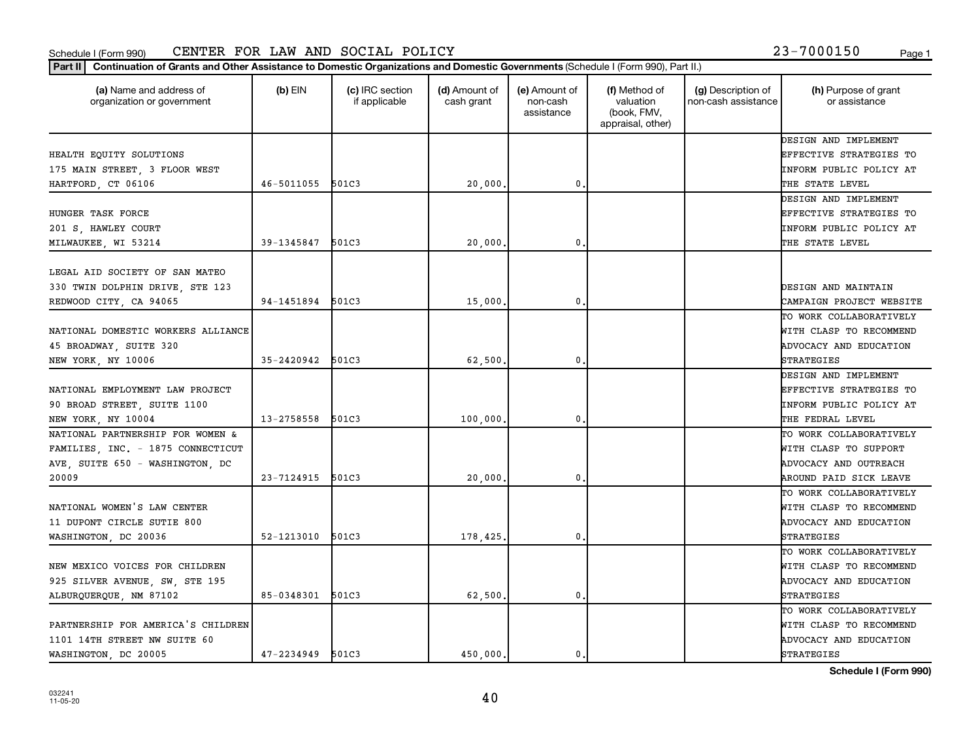#### Schedule I (Form 990) CENTER FOR LAW AND SOCIAL POLICY 23-7000150 <sub>Page 1</sub>

**Part II Continuation of Grants and Other Assistance to Domestic Organizations and Domestic Governments**  (Schedule I (Form 990), Part II.)

| (a) Name and address of<br>organization or government | $(b)$ EIN      | (c) IRC section<br>if applicable | (d) Amount of<br>cash grant | (e) Amount of<br>non-cash<br>assistance | (f) Method of<br>valuation<br>(book, FMV,<br>appraisal, other) | (g) Description of<br>non-cash assistance | (h) Purpose of grant<br>or assistance |
|-------------------------------------------------------|----------------|----------------------------------|-----------------------------|-----------------------------------------|----------------------------------------------------------------|-------------------------------------------|---------------------------------------|
|                                                       |                |                                  |                             |                                         |                                                                |                                           | DESIGN AND IMPLEMENT                  |
| HEALTH EQUITY SOLUTIONS                               |                |                                  |                             |                                         |                                                                |                                           | <b>EFFECTIVE STRATEGIES TO</b>        |
| 175 MAIN STREET, 3 FLOOR WEST                         |                |                                  |                             |                                         |                                                                |                                           | INFORM PUBLIC POLICY AT               |
| HARTFORD, CT 06106                                    | 46-5011055     | 501C3                            | 20,000                      | 0                                       |                                                                |                                           | THE STATE LEVEL                       |
|                                                       |                |                                  |                             |                                         |                                                                |                                           | DESIGN AND IMPLEMENT                  |
| HUNGER TASK FORCE                                     |                |                                  |                             |                                         |                                                                |                                           | <b>EFFECTIVE STRATEGIES TO</b>        |
| 201 S, HAWLEY COURT                                   |                |                                  |                             |                                         |                                                                |                                           | <b>INFORM PUBLIC POLICY AT</b>        |
| MILWAUKEE, WI 53214                                   | 39-1345847     | 501C3                            | 20,000                      | 0                                       |                                                                |                                           | THE STATE LEVEL                       |
|                                                       |                |                                  |                             |                                         |                                                                |                                           |                                       |
| LEGAL AID SOCIETY OF SAN MATEO                        |                |                                  |                             |                                         |                                                                |                                           |                                       |
| 330 TWIN DOLPHIN DRIVE, STE 123                       |                |                                  |                             |                                         |                                                                |                                           | DESIGN AND MAINTAIN                   |
| REDWOOD CITY, CA 94065                                | 94-1451894     | 501C3                            | 15,000                      | 0                                       |                                                                |                                           | CAMPAIGN PROJECT WEBSITE              |
|                                                       |                |                                  |                             |                                         |                                                                |                                           | TO WORK COLLABORATIVELY               |
| NATIONAL DOMESTIC WORKERS ALLIANCE                    |                |                                  |                             |                                         |                                                                |                                           | WITH CLASP TO RECOMMEND               |
| 45 BROADWAY, SUITE 320                                |                |                                  |                             |                                         |                                                                |                                           | ADVOCACY AND EDUCATION                |
| NEW YORK, NY 10006                                    | 35-2420942     | 501C3                            | 62,500                      | 0                                       |                                                                |                                           | <b>STRATEGIES</b>                     |
|                                                       |                |                                  |                             |                                         |                                                                |                                           | DESIGN AND IMPLEMENT                  |
| NATIONAL EMPLOYMENT LAW PROJECT                       |                |                                  |                             |                                         |                                                                |                                           | <b>EFFECTIVE STRATEGIES TO</b>        |
| 90 BROAD STREET, SUITE 1100                           |                |                                  |                             |                                         |                                                                |                                           | INFORM PUBLIC POLICY AT               |
| NEW YORK, NY 10004                                    | 13-2758558     | 501C3                            | 100,000                     | 0                                       |                                                                |                                           | THE FEDRAL LEVEL                      |
| NATIONAL PARTNERSHIP FOR WOMEN &                      |                |                                  |                             |                                         |                                                                |                                           | TO WORK COLLABORATIVELY               |
| FAMILIES, INC. - 1875 CONNECTICUT                     |                |                                  |                             |                                         |                                                                |                                           | WITH CLASP TO SUPPORT                 |
| AVE, SUITE 650 - WASHINGTON, DC                       |                |                                  |                             |                                         |                                                                |                                           | ADVOCACY AND OUTREACH                 |
| 20009                                                 | 23-7124915     | 501C3                            | 20,000                      | 0                                       |                                                                |                                           | AROUND PAID SICK LEAVE                |
|                                                       |                |                                  |                             |                                         |                                                                |                                           | TO WORK COLLABORATIVELY               |
| NATIONAL WOMEN'S LAW CENTER                           |                |                                  |                             |                                         |                                                                |                                           | WITH CLASP TO RECOMMEND               |
| 11 DUPONT CIRCLE SUTIE 800                            |                |                                  |                             |                                         |                                                                |                                           | ADVOCACY AND EDUCATION                |
| WASHINGTON, DC 20036                                  | 52-1213010     | 501C3                            | 178,425                     | 0                                       |                                                                |                                           | <b>STRATEGIES</b>                     |
|                                                       |                |                                  |                             |                                         |                                                                |                                           | TO WORK COLLABORATIVELY               |
| NEW MEXICO VOICES FOR CHILDREN                        |                |                                  |                             |                                         |                                                                |                                           | WITH CLASP TO RECOMMEND               |
| 925 SILVER AVENUE, SW, STE 195                        |                |                                  |                             |                                         |                                                                |                                           | ADVOCACY AND EDUCATION                |
| ALBURQUERQUE, NM 87102                                | 85-0348301     | 501C3                            | 62,500                      | 0                                       |                                                                |                                           | <b>STRATEGIES</b>                     |
|                                                       |                |                                  |                             |                                         |                                                                |                                           | TO WORK COLLABORATIVELY               |
| PARTNERSHIP FOR AMERICA'S CHILDREN                    |                |                                  |                             |                                         |                                                                |                                           | WITH CLASP TO RECOMMEND               |
| 1101 14TH STREET NW SUITE 60                          |                |                                  |                             |                                         |                                                                |                                           | ADVOCACY AND EDUCATION                |
| WASHINGTON, DC 20005                                  | $47 - 2234949$ | 501C3                            | 450,000.                    | 0.                                      |                                                                |                                           | <b>STRATEGIES</b>                     |

**Schedule I (Form 990)**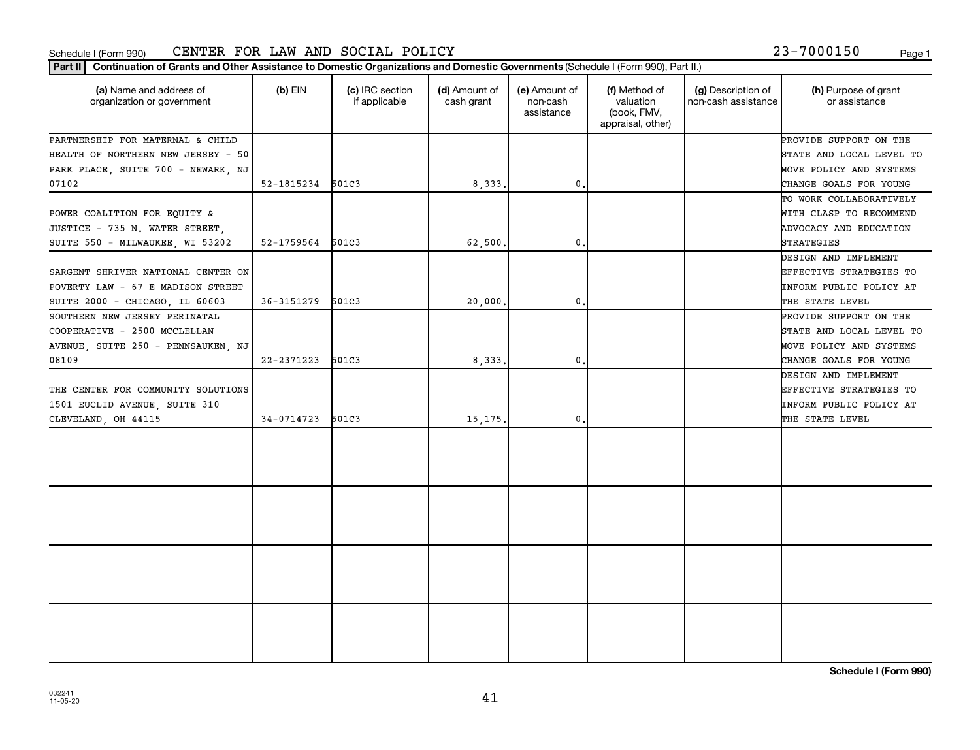#### Schedule I (Form 990) Page 1 CENTER FOR LAW AND SOCIAL POLICY 23-7000150

| 23-7000150 |  |  |  |  | Page |
|------------|--|--|--|--|------|
|            |  |  |  |  |      |

| (a) Name and address of<br>organization or government | $(b)$ EIN        | (c) IRC section<br>if applicable | (d) Amount of<br>cash grant | (e) Amount of<br>non-cash<br>assistance | (f) Method of<br>valuation<br>(book, FMV,<br>appraisal, other) | (g) Description of<br>non-cash assistance | (h) Purpose of grant<br>or assistance |
|-------------------------------------------------------|------------------|----------------------------------|-----------------------------|-----------------------------------------|----------------------------------------------------------------|-------------------------------------------|---------------------------------------|
| PARTNERSHIP FOR MATERNAL & CHILD                      |                  |                                  |                             |                                         |                                                                |                                           | PROVIDE SUPPORT ON THE                |
| HEALTH OF NORTHERN NEW JERSEY - 50                    |                  |                                  |                             |                                         |                                                                |                                           | STATE AND LOCAL LEVEL TO              |
| PARK PLACE, SUITE 700 - NEWARK, NJ                    |                  |                                  |                             |                                         |                                                                |                                           | MOVE POLICY AND SYSTEMS               |
| 07102                                                 | 52-1815234 501C3 |                                  | 8,333.                      | 0                                       |                                                                |                                           | CHANGE GOALS FOR YOUNG                |
|                                                       |                  |                                  |                             |                                         |                                                                |                                           | TO WORK COLLABORATIVELY               |
| POWER COALITION FOR EQUITY &                          |                  |                                  |                             |                                         |                                                                |                                           | WITH CLASP TO RECOMMEND               |
| JUSTICE - 735 N. WATER STREET.                        |                  |                                  |                             |                                         |                                                                |                                           | ADVOCACY AND EDUCATION                |
| SUITE 550 - MILWAUKEE, WI 53202                       | 52-1759564 501C3 |                                  | 62,500.                     | $\mathbf{0}$                            |                                                                |                                           | STRATEGIES                            |
|                                                       |                  |                                  |                             |                                         |                                                                |                                           | DESIGN AND IMPLEMENT                  |
| SARGENT SHRIVER NATIONAL CENTER ON                    |                  |                                  |                             |                                         |                                                                |                                           | EFFECTIVE STRATEGIES TO               |
| POVERTY LAW - 67 E MADISON STREET                     |                  |                                  |                             |                                         |                                                                |                                           | INFORM PUBLIC POLICY AT               |
| SUITE 2000 - CHICAGO, IL 60603                        | 36-3151279       | 501C3                            | 20,000.                     | $\mathbf{0}$ .                          |                                                                |                                           | THE STATE LEVEL                       |
| SOUTHERN NEW JERSEY PERINATAL                         |                  |                                  |                             |                                         |                                                                |                                           | PROVIDE SUPPORT ON THE                |
| COOPERATIVE - 2500 MCCLELLAN                          |                  |                                  |                             |                                         |                                                                |                                           | STATE AND LOCAL LEVEL TO              |
| AVENUE SUITE 250 - PENNSAUKEN NJ                      |                  |                                  |                             |                                         |                                                                |                                           | MOVE POLICY AND SYSTEMS               |
| 08109                                                 | 22-2371223       | 501C3                            | 8,333.                      | 0.                                      |                                                                |                                           | CHANGE GOALS FOR YOUNG                |
|                                                       |                  |                                  |                             |                                         |                                                                |                                           | DESIGN AND IMPLEMENT                  |
| THE CENTER FOR COMMUNITY SOLUTIONS                    |                  |                                  |                             |                                         |                                                                |                                           | EFFECTIVE STRATEGIES TO               |
| 1501 EUCLID AVENUE, SUITE 310                         |                  |                                  |                             |                                         |                                                                |                                           | INFORM PUBLIC POLICY AT               |
| CLEVELAND, OH 44115                                   | 34-0714723       | 501C3                            | 15, 175.                    | 0                                       |                                                                |                                           | THE STATE LEVEL                       |
|                                                       |                  |                                  |                             |                                         |                                                                |                                           |                                       |
|                                                       |                  |                                  |                             |                                         |                                                                |                                           |                                       |
|                                                       |                  |                                  |                             |                                         |                                                                |                                           |                                       |

**Schedule I (Form 990)**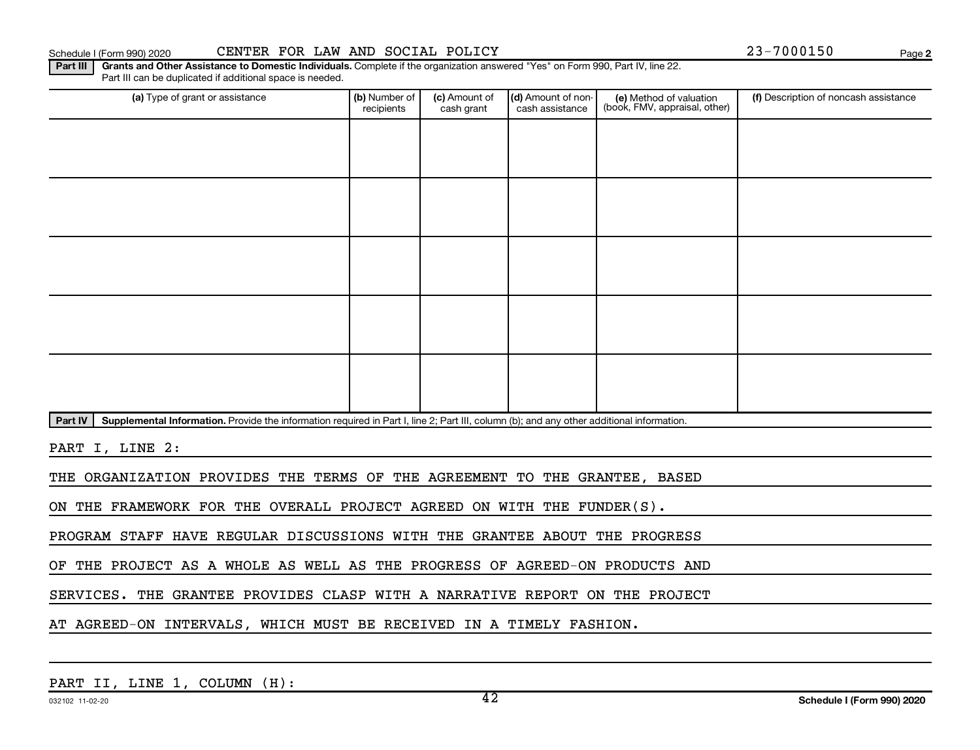Schedule I (Form 990) 2020 CENTER FOR LAW AND SOCIAL POLICY 23-7000150 Page

**2**

Part III | Grants and Other Assistance to Domestic Individuals. Complete if the organization answered "Yes" on Form 990, Part IV, line 22. Part III can be duplicated if additional space is needed.

| (a) Type of grant or assistance                                                                                                                      | (b) Number of<br>recipients | (c) Amount of<br>cash grant | (d) Amount of non-<br>cash assistance | (e) Method of valuation<br>(book, FMV, appraisal, other) | (f) Description of noncash assistance |
|------------------------------------------------------------------------------------------------------------------------------------------------------|-----------------------------|-----------------------------|---------------------------------------|----------------------------------------------------------|---------------------------------------|
|                                                                                                                                                      |                             |                             |                                       |                                                          |                                       |
|                                                                                                                                                      |                             |                             |                                       |                                                          |                                       |
|                                                                                                                                                      |                             |                             |                                       |                                                          |                                       |
|                                                                                                                                                      |                             |                             |                                       |                                                          |                                       |
|                                                                                                                                                      |                             |                             |                                       |                                                          |                                       |
|                                                                                                                                                      |                             |                             |                                       |                                                          |                                       |
|                                                                                                                                                      |                             |                             |                                       |                                                          |                                       |
|                                                                                                                                                      |                             |                             |                                       |                                                          |                                       |
|                                                                                                                                                      |                             |                             |                                       |                                                          |                                       |
|                                                                                                                                                      |                             |                             |                                       |                                                          |                                       |
| Part IV<br>Supplemental Information. Provide the information required in Part I, line 2; Part III, column (b); and any other additional information. |                             |                             |                                       |                                                          |                                       |
| PART I, LINE 2:                                                                                                                                      |                             |                             |                                       |                                                          |                                       |
| THE ORGANIZATION PROVIDES THE TERMS OF THE AGREEMENT TO THE GRANTEE, BASED                                                                           |                             |                             |                                       |                                                          |                                       |
| ON THE FRAMEWORK FOR THE OVERALL PROJECT AGREED ON WITH THE FUNDER(S).                                                                               |                             |                             |                                       |                                                          |                                       |
| PROGRAM STAFF HAVE REGULAR DISCUSSIONS WITH THE GRANTEE ABOUT THE PROGRESS                                                                           |                             |                             |                                       |                                                          |                                       |
| OF THE PROJECT AS A WHOLE AS WELL AS THE PROGRESS OF AGREED-ON PRODUCTS AND                                                                          |                             |                             |                                       |                                                          |                                       |

SERVICES. THE GRANTEE PROVIDES CLASP WITH A NARRATIVE REPORT ON THE PROJECT

AT AGREED-ON INTERVALS, WHICH MUST BE RECEIVED IN A TIMELY FASHION.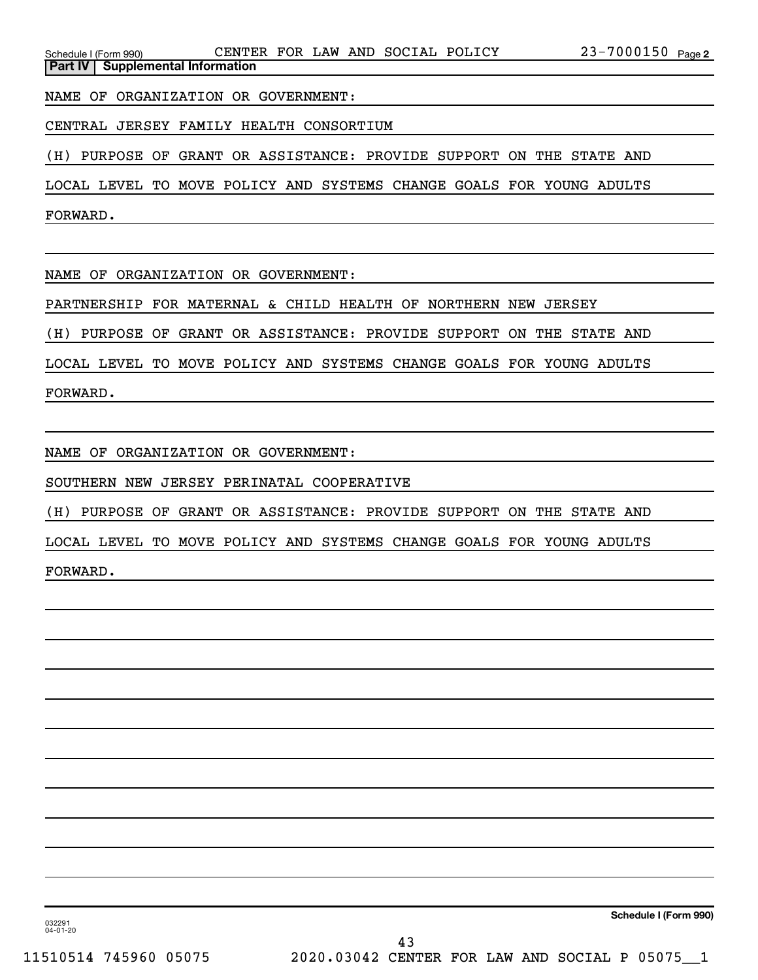NAME OF ORGANIZATION OR GOVERNMENT:

CENTRAL JERSEY FAMILY HEALTH CONSORTIUM

(H) PURPOSE OF GRANT OR ASSISTANCE: PROVIDE SUPPORT ON THE STATE AND

LOCAL LEVEL TO MOVE POLICY AND SYSTEMS CHANGE GOALS FOR YOUNG ADULTS

FORWARD.

NAME OF ORGANIZATION OR GOVERNMENT:

PARTNERSHIP FOR MATERNAL & CHILD HEALTH OF NORTHERN NEW JERSEY

(H) PURPOSE OF GRANT OR ASSISTANCE: PROVIDE SUPPORT ON THE STATE AND

LOCAL LEVEL TO MOVE POLICY AND SYSTEMS CHANGE GOALS FOR YOUNG ADULTS

FORWARD.

NAME OF ORGANIZATION OR GOVERNMENT:

SOUTHERN NEW JERSEY PERINATAL COOPERATIVE

(H) PURPOSE OF GRANT OR ASSISTANCE: PROVIDE SUPPORT ON THE STATE AND

LOCAL LEVEL TO MOVE POLICY AND SYSTEMS CHANGE GOALS FOR YOUNG ADULTS

FORWARD.

**Schedule I (Form 990)**

032291 04-01-20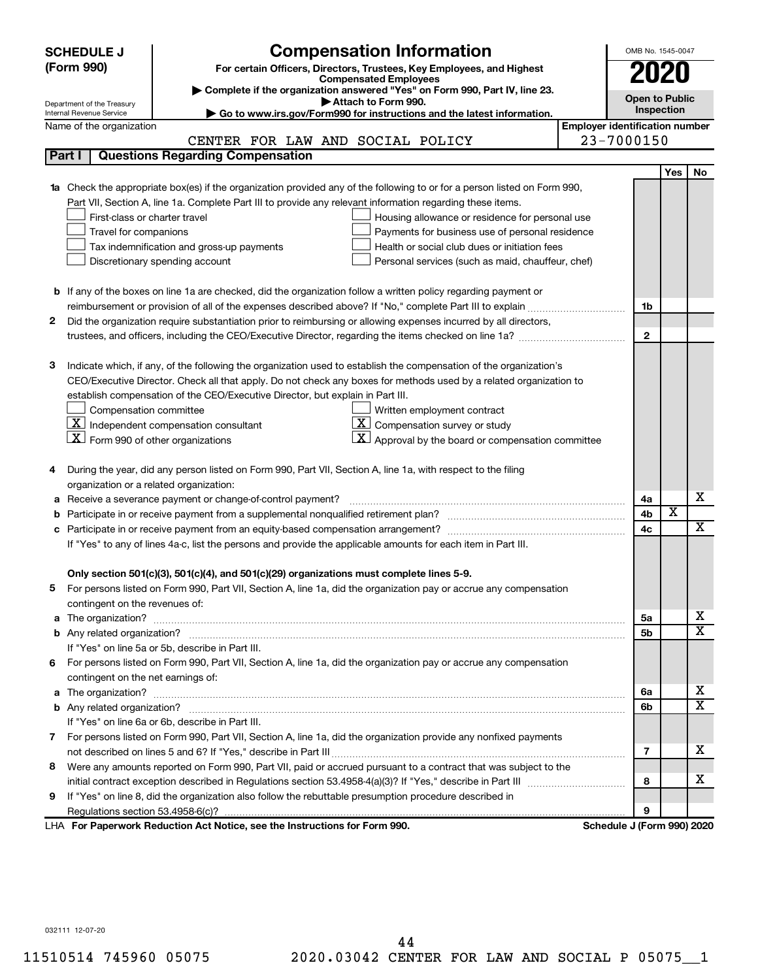|   | <b>SCHEDULE J</b>                                      | <b>Compensation Information</b>                                                                                        |                                       | OMB No. 1545-0047          |                         |                         |
|---|--------------------------------------------------------|------------------------------------------------------------------------------------------------------------------------|---------------------------------------|----------------------------|-------------------------|-------------------------|
|   | (Form 990)                                             | For certain Officers, Directors, Trustees, Key Employees, and Highest                                                  |                                       |                            |                         |                         |
|   |                                                        | <b>Compensated Employees</b>                                                                                           |                                       | 2020                       |                         |                         |
|   |                                                        | Complete if the organization answered "Yes" on Form 990, Part IV, line 23.<br>Attach to Form 990.                      |                                       | <b>Open to Public</b>      |                         |                         |
|   | Department of the Treasury<br>Internal Revenue Service | Go to www.irs.gov/Form990 for instructions and the latest information.                                                 |                                       | Inspection                 |                         |                         |
|   | Name of the organization                               |                                                                                                                        | <b>Employer identification number</b> |                            |                         |                         |
|   |                                                        | CENTER FOR LAW AND SOCIAL POLICY                                                                                       |                                       | 23-7000150                 |                         |                         |
|   | Part I                                                 | <b>Questions Regarding Compensation</b>                                                                                |                                       |                            |                         |                         |
|   |                                                        |                                                                                                                        |                                       |                            | Yes                     | <b>No</b>               |
|   |                                                        | Check the appropriate box(es) if the organization provided any of the following to or for a person listed on Form 990, |                                       |                            |                         |                         |
|   |                                                        | Part VII, Section A, line 1a. Complete Part III to provide any relevant information regarding these items.             |                                       |                            |                         |                         |
|   | First-class or charter travel                          | Housing allowance or residence for personal use                                                                        |                                       |                            |                         |                         |
|   | Travel for companions                                  | Payments for business use of personal residence                                                                        |                                       |                            |                         |                         |
|   |                                                        | Health or social club dues or initiation fees<br>Tax indemnification and gross-up payments                             |                                       |                            |                         |                         |
|   |                                                        | Discretionary spending account<br>Personal services (such as maid, chauffeur, chef)                                    |                                       |                            |                         |                         |
|   |                                                        |                                                                                                                        |                                       |                            |                         |                         |
|   |                                                        | <b>b</b> If any of the boxes on line 1a are checked, did the organization follow a written policy regarding payment or |                                       |                            |                         |                         |
|   |                                                        |                                                                                                                        |                                       | 1b                         |                         |                         |
| 2 |                                                        | Did the organization require substantiation prior to reimbursing or allowing expenses incurred by all directors,       |                                       |                            |                         |                         |
|   |                                                        |                                                                                                                        |                                       | $\mathbf{2}$               |                         |                         |
|   |                                                        |                                                                                                                        |                                       |                            |                         |                         |
| З |                                                        | Indicate which, if any, of the following the organization used to establish the compensation of the organization's     |                                       |                            |                         |                         |
|   |                                                        | CEO/Executive Director. Check all that apply. Do not check any boxes for methods used by a related organization to     |                                       |                            |                         |                         |
|   |                                                        | establish compensation of the CEO/Executive Director, but explain in Part III.                                         |                                       |                            |                         |                         |
|   | Compensation committee                                 | Written employment contract                                                                                            |                                       |                            |                         |                         |
|   |                                                        | $ \underline{\mathbf{X}} $ Independent compensation consultant<br>$ \mathbf{X} $ Compensation survey or study          |                                       |                            |                         |                         |
|   | $ \mathbf{X} $ Form 990 of other organizations         | $\mathbf{X}$ Approval by the board or compensation committee                                                           |                                       |                            |                         |                         |
|   |                                                        |                                                                                                                        |                                       |                            |                         |                         |
|   |                                                        | During the year, did any person listed on Form 990, Part VII, Section A, line 1a, with respect to the filing           |                                       |                            |                         |                         |
|   | organization or a related organization:                |                                                                                                                        |                                       |                            |                         |                         |
| а |                                                        | Receive a severance payment or change-of-control payment?                                                              |                                       | 4a                         |                         | х                       |
| b |                                                        |                                                                                                                        |                                       | 4b                         | $\overline{\textbf{x}}$ | $\overline{\textbf{X}}$ |
|   |                                                        |                                                                                                                        |                                       | 4c                         |                         |                         |
|   |                                                        | If "Yes" to any of lines 4a-c, list the persons and provide the applicable amounts for each item in Part III.          |                                       |                            |                         |                         |
|   |                                                        |                                                                                                                        |                                       |                            |                         |                         |
|   |                                                        | Only section 501(c)(3), 501(c)(4), and 501(c)(29) organizations must complete lines 5-9.                               |                                       |                            |                         |                         |
|   |                                                        | For persons listed on Form 990, Part VII, Section A, line 1a, did the organization pay or accrue any compensation      |                                       |                            |                         |                         |
|   | contingent on the revenues of:                         |                                                                                                                        |                                       |                            |                         | x                       |
| a |                                                        |                                                                                                                        |                                       | 5а<br>5b                   |                         | $\overline{\mathtt{x}}$ |
|   |                                                        | If "Yes" on line 5a or 5b, describe in Part III.                                                                       |                                       |                            |                         |                         |
|   |                                                        | 6 For persons listed on Form 990, Part VII, Section A, line 1a, did the organization pay or accrue any compensation    |                                       |                            |                         |                         |
|   | contingent on the net earnings of:                     |                                                                                                                        |                                       |                            |                         |                         |
| a |                                                        |                                                                                                                        |                                       | 6a                         |                         | x                       |
|   |                                                        |                                                                                                                        |                                       | 6b                         |                         | $\overline{\mathtt{x}}$ |
|   |                                                        | If "Yes" on line 6a or 6b, describe in Part III.                                                                       |                                       |                            |                         |                         |
|   |                                                        | 7 For persons listed on Form 990, Part VII, Section A, line 1a, did the organization provide any nonfixed payments     |                                       |                            |                         |                         |
|   |                                                        |                                                                                                                        |                                       | 7                          |                         | x                       |
| 8 |                                                        | Were any amounts reported on Form 990, Part VII, paid or accrued pursuant to a contract that was subject to the        |                                       |                            |                         |                         |
|   |                                                        |                                                                                                                        |                                       | 8                          |                         | x                       |
| 9 |                                                        | If "Yes" on line 8, did the organization also follow the rebuttable presumption procedure described in                 |                                       |                            |                         |                         |
|   |                                                        |                                                                                                                        |                                       | 9                          |                         |                         |
|   |                                                        | LHA For Paperwork Reduction Act Notice, see the Instructions for Form 990.                                             |                                       | Schedule J (Form 990) 2020 |                         |                         |

032111 12-07-20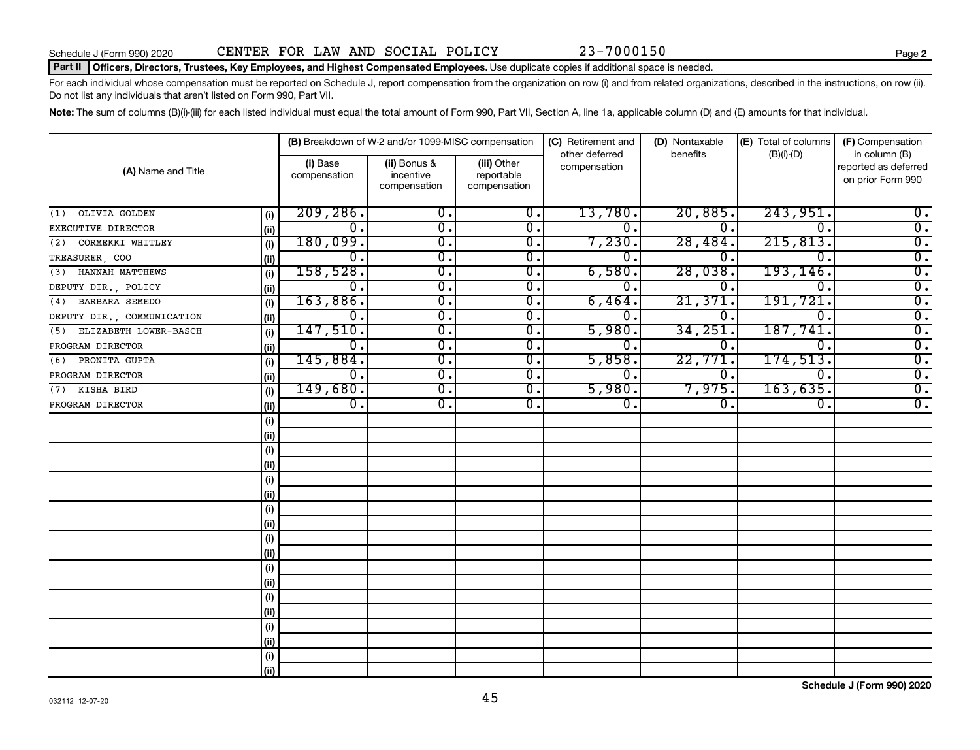#### Part II | Officers, Directors, Trustees, Key Employees, and Highest Compensated Employees. Use duplicate copies if additional space is needed.

For each individual whose compensation must be reported on Schedule J, report compensation from the organization on row (i) and from related organizations, described in the instructions, on row (ii). Do not list any individuals that aren't listed on Form 990, Part VII.

Note: The sum of columns (B)(i)-(iii) for each listed individual must equal the total amount of Form 990, Part VII, Section A, line 1a, applicable column (D) and (E) amounts for that individual.

|                              |      |                           | (B) Breakdown of W-2 and/or 1099-MISC compensation |                                           | (C) Retirement and             | (D) Nontaxable   | (E) Total of columns | (F) Compensation                                           |
|------------------------------|------|---------------------------|----------------------------------------------------|-------------------------------------------|--------------------------------|------------------|----------------------|------------------------------------------------------------|
| (A) Name and Title           |      | (i) Base<br>compensation  | (ii) Bonus &<br>incentive<br>compensation          | (iii) Other<br>reportable<br>compensation | other deferred<br>compensation | benefits         | $(B)(i)$ - $(D)$     | in column (B)<br>reported as deferred<br>on prior Form 990 |
| OLIVIA GOLDEN<br>(1)         | (i)  | 209, 286.                 | $\overline{\mathbf{0}}$ .                          | $\overline{\mathbf{0}}$ .                 | 13,780.                        | 20,885.          | 243,951              | $\overline{0}$ .                                           |
| EXECUTIVE DIRECTOR           | (i)  | σ.                        | $\overline{\mathfrak{o}}$ .                        | $\overline{\mathfrak{o}}$ .               | $\overline{0}$ .               | $\overline{0}$ . | $\overline{0}$       | $\overline{0}$ .                                           |
| CORMEKKI WHITLEY<br>(2)      | (i)  | 180,099.                  | $\overline{\mathfrak{o}}$ .                        | $\overline{0}$ .                          | 7,230.                         | 28,484.          | 215,813.             | $\overline{0}$ .                                           |
| TREASURER, COO               | (ii) | σ.                        | $\overline{\mathfrak{o}}$ .                        | $\overline{0}$ .                          | 0.                             | 0.               | $\overline{0}$       | $\overline{0}$ .                                           |
| HANNAH MATTHEWS<br>(3)       | (i)  | 158,528.                  | $\overline{\mathfrak{o}}$ .                        | $\overline{0}$ .                          | 6,580.                         | 28,038.          | 193, 146.            | $\overline{0}$ .                                           |
| DEPUTY DIR., POLICY          | (ii) | σ.                        | $\overline{\mathfrak{o}}$ .                        | $\overline{0}$ .                          | 0.                             | 0.               | $\overline{0}$       | $\overline{0}$ .                                           |
| BARBARA SEMEDO<br>(4)        | (i)  | 163,886.                  | $\overline{\mathfrak{o}}$ .                        | $\overline{0}$ .                          | 6,464.                         | 21,371           | 191,721              | $\overline{0}$ .                                           |
| DEPUTY DIR., COMMUNICATION   | (ii) | 0.                        | $\overline{\mathfrak{o}}$ .                        | $\overline{0}$ .                          | 0.                             | 0.               | $\overline{0}$       | $\overline{0}$ .                                           |
| ELIZABETH LOWER-BASCH<br>(5) | (i)  | 147,510.                  | $\overline{\mathfrak{o}}$ .                        | $\overline{0}$ .                          | 5,980                          | 34,251           | 187,741              | $\overline{0}$ .                                           |
| PROGRAM DIRECTOR             | (ii) | 0.                        | $\overline{\mathfrak{o}}$ .                        | $\overline{0}$ .                          | $\overline{0}$ .               | 0.               | $\overline{0}$       | $\overline{0}$ .                                           |
| PRONITA GUPTA<br>(6)         | (i)  | 145,884.                  | $\overline{\mathfrak{o}}$ .                        | $\overline{0}$ .                          | 5,858                          | 22,771.          | 174, 513.            | $\overline{0}$ .                                           |
| PROGRAM DIRECTOR             | (ii) | 0.                        | $\overline{\mathfrak{o}}$ .                        | $\overline{0}$ .                          | 0.                             | $\overline{0}$ . | $\overline{0}$       | $\overline{0}$ .                                           |
| KISHA BIRD<br>(7)            | (i)  | 149,680.                  | $\overline{0}$ .                                   | $\overline{0}$ .                          | 5,980.                         | 7,975.           | 163,635.             | $\overline{0}$ .                                           |
| PROGRAM DIRECTOR             | (i)  | $\overline{\mathbf{0}}$ . | 0.                                                 | $\overline{0}$ .                          | $\overline{0}$ .               | $\overline{0}$ . | 0.                   | $\overline{0}$ .                                           |
|                              | (i)  |                           |                                                    |                                           |                                |                  |                      |                                                            |
|                              | (i)  |                           |                                                    |                                           |                                |                  |                      |                                                            |
|                              | (i)  |                           |                                                    |                                           |                                |                  |                      |                                                            |
|                              | (i)  |                           |                                                    |                                           |                                |                  |                      |                                                            |
|                              | (i)  |                           |                                                    |                                           |                                |                  |                      |                                                            |
|                              | (i)  |                           |                                                    |                                           |                                |                  |                      |                                                            |
|                              | (i)  |                           |                                                    |                                           |                                |                  |                      |                                                            |
|                              | (i)  |                           |                                                    |                                           |                                |                  |                      |                                                            |
|                              | (i)  |                           |                                                    |                                           |                                |                  |                      |                                                            |
|                              | (i)  |                           |                                                    |                                           |                                |                  |                      |                                                            |
|                              | (i)  |                           |                                                    |                                           |                                |                  |                      |                                                            |
|                              | (i)  |                           |                                                    |                                           |                                |                  |                      |                                                            |
|                              | (i)  |                           |                                                    |                                           |                                |                  |                      |                                                            |
|                              | (ii) |                           |                                                    |                                           |                                |                  |                      |                                                            |
|                              | (i)  |                           |                                                    |                                           |                                |                  |                      |                                                            |
|                              | (i)  |                           |                                                    |                                           |                                |                  |                      |                                                            |
|                              | (i)  |                           |                                                    |                                           |                                |                  |                      |                                                            |
|                              | (ii) |                           |                                                    |                                           |                                |                  |                      |                                                            |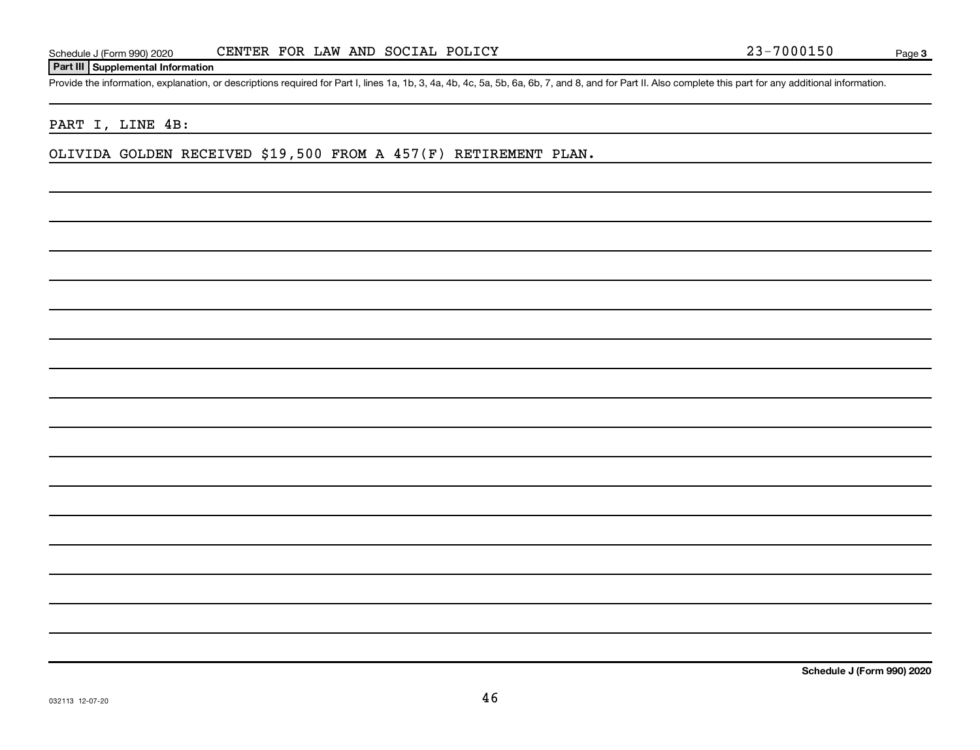#### **Part III Supplemental Information**

Provide the information, explanation, or descriptions required for Part I, lines 1a, 1b, 3, 4a, 4b, 4c, 5a, 5b, 6a, 6b, 7, and 8, and for Part II. Also complete this part for any additional information.

#### PART I, LINE 4B:

OLIVIDA GOLDEN RECEIVED \$19,500 FROM A 457(F) RETIREMENT PLAN.

**Schedule J (Form 990) 2020**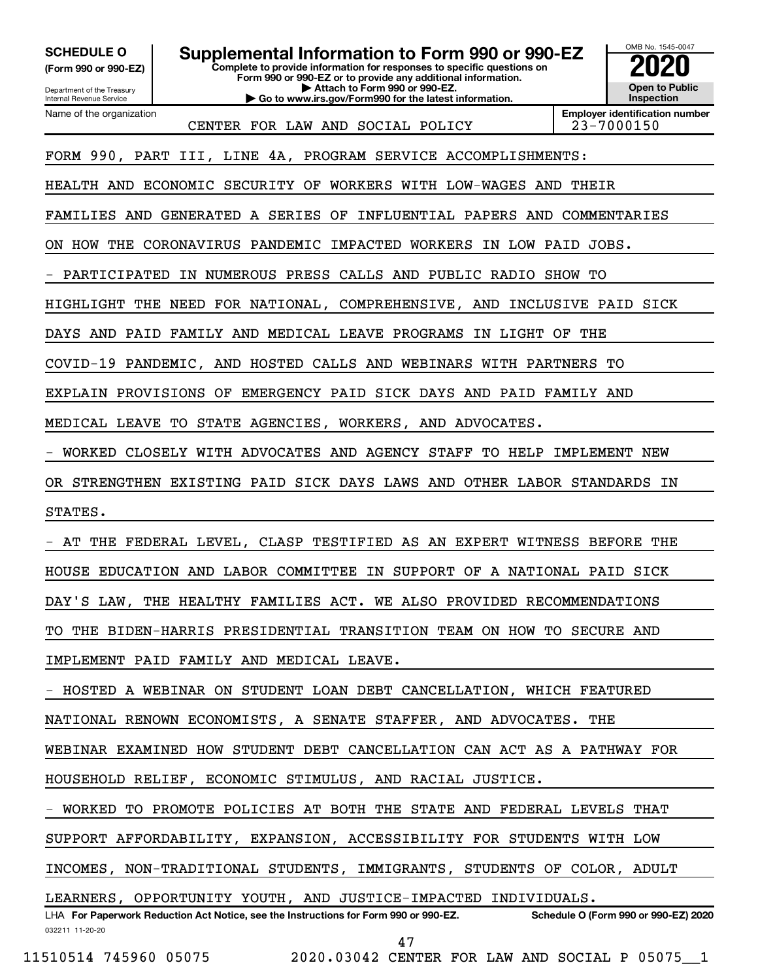**(Form 990 or 990-EZ)**

**SCHEDULE O Supplemental Information to Form 990 or 990-EZ 2020**<br>(Form 990 or 990-EZ) **2020** 

**Complete to provide information for responses to specific questions on Form 990 or 990-EZ or to provide any additional information. | Attach to Form 990 or 990-EZ. | Go to www.irs.gov/Form990 for the latest information.**

Department of the Treasury Internal Revenue Service Name of the organization

CENTER FOR LAW AND SOCIAL POLICY 23-7000150

**Employer identification number**

OMB No. 1545-0047

**Open to Public Inspection**

FORM 990, PART III, LINE 4A, PROGRAM SERVICE ACCOMPLISHMENTS:

HEALTH AND ECONOMIC SECURITY OF WORKERS WITH LOW-WAGES AND THEIR

FAMILIES AND GENERATED A SERIES OF INFLUENTIAL PAPERS AND COMMENTARIES

ON HOW THE CORONAVIRUS PANDEMIC IMPACTED WORKERS IN LOW PAID JOBS.

PARTICIPATED IN NUMEROUS PRESS CALLS AND PUBLIC RADIO SHOW TO

HIGHLIGHT THE NEED FOR NATIONAL, COMPREHENSIVE, AND INCLUSIVE PAID SICK

DAYS AND PAID FAMILY AND MEDICAL LEAVE PROGRAMS IN LIGHT OF THE

COVID-19 PANDEMIC, AND HOSTED CALLS AND WEBINARS WITH PARTNERS TO

EXPLAIN PROVISIONS OF EMERGENCY PAID SICK DAYS AND PAID FAMILY AND

MEDICAL LEAVE TO STATE AGENCIES, WORKERS, AND ADVOCATES.

- WORKED CLOSELY WITH ADVOCATES AND AGENCY STAFF TO HELP IMPLEMENT NEW

OR STRENGTHEN EXISTING PAID SICK DAYS LAWS AND OTHER LABOR STANDARDS IN

STATES.

AT THE FEDERAL LEVEL, CLASP TESTIFIED AS AN EXPERT WITNESS BEFORE THE

HOUSE EDUCATION AND LABOR COMMITTEE IN SUPPORT OF A NATIONAL PAID SICK

DAY'S LAW, THE HEALTHY FAMILIES ACT. WE ALSO PROVIDED RECOMMENDATIONS

TO THE BIDEN-HARRIS PRESIDENTIAL TRANSITION TEAM ON HOW TO SECURE AND

IMPLEMENT PAID FAMILY AND MEDICAL LEAVE.

- HOSTED A WEBINAR ON STUDENT LOAN DEBT CANCELLATION, WHICH FEATURED

NATIONAL RENOWN ECONOMISTS, A SENATE STAFFER, AND ADVOCATES. THE

WEBINAR EXAMINED HOW STUDENT DEBT CANCELLATION CAN ACT AS A PATHWAY FOR

HOUSEHOLD RELIEF, ECONOMIC STIMULUS, AND RACIAL JUSTICE.

- WORKED TO PROMOTE POLICIES AT BOTH THE STATE AND FEDERAL LEVELS THAT

SUPPORT AFFORDABILITY, EXPANSION, ACCESSIBILITY FOR STUDENTS WITH LOW

INCOMES, NON-TRADITIONAL STUDENTS, IMMIGRANTS, STUDENTS OF COLOR, ADULT

LEARNERS, OPPORTUNITY YOUTH, AND JUSTICE-IMPACTED INDIVIDUALS.

032211 11-20-20 **For Paperwork Reduction Act Notice, see the Instructions for Form 990 or 990-EZ. Schedule O (Form 990 or 990-EZ) 2020** LHA 47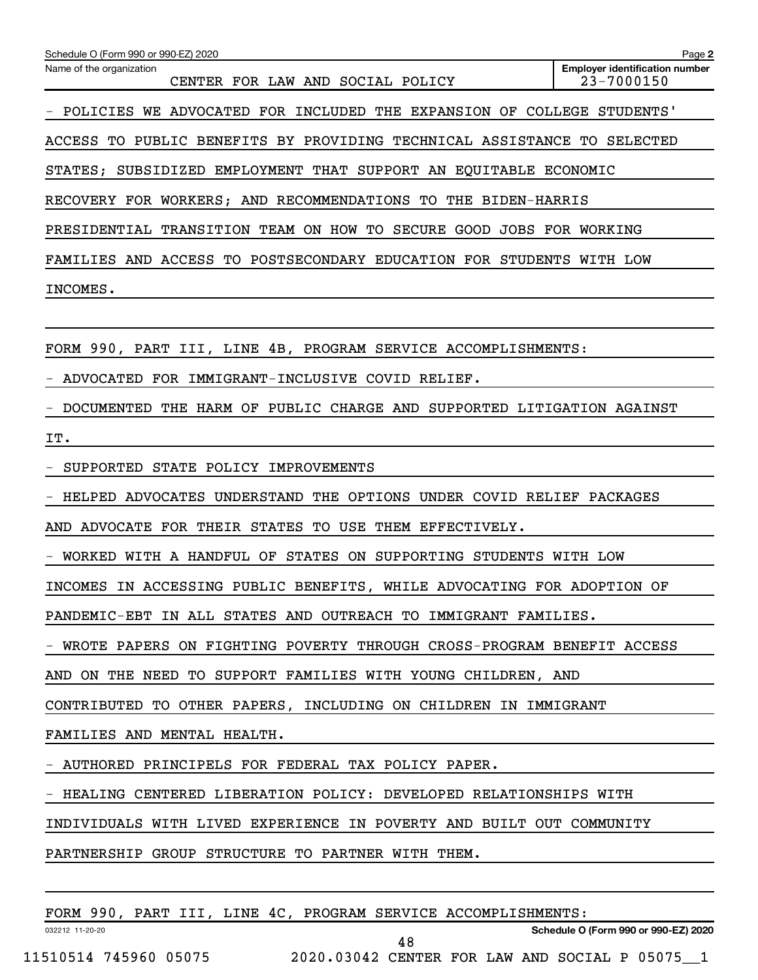| Schedule O (Form 990 or 990-EZ) 2020                                    | Page 2                                              |
|-------------------------------------------------------------------------|-----------------------------------------------------|
| Name of the organization<br>CENTER FOR LAW AND SOCIAL POLICY            | <b>Employer identification number</b><br>23-7000150 |
| POLICIES WE ADVOCATED FOR INCLUDED THE EXPANSION OF COLLEGE STUDENTS'   |                                                     |
| ACCESS TO PUBLIC BENEFITS BY PROVIDING TECHNICAL ASSISTANCE TO SELECTED |                                                     |
| STATES; SUBSIDIZED EMPLOYMENT THAT SUPPORT AN EQUITABLE ECONOMIC        |                                                     |
| RECOVERY FOR WORKERS; AND RECOMMENDATIONS TO THE BIDEN-HARRIS           |                                                     |
| PRESIDENTIAL TRANSITION TEAM ON HOW TO SECURE GOOD JOBS FOR WORKING     |                                                     |
| FAMILIES AND ACCESS TO POSTSECONDARY EDUCATION FOR STUDENTS WITH LOW    |                                                     |
| INCOMES.                                                                |                                                     |
|                                                                         |                                                     |
| FORM 990, PART III, LINE 4B, PROGRAM SERVICE ACCOMPLISHMENTS:           |                                                     |
| ADVOCATED FOR IMMIGRANT-INCLUSIVE COVID RELIEF.                         |                                                     |
| DOCUMENTED THE HARM OF PUBLIC CHARGE AND SUPPORTED LITIGATION AGAINST   |                                                     |
| IT.                                                                     |                                                     |
| SUPPORTED STATE POLICY IMPROVEMENTS                                     |                                                     |
| HELPED ADVOCATES UNDERSTAND THE OPTIONS UNDER COVID RELIEF PACKAGES     |                                                     |
| AND ADVOCATE FOR THEIR STATES TO USE THEM EFFECTIVELY.                  |                                                     |
| WORKED WITH A HANDFUL OF STATES ON SUPPORTING STUDENTS WITH LOW         |                                                     |
| INCOMES IN ACCESSING PUBLIC BENEFITS, WHILE ADVOCATING FOR ADOPTION OF  |                                                     |
| PANDEMIC-EBT IN ALL STATES AND OUTREACH TO IMMIGRANT FAMILIES.          |                                                     |
| - WROTE PAPERS ON FIGHTING POVERTY THROUGH CROSS-PROGRAM BENEFIT ACCESS |                                                     |
| AND ON THE NEED TO SUPPORT FAMILIES WITH YOUNG CHILDREN, AND            |                                                     |
| CONTRIBUTED TO OTHER PAPERS, INCLUDING ON CHILDREN IN IMMIGRANT         |                                                     |
| FAMILIES AND MENTAL HEALTH.                                             |                                                     |
| - AUTHORED PRINCIPELS FOR FEDERAL TAX POLICY PAPER.                     |                                                     |
| - HEALING CENTERED LIBERATION POLICY: DEVELOPED RELATIONSHIPS WITH      |                                                     |
| INDIVIDUALS WITH LIVED EXPERIENCE IN POVERTY AND BUILT OUT COMMUNITY    |                                                     |
| PARTNERSHIP GROUP STRUCTURE TO PARTNER WITH THEM.                       |                                                     |
|                                                                         |                                                     |
| FORM 990, PART III, LINE 4C, PROGRAM SERVICE ACCOMPLISHMENTS:           |                                                     |

11510514 745960 05075 2020.03042 CENTER FOR LAW AND SOCIAL P 05075\_\_1

032212 11-20-20

**Schedule O (Form 990 or 990-EZ) 2020**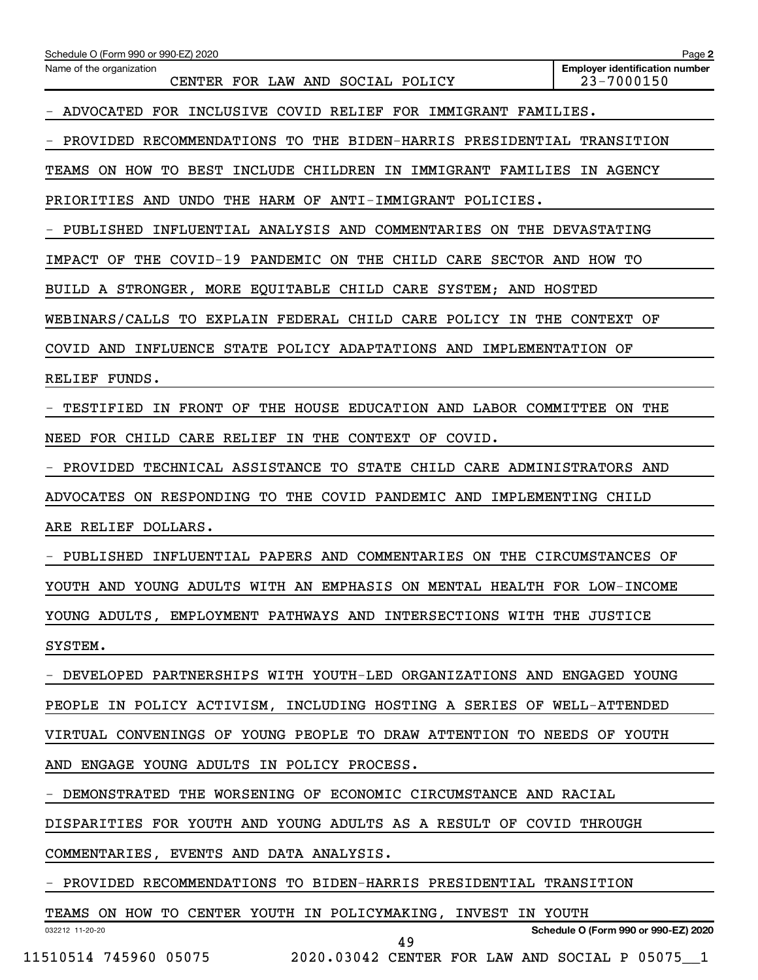| Schedule O (Form 990 or 990-EZ) 2020                                    | Page 2                                              |
|-------------------------------------------------------------------------|-----------------------------------------------------|
| Name of the organization<br>CENTER FOR LAW AND SOCIAL POLICY            | <b>Employer identification number</b><br>23-7000150 |
| ADVOCATED FOR INCLUSIVE COVID RELIEF FOR IMMIGRANT FAMILIES.            |                                                     |
| PROVIDED RECOMMENDATIONS TO THE BIDEN-HARRIS PRESIDENTIAL TRANSITION    |                                                     |
| TEAMS ON HOW TO BEST INCLUDE CHILDREN IN IMMIGRANT FAMILIES IN AGENCY   |                                                     |
| PRIORITIES AND UNDO<br>THE HARM OF ANTI-IMMIGRANT POLICIES.             |                                                     |
| PUBLISHED INFLUENTIAL ANALYSIS AND COMMENTARIES ON THE DEVASTATING      |                                                     |
| THE COVID-19 PANDEMIC ON THE CHILD CARE SECTOR AND HOW TO<br>IMPACT OF  |                                                     |
| BUILD A STRONGER, MORE EQUITABLE CHILD CARE SYSTEM; AND HOSTED          |                                                     |
| WEBINARS/CALLS TO EXPLAIN FEDERAL CHILD CARE POLICY IN THE CONTEXT OF   |                                                     |
| COVID AND INFLUENCE STATE POLICY ADAPTATIONS AND IMPLEMENTATION OF      |                                                     |
| RELIEF FUNDS.                                                           |                                                     |
| TESTIFIED IN FRONT OF THE HOUSE EDUCATION AND LABOR COMMITTEE ON THE    |                                                     |
| NEED FOR CHILD CARE RELIEF IN THE CONTEXT OF COVID.                     |                                                     |
| PROVIDED TECHNICAL ASSISTANCE TO STATE CHILD CARE ADMINISTRATORS AND    |                                                     |
| ON RESPONDING TO THE COVID PANDEMIC AND IMPLEMENTING CHILD<br>ADVOCATES |                                                     |
| ARE RELIEF DOLLARS.                                                     |                                                     |
| PUBLISHED INFLUENTIAL PAPERS AND COMMENTARIES ON THE CIRCUMSTANCES OF   |                                                     |
| YOUTH AND YOUNG ADULTS WITH AN EMPHASIS ON MENTAL HEALTH FOR LOW-INCOME |                                                     |
| YOUNG ADULTS, EMPLOYMENT PATHWAYS AND INTERSECTIONS WITH THE JUSTICE    |                                                     |
| SYSTEM.                                                                 |                                                     |
| - DEVELOPED PARTNERSHIPS WITH YOUTH-LED ORGANIZATIONS AND ENGAGED YOUNG |                                                     |
| PEOPLE IN POLICY ACTIVISM, INCLUDING HOSTING A SERIES OF WELL-ATTENDED  |                                                     |
| VIRTUAL CONVENINGS OF YOUNG PEOPLE TO DRAW ATTENTION TO NEEDS OF YOUTH  |                                                     |
| AND ENGAGE YOUNG ADULTS IN POLICY PROCESS.                              |                                                     |
| - DEMONSTRATED THE WORSENING OF ECONOMIC CIRCUMSTANCE AND RACIAL        |                                                     |
| DISPARITIES FOR YOUTH AND YOUNG ADULTS AS A RESULT OF COVID THROUGH     |                                                     |
| COMMENTARIES, EVENTS AND DATA ANALYSIS.                                 |                                                     |
| - PROVIDED RECOMMENDATIONS TO BIDEN-HARRIS PRESIDENTIAL TRANSITION      |                                                     |
| TEAMS ON HOW TO CENTER YOUTH IN POLICYMAKING, INVEST IN YOUTH           |                                                     |
| 032212 11-20-20<br>49                                                   | Schedule O (Form 990 or 990-EZ) 2020                |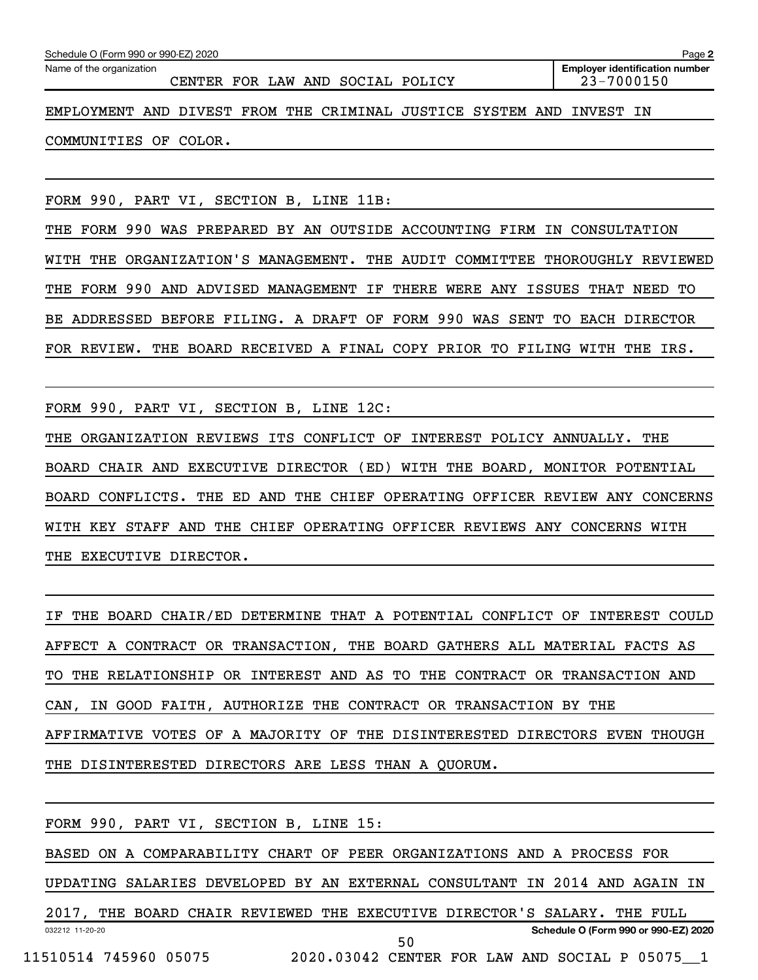|                                                                      |  | CENTER FOR LAW AND SOCIAL POLICY |  | 23-7000150 | <b>Employer identification number</b> |
|----------------------------------------------------------------------|--|----------------------------------|--|------------|---------------------------------------|
| EMPLOYMENT AND DIVEST FROM THE CRIMINAL JUSTICE SYSTEM AND INVEST IN |  |                                  |  |            |                                       |
| COMMUNITIES OF COLOR.                                                |  |                                  |  |            |                                       |

FORM 990, PART VI, SECTION B, LINE 11B:

THE FORM 990 WAS PREPARED BY AN OUTSIDE ACCOUNTING FIRM IN CONSULTATION WITH THE ORGANIZATION'S MANAGEMENT. THE AUDIT COMMITTEE THOROUGHLY REVIEWED THE FORM 990 AND ADVISED MANAGEMENT IF THERE WERE ANY ISSUES THAT NEED TO BE ADDRESSED BEFORE FILING. A DRAFT OF FORM 990 WAS SENT TO EACH DIRECTOR FOR REVIEW. THE BOARD RECEIVED A FINAL COPY PRIOR TO FILING WITH THE IRS.

FORM 990, PART VI, SECTION B, LINE 12C:

THE ORGANIZATION REVIEWS ITS CONFLICT OF INTEREST POLICY ANNUALLY. THE BOARD CHAIR AND EXECUTIVE DIRECTOR (ED) WITH THE BOARD, MONITOR POTENTIAL BOARD CONFLICTS. THE ED AND THE CHIEF OPERATING OFFICER REVIEW ANY CONCERNS WITH KEY STAFF AND THE CHIEF OPERATING OFFICER REVIEWS ANY CONCERNS WITH THE EXECUTIVE DIRECTOR.

IF THE BOARD CHAIR/ED DETERMINE THAT A POTENTIAL CONFLICT OF INTEREST COULD AFFECT A CONTRACT OR TRANSACTION, THE BOARD GATHERS ALL MATERIAL FACTS AS TO THE RELATIONSHIP OR INTEREST AND AS TO THE CONTRACT OR TRANSACTION AND CAN, IN GOOD FAITH, AUTHORIZE THE CONTRACT OR TRANSACTION BY THE AFFIRMATIVE VOTES OF A MAJORITY OF THE DISINTERESTED DIRECTORS EVEN THOUGH THE DISINTERESTED DIRECTORS ARE LESS THAN A QUORUM.

|                 | FORM 990, PART VI, SECTION B, LINE 15:                                     |  |  |    |  |  |                                                |  |
|-----------------|----------------------------------------------------------------------------|--|--|----|--|--|------------------------------------------------|--|
|                 | BASED ON A COMPARABILITY CHART OF PEER ORGANIZATIONS AND A PROCESS FOR     |  |  |    |  |  |                                                |  |
|                 | UPDATING SALARIES DEVELOPED BY AN EXTERNAL CONSULTANT IN 2014 AND AGAIN IN |  |  |    |  |  |                                                |  |
|                 | 2017, THE BOARD CHAIR REVIEWED THE EXECUTIVE DIRECTOR'S SALARY. THE FULL   |  |  |    |  |  |                                                |  |
| 032212 11-20-20 |                                                                            |  |  |    |  |  | Schedule O (Form 990 or 990-EZ) 2020           |  |
|                 | 11510514 745960 05075                                                      |  |  | 50 |  |  | 2020.03042 CENTER FOR LAW AND SOCIAL P 05075 1 |  |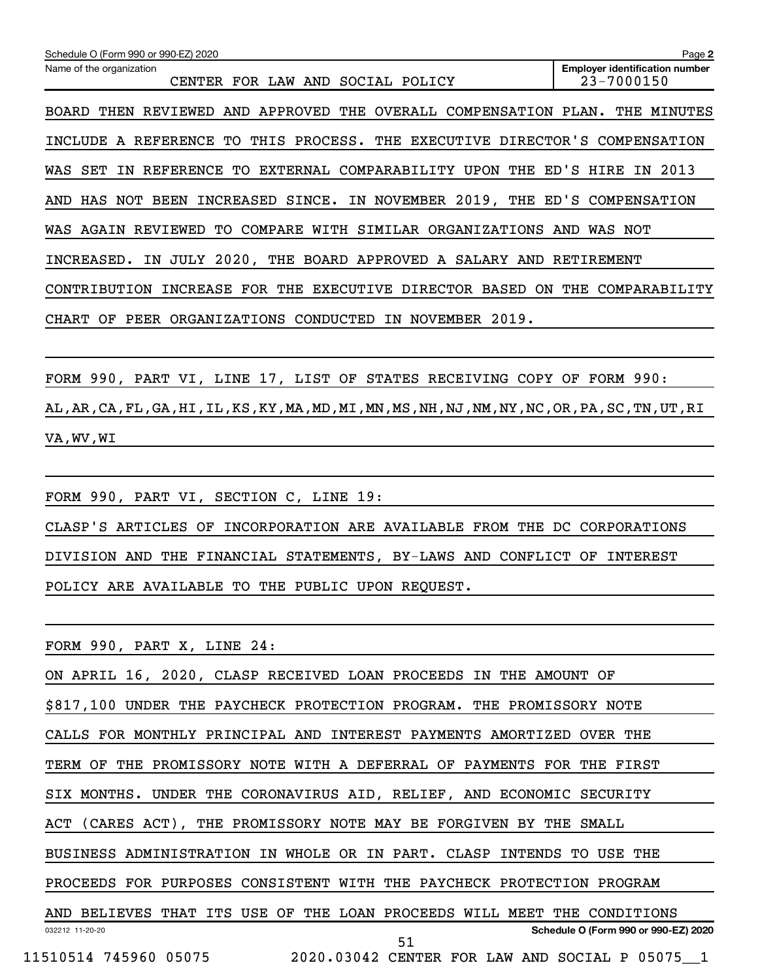| Schedule O (Form 990 or 990-EZ) 2020                                                               | Page 2                                              |
|----------------------------------------------------------------------------------------------------|-----------------------------------------------------|
| Name of the organization<br>CENTER FOR LAW AND<br>SOCIAL POLICY                                    | <b>Employer identification number</b><br>23-7000150 |
| AND APPROVED THE OVERALL COMPENSATION PLAN. THE MINUTES<br>THEN REVIEWED<br>BOARD                  |                                                     |
| THIS PROCESS. THE EXECUTIVE DIRECTOR'S COMPENSATION<br>INCLUDE A REFERENCE TO                      |                                                     |
| EXTERNAL COMPARABILITY UPON THE<br>REFERENCE TO<br>WAS<br>SET<br>IN.                               | ED'S HIRE IN 2013                                   |
| HAS NOT BEEN INCREASED SINCE. IN NOVEMBER 2019, THE ED'S COMPENSATION<br>AND                       |                                                     |
| AGAIN REVIEWED TO COMPARE<br>WITH SIMILAR ORGANIZATIONS AND<br>WAS                                 | WAS NOT                                             |
| INCREASED. IN JULY 2020, THE BOARD APPROVED A SALARY AND RETIREMENT                                |                                                     |
| INCREASE FOR THE<br><b>EXECUTIVE</b><br>DIRECTOR BASED<br><b>ON</b><br>CONTRIBUTION                | THE<br>COMPARABILITY                                |
| NOVEMBER<br>2019.<br>PEER ORGANIZATIONS CONDUCTED<br>ΙN.<br>CHART<br>OF                            |                                                     |
|                                                                                                    |                                                     |
| FORM 990, PART VI, LINE 17, LIST OF STATES RECEIVING COPY OF                                       | FORM 990:                                           |
| AL, AR, CA, FL, GA, HI, IL, KS, KY, MA, MD, MI, MN, MS, NH, NJ, NM, NY, NC, OR, PA, SC, TN, UT, RI |                                                     |

```
VA,WV,WI
```
FORM 990, PART VI, SECTION C, LINE 19: CLASP'S ARTICLES OF INCORPORATION ARE AVAILABLE FROM THE DC CORPORATIONS DIVISION AND THE FINANCIAL STATEMENTS, BY-LAWS AND CONFLICT OF INTEREST POLICY ARE AVAILABLE TO THE PUBLIC UPON REQUEST.

FORM 990, PART X, LINE 24:

032212 11-20-20 **Schedule O (Form 990 or 990-EZ) 2020** ON APRIL 16, 2020, CLASP RECEIVED LOAN PROCEEDS IN THE AMOUNT OF \$817,100 UNDER THE PAYCHECK PROTECTION PROGRAM. THE PROMISSORY NOTE CALLS FOR MONTHLY PRINCIPAL AND INTEREST PAYMENTS AMORTIZED OVER THE TERM OF THE PROMISSORY NOTE WITH A DEFERRAL OF PAYMENTS FOR THE FIRST SIX MONTHS. UNDER THE CORONAVIRUS AID, RELIEF, AND ECONOMIC SECURITY ACT (CARES ACT), THE PROMISSORY NOTE MAY BE FORGIVEN BY THE SMALL BUSINESS ADMINISTRATION IN WHOLE OR IN PART. CLASP INTENDS TO USE THE PROCEEDS FOR PURPOSES CONSISTENT WITH THE PAYCHECK PROTECTION PROGRAM AND BELIEVES THAT ITS USE OF THE LOAN PROCEEDS WILL MEET THE CONDITIONS 11510514 745960 05075 2020.03042 CENTER FOR LAW AND SOCIAL P 05075\_\_1 51